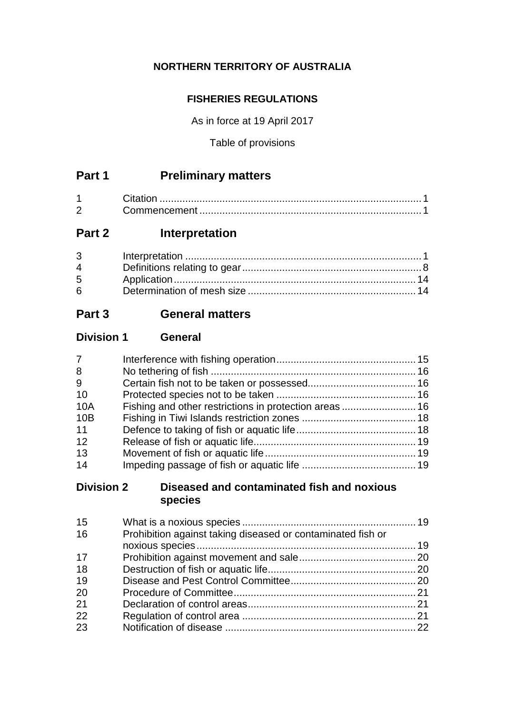## **NORTHERN TERRITORY OF AUSTRALIA**

### **FISHERIES REGULATIONS**

As in force at 19 April 2017

Table of provisions

# **Part 1 Preliminary matters**

| ◠ |  |
|---|--|

# **Part 2 Interpretation**

| $3^{\circ}$ |  |
|-------------|--|
| $\mathbf 4$ |  |
| $5^{\circ}$ |  |
| 6           |  |

## **Part 3 General matters**

### **Division 1 General**

| $7^{\circ}$ |  |
|-------------|--|
| 8           |  |
| 9           |  |
| 10          |  |
| <b>10A</b>  |  |
| 10B         |  |
| 11          |  |
| 12          |  |
| 13          |  |
| 14          |  |

### **Division 2 Diseased and contaminated fish and noxious species**

| Prohibition against taking diseased or contaminated fish or |  |
|-------------------------------------------------------------|--|
|                                                             |  |
|                                                             |  |
|                                                             |  |
|                                                             |  |
|                                                             |  |
|                                                             |  |
|                                                             |  |
|                                                             |  |
|                                                             |  |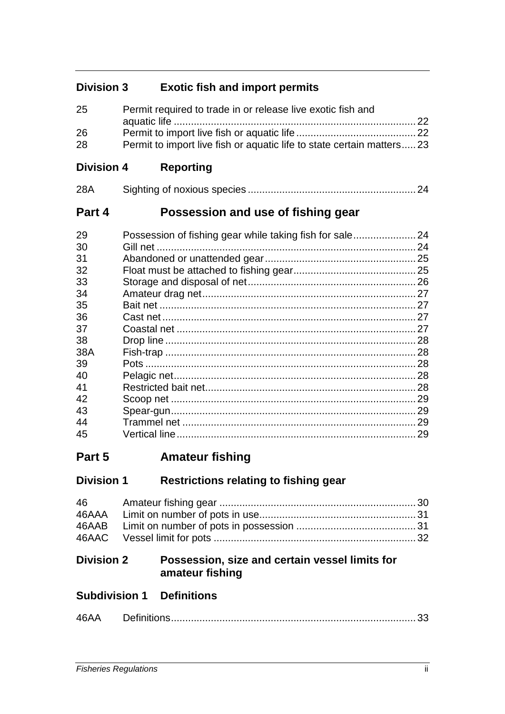## **Division 3 Exotic fish and import permits**

| 25 | Permit required to trade in or release live exotic fish and           |  |
|----|-----------------------------------------------------------------------|--|
|    |                                                                       |  |
| 26 |                                                                       |  |
| 28 | Permit to import live fish or aquatic life to state certain matters23 |  |

### **Division 4 Reporting**

| 28A |  |  |
|-----|--|--|
|-----|--|--|

## **Part 4 Possession and use of fishing gear**

| 29  | Possession of fishing gear while taking fish for sale | 24 |
|-----|-------------------------------------------------------|----|
| 30  |                                                       | 24 |
| 31  |                                                       |    |
| 32  |                                                       |    |
| 33  |                                                       |    |
| 34  |                                                       | 27 |
| 35  |                                                       | 27 |
| 36  |                                                       | 27 |
| 37  |                                                       | 27 |
| 38  |                                                       | 28 |
| 38A |                                                       |    |
| 39  |                                                       |    |
| 40  |                                                       | 28 |
| 41  |                                                       | 28 |
| 42  |                                                       | 29 |
| 43  |                                                       | 29 |
| 44  |                                                       | 29 |
| 45  |                                                       | 29 |

# **Part 5 Amateur fishing**

## **Division 1 Restrictions relating to fishing gear**

### **Division 2 Possession, size and certain vessel limits for amateur fishing**

### **Subdivision 1 Definitions**

| 46AA |  |  |
|------|--|--|
|------|--|--|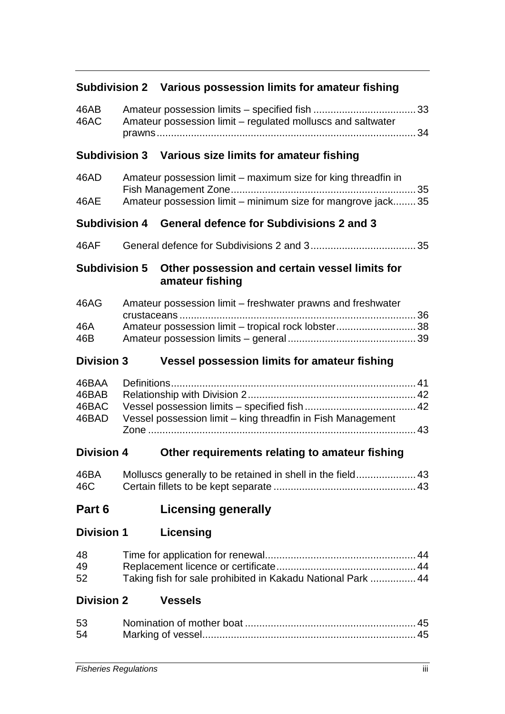# **Subdivision 2 Various possession limits for amateur fishing**

| 46AB |                                                             |  |
|------|-------------------------------------------------------------|--|
| 46AC | Amateur possession limit – regulated molluscs and saltwater |  |
|      |                                                             |  |

## **Subdivision 3 Various size limits for amateur fishing**

|                                  | Subdivision 3 various size limits for amateur fishing             |  |
|----------------------------------|-------------------------------------------------------------------|--|
| 46AD                             | Amateur possession limit - maximum size for king threadfin in     |  |
| 46AE                             | Amateur possession limit – minimum size for mangrove jack 35      |  |
| <b>Subdivision 4</b>             | <b>General defence for Subdivisions 2 and 3</b>                   |  |
| 46AF                             |                                                                   |  |
| <b>Subdivision 5</b>             | Other possession and certain vessel limits for<br>amateur fishing |  |
| 46AG                             | Amateur possession limit – freshwater prawns and freshwater       |  |
| 46A<br>46B                       | Amateur possession limit - tropical rock lobster38                |  |
| <b>Division 3</b>                | <b>Vessel possession limits for amateur fishing</b>               |  |
| 46BAA<br>46BAB<br>46BAC<br>46BAD | Vessel possession limit - king threadfin in Fish Management       |  |
| <b>Division 4</b>                | Other requirements relating to amateur fishing                    |  |
| 46BA<br>46C                      | Molluscs generally to be retained in shell in the field 43        |  |
| Part 6                           | <b>Licensing generally</b>                                        |  |

# **Division 1 Licensing**

| 48 |                                                             |  |
|----|-------------------------------------------------------------|--|
| 49 |                                                             |  |
| 52 | Taking fish for sale prohibited in Kakadu National Park  44 |  |

# **Division 2 Vessels**

| 53 |  |
|----|--|
| 54 |  |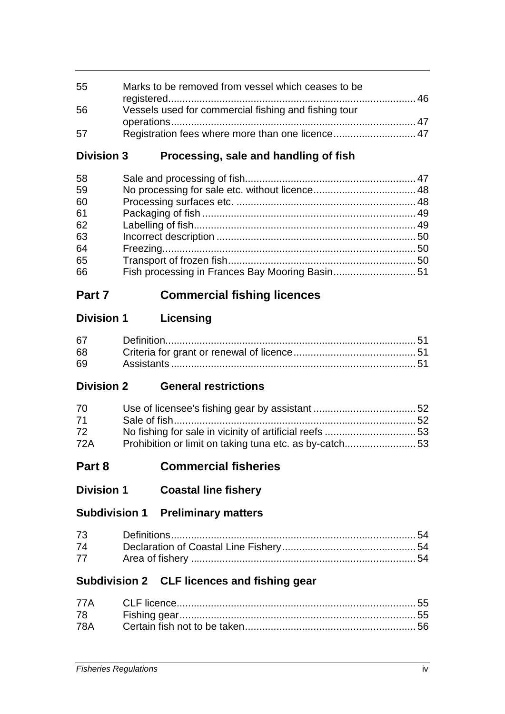| 55 | Marks to be removed from vessel which ceases to be   |  |
|----|------------------------------------------------------|--|
|    |                                                      |  |
| 56 | Vessels used for commercial fishing and fishing tour |  |
|    |                                                      |  |
| 57 |                                                      |  |

## **Division 3 Processing, sale and handling of fish**

| 58 |                                                |  |
|----|------------------------------------------------|--|
| 59 |                                                |  |
| 60 |                                                |  |
| 61 |                                                |  |
| 62 |                                                |  |
| 63 |                                                |  |
| 64 |                                                |  |
| 65 |                                                |  |
| 66 | Fish processing in Frances Bay Mooring Basin51 |  |

## **Part 7 Commercial fishing licences**

## **Division 1 Licensing**

| 68 |  |
|----|--|
| 69 |  |

## **Division 2 General restrictions**

| 70  |  |
|-----|--|
| 71  |  |
| 72  |  |
| 72A |  |

# **Part 8 Commercial fisheries**

**Division 1 Coastal line fishery**

## **Subdivision 1 Preliminary matters**

| 74 |  |
|----|--|
| 77 |  |

## **Subdivision 2 CLF licences and fishing gear**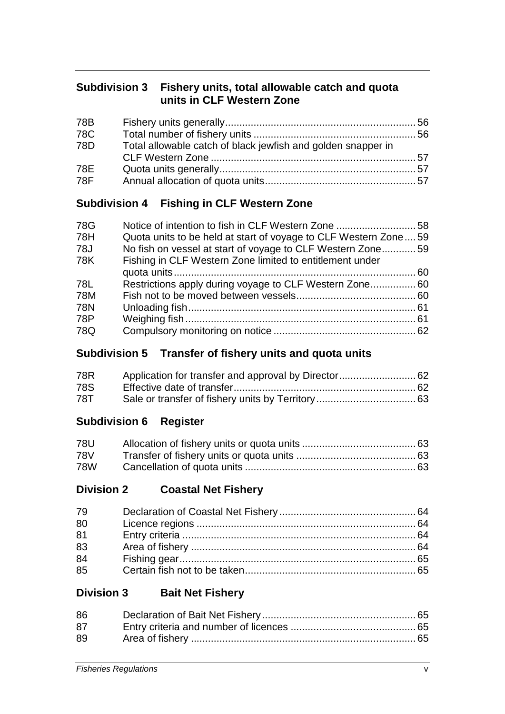## **Subdivision 3 Fishery units, total allowable catch and quota units in CLF Western Zone**

| 78B        |                                                              |  |
|------------|--------------------------------------------------------------|--|
| <b>78C</b> |                                                              |  |
| 78D        | Total allowable catch of black jewfish and golden snapper in |  |
|            |                                                              |  |
| 78E        |                                                              |  |
| <b>78F</b> |                                                              |  |

### **Subdivision 4 Fishing in CLF Western Zone**

| 78G |                                                                 |  |
|-----|-----------------------------------------------------------------|--|
| 78H | Quota units to be held at start of voyage to CLF Western Zone59 |  |
| 78J | No fish on vessel at start of voyage to CLF Western Zone59      |  |
| 78K | Fishing in CLF Western Zone limited to entitlement under        |  |
|     |                                                                 |  |
| 78L | Restrictions apply during voyage to CLF Western Zone 60         |  |
| 78M |                                                                 |  |
| 78N |                                                                 |  |
| 78P |                                                                 |  |
| 78Q |                                                                 |  |
|     |                                                                 |  |

## **Subdivision 5 Transfer of fishery units and quota units**

| 78R        |  |
|------------|--|
| <b>78S</b> |  |
| 78T        |  |

### **Subdivision 6 Register**

| 78U        |  |
|------------|--|
| 78V        |  |
| <b>78W</b> |  |

## **Division 2 Coastal Net Fishery**

| 79 |  |
|----|--|
| 80 |  |
| 81 |  |
| 83 |  |
| 84 |  |
| 85 |  |

## **Division 3 Bait Net Fishery**

| 86 |  |
|----|--|
| 87 |  |
| 89 |  |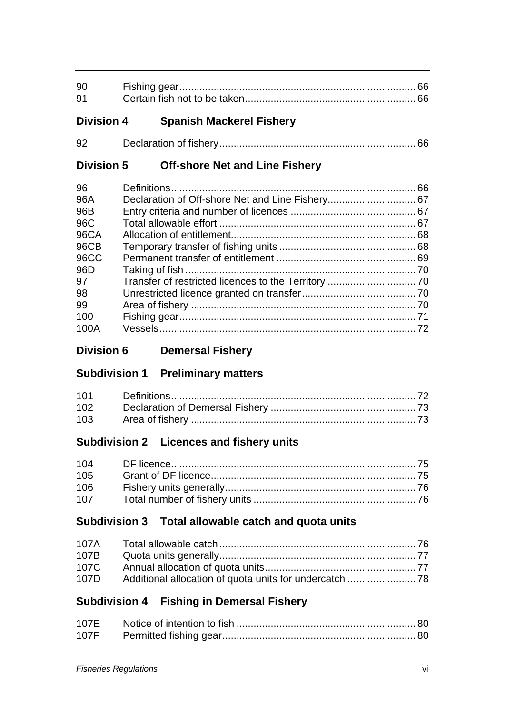|    | Division 4 Spanish Mackerel Fishery |  |
|----|-------------------------------------|--|
| 91 |                                     |  |
| 90 |                                     |  |

92 Declaration of fishery..................................................................... 66

| <b>Division 5</b> | <b>Off-shore Net and Line Fishery</b> |  |
|-------------------|---------------------------------------|--|

| 96   |  |
|------|--|
| 96A  |  |
| 96B  |  |
| 96C  |  |
| 96CA |  |
| 96CB |  |
| 96CC |  |
| 96D  |  |
| 97   |  |
| 98   |  |
| 99   |  |
| 100  |  |
| 100A |  |

## **Division 6 Demersal Fishery**

## **Subdivision 1 Preliminary matters**

## **Subdivision 2 Licences and fishery units**

| $105 -$ |  |
|---------|--|
| 106     |  |
|         |  |

## **Subdivision 3 Total allowable catch and quota units**

| 107B |  |
|------|--|
| 107C |  |
| 107D |  |

## **Subdivision 4 Fishing in Demersal Fishery**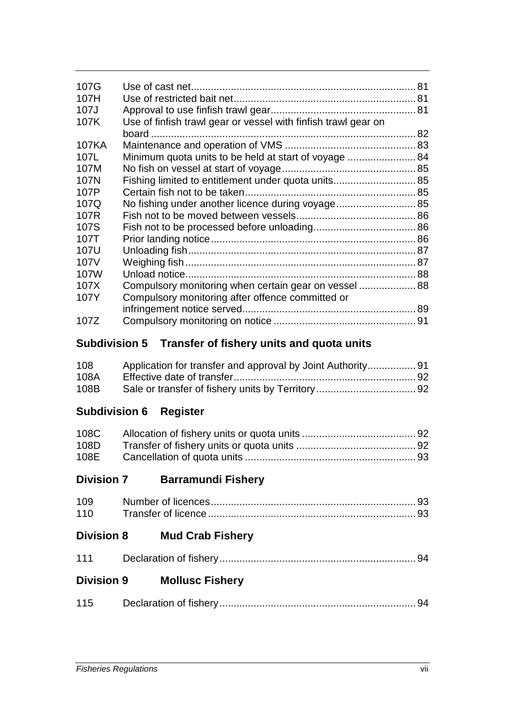| 107G         |                                                                |  |
|--------------|----------------------------------------------------------------|--|
| 107H         |                                                                |  |
| 107J         |                                                                |  |
| 107K         | Use of finfish trawl gear or vessel with finfish trawl gear on |  |
|              |                                                                |  |
| <b>107KA</b> |                                                                |  |
| 107L         | Minimum quota units to be held at start of voyage 84           |  |
| 107M         |                                                                |  |
| 107N         | Fishing limited to entitlement under quota units 85            |  |
| 107P         |                                                                |  |
| 107Q         | No fishing under another licence during voyage 85              |  |
| 107R         |                                                                |  |
| 107S         |                                                                |  |
| 107T         |                                                                |  |
| 107U         |                                                                |  |
| 107V         |                                                                |  |
| 107W         |                                                                |  |
| 107X         | Compulsory monitoring when certain gear on vessel  88          |  |
| 107Y         | Compulsory monitoring after offence committed or               |  |
|              |                                                                |  |
| 107Z         |                                                                |  |
|              |                                                                |  |

# **Subdivision 5 Transfer of fishery units and quota units**

| 108  |  |
|------|--|
| 108A |  |
| 108B |  |

## **Subdivision 6 Register**

| 108C |  |
|------|--|
| 108D |  |
| 108E |  |

# **Division 7 Barramundi Fishery**

| 109<br>110        | 93<br>93                |
|-------------------|-------------------------|
| <b>Division 8</b> | <b>Mud Crab Fishery</b> |
| 111               | 94                      |
| <b>Division 9</b> | <b>Mollusc Fishery</b>  |
| 115               | 94                      |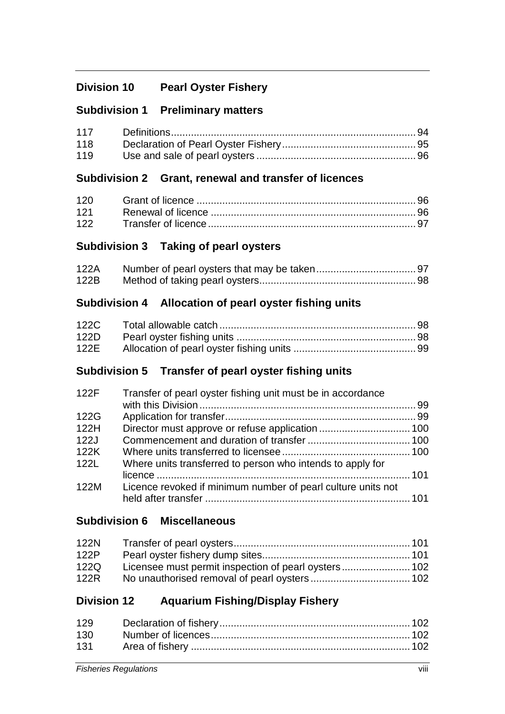## **Division 10 Pearl Oyster Fishery**

## **Subdivision 1 Preliminary matters**

| 118 |  |
|-----|--|
| 119 |  |

## **Subdivision 2 Grant, renewal and transfer of licences**

## **Subdivision 3 Taking of pearl oysters**

| 122A |  |
|------|--|
| 122B |  |

## **Subdivision 4 Allocation of pearl oyster fishing units**

## **Subdivision 5 Transfer of pearl oyster fishing units**

| 122F | Transfer of pearl oyster fishing unit must be in accordance  |  |
|------|--------------------------------------------------------------|--|
|      |                                                              |  |
| 122G |                                                              |  |
| 122H |                                                              |  |
| 122J |                                                              |  |
| 122K |                                                              |  |
| 122L | Where units transferred to person who intends to apply for   |  |
|      |                                                              |  |
| 122M | Licence revoked if minimum number of pearl culture units not |  |
|      |                                                              |  |

## **Subdivision 6 Miscellaneous**

| 122N |  |
|------|--|
| 122P |  |
| 122Q |  |
| 122R |  |

## **Division 12 Aquarium Fishing/Display Fishery**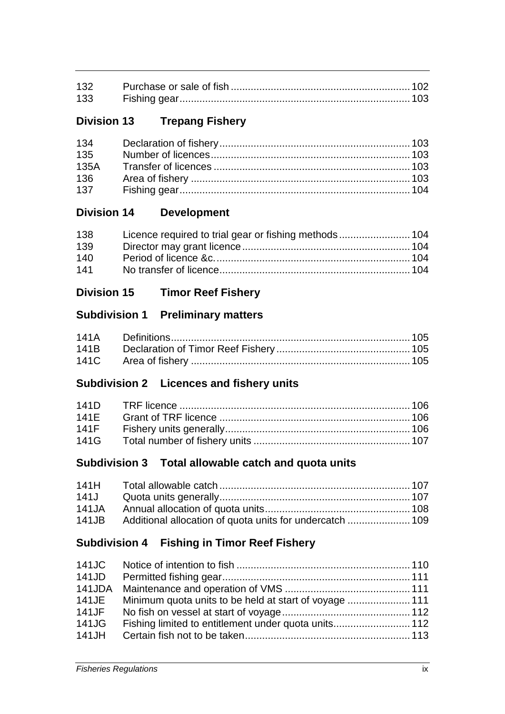## **Division 13 Trepang Fishery**

| 134 |  |
|-----|--|
| 135 |  |
|     |  |
| 136 |  |
| 137 |  |

## **Division 14 Development**

| 138 | Licence required to trial gear or fishing methods 104 |  |
|-----|-------------------------------------------------------|--|
| 139 |                                                       |  |
| 140 |                                                       |  |
| 141 |                                                       |  |

## **Division 15 Timor Reef Fishery**

### **Subdivision 1 Preliminary matters**

## **Subdivision 2 Licences and fishery units**

## **Subdivision 3 Total allowable catch and quota units**

## **Subdivision 4 Fishing in Timor Reef Fishery**

|       | 141JE Minimum quota units to be held at start of voyage 111 |  |
|-------|-------------------------------------------------------------|--|
|       |                                                             |  |
| 141JG |                                                             |  |
|       |                                                             |  |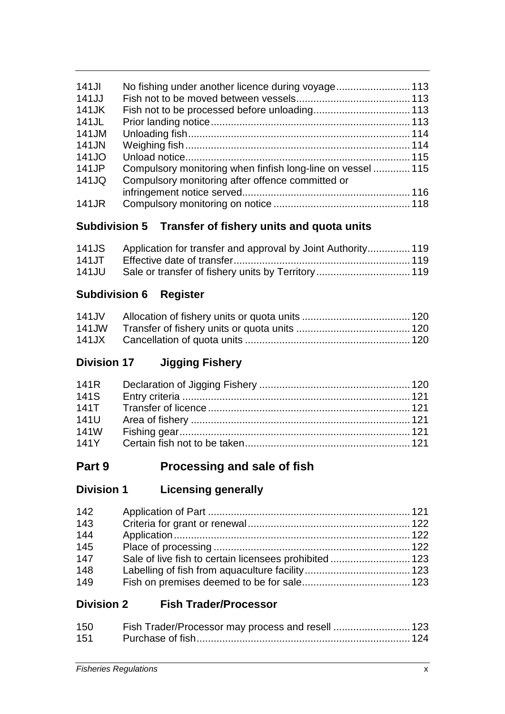| Compulsory monitoring when finfish long-line on vessel  115 |
|-------------------------------------------------------------|
|                                                             |
|                                                             |
|                                                             |
|                                                             |

## **Subdivision 5 Transfer of fishery units and quota units**

| 141JS Application for transfer and approval by Joint Authority 119 |  |
|--------------------------------------------------------------------|--|
|                                                                    |  |
|                                                                    |  |

## **Subdivision 6 Register**

## **Division 17 Jigging Fishery**

| 141R |  |
|------|--|
| 141S |  |
| 141T |  |
| 141U |  |
| 141W |  |
| 141Y |  |

## **Part 9 Processing and sale of fish**

# **Division 1 Licensing generally**

| 142 |  |
|-----|--|
| 143 |  |
| 144 |  |
| 145 |  |
| 147 |  |
| 148 |  |
| 149 |  |

## **Division 2 Fish Trader/Processor**

| 150 | Fish Trader/Processor may process and resell  123 |  |
|-----|---------------------------------------------------|--|
| 151 |                                                   |  |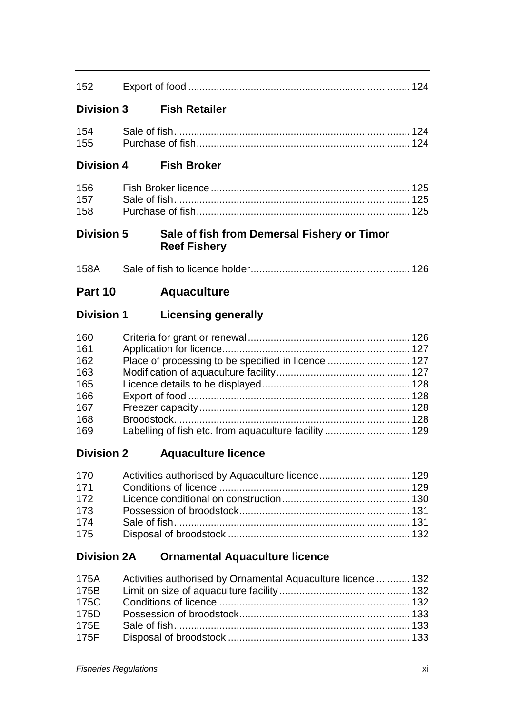| 152                                                         |                                                                    |  |
|-------------------------------------------------------------|--------------------------------------------------------------------|--|
| <b>Division 3</b>                                           | <b>Fish Retailer</b>                                               |  |
| 154<br>155                                                  |                                                                    |  |
| <b>Division 4</b>                                           | <b>Fish Broker</b>                                                 |  |
| 156<br>157<br>158                                           |                                                                    |  |
| <b>Division 5</b>                                           | Sale of fish from Demersal Fishery or Timor<br><b>Reef Fishery</b> |  |
| 158A                                                        |                                                                    |  |
| Part 10                                                     | <b>Aquaculture</b>                                                 |  |
| <b>Division 1</b>                                           | <b>Licensing generally</b>                                         |  |
| 160<br>161<br>162<br>163<br>165<br>166<br>167<br>168<br>169 |                                                                    |  |
|                                                             | Division 2 Aquaculture licence                                     |  |
| 170<br>171<br>172<br>173<br>174<br>175                      |                                                                    |  |
| <b>Division 2A</b>                                          | <b>Ornamental Aquaculture licence</b>                              |  |
| 175A<br>175B<br>175C<br>175D                                | Activities authorised by Ornamental Aquaculture licence  132       |  |

175E Sale of fish................................................................................... 133 175F Disposal of broodstock ................................................................ 133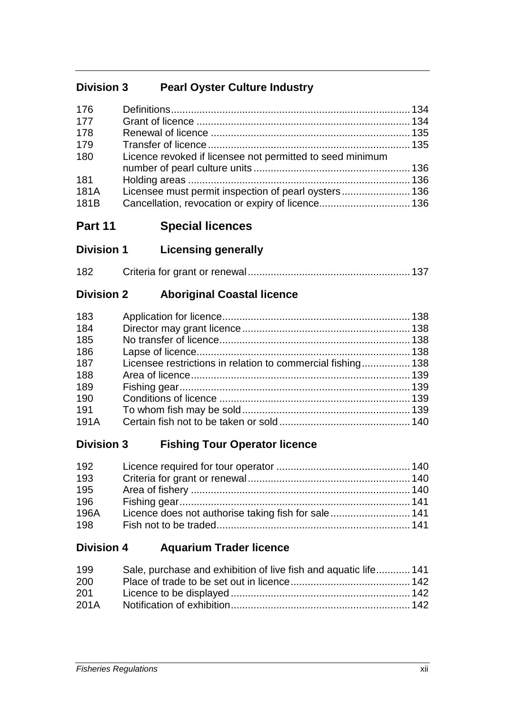## **Division 3 Pearl Oyster Culture Industry**

| 176  |                                                           |  |
|------|-----------------------------------------------------------|--|
| 177  |                                                           |  |
| 178  |                                                           |  |
| 179  |                                                           |  |
| 180  | Licence revoked if licensee not permitted to seed minimum |  |
|      |                                                           |  |
| 181  |                                                           |  |
| 181A |                                                           |  |
| 181B |                                                           |  |

## **Part 11 Special licences**

| <b>Division 1</b> | <b>Licensing generally</b> |  |
|-------------------|----------------------------|--|
|-------------------|----------------------------|--|

| 182 |  |  |
|-----|--|--|
|-----|--|--|

## **Division 2 Aboriginal Coastal licence**

| 183  |                                                             |  |
|------|-------------------------------------------------------------|--|
| 184  |                                                             |  |
| 185  |                                                             |  |
| 186  |                                                             |  |
| 187  | Licensee restrictions in relation to commercial fishing 138 |  |
| 188  |                                                             |  |
| 189  |                                                             |  |
| 190  |                                                             |  |
| 191  |                                                             |  |
| 191A |                                                             |  |

# **Division 3 Fishing Tour Operator licence**

| 192  |                                                     |  |
|------|-----------------------------------------------------|--|
| 193  |                                                     |  |
| 195  |                                                     |  |
| 196  |                                                     |  |
| 196A | Licence does not authorise taking fish for sale 141 |  |
| 198  |                                                     |  |

# **Division 4 Aquarium Trader licence**

| 199  | Sale, purchase and exhibition of live fish and aquatic life 141 |  |
|------|-----------------------------------------------------------------|--|
| 200  |                                                                 |  |
| 201  |                                                                 |  |
| 201A |                                                                 |  |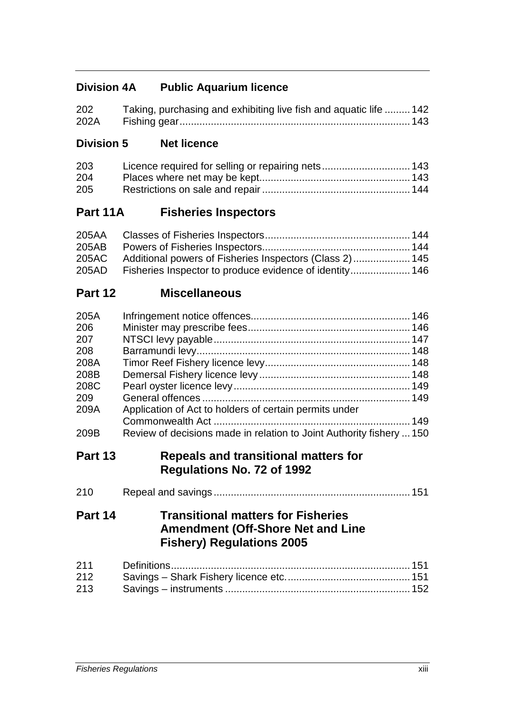## **Division 4A Public Aquarium licence**

| 202  | Taking, purchasing and exhibiting live fish and aquatic life  142 |  |
|------|-------------------------------------------------------------------|--|
| 202A |                                                                   |  |

### **Division 5 Net licence**

| 203 | Licence required for selling or repairing nets 143 |  |
|-----|----------------------------------------------------|--|
| 204 |                                                    |  |
| 205 |                                                    |  |

### **Part 11A Fisheries Inspectors**

| 205AC Additional powers of Fisheries Inspectors (Class 2) 145 |  |
|---------------------------------------------------------------|--|
| 205AD Fisheries Inspector to produce evidence of identity 146 |  |

### **Part 12 Miscellaneous**

| 205A |                                                                      |  |
|------|----------------------------------------------------------------------|--|
| 206  |                                                                      |  |
| 207  |                                                                      |  |
| 208  |                                                                      |  |
| 208A |                                                                      |  |
| 208B |                                                                      |  |
| 208C |                                                                      |  |
| 209  |                                                                      |  |
| 209A | Application of Act to holders of certain permits under               |  |
|      |                                                                      |  |
| 209B | Review of decisions made in relation to Joint Authority fishery  150 |  |

## **Part 13 Repeals and transitional matters for Regulations No. 72 of 1992**

| 210 |  |  |  |
|-----|--|--|--|
|-----|--|--|--|

## **Part 14 Transitional matters for Fisheries Amendment (Off-Shore Net and Line Fishery) Regulations 2005**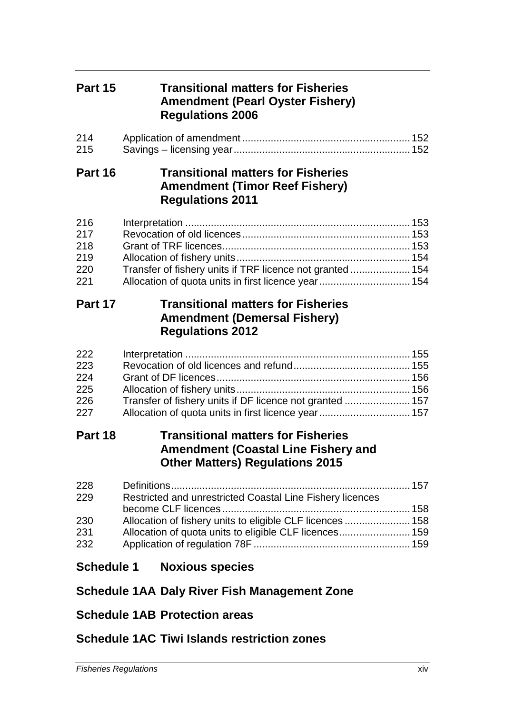| Part 15                                | <b>Transitional matters for Fisheries</b><br><b>Amendment (Pearl Oyster Fishery)</b><br><b>Regulations 2006</b>                                                                  |  |
|----------------------------------------|----------------------------------------------------------------------------------------------------------------------------------------------------------------------------------|--|
| 214<br>215                             |                                                                                                                                                                                  |  |
| Part 16                                | <b>Transitional matters for Fisheries</b><br><b>Amendment (Timor Reef Fishery)</b><br><b>Regulations 2011</b>                                                                    |  |
| 216<br>217<br>218<br>219<br>220<br>221 | Transfer of fishery units if TRF licence not granted  154<br>Allocation of quota units in first licence year 154                                                                 |  |
| Part 17                                | <b>Transitional matters for Fisheries</b><br><b>Amendment (Demersal Fishery)</b><br><b>Regulations 2012</b>                                                                      |  |
| 222<br>223<br>224<br>225<br>226<br>227 | Transfer of fishery units if DF licence not granted  157<br>Allocation of quota units in first licence year 157                                                                  |  |
| Part 18                                | <b>Transitional matters for Fisheries</b><br><b>Amendment (Coastal Line Fishery and</b><br><b>Other Matters) Regulations 2015</b>                                                |  |
| 228<br>229<br>230<br>231<br>232        | Restricted and unrestricted Coastal Line Fishery licences<br>Allocation of fishery units to eligible CLF licences  158<br>Allocation of quota units to eligible CLF licences 159 |  |
| <b>Schedule 1</b>                      | <b>Noxious species</b>                                                                                                                                                           |  |
|                                        | <b>Schedule 1AA Daly River Fish Management Zone</b>                                                                                                                              |  |

**Schedule 1AB Protection areas**

**Schedule 1AC Tiwi Islands restriction zones**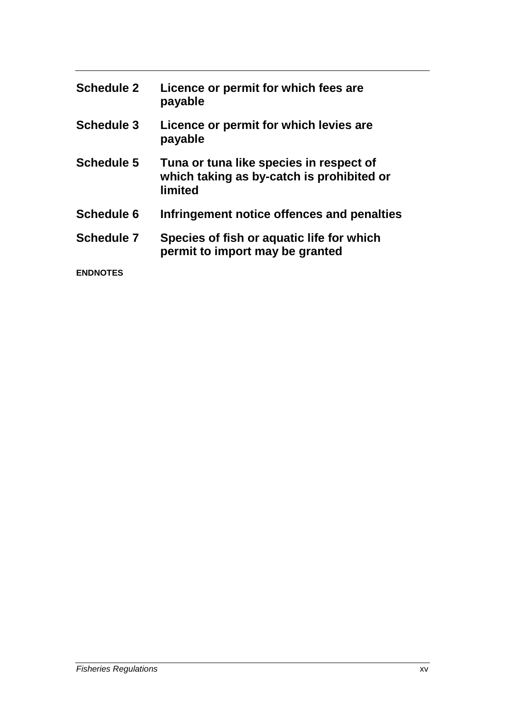| <b>Schedule 2</b> | Licence or permit for which fees are<br>payable                                                 |
|-------------------|-------------------------------------------------------------------------------------------------|
| <b>Schedule 3</b> | Licence or permit for which levies are<br>payable                                               |
| <b>Schedule 5</b> | Tuna or tuna like species in respect of<br>which taking as by-catch is prohibited or<br>limited |
| <b>Schedule 6</b> | Infringement notice offences and penalties                                                      |
| <b>Schedule 7</b> | Species of fish or aquatic life for which<br>permit to import may be granted                    |
| <b>ENDNOTES</b>   |                                                                                                 |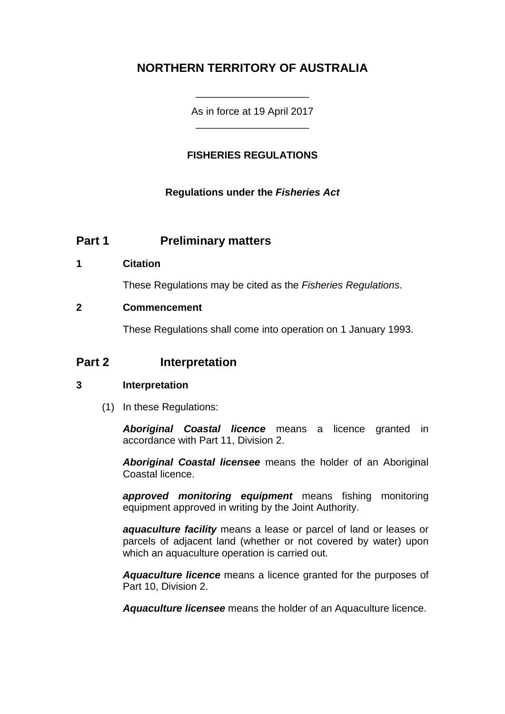## **NORTHERN TERRITORY OF AUSTRALIA**

As in force at 19 April 2017 \_\_\_\_\_\_\_\_\_\_\_\_\_\_\_\_\_\_\_\_

\_\_\_\_\_\_\_\_\_\_\_\_\_\_\_\_\_\_\_\_

### **FISHERIES REGULATIONS**

### **Regulations under the** *Fisheries Act*

### **Part 1 Preliminary matters**

#### **1 Citation**

These Regulations may be cited as the *Fisheries Regulations*.

#### **2 Commencement**

These Regulations shall come into operation on 1 January 1993.

### **Part 2 Interpretation**

#### **3 Interpretation**

(1) In these Regulations:

*Aboriginal Coastal licence* means a licence granted in accordance with Part 11, Division 2.

*Aboriginal Coastal licensee* means the holder of an Aboriginal Coastal licence.

*approved monitoring equipment* means fishing monitoring equipment approved in writing by the Joint Authority.

*aquaculture facility* means a lease or parcel of land or leases or parcels of adjacent land (whether or not covered by water) upon which an aquaculture operation is carried out.

*Aquaculture licence* means a licence granted for the purposes of Part 10, Division 2.

*Aquaculture licensee* means the holder of an Aquaculture licence.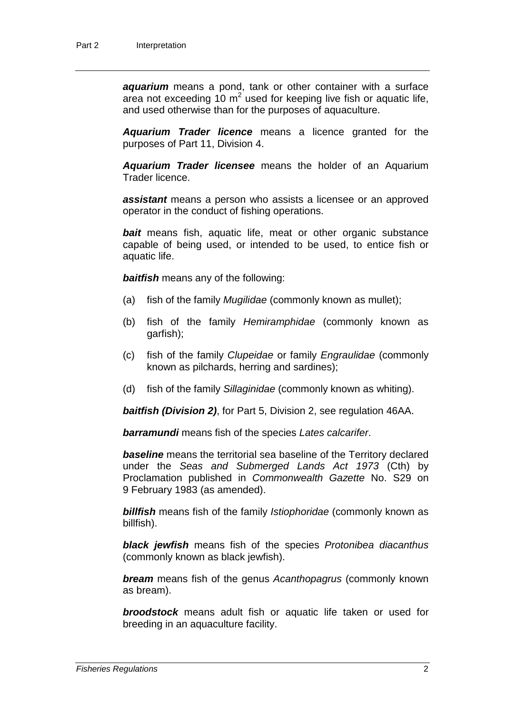*aquarium* means a pond, tank or other container with a surface area not exceeding 10  $m<sup>2</sup>$  used for keeping live fish or aquatic life, and used otherwise than for the purposes of aquaculture.

*Aquarium Trader licence* means a licence granted for the purposes of Part 11, Division 4.

*Aquarium Trader licensee* means the holder of an Aquarium Trader licence.

*assistant* means a person who assists a licensee or an approved operator in the conduct of fishing operations.

**bait** means fish, aquatic life, meat or other organic substance capable of being used, or intended to be used, to entice fish or aquatic life.

*baitfish* means any of the following:

- (a) fish of the family *Mugilidae* (commonly known as mullet);
- (b) fish of the family *Hemiramphidae* (commonly known as garfish);
- (c) fish of the family *Clupeidae* or family *Engraulidae* (commonly known as pilchards, herring and sardines);
- (d) fish of the family *Sillaginidae* (commonly known as whiting).

*baitfish (Division 2)*, for Part 5, Division 2, see regulation 46AA.

*barramundi* means fish of the species *Lates calcarifer*.

*baseline* means the territorial sea baseline of the Territory declared under the *Seas and Submerged Lands Act 1973* (Cth) by Proclamation published in *Commonwealth Gazette* No. S29 on 9 February 1983 (as amended).

*billfish* means fish of the family *Istiophoridae* (commonly known as billfish).

*black jewfish* means fish of the species *Protonibea diacanthus* (commonly known as black jewfish).

*bream* means fish of the genus *Acanthopagrus* (commonly known as bream).

*broodstock* means adult fish or aquatic life taken or used for breeding in an aquaculture facility.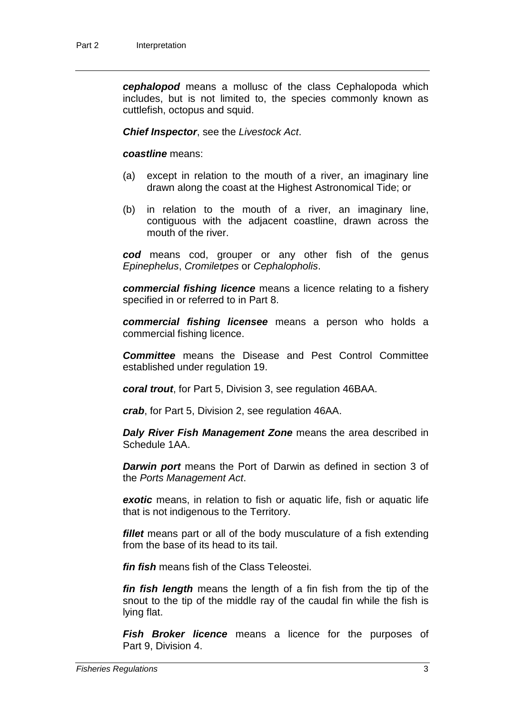*cephalopod* means a mollusc of the class Cephalopoda which includes, but is not limited to, the species commonly known as cuttlefish, octopus and squid.

*Chief Inspector*, see the *Livestock Act*.

#### *coastline* means:

- (a) except in relation to the mouth of a river, an imaginary line drawn along the coast at the Highest Astronomical Tide; or
- (b) in relation to the mouth of a river, an imaginary line, contiguous with the adjacent coastline, drawn across the mouth of the river.

cod means cod, grouper or any other fish of the genus *Epinephelus*, *Cromiletpes* or *Cephalopholis*.

*commercial fishing licence* means a licence relating to a fishery specified in or referred to in Part 8.

*commercial fishing licensee* means a person who holds a commercial fishing licence.

*Committee* means the Disease and Pest Control Committee established under regulation 19.

*coral trout*, for Part 5, Division 3, see regulation 46BAA.

*crab*, for Part 5, Division 2, see regulation 46AA.

*Daly River Fish Management Zone* means the area described in Schedule 1AA.

*Darwin port* means the Port of Darwin as defined in section 3 of the *Ports Management Act*.

*exotic* means, in relation to fish or aquatic life, fish or aquatic life that is not indigenous to the Territory.

*fillet* means part or all of the body musculature of a fish extending from the base of its head to its tail.

*fin fish* means fish of the Class Teleostei.

*fin fish length* means the length of a fin fish from the tip of the snout to the tip of the middle ray of the caudal fin while the fish is lying flat.

*Fish Broker licence* means a licence for the purposes of Part 9, Division 4.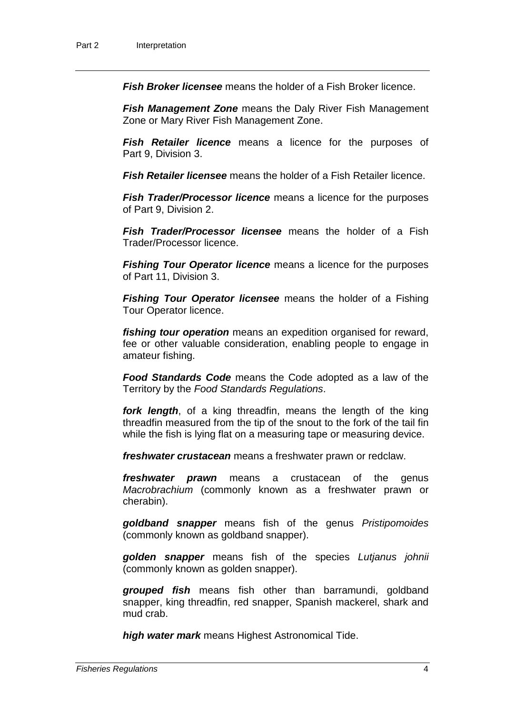*Fish Broker licensee* means the holder of a Fish Broker licence.

*Fish Management Zone* means the Daly River Fish Management Zone or Mary River Fish Management Zone.

*Fish Retailer licence* means a licence for the purposes of Part 9, Division 3.

*Fish Retailer licensee* means the holder of a Fish Retailer licence.

*Fish Trader/Processor licence* means a licence for the purposes of Part 9, Division 2.

*Fish Trader/Processor licensee* means the holder of a Fish Trader/Processor licence.

*Fishing Tour Operator licence* means a licence for the purposes of Part 11, Division 3.

*Fishing Tour Operator licensee* means the holder of a Fishing Tour Operator licence.

*fishing tour operation* means an expedition organised for reward, fee or other valuable consideration, enabling people to engage in amateur fishing.

*Food Standards Code* means the Code adopted as a law of the Territory by the *Food Standards Regulations*.

*fork length*, of a king threadfin, means the length of the king threadfin measured from the tip of the snout to the fork of the tail fin while the fish is lying flat on a measuring tape or measuring device.

*freshwater crustacean* means a freshwater prawn or redclaw.

*freshwater prawn* means a crustacean of the genus *Macrobrachium* (commonly known as a freshwater prawn or cherabin).

*goldband snapper* means fish of the genus *Pristipomoides*  (commonly known as goldband snapper).

*golden snapper* means fish of the species *Lutjanus johnii* (commonly known as golden snapper).

*grouped fish* means fish other than barramundi, goldband snapper, king threadfin, red snapper, Spanish mackerel, shark and mud crab.

*high water mark* means Highest Astronomical Tide.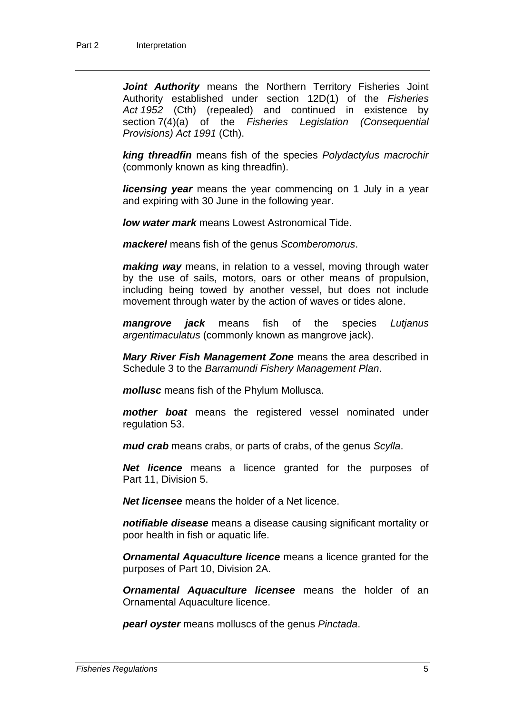*Joint Authority* means the Northern Territory Fisheries Joint Authority established under section 12D(1) of the *Fisheries Act 1952* (Cth) (repealed) and continued in existence by section 7(4)(a) of the *Fisheries Legislation (Consequential Provisions) Act 1991* (Cth).

*king threadfin* means fish of the species *Polydactylus macrochir* (commonly known as king threadfin).

*licensing year* means the year commencing on 1 July in a year and expiring with 30 June in the following year.

*low water mark* means Lowest Astronomical Tide.

*mackerel* means fish of the genus *Scomberomorus*.

*making way* means, in relation to a vessel, moving through water by the use of sails, motors, oars or other means of propulsion, including being towed by another vessel, but does not include movement through water by the action of waves or tides alone.

*mangrove jack* means fish of the species *Lutjanus argentimaculatus* (commonly known as mangrove jack).

*Mary River Fish Management Zone* means the area described in Schedule 3 to the *Barramundi Fishery Management Plan*.

*mollusc* means fish of the Phylum Mollusca.

*mother boat* means the registered vessel nominated under regulation 53.

*mud crab* means crabs, or parts of crabs, of the genus *Scylla*.

*Net licence* means a licence granted for the purposes of Part 11, Division 5.

*Net licensee* means the holder of a Net licence.

*notifiable disease* means a disease causing significant mortality or poor health in fish or aquatic life.

*Ornamental Aquaculture licence* means a licence granted for the purposes of Part 10, Division 2A.

*Ornamental Aquaculture licensee* means the holder of an Ornamental Aquaculture licence.

*pearl oyster* means molluscs of the genus *Pinctada*.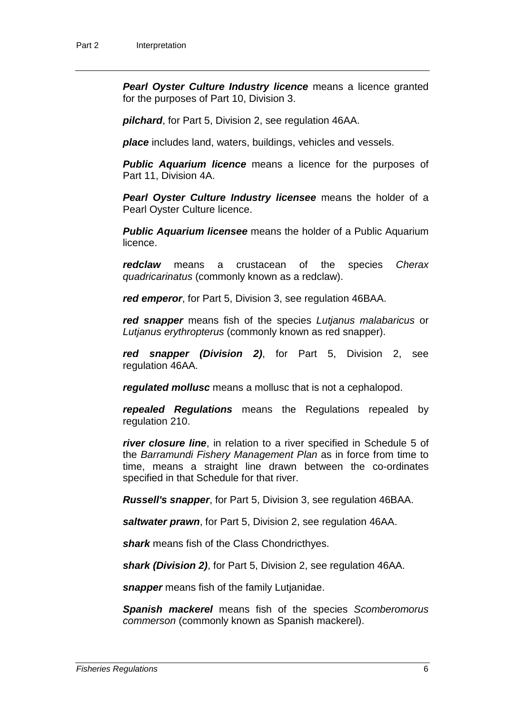*Pearl Oyster Culture Industry licence* means a licence granted for the purposes of Part 10, Division 3.

*pilchard*, for Part 5, Division 2, see regulation 46AA.

*place* includes land, waters, buildings, vehicles and vessels.

*Public Aquarium licence* means a licence for the purposes of Part 11, Division 4A.

*Pearl Oyster Culture Industry licensee* means the holder of a Pearl Oyster Culture licence.

*Public Aquarium licensee* means the holder of a Public Aquarium licence.

*redclaw* means a crustacean of the species *Cherax quadricarinatus* (commonly known as a redclaw).

*red emperor*, for Part 5, Division 3, see regulation 46BAA.

*red snapper* means fish of the species *Lutjanus malabaricus* or *Lutjanus erythropterus* (commonly known as red snapper).

*red snapper (Division 2)*, for Part 5, Division 2, see regulation 46AA.

*regulated mollusc* means a mollusc that is not a cephalopod.

*repealed Regulations* means the Regulations repealed by regulation 210.

*river closure line*, in relation to a river specified in Schedule 5 of the *Barramundi Fishery Management Plan* as in force from time to time, means a straight line drawn between the co-ordinates specified in that Schedule for that river.

*Russell's snapper*, for Part 5, Division 3, see regulation 46BAA.

*saltwater prawn*, for Part 5, Division 2, see regulation 46AA.

*shark* means fish of the Class Chondricthyes.

*shark (Division 2)*, for Part 5, Division 2, see regulation 46AA.

*snapper* means fish of the family Lutjanidae.

*Spanish mackerel* means fish of the species *Scomberomorus commerson* (commonly known as Spanish mackerel).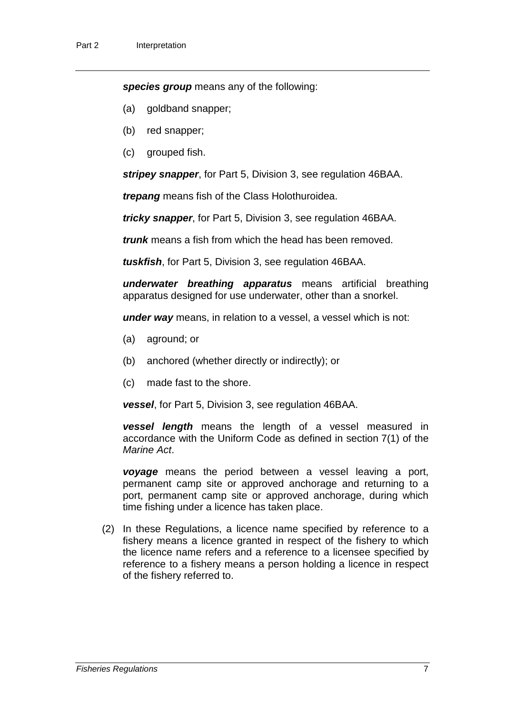*species group* means any of the following:

- (a) goldband snapper;
- (b) red snapper;
- (c) grouped fish.

*stripey snapper*, for Part 5, Division 3, see regulation 46BAA.

*trepang* means fish of the Class Holothuroidea.

*tricky snapper*, for Part 5, Division 3, see regulation 46BAA.

*trunk* means a fish from which the head has been removed.

*tuskfish*, for Part 5, Division 3, see regulation 46BAA.

*underwater breathing apparatus* means artificial breathing apparatus designed for use underwater, other than a snorkel.

*under way* means, in relation to a vessel, a vessel which is not:

- (a) aground; or
- (b) anchored (whether directly or indirectly); or
- (c) made fast to the shore.

*vessel*, for Part 5, Division 3, see regulation 46BAA.

*vessel length* means the length of a vessel measured in accordance with the Uniform Code as defined in section 7(1) of the *Marine Act*.

*voyage* means the period between a vessel leaving a port, permanent camp site or approved anchorage and returning to a port, permanent camp site or approved anchorage, during which time fishing under a licence has taken place.

(2) In these Regulations, a licence name specified by reference to a fishery means a licence granted in respect of the fishery to which the licence name refers and a reference to a licensee specified by reference to a fishery means a person holding a licence in respect of the fishery referred to.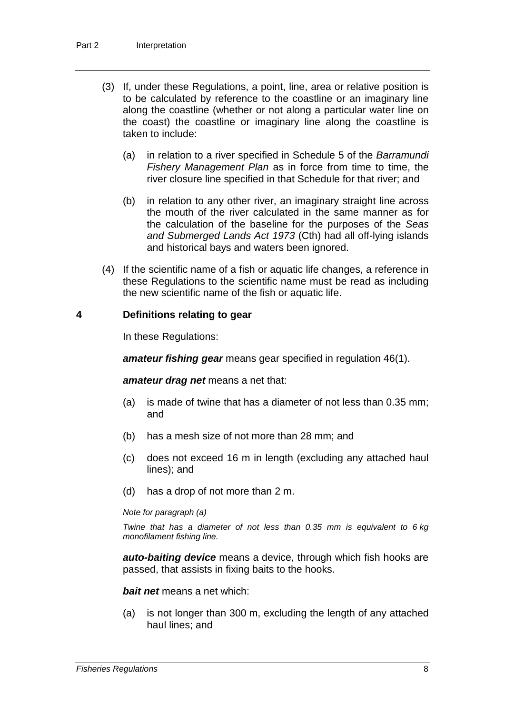- (3) If, under these Regulations, a point, line, area or relative position is to be calculated by reference to the coastline or an imaginary line along the coastline (whether or not along a particular water line on the coast) the coastline or imaginary line along the coastline is taken to include:
	- (a) in relation to a river specified in Schedule 5 of the *Barramundi Fishery Management Plan* as in force from time to time, the river closure line specified in that Schedule for that river; and
	- (b) in relation to any other river, an imaginary straight line across the mouth of the river calculated in the same manner as for the calculation of the baseline for the purposes of the *Seas and Submerged Lands Act 1973* (Cth) had all off-lying islands and historical bays and waters been ignored.
- (4) If the scientific name of a fish or aquatic life changes, a reference in these Regulations to the scientific name must be read as including the new scientific name of the fish or aquatic life.

### **4 Definitions relating to gear**

In these Regulations:

*amateur fishing gear* means gear specified in regulation 46(1).

*amateur drag net* means a net that:

- (a) is made of twine that has a diameter of not less than 0.35 mm; and
- (b) has a mesh size of not more than 28 mm; and
- (c) does not exceed 16 m in length (excluding any attached haul lines); and
- (d) has a drop of not more than 2 m.

#### *Note for paragraph (a)*

*Twine that has a diameter of not less than 0.35 mm is equivalent to 6 kg monofilament fishing line.*

*auto-baiting device* means a device, through which fish hooks are passed, that assists in fixing baits to the hooks.

*bait net* means a net which:

(a) is not longer than 300 m, excluding the length of any attached haul lines; and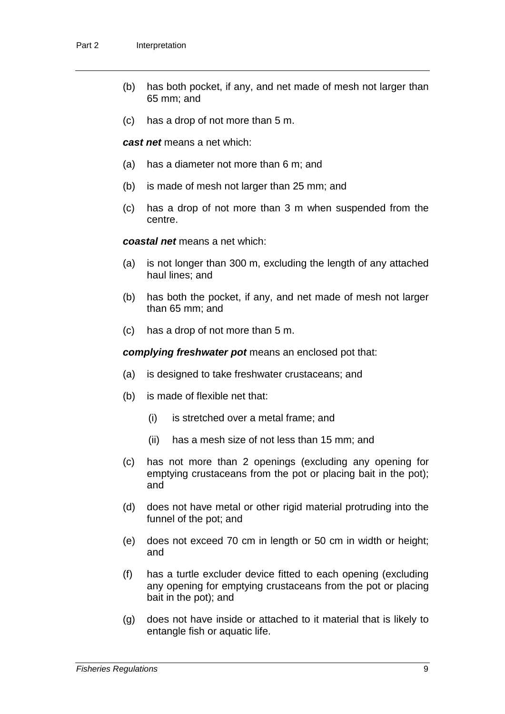- (b) has both pocket, if any, and net made of mesh not larger than 65 mm; and
- (c) has a drop of not more than 5 m.

*cast net* means a net which:

- (a) has a diameter not more than 6 m; and
- (b) is made of mesh not larger than 25 mm; and
- (c) has a drop of not more than 3 m when suspended from the centre.

*coastal net* means a net which:

- (a) is not longer than 300 m, excluding the length of any attached haul lines; and
- (b) has both the pocket, if any, and net made of mesh not larger than 65 mm; and
- (c) has a drop of not more than 5 m.

*complying freshwater pot* means an enclosed pot that:

- (a) is designed to take freshwater crustaceans; and
- (b) is made of flexible net that:
	- (i) is stretched over a metal frame; and
	- (ii) has a mesh size of not less than 15 mm; and
- (c) has not more than 2 openings (excluding any opening for emptying crustaceans from the pot or placing bait in the pot); and
- (d) does not have metal or other rigid material protruding into the funnel of the pot; and
- (e) does not exceed 70 cm in length or 50 cm in width or height; and
- (f) has a turtle excluder device fitted to each opening (excluding any opening for emptying crustaceans from the pot or placing bait in the pot); and
- (g) does not have inside or attached to it material that is likely to entangle fish or aquatic life.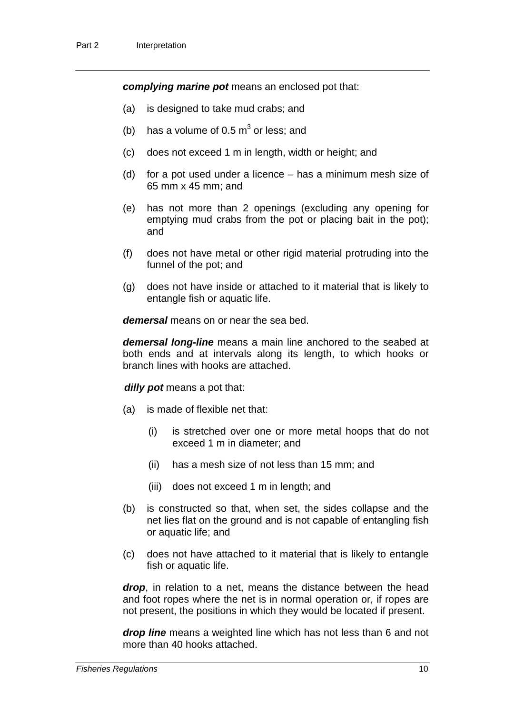*complying marine pot* means an enclosed pot that:

- (a) is designed to take mud crabs; and
- (b) has a volume of  $0.5 \text{ m}^3$  or less; and
- (c) does not exceed 1 m in length, width or height; and
- (d) for a pot used under a licence has a minimum mesh size of 65 mm x 45 mm; and
- (e) has not more than 2 openings (excluding any opening for emptying mud crabs from the pot or placing bait in the pot); and
- (f) does not have metal or other rigid material protruding into the funnel of the pot; and
- (g) does not have inside or attached to it material that is likely to entangle fish or aquatic life.

*demersal* means on or near the sea bed.

*demersal long-line* means a main line anchored to the seabed at both ends and at intervals along its length, to which hooks or branch lines with hooks are attached.

*dilly pot* means a pot that:

- (a) is made of flexible net that:
	- (i) is stretched over one or more metal hoops that do not exceed 1 m in diameter; and
	- (ii) has a mesh size of not less than 15 mm; and
	- (iii) does not exceed 1 m in length; and
- (b) is constructed so that, when set, the sides collapse and the net lies flat on the ground and is not capable of entangling fish or aquatic life; and
- (c) does not have attached to it material that is likely to entangle fish or aquatic life.

*drop*, in relation to a net, means the distance between the head and foot ropes where the net is in normal operation or, if ropes are not present, the positions in which they would be located if present.

*drop line* means a weighted line which has not less than 6 and not more than 40 hooks attached.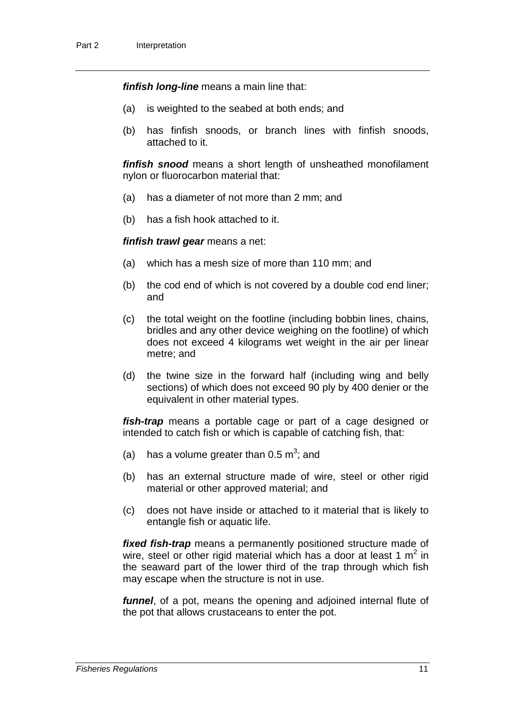*finfish long-line* means a main line that:

- (a) is weighted to the seabed at both ends; and
- (b) has finfish snoods, or branch lines with finfish snoods, attached to it.

*finfish snood* means a short length of unsheathed monofilament nylon or fluorocarbon material that:

- (a) has a diameter of not more than 2 mm; and
- (b) has a fish hook attached to it.

*finfish trawl gear* means a net:

- (a) which has a mesh size of more than 110 mm; and
- (b) the cod end of which is not covered by a double cod end liner; and
- (c) the total weight on the footline (including bobbin lines, chains, bridles and any other device weighing on the footline) of which does not exceed 4 kilograms wet weight in the air per linear metre; and
- (d) the twine size in the forward half (including wing and belly sections) of which does not exceed 90 ply by 400 denier or the equivalent in other material types.

*fish-trap* means a portable cage or part of a cage designed or intended to catch fish or which is capable of catching fish, that:

- (a) has a volume greater than  $0.5 \text{ m}^3$ ; and
- (b) has an external structure made of wire, steel or other rigid material or other approved material; and
- (c) does not have inside or attached to it material that is likely to entangle fish or aquatic life.

*fixed fish-trap* means a permanently positioned structure made of wire, steel or other rigid material which has a door at least 1  $m^2$  in the seaward part of the lower third of the trap through which fish may escape when the structure is not in use.

*funnel*, of a pot, means the opening and adjoined internal flute of the pot that allows crustaceans to enter the pot.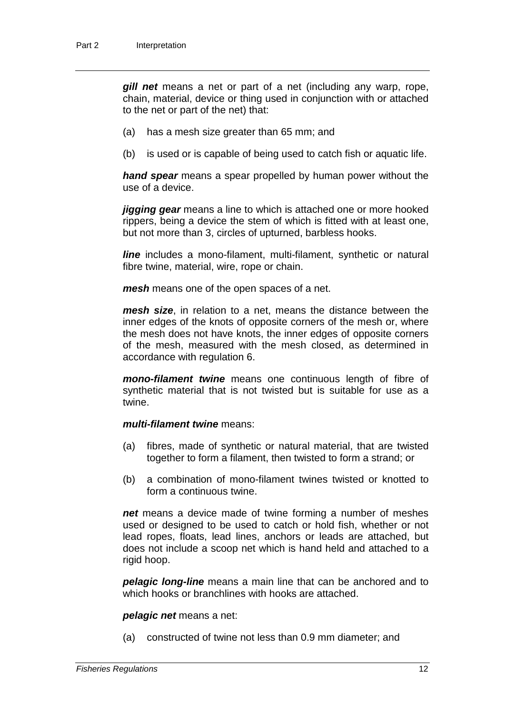*gill net* means a net or part of a net (including any warp, rope, chain, material, device or thing used in conjunction with or attached to the net or part of the net) that:

- (a) has a mesh size greater than 65 mm; and
- (b) is used or is capable of being used to catch fish or aquatic life.

*hand spear* means a spear propelled by human power without the use of a device.

*jigging gear* means a line to which is attached one or more hooked rippers, being a device the stem of which is fitted with at least one, but not more than 3, circles of upturned, barbless hooks.

**line** includes a mono-filament, multi-filament, synthetic or natural fibre twine, material, wire, rope or chain.

*mesh* means one of the open spaces of a net.

*mesh size*, in relation to a net, means the distance between the inner edges of the knots of opposite corners of the mesh or, where the mesh does not have knots, the inner edges of opposite corners of the mesh, measured with the mesh closed, as determined in accordance with regulation 6.

*mono-filament twine* means one continuous length of fibre of synthetic material that is not twisted but is suitable for use as a twine.

#### *multi-filament twine* means:

- (a) fibres, made of synthetic or natural material, that are twisted together to form a filament, then twisted to form a strand; or
- (b) a combination of mono-filament twines twisted or knotted to form a continuous twine.

*net* means a device made of twine forming a number of meshes used or designed to be used to catch or hold fish, whether or not lead ropes, floats, lead lines, anchors or leads are attached, but does not include a scoop net which is hand held and attached to a rigid hoop.

*pelagic long-line* means a main line that can be anchored and to which hooks or branchlines with hooks are attached.

#### *pelagic net* means a net:

(a) constructed of twine not less than 0.9 mm diameter; and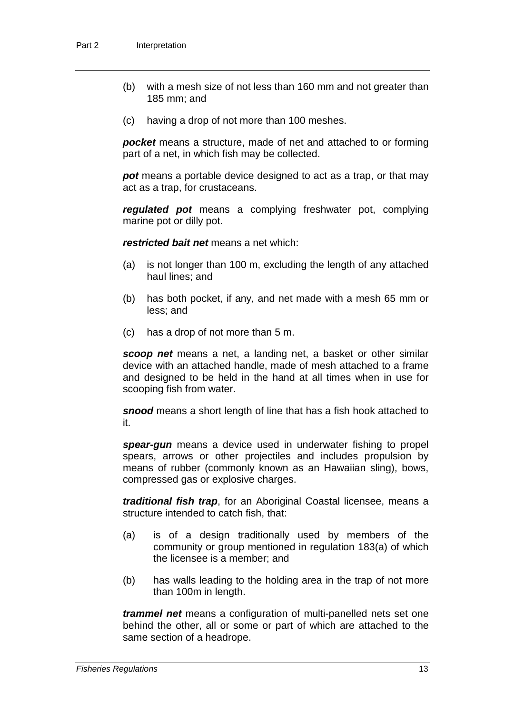- (b) with a mesh size of not less than 160 mm and not greater than 185 mm; and
- (c) having a drop of not more than 100 meshes.

*pocket* means a structure, made of net and attached to or forming part of a net, in which fish may be collected.

*pot* means a portable device designed to act as a trap, or that may act as a trap, for crustaceans.

*regulated pot* means a complying freshwater pot, complying marine pot or dilly pot.

*restricted bait net* means a net which:

- (a) is not longer than 100 m, excluding the length of any attached haul lines; and
- (b) has both pocket, if any, and net made with a mesh 65 mm or less; and
- (c) has a drop of not more than 5 m.

*scoop net* means a net, a landing net, a basket or other similar device with an attached handle, made of mesh attached to a frame and designed to be held in the hand at all times when in use for scooping fish from water.

*snood* means a short length of line that has a fish hook attached to it.

*spear-gun* means a device used in underwater fishing to propel spears, arrows or other projectiles and includes propulsion by means of rubber (commonly known as an Hawaiian sling), bows, compressed gas or explosive charges.

*traditional fish trap*, for an Aboriginal Coastal licensee, means a structure intended to catch fish, that:

- (a) is of a design traditionally used by members of the community or group mentioned in regulation 183(a) of which the licensee is a member; and
- (b) has walls leading to the holding area in the trap of not more than 100m in length.

*trammel net* means a configuration of multi-panelled nets set one behind the other, all or some or part of which are attached to the same section of a headrope.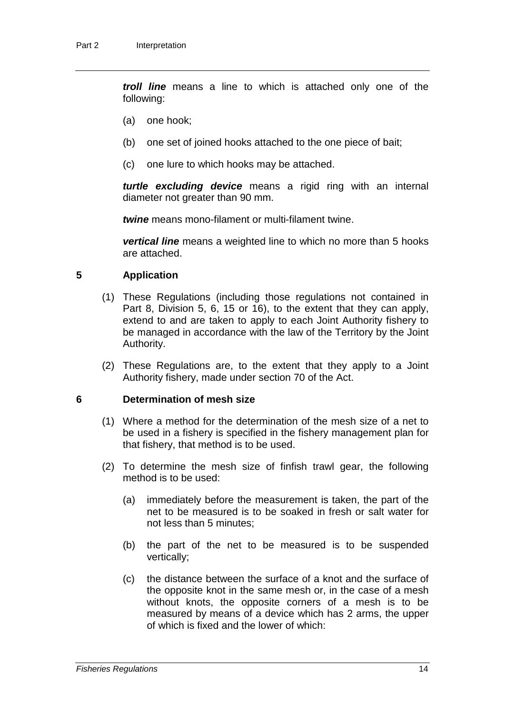*troll line* means a line to which is attached only one of the following:

- (a) one hook;
- (b) one set of joined hooks attached to the one piece of bait;
- (c) one lure to which hooks may be attached.

*turtle excluding device* means a rigid ring with an internal diameter not greater than 90 mm.

*twine* means mono-filament or multi-filament twine.

*vertical line* means a weighted line to which no more than 5 hooks are attached.

#### **5 Application**

- (1) These Regulations (including those regulations not contained in Part 8, Division 5, 6, 15 or 16), to the extent that they can apply, extend to and are taken to apply to each Joint Authority fishery to be managed in accordance with the law of the Territory by the Joint Authority.
- (2) These Regulations are, to the extent that they apply to a Joint Authority fishery, made under section 70 of the Act.

#### **6 Determination of mesh size**

- (1) Where a method for the determination of the mesh size of a net to be used in a fishery is specified in the fishery management plan for that fishery, that method is to be used.
- (2) To determine the mesh size of finfish trawl gear, the following method is to be used:
	- (a) immediately before the measurement is taken, the part of the net to be measured is to be soaked in fresh or salt water for not less than 5 minutes;
	- (b) the part of the net to be measured is to be suspended vertically;
	- (c) the distance between the surface of a knot and the surface of the opposite knot in the same mesh or, in the case of a mesh without knots, the opposite corners of a mesh is to be measured by means of a device which has 2 arms, the upper of which is fixed and the lower of which: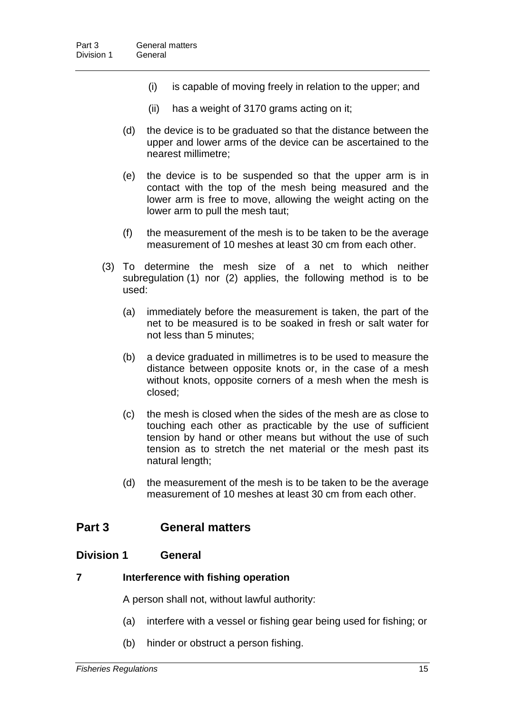- (i) is capable of moving freely in relation to the upper; and
- (ii) has a weight of 3170 grams acting on it;
- (d) the device is to be graduated so that the distance between the upper and lower arms of the device can be ascertained to the nearest millimetre;
- (e) the device is to be suspended so that the upper arm is in contact with the top of the mesh being measured and the lower arm is free to move, allowing the weight acting on the lower arm to pull the mesh taut;
- (f) the measurement of the mesh is to be taken to be the average measurement of 10 meshes at least 30 cm from each other.
- (3) To determine the mesh size of a net to which neither subregulation (1) nor (2) applies, the following method is to be used:
	- (a) immediately before the measurement is taken, the part of the net to be measured is to be soaked in fresh or salt water for not less than 5 minutes;
	- (b) a device graduated in millimetres is to be used to measure the distance between opposite knots or, in the case of a mesh without knots, opposite corners of a mesh when the mesh is closed;
	- (c) the mesh is closed when the sides of the mesh are as close to touching each other as practicable by the use of sufficient tension by hand or other means but without the use of such tension as to stretch the net material or the mesh past its natural length;
	- (d) the measurement of the mesh is to be taken to be the average measurement of 10 meshes at least 30 cm from each other.

### **Part 3 General matters**

### **Division 1 General**

#### **7 Interference with fishing operation**

A person shall not, without lawful authority:

- (a) interfere with a vessel or fishing gear being used for fishing; or
- (b) hinder or obstruct a person fishing.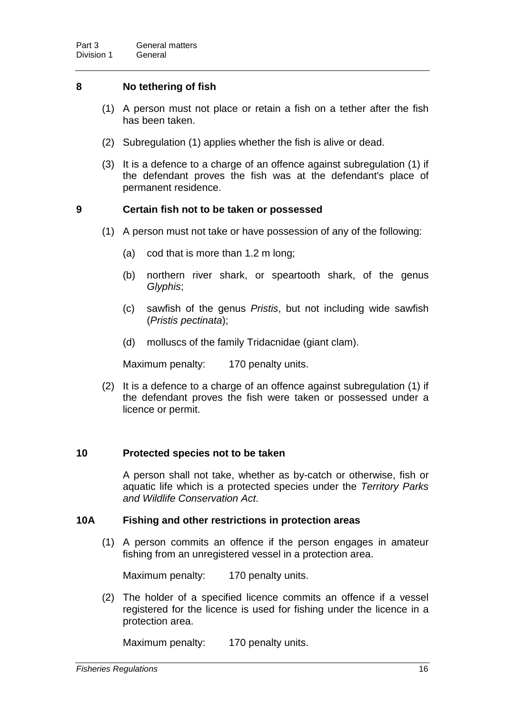#### **8 No tethering of fish**

- (1) A person must not place or retain a fish on a tether after the fish has been taken.
- (2) Subregulation (1) applies whether the fish is alive or dead.
- (3) It is a defence to a charge of an offence against subregulation (1) if the defendant proves the fish was at the defendant's place of permanent residence.

#### **9 Certain fish not to be taken or possessed**

- (1) A person must not take or have possession of any of the following:
	- (a) cod that is more than 1.2 m long;
	- (b) northern river shark, or speartooth shark, of the genus *Glyphis*;
	- (c) sawfish of the genus *Pristis*, but not including wide sawfish (*Pristis pectinata*);
	- (d) molluscs of the family Tridacnidae (giant clam).

Maximum penalty: 170 penalty units.

(2) It is a defence to a charge of an offence against subregulation (1) if the defendant proves the fish were taken or possessed under a licence or permit.

#### **10 Protected species not to be taken**

A person shall not take, whether as by-catch or otherwise, fish or aquatic life which is a protected species under the *Territory Parks and Wildlife Conservation Act*.

#### **10A Fishing and other restrictions in protection areas**

(1) A person commits an offence if the person engages in amateur fishing from an unregistered vessel in a protection area.

Maximum penalty: 170 penalty units.

(2) The holder of a specified licence commits an offence if a vessel registered for the licence is used for fishing under the licence in a protection area.

Maximum penalty: 170 penalty units.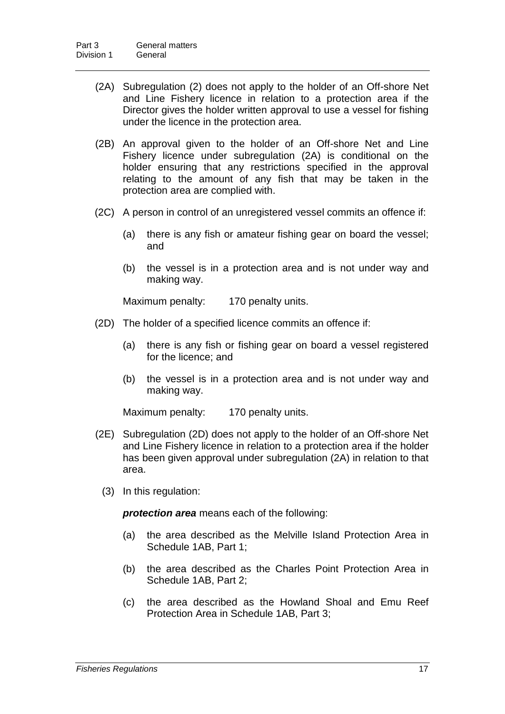- (2A) Subregulation (2) does not apply to the holder of an Off-shore Net and Line Fishery licence in relation to a protection area if the Director gives the holder written approval to use a vessel for fishing under the licence in the protection area.
- (2B) An approval given to the holder of an Off-shore Net and Line Fishery licence under subregulation (2A) is conditional on the holder ensuring that any restrictions specified in the approval relating to the amount of any fish that may be taken in the protection area are complied with.
- (2C) A person in control of an unregistered vessel commits an offence if:
	- (a) there is any fish or amateur fishing gear on board the vessel; and
	- (b) the vessel is in a protection area and is not under way and making way.

Maximum penalty: 170 penalty units.

- (2D) The holder of a specified licence commits an offence if:
	- (a) there is any fish or fishing gear on board a vessel registered for the licence; and
	- (b) the vessel is in a protection area and is not under way and making way.

Maximum penalty: 170 penalty units.

- (2E) Subregulation (2D) does not apply to the holder of an Off-shore Net and Line Fishery licence in relation to a protection area if the holder has been given approval under subregulation (2A) in relation to that area.
	- (3) In this regulation:

*protection area* means each of the following:

- (a) the area described as the Melville Island Protection Area in Schedule 1AB, Part 1;
- (b) the area described as the Charles Point Protection Area in Schedule 1AB, Part 2;
- (c) the area described as the Howland Shoal and Emu Reef Protection Area in Schedule 1AB, Part 3;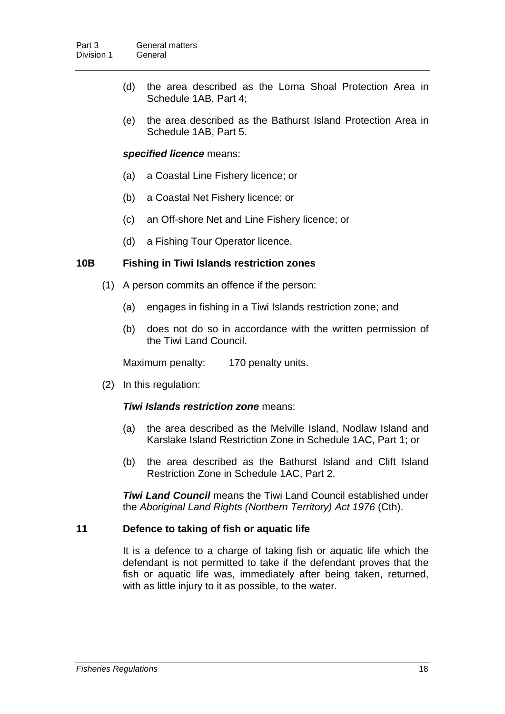- (d) the area described as the Lorna Shoal Protection Area in Schedule 1AB, Part 4;
- (e) the area described as the Bathurst Island Protection Area in Schedule 1AB, Part 5.

#### *specified licence* means:

- (a) a Coastal Line Fishery licence; or
- (b) a Coastal Net Fishery licence; or
- (c) an Off-shore Net and Line Fishery licence; or
- (d) a Fishing Tour Operator licence.

#### **10B Fishing in Tiwi Islands restriction zones**

- (1) A person commits an offence if the person:
	- (a) engages in fishing in a Tiwi Islands restriction zone; and
	- (b) does not do so in accordance with the written permission of the Tiwi Land Council.

Maximum penalty: 170 penalty units.

(2) In this regulation:

#### *Tiwi Islands restriction zone* means:

- (a) the area described as the Melville Island, Nodlaw Island and Karslake Island Restriction Zone in Schedule 1AC, Part 1; or
- (b) the area described as the Bathurst Island and Clift Island Restriction Zone in Schedule 1AC, Part 2.

*Tiwi Land Council* means the Tiwi Land Council established under the *Aboriginal Land Rights (Northern Territory) Act 1976* (Cth).

#### **11 Defence to taking of fish or aquatic life**

It is a defence to a charge of taking fish or aquatic life which the defendant is not permitted to take if the defendant proves that the fish or aquatic life was, immediately after being taken, returned, with as little injury to it as possible, to the water.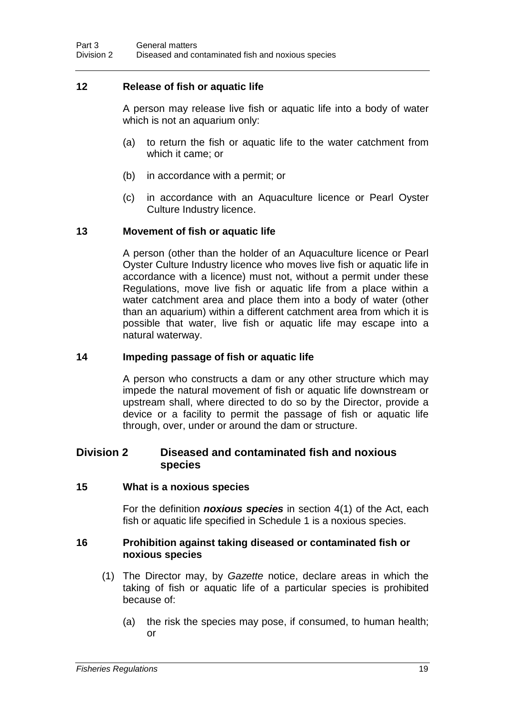### **12 Release of fish or aquatic life**

A person may release live fish or aquatic life into a body of water which is not an aquarium only:

- (a) to return the fish or aquatic life to the water catchment from which it came; or
- (b) in accordance with a permit; or
- (c) in accordance with an Aquaculture licence or Pearl Oyster Culture Industry licence.

### **13 Movement of fish or aquatic life**

A person (other than the holder of an Aquaculture licence or Pearl Oyster Culture Industry licence who moves live fish or aquatic life in accordance with a licence) must not, without a permit under these Regulations, move live fish or aquatic life from a place within a water catchment area and place them into a body of water (other than an aquarium) within a different catchment area from which it is possible that water, live fish or aquatic life may escape into a natural waterway.

#### **14 Impeding passage of fish or aquatic life**

A person who constructs a dam or any other structure which may impede the natural movement of fish or aquatic life downstream or upstream shall, where directed to do so by the Director, provide a device or a facility to permit the passage of fish or aquatic life through, over, under or around the dam or structure.

### **Division 2 Diseased and contaminated fish and noxious species**

#### **15 What is a noxious species**

For the definition *noxious species* in section 4(1) of the Act, each fish or aquatic life specified in Schedule 1 is a noxious species.

#### **16 Prohibition against taking diseased or contaminated fish or noxious species**

- (1) The Director may, by *Gazette* notice, declare areas in which the taking of fish or aquatic life of a particular species is prohibited because of:
	- (a) the risk the species may pose, if consumed, to human health; or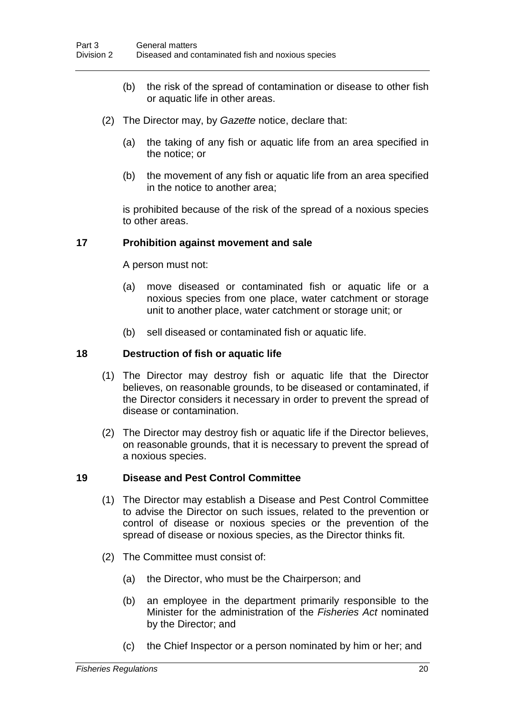- (b) the risk of the spread of contamination or disease to other fish or aquatic life in other areas.
- (2) The Director may, by *Gazette* notice, declare that:
	- (a) the taking of any fish or aquatic life from an area specified in the notice; or
	- (b) the movement of any fish or aquatic life from an area specified in the notice to another area;

is prohibited because of the risk of the spread of a noxious species to other areas.

#### **17 Prohibition against movement and sale**

A person must not:

- (a) move diseased or contaminated fish or aquatic life or a noxious species from one place, water catchment or storage unit to another place, water catchment or storage unit; or
- (b) sell diseased or contaminated fish or aquatic life.

#### **18 Destruction of fish or aquatic life**

- (1) The Director may destroy fish or aquatic life that the Director believes, on reasonable grounds, to be diseased or contaminated, if the Director considers it necessary in order to prevent the spread of disease or contamination.
- (2) The Director may destroy fish or aquatic life if the Director believes, on reasonable grounds, that it is necessary to prevent the spread of a noxious species.

#### **19 Disease and Pest Control Committee**

- (1) The Director may establish a Disease and Pest Control Committee to advise the Director on such issues, related to the prevention or control of disease or noxious species or the prevention of the spread of disease or noxious species, as the Director thinks fit.
- (2) The Committee must consist of:
	- (a) the Director, who must be the Chairperson; and
	- (b) an employee in the department primarily responsible to the Minister for the administration of the *Fisheries Act* nominated by the Director; and
	- (c) the Chief Inspector or a person nominated by him or her; and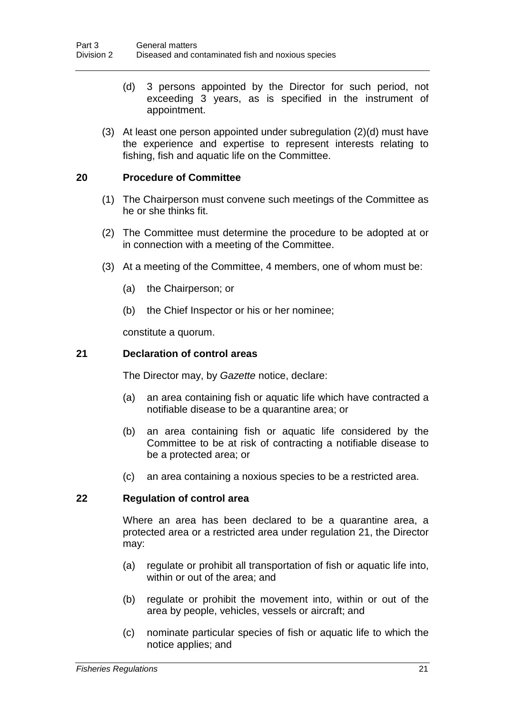- (d) 3 persons appointed by the Director for such period, not exceeding 3 years, as is specified in the instrument of appointment.
- (3) At least one person appointed under subregulation (2)(d) must have the experience and expertise to represent interests relating to fishing, fish and aquatic life on the Committee.

### **20 Procedure of Committee**

- (1) The Chairperson must convene such meetings of the Committee as he or she thinks fit.
- (2) The Committee must determine the procedure to be adopted at or in connection with a meeting of the Committee.
- (3) At a meeting of the Committee, 4 members, one of whom must be:
	- (a) the Chairperson; or
	- (b) the Chief Inspector or his or her nominee;

constitute a quorum.

#### **21 Declaration of control areas**

The Director may, by *Gazette* notice, declare:

- (a) an area containing fish or aquatic life which have contracted a notifiable disease to be a quarantine area; or
- (b) an area containing fish or aquatic life considered by the Committee to be at risk of contracting a notifiable disease to be a protected area; or
- (c) an area containing a noxious species to be a restricted area.

### **22 Regulation of control area**

Where an area has been declared to be a quarantine area, a protected area or a restricted area under regulation 21, the Director may:

- (a) regulate or prohibit all transportation of fish or aquatic life into, within or out of the area; and
- (b) regulate or prohibit the movement into, within or out of the area by people, vehicles, vessels or aircraft; and
- (c) nominate particular species of fish or aquatic life to which the notice applies; and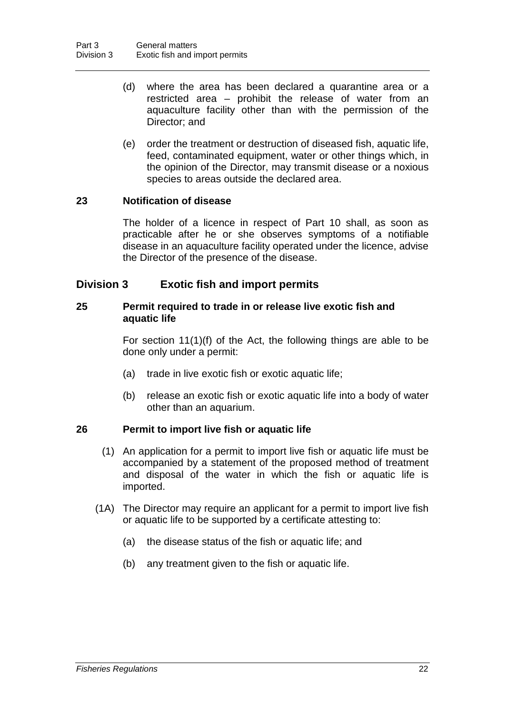- (d) where the area has been declared a quarantine area or a restricted area – prohibit the release of water from an aquaculture facility other than with the permission of the Director; and
- (e) order the treatment or destruction of diseased fish, aquatic life, feed, contaminated equipment, water or other things which, in the opinion of the Director, may transmit disease or a noxious species to areas outside the declared area.

# **23 Notification of disease**

The holder of a licence in respect of Part 10 shall, as soon as practicable after he or she observes symptoms of a notifiable disease in an aquaculture facility operated under the licence, advise the Director of the presence of the disease.

# **Division 3 Exotic fish and import permits**

### **25 Permit required to trade in or release live exotic fish and aquatic life**

For section 11(1)(f) of the Act, the following things are able to be done only under a permit:

- (a) trade in live exotic fish or exotic aquatic life;
- (b) release an exotic fish or exotic aquatic life into a body of water other than an aquarium.

# **26 Permit to import live fish or aquatic life**

- (1) An application for a permit to import live fish or aquatic life must be accompanied by a statement of the proposed method of treatment and disposal of the water in which the fish or aquatic life is imported.
- (1A) The Director may require an applicant for a permit to import live fish or aquatic life to be supported by a certificate attesting to:
	- (a) the disease status of the fish or aquatic life; and
	- (b) any treatment given to the fish or aquatic life.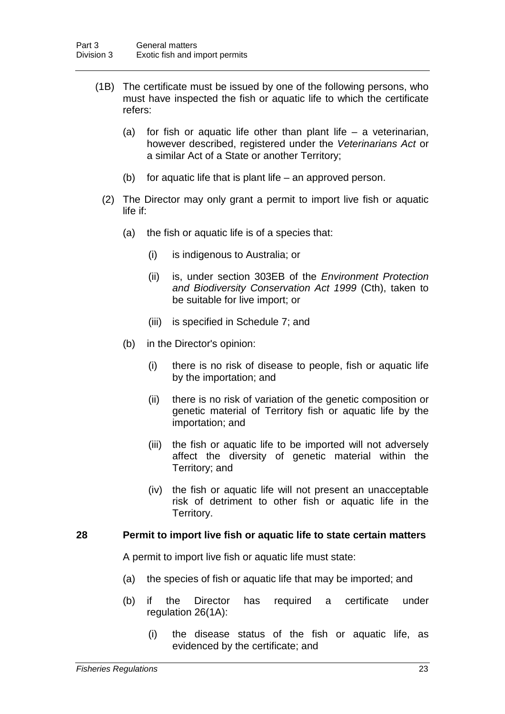- (1B) The certificate must be issued by one of the following persons, who must have inspected the fish or aquatic life to which the certificate refers:
	- (a) for fish or aquatic life other than plant life  $-$  a veterinarian, however described, registered under the *Veterinarians Act* or a similar Act of a State or another Territory;
	- (b) for aquatic life that is plant life an approved person.
	- (2) The Director may only grant a permit to import live fish or aquatic life if:
		- (a) the fish or aquatic life is of a species that:
			- (i) is indigenous to Australia; or
			- (ii) is, under section 303EB of the *Environment Protection and Biodiversity Conservation Act 1999* (Cth), taken to be suitable for live import; or
			- (iii) is specified in Schedule 7; and
		- (b) in the Director's opinion:
			- (i) there is no risk of disease to people, fish or aquatic life by the importation; and
			- (ii) there is no risk of variation of the genetic composition or genetic material of Territory fish or aquatic life by the importation; and
			- (iii) the fish or aquatic life to be imported will not adversely affect the diversity of genetic material within the Territory; and
			- (iv) the fish or aquatic life will not present an unacceptable risk of detriment to other fish or aquatic life in the Territory.

### **28 Permit to import live fish or aquatic life to state certain matters**

A permit to import live fish or aquatic life must state:

- (a) the species of fish or aquatic life that may be imported; and
- (b) if the Director has required a certificate under regulation 26(1A):
	- (i) the disease status of the fish or aquatic life, as evidenced by the certificate; and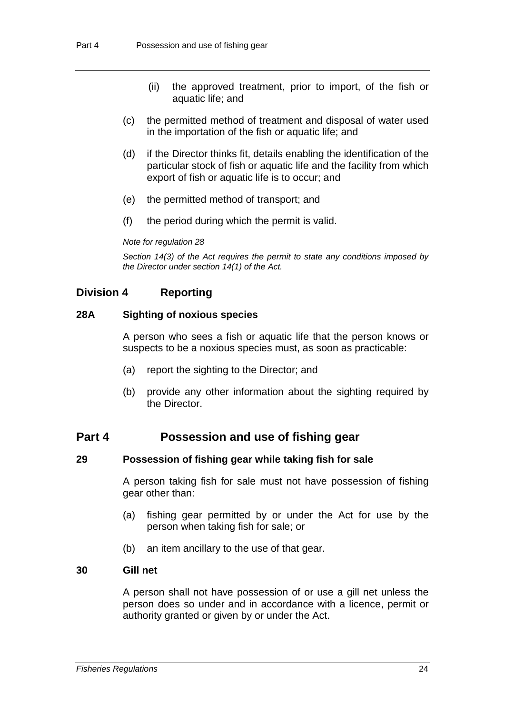- (ii) the approved treatment, prior to import, of the fish or aquatic life; and
- (c) the permitted method of treatment and disposal of water used in the importation of the fish or aquatic life; and
- (d) if the Director thinks fit, details enabling the identification of the particular stock of fish or aquatic life and the facility from which export of fish or aquatic life is to occur; and
- (e) the permitted method of transport; and
- (f) the period during which the permit is valid.

*Note for regulation 28*

*Section 14(3) of the Act requires the permit to state any conditions imposed by the Director under section 14(1) of the Act.*

# **Division 4 Reporting**

### **28A Sighting of noxious species**

A person who sees a fish or aquatic life that the person knows or suspects to be a noxious species must, as soon as practicable:

- (a) report the sighting to the Director; and
- (b) provide any other information about the sighting required by the Director.

# **Part 4 Possession and use of fishing gear**

### **29 Possession of fishing gear while taking fish for sale**

A person taking fish for sale must not have possession of fishing gear other than:

- (a) fishing gear permitted by or under the Act for use by the person when taking fish for sale; or
- (b) an item ancillary to the use of that gear.

### **30 Gill net**

A person shall not have possession of or use a gill net unless the person does so under and in accordance with a licence, permit or authority granted or given by or under the Act.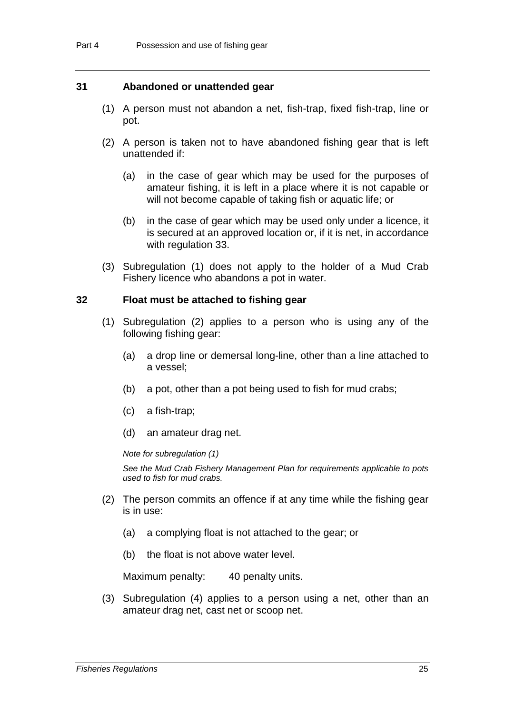### **31 Abandoned or unattended gear**

- (1) A person must not abandon a net, fish-trap, fixed fish-trap, line or pot.
- (2) A person is taken not to have abandoned fishing gear that is left unattended if:
	- (a) in the case of gear which may be used for the purposes of amateur fishing, it is left in a place where it is not capable or will not become capable of taking fish or aquatic life; or
	- (b) in the case of gear which may be used only under a licence, it is secured at an approved location or, if it is net, in accordance with regulation 33.
- (3) Subregulation (1) does not apply to the holder of a Mud Crab Fishery licence who abandons a pot in water.

#### **32 Float must be attached to fishing gear**

- (1) Subregulation (2) applies to a person who is using any of the following fishing gear:
	- (a) a drop line or demersal long-line, other than a line attached to a vessel;
	- (b) a pot, other than a pot being used to fish for mud crabs;
	- (c) a fish-trap;
	- (d) an amateur drag net.

*Note for subregulation (1)*

*See the Mud Crab Fishery Management Plan for requirements applicable to pots used to fish for mud crabs.* 

- (2) The person commits an offence if at any time while the fishing gear is in use:
	- (a) a complying float is not attached to the gear; or
	- (b) the float is not above water level.

Maximum penalty: 40 penalty units.

(3) Subregulation (4) applies to a person using a net, other than an amateur drag net, cast net or scoop net.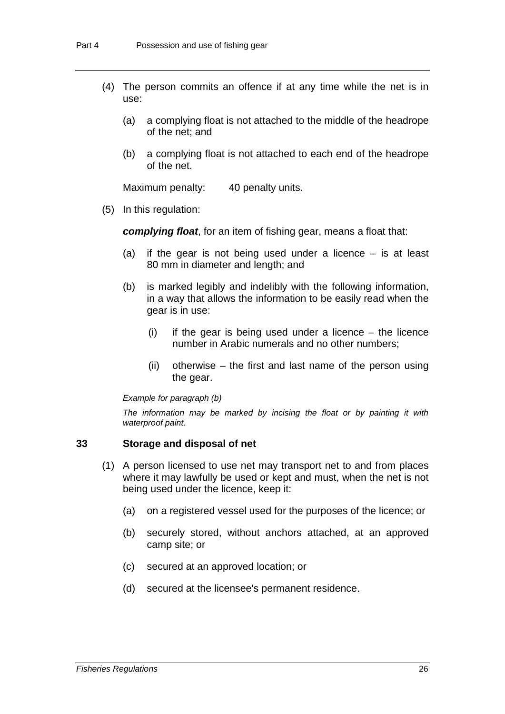- (4) The person commits an offence if at any time while the net is in use:
	- (a) a complying float is not attached to the middle of the headrope of the net; and
	- (b) a complying float is not attached to each end of the headrope of the net.

Maximum penalty: 40 penalty units.

(5) In this regulation:

*complying float*, for an item of fishing gear, means a float that:

- (a) if the gear is not being used under a licence is at least 80 mm in diameter and length; and
- (b) is marked legibly and indelibly with the following information, in a way that allows the information to be easily read when the gear is in use:
	- $(i)$  if the gear is being used under a licence the licence number in Arabic numerals and no other numbers;
	- (ii) otherwise the first and last name of the person using the gear.

*Example for paragraph (b)*

*The information may be marked by incising the float or by painting it with waterproof paint.*

#### **33 Storage and disposal of net**

- (1) A person licensed to use net may transport net to and from places where it may lawfully be used or kept and must, when the net is not being used under the licence, keep it:
	- (a) on a registered vessel used for the purposes of the licence; or
	- (b) securely stored, without anchors attached, at an approved camp site; or
	- (c) secured at an approved location; or
	- (d) secured at the licensee's permanent residence.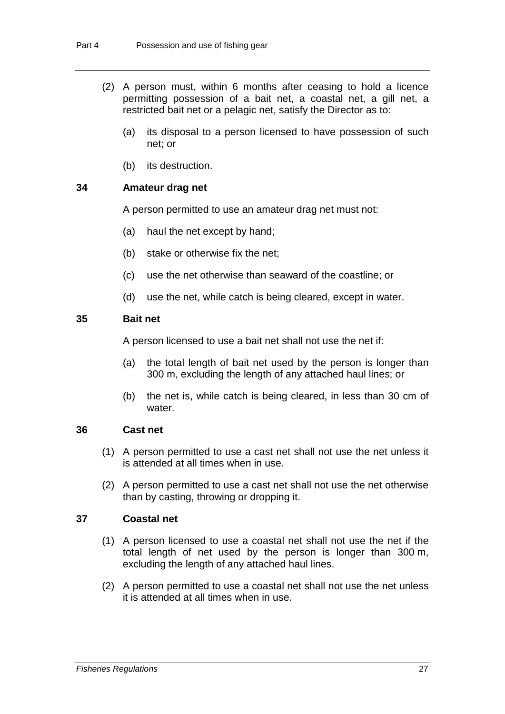- (2) A person must, within 6 months after ceasing to hold a licence permitting possession of a bait net, a coastal net, a gill net, a restricted bait net or a pelagic net, satisfy the Director as to:
	- (a) its disposal to a person licensed to have possession of such net; or
	- (b) its destruction.

### **34 Amateur drag net**

A person permitted to use an amateur drag net must not:

- (a) haul the net except by hand;
- (b) stake or otherwise fix the net;
- (c) use the net otherwise than seaward of the coastline; or
- (d) use the net, while catch is being cleared, except in water.

#### **35 Bait net**

A person licensed to use a bait net shall not use the net if:

- (a) the total length of bait net used by the person is longer than 300 m, excluding the length of any attached haul lines; or
- (b) the net is, while catch is being cleared, in less than 30 cm of water.

#### **36 Cast net**

- (1) A person permitted to use a cast net shall not use the net unless it is attended at all times when in use.
- (2) A person permitted to use a cast net shall not use the net otherwise than by casting, throwing or dropping it.

### **37 Coastal net**

- (1) A person licensed to use a coastal net shall not use the net if the total length of net used by the person is longer than 300 m, excluding the length of any attached haul lines.
- (2) A person permitted to use a coastal net shall not use the net unless it is attended at all times when in use.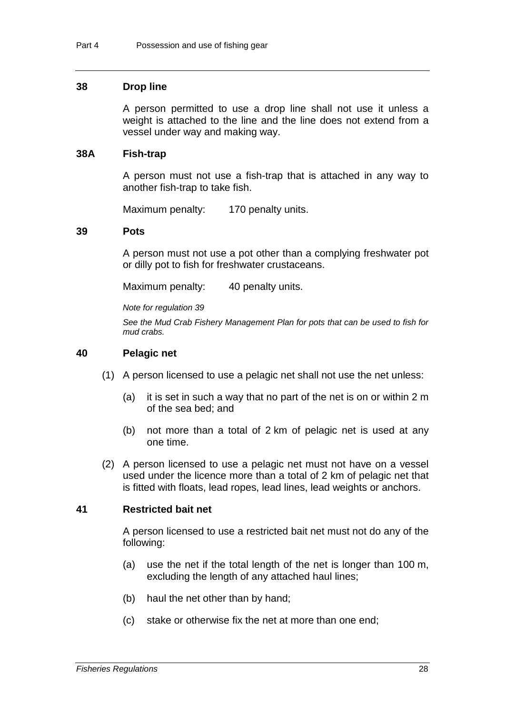#### **38 Drop line**

A person permitted to use a drop line shall not use it unless a weight is attached to the line and the line does not extend from a vessel under way and making way.

#### **38A Fish-trap**

A person must not use a fish-trap that is attached in any way to another fish-trap to take fish.

Maximum penalty: 170 penalty units.

#### **39 Pots**

A person must not use a pot other than a complying freshwater pot or dilly pot to fish for freshwater crustaceans.

Maximum penalty: 40 penalty units.

*Note for regulation 39*

*See the Mud Crab Fishery Management Plan for pots that can be used to fish for mud crabs.*

#### **40 Pelagic net**

- (1) A person licensed to use a pelagic net shall not use the net unless:
	- (a) it is set in such a way that no part of the net is on or within 2 m of the sea bed; and
	- (b) not more than a total of 2 km of pelagic net is used at any one time.
- (2) A person licensed to use a pelagic net must not have on a vessel used under the licence more than a total of 2 km of pelagic net that is fitted with floats, lead ropes, lead lines, lead weights or anchors.

#### **41 Restricted bait net**

A person licensed to use a restricted bait net must not do any of the following:

- (a) use the net if the total length of the net is longer than 100 m, excluding the length of any attached haul lines;
- (b) haul the net other than by hand;
- (c) stake or otherwise fix the net at more than one end;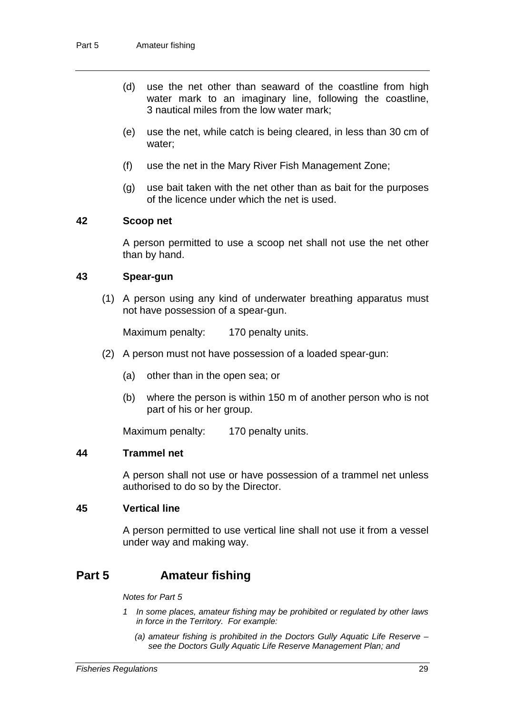- (d) use the net other than seaward of the coastline from high water mark to an imaginary line, following the coastline, 3 nautical miles from the low water mark;
- (e) use the net, while catch is being cleared, in less than 30 cm of water;
- (f) use the net in the Mary River Fish Management Zone;
- (g) use bait taken with the net other than as bait for the purposes of the licence under which the net is used.

### **42 Scoop net**

A person permitted to use a scoop net shall not use the net other than by hand.

#### **43 Spear-gun**

(1) A person using any kind of underwater breathing apparatus must not have possession of a spear-gun.

Maximum penalty: 170 penalty units.

- (2) A person must not have possession of a loaded spear-gun:
	- (a) other than in the open sea; or
	- (b) where the person is within 150 m of another person who is not part of his or her group.

Maximum penalty: 170 penalty units.

### **44 Trammel net**

A person shall not use or have possession of a trammel net unless authorised to do so by the Director.

#### **45 Vertical line**

A person permitted to use vertical line shall not use it from a vessel under way and making way.

# **Part 5 Amateur fishing**

*Notes for Part 5*

- *1 In some places, amateur fishing may be prohibited or regulated by other laws in force in the Territory. For example:*
	- *(a) amateur fishing is prohibited in the Doctors Gully Aquatic Life Reserve – see the Doctors Gully Aquatic Life Reserve Management Plan; and*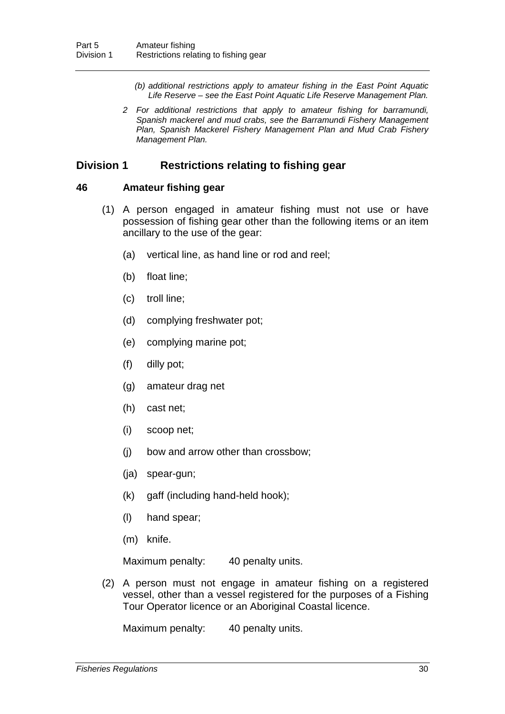- *(b) additional restrictions apply to amateur fishing in the East Point Aquatic Life Reserve – see the East Point Aquatic Life Reserve Management Plan.*
- *2 For additional restrictions that apply to amateur fishing for barramundi, Spanish mackerel and mud crabs, see the Barramundi Fishery Management Plan, Spanish Mackerel Fishery Management Plan and Mud Crab Fishery Management Plan.*

# **Division 1 Restrictions relating to fishing gear**

#### **46 Amateur fishing gear**

- (1) A person engaged in amateur fishing must not use or have possession of fishing gear other than the following items or an item ancillary to the use of the gear:
	- (a) vertical line, as hand line or rod and reel;
	- (b) float line;
	- (c) troll line;
	- (d) complying freshwater pot;
	- (e) complying marine pot;
	- (f) dilly pot;
	- (g) amateur drag net
	- (h) cast net;
	- (i) scoop net;
	- (j) bow and arrow other than crossbow;
	- (ja) spear-gun;
	- (k) gaff (including hand-held hook);
	- (l) hand spear;
	- (m) knife.

Maximum penalty: 40 penalty units.

(2) A person must not engage in amateur fishing on a registered vessel, other than a vessel registered for the purposes of a Fishing Tour Operator licence or an Aboriginal Coastal licence.

Maximum penalty: 40 penalty units.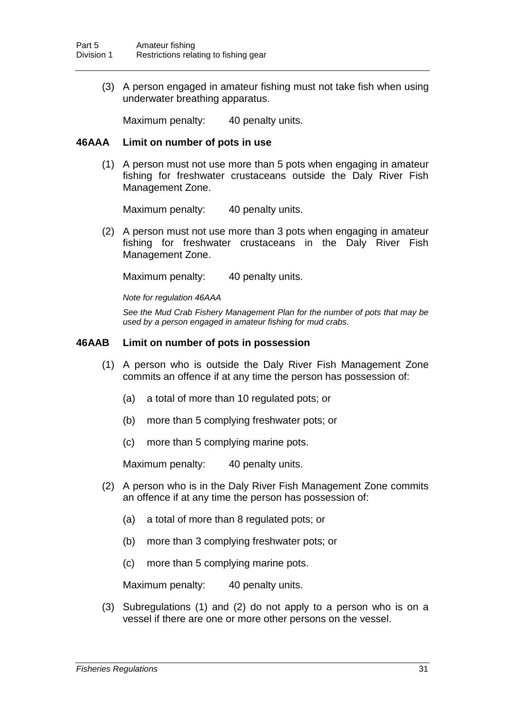(3) A person engaged in amateur fishing must not take fish when using underwater breathing apparatus.

Maximum penalty: 40 penalty units.

### **46AAA Limit on number of pots in use**

(1) A person must not use more than 5 pots when engaging in amateur fishing for freshwater crustaceans outside the Daly River Fish Management Zone.

Maximum penalty: 40 penalty units.

(2) A person must not use more than 3 pots when engaging in amateur fishing for freshwater crustaceans in the Daly River Fish Management Zone.

Maximum penalty: 40 penalty units.

*Note for regulation 46AAA*

*See the Mud Crab Fishery Management Plan for the number of pots that may be used by a person engaged in amateur fishing for mud crabs.*

### **46AAB Limit on number of pots in possession**

- (1) A person who is outside the Daly River Fish Management Zone commits an offence if at any time the person has possession of:
	- (a) a total of more than 10 regulated pots; or
	- (b) more than 5 complying freshwater pots; or
	- (c) more than 5 complying marine pots.

Maximum penalty: 40 penalty units.

- (2) A person who is in the Daly River Fish Management Zone commits an offence if at any time the person has possession of:
	- (a) a total of more than 8 regulated pots; or
	- (b) more than 3 complying freshwater pots; or
	- (c) more than 5 complying marine pots.

Maximum penalty: 40 penalty units.

(3) Subregulations (1) and (2) do not apply to a person who is on a vessel if there are one or more other persons on the vessel.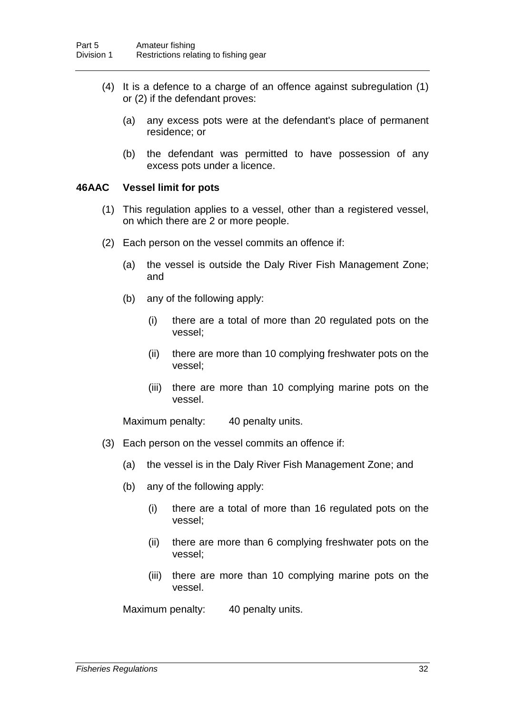- (4) It is a defence to a charge of an offence against subregulation (1) or (2) if the defendant proves:
	- (a) any excess pots were at the defendant's place of permanent residence; or
	- (b) the defendant was permitted to have possession of any excess pots under a licence.

### **46AAC Vessel limit for pots**

- (1) This regulation applies to a vessel, other than a registered vessel, on which there are 2 or more people.
- (2) Each person on the vessel commits an offence if:
	- (a) the vessel is outside the Daly River Fish Management Zone; and
	- (b) any of the following apply:
		- (i) there are a total of more than 20 regulated pots on the vessel;
		- (ii) there are more than 10 complying freshwater pots on the vessel;
		- (iii) there are more than 10 complying marine pots on the vessel.

Maximum penalty: 40 penalty units.

- (3) Each person on the vessel commits an offence if:
	- (a) the vessel is in the Daly River Fish Management Zone; and
	- (b) any of the following apply:
		- (i) there are a total of more than 16 regulated pots on the vessel;
		- (ii) there are more than 6 complying freshwater pots on the vessel;
		- (iii) there are more than 10 complying marine pots on the vessel.

Maximum penalty: 40 penalty units.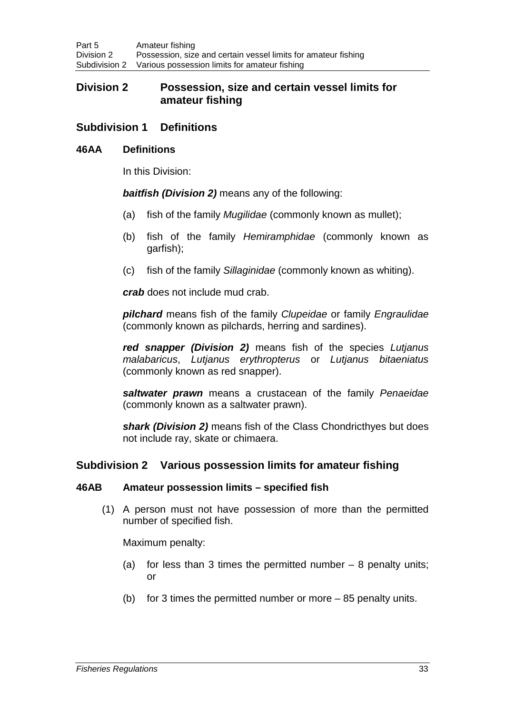# **Division 2 Possession, size and certain vessel limits for amateur fishing**

# **Subdivision 1 Definitions**

### **46AA Definitions**

In this Division:

*baitfish (Division 2)* means any of the following:

- (a) fish of the family *Mugilidae* (commonly known as mullet);
- (b) fish of the family *Hemiramphidae* (commonly known as garfish);
- (c) fish of the family *Sillaginidae* (commonly known as whiting).

*crab* does not include mud crab.

*pilchard* means fish of the family *Clupeidae* or family *Engraulidae*  (commonly known as pilchards, herring and sardines).

*red snapper (Division 2)* means fish of the species *Lutjanus malabaricus*, *Lutjanus erythropterus* or *Lutjanus bitaeniatus* (commonly known as red snapper).

*saltwater prawn* means a crustacean of the family *Penaeidae* (commonly known as a saltwater prawn).

*shark (Division 2)* means fish of the Class Chondricthyes but does not include ray, skate or chimaera.

# **Subdivision 2 Various possession limits for amateur fishing**

### **46AB Amateur possession limits – specified fish**

(1) A person must not have possession of more than the permitted number of specified fish.

Maximum penalty:

- (a) for less than 3 times the permitted number  $-8$  penalty units; or
- (b) for 3 times the permitted number or more 85 penalty units.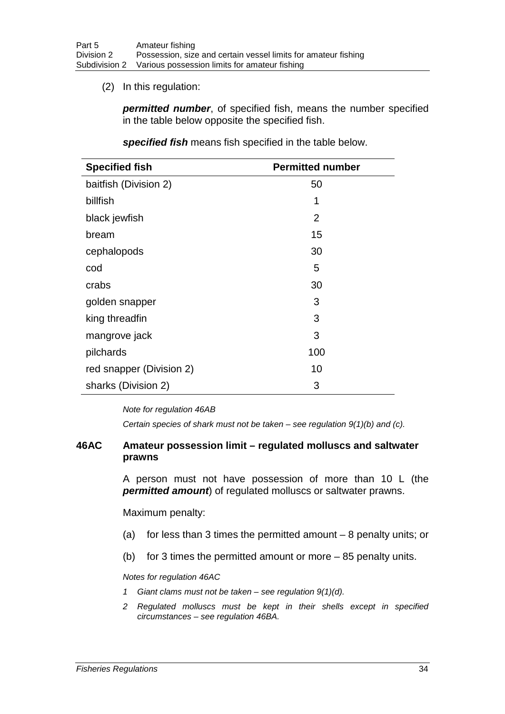(2) In this regulation:

*permitted number*, of specified fish, means the number specified in the table below opposite the specified fish.

*specified fish* means fish specified in the table below.

| <b>Specified fish</b>    | <b>Permitted number</b> |
|--------------------------|-------------------------|
| baitfish (Division 2)    | 50                      |
| billfish                 | 1                       |
| black jewfish            | $\overline{2}$          |
| bream                    | 15                      |
| cephalopods              | 30                      |
| cod                      | 5                       |
| crabs                    | 30                      |
| golden snapper           | 3                       |
| king threadfin           | 3                       |
| mangrove jack            | 3                       |
| pilchards                | 100                     |
| red snapper (Division 2) | 10                      |
| sharks (Division 2)      | 3                       |

*Note for regulation 46AB*

*Certain species of shark must not be taken – see regulation 9(1)(b) and (c).*

### **46AC Amateur possession limit – regulated molluscs and saltwater prawns**

A person must not have possession of more than 10 L (the *permitted amount*) of regulated molluscs or saltwater prawns.

Maximum penalty:

- (a) for less than 3 times the permitted amount 8 penalty units; or
- (b) for 3 times the permitted amount or more 85 penalty units.

*Notes for regulation 46AC*

- *1 Giant clams must not be taken – see regulation 9(1)(d).*
- *2 Regulated molluscs must be kept in their shells except in specified circumstances – see regulation 46BA.*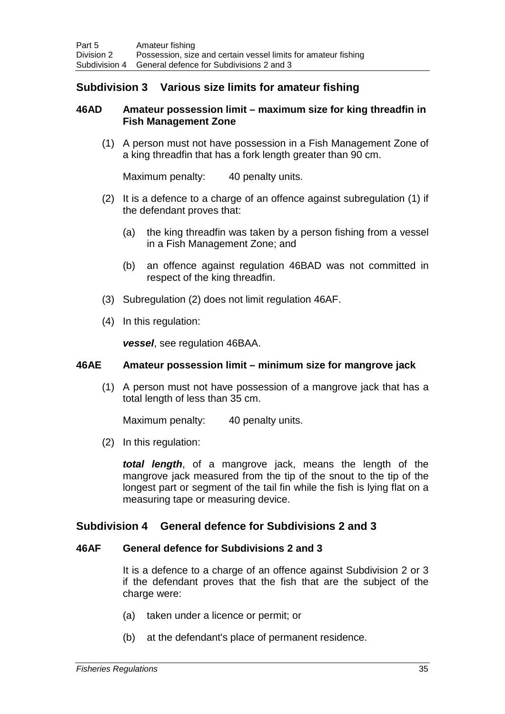# **Subdivision 3 Various size limits for amateur fishing**

#### **46AD Amateur possession limit – maximum size for king threadfin in Fish Management Zone**

(1) A person must not have possession in a Fish Management Zone of a king threadfin that has a fork length greater than 90 cm.

Maximum penalty: 40 penalty units.

- (2) It is a defence to a charge of an offence against subregulation (1) if the defendant proves that:
	- (a) the king threadfin was taken by a person fishing from a vessel in a Fish Management Zone; and
	- (b) an offence against regulation 46BAD was not committed in respect of the king threadfin.
- (3) Subregulation (2) does not limit regulation 46AF.
- (4) In this regulation:

*vessel*, see regulation 46BAA.

#### **46AE Amateur possession limit – minimum size for mangrove jack**

(1) A person must not have possession of a mangrove jack that has a total length of less than 35 cm.

Maximum penalty: 40 penalty units.

(2) In this regulation:

*total length*, of a mangrove jack, means the length of the mangrove jack measured from the tip of the snout to the tip of the longest part or segment of the tail fin while the fish is lying flat on a measuring tape or measuring device.

# **Subdivision 4 General defence for Subdivisions 2 and 3**

### **46AF General defence for Subdivisions 2 and 3**

It is a defence to a charge of an offence against Subdivision 2 or 3 if the defendant proves that the fish that are the subject of the charge were:

- (a) taken under a licence or permit; or
- (b) at the defendant's place of permanent residence.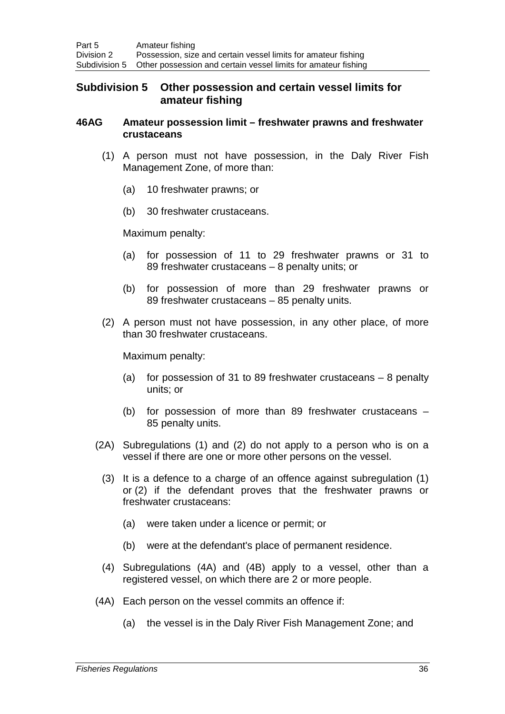# **Subdivision 5 Other possession and certain vessel limits for amateur fishing**

#### **46AG Amateur possession limit – freshwater prawns and freshwater crustaceans**

- (1) A person must not have possession, in the Daly River Fish Management Zone, of more than:
	- (a) 10 freshwater prawns; or
	- (b) 30 freshwater crustaceans.

Maximum penalty:

- (a) for possession of 11 to 29 freshwater prawns or 31 to 89 freshwater crustaceans – 8 penalty units; or
- (b) for possession of more than 29 freshwater prawns or 89 freshwater crustaceans – 85 penalty units.
- (2) A person must not have possession, in any other place, of more than 30 freshwater crustaceans.

Maximum penalty:

- (a) for possession of 31 to 89 freshwater crustaceans  $-8$  penalty units; or
- (b) for possession of more than 89 freshwater crustaceans 85 penalty units.
- (2A) Subregulations (1) and (2) do not apply to a person who is on a vessel if there are one or more other persons on the vessel.
	- (3) It is a defence to a charge of an offence against subregulation (1) or (2) if the defendant proves that the freshwater prawns or freshwater crustaceans:
		- (a) were taken under a licence or permit; or
		- (b) were at the defendant's place of permanent residence.
	- (4) Subregulations (4A) and (4B) apply to a vessel, other than a registered vessel, on which there are 2 or more people.
- (4A) Each person on the vessel commits an offence if:
	- (a) the vessel is in the Daly River Fish Management Zone; and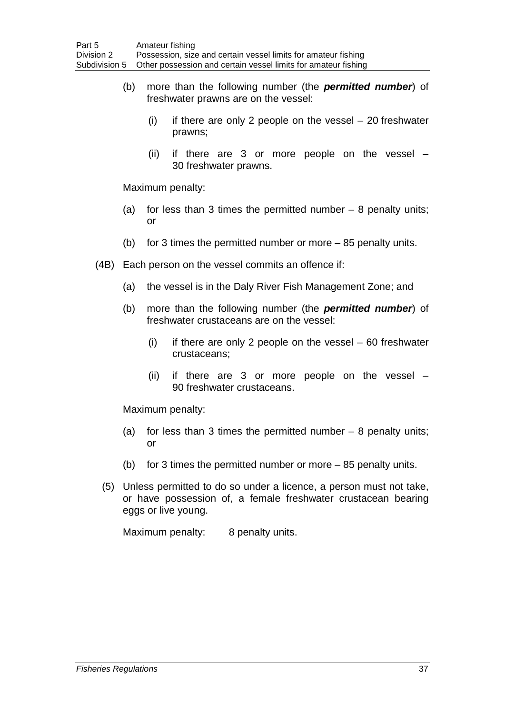- (b) more than the following number (the *permitted number*) of freshwater prawns are on the vessel:
	- (i) if there are only 2 people on the vessel  $-20$  freshwater prawns;
	- (ii) if there are 3 or more people on the vessel 30 freshwater prawns.

Maximum penalty:

- (a) for less than 3 times the permitted number  $-8$  penalty units; or
- (b) for 3 times the permitted number or more 85 penalty units.
- (4B) Each person on the vessel commits an offence if:
	- (a) the vessel is in the Daly River Fish Management Zone; and
	- (b) more than the following number (the *permitted number*) of freshwater crustaceans are on the vessel:
		- $(i)$  if there are only 2 people on the vessel 60 freshwater crustaceans;
		- (ii) if there are 3 or more people on the vessel  $-$ 90 freshwater crustaceans.

Maximum penalty:

- (a) for less than 3 times the permitted number  $-8$  penalty units; or
- (b) for 3 times the permitted number or more 85 penalty units.
- (5) Unless permitted to do so under a licence, a person must not take, or have possession of, a female freshwater crustacean bearing eggs or live young.

Maximum penalty: 8 penalty units.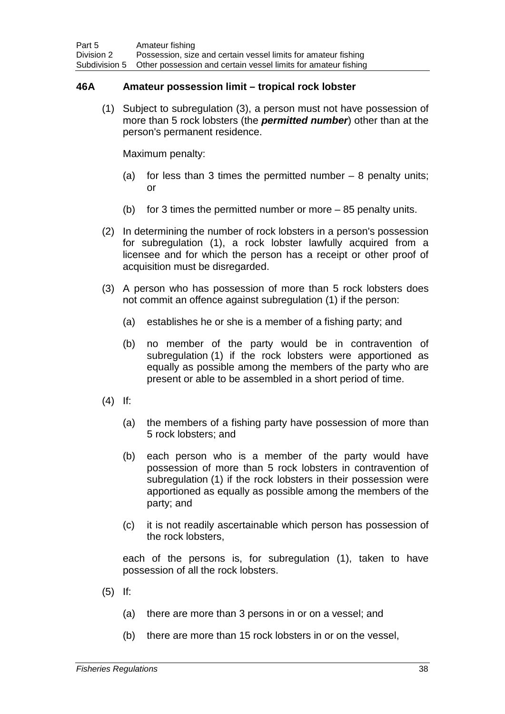#### **46A Amateur possession limit – tropical rock lobster**

(1) Subject to subregulation (3), a person must not have possession of more than 5 rock lobsters (the *permitted number*) other than at the person's permanent residence.

Maximum penalty:

- (a) for less than 3 times the permitted number  $-8$  penalty units; or
- (b) for 3 times the permitted number or more 85 penalty units.
- (2) In determining the number of rock lobsters in a person's possession for subregulation (1), a rock lobster lawfully acquired from a licensee and for which the person has a receipt or other proof of acquisition must be disregarded.
- (3) A person who has possession of more than 5 rock lobsters does not commit an offence against subregulation (1) if the person:
	- (a) establishes he or she is a member of a fishing party; and
	- (b) no member of the party would be in contravention of subregulation (1) if the rock lobsters were apportioned as equally as possible among the members of the party who are present or able to be assembled in a short period of time.
- (4) If:
	- (a) the members of a fishing party have possession of more than 5 rock lobsters; and
	- (b) each person who is a member of the party would have possession of more than 5 rock lobsters in contravention of subregulation (1) if the rock lobsters in their possession were apportioned as equally as possible among the members of the party; and
	- (c) it is not readily ascertainable which person has possession of the rock lobsters,

each of the persons is, for subregulation (1), taken to have possession of all the rock lobsters.

- (5) If:
	- (a) there are more than 3 persons in or on a vessel; and
	- (b) there are more than 15 rock lobsters in or on the vessel,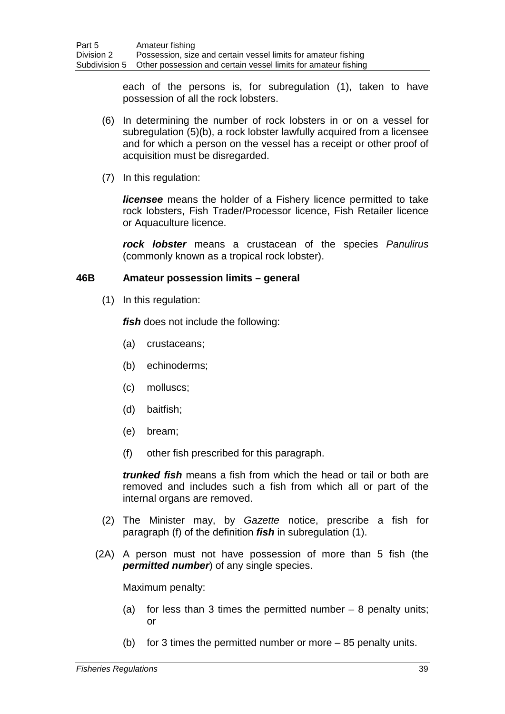each of the persons is, for subregulation (1), taken to have possession of all the rock lobsters.

- (6) In determining the number of rock lobsters in or on a vessel for subregulation (5)(b), a rock lobster lawfully acquired from a licensee and for which a person on the vessel has a receipt or other proof of acquisition must be disregarded.
- (7) In this regulation:

*licensee* means the holder of a Fishery licence permitted to take rock lobsters, Fish Trader/Processor licence, Fish Retailer licence or Aquaculture licence.

*rock lobster* means a crustacean of the species *Panulirus* (commonly known as a tropical rock lobster).

# **46B Amateur possession limits – general**

(1) In this regulation:

*fish* does not include the following:

- (a) crustaceans;
- (b) echinoderms;
- (c) molluscs;
- (d) baitfish;
- (e) bream;
- (f) other fish prescribed for this paragraph.

*trunked fish* means a fish from which the head or tail or both are removed and includes such a fish from which all or part of the internal organs are removed.

- (2) The Minister may, by *Gazette* notice, prescribe a fish for paragraph (f) of the definition *fish* in subregulation (1).
- (2A) A person must not have possession of more than 5 fish (the *permitted number*) of any single species.

Maximum penalty:

- (a) for less than 3 times the permitted number  $-8$  penalty units; or
- (b) for 3 times the permitted number or more 85 penalty units.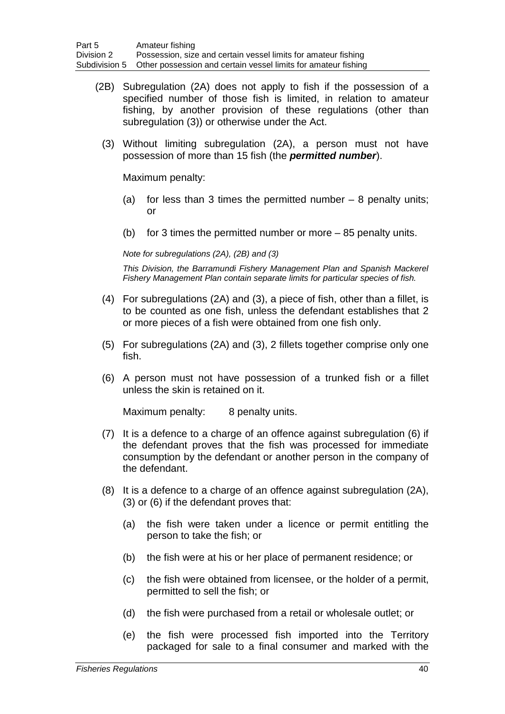- (2B) Subregulation (2A) does not apply to fish if the possession of a specified number of those fish is limited, in relation to amateur fishing, by another provision of these regulations (other than subregulation (3)) or otherwise under the Act.
	- (3) Without limiting subregulation (2A), a person must not have possession of more than 15 fish (the *permitted number*).

Maximum penalty:

- (a) for less than 3 times the permitted number  $-8$  penalty units; or
- (b) for 3 times the permitted number or more 85 penalty units.

*Note for subregulations (2A), (2B) and (3)*

*This Division, the Barramundi Fishery Management Plan and Spanish Mackerel Fishery Management Plan contain separate limits for particular species of fish.*

- (4) For subregulations (2A) and (3), a piece of fish, other than a fillet, is to be counted as one fish, unless the defendant establishes that 2 or more pieces of a fish were obtained from one fish only.
- (5) For subregulations (2A) and (3), 2 fillets together comprise only one fish.
- (6) A person must not have possession of a trunked fish or a fillet unless the skin is retained on it.

Maximum penalty: 8 penalty units.

- (7) It is a defence to a charge of an offence against subregulation (6) if the defendant proves that the fish was processed for immediate consumption by the defendant or another person in the company of the defendant.
- (8) It is a defence to a charge of an offence against subregulation (2A), (3) or (6) if the defendant proves that:
	- (a) the fish were taken under a licence or permit entitling the person to take the fish; or
	- (b) the fish were at his or her place of permanent residence; or
	- (c) the fish were obtained from licensee, or the holder of a permit, permitted to sell the fish; or
	- (d) the fish were purchased from a retail or wholesale outlet; or
	- (e) the fish were processed fish imported into the Territory packaged for sale to a final consumer and marked with the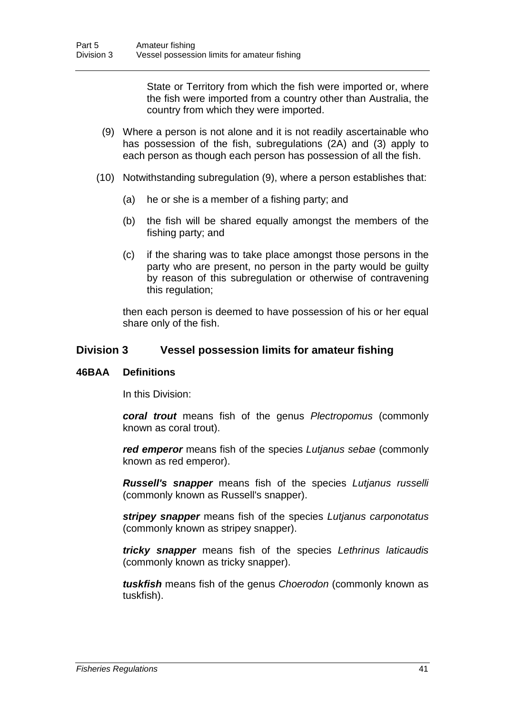State or Territory from which the fish were imported or, where the fish were imported from a country other than Australia, the country from which they were imported.

- (9) Where a person is not alone and it is not readily ascertainable who has possession of the fish, subregulations (2A) and (3) apply to each person as though each person has possession of all the fish.
- (10) Notwithstanding subregulation (9), where a person establishes that:
	- (a) he or she is a member of a fishing party; and
	- (b) the fish will be shared equally amongst the members of the fishing party; and
	- (c) if the sharing was to take place amongst those persons in the party who are present, no person in the party would be guilty by reason of this subregulation or otherwise of contravening this regulation;

then each person is deemed to have possession of his or her equal share only of the fish.

# **Division 3 Vessel possession limits for amateur fishing**

### **46BAA Definitions**

In this Division:

*coral trout* means fish of the genus *Plectropomus* (commonly known as coral trout).

*red emperor* means fish of the species *Lutjanus sebae* (commonly known as red emperor).

*Russell's snapper* means fish of the species *Lutjanus russelli* (commonly known as Russell's snapper).

*stripey snapper* means fish of the species *Lutjanus carponotatus* (commonly known as stripey snapper).

*tricky snapper* means fish of the species *Lethrinus laticaudis* (commonly known as tricky snapper).

*tuskfish* means fish of the genus *Choerodon* (commonly known as tuskfish).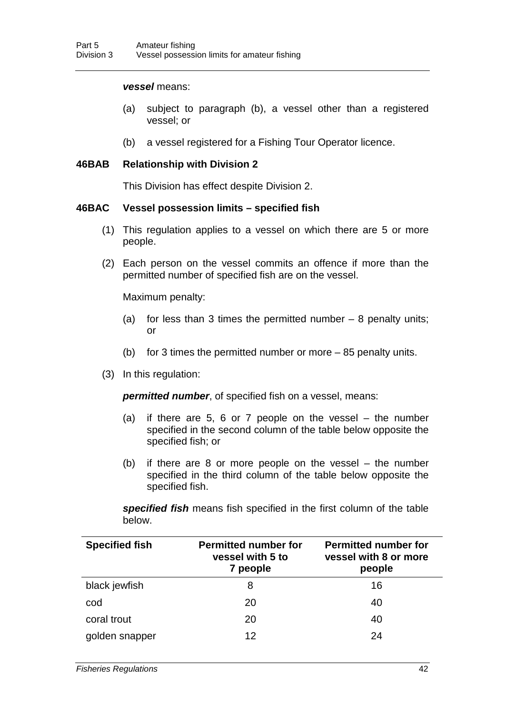#### *vessel* means:

- (a) subject to paragraph (b), a vessel other than a registered vessel; or
- (b) a vessel registered for a Fishing Tour Operator licence.

#### **46BAB Relationship with Division 2**

This Division has effect despite Division 2.

#### **46BAC Vessel possession limits – specified fish**

- (1) This regulation applies to a vessel on which there are 5 or more people.
- (2) Each person on the vessel commits an offence if more than the permitted number of specified fish are on the vessel.

Maximum penalty:

- (a) for less than 3 times the permitted number  $-8$  penalty units; or
- (b) for 3 times the permitted number or more 85 penalty units.
- (3) In this regulation:

*permitted number*, of specified fish on a vessel, means:

- (a) if there are 5, 6 or 7 people on the vessel the number specified in the second column of the table below opposite the specified fish; or
- (b) if there are 8 or more people on the vessel the number specified in the third column of the table below opposite the specified fish.

*specified fish* means fish specified in the first column of the table below.

| <b>Specified fish</b> | <b>Permitted number for</b><br>vessel with 5 to<br>7 people | <b>Permitted number for</b><br>vessel with 8 or more<br>people |
|-----------------------|-------------------------------------------------------------|----------------------------------------------------------------|
| black jewfish         | 8                                                           | 16                                                             |
| cod                   | 20                                                          | 40                                                             |
| coral trout           | 20                                                          | 40                                                             |
| golden snapper        | 12                                                          | 24                                                             |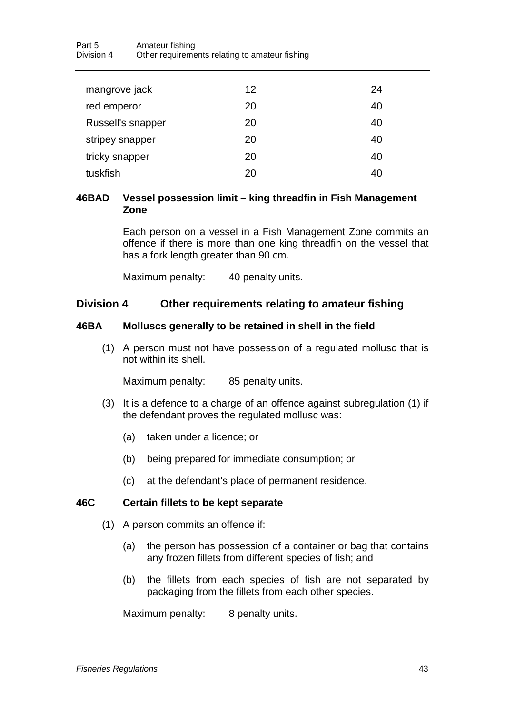| Part 5     | Amateur fishing                                |
|------------|------------------------------------------------|
| Division 4 | Other requirements relating to amateur fishing |

| mangrove jack     | 12 | 24 |
|-------------------|----|----|
| red emperor       | 20 | 40 |
| Russell's snapper | 20 | 40 |
| stripey snapper   | 20 | 40 |
| tricky snapper    | 20 | 40 |
| tuskfish          | 20 | 40 |

### **46BAD Vessel possession limit – king threadfin in Fish Management Zone**

Each person on a vessel in a Fish Management Zone commits an offence if there is more than one king threadfin on the vessel that has a fork length greater than 90 cm.

Maximum penalty: 40 penalty units.

### **Division 4 Other requirements relating to amateur fishing**

### **46BA Molluscs generally to be retained in shell in the field**

(1) A person must not have possession of a regulated mollusc that is not within its shell.

Maximum penalty: 85 penalty units.

- (3) It is a defence to a charge of an offence against subregulation (1) if the defendant proves the regulated mollusc was:
	- (a) taken under a licence; or
	- (b) being prepared for immediate consumption; or
	- (c) at the defendant's place of permanent residence.

### **46C Certain fillets to be kept separate**

- (1) A person commits an offence if:
	- (a) the person has possession of a container or bag that contains any frozen fillets from different species of fish; and
	- (b) the fillets from each species of fish are not separated by packaging from the fillets from each other species.

Maximum penalty: 8 penalty units.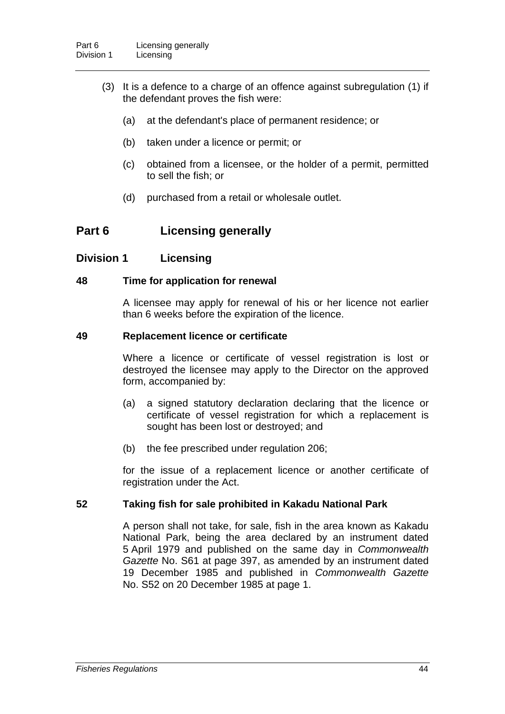- (3) It is a defence to a charge of an offence against subregulation (1) if the defendant proves the fish were:
	- (a) at the defendant's place of permanent residence; or
	- (b) taken under a licence or permit; or
	- (c) obtained from a licensee, or the holder of a permit, permitted to sell the fish; or
	- (d) purchased from a retail or wholesale outlet.

# **Part 6 Licensing generally**

### **Division 1 Licensing**

#### **48 Time for application for renewal**

A licensee may apply for renewal of his or her licence not earlier than 6 weeks before the expiration of the licence.

#### **49 Replacement licence or certificate**

Where a licence or certificate of vessel registration is lost or destroyed the licensee may apply to the Director on the approved form, accompanied by:

- (a) a signed statutory declaration declaring that the licence or certificate of vessel registration for which a replacement is sought has been lost or destroyed; and
- (b) the fee prescribed under regulation 206;

for the issue of a replacement licence or another certificate of registration under the Act.

#### **52 Taking fish for sale prohibited in Kakadu National Park**

A person shall not take, for sale, fish in the area known as Kakadu National Park, being the area declared by an instrument dated 5 April 1979 and published on the same day in *Commonwealth Gazette* No. S61 at page 397, as amended by an instrument dated 19 December 1985 and published in *Commonwealth Gazette* No. S52 on 20 December 1985 at page 1.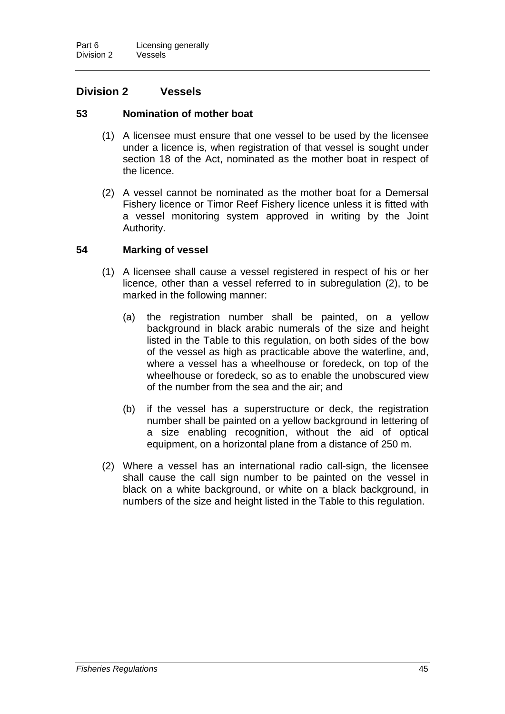# **Division 2 Vessels**

### **53 Nomination of mother boat**

- (1) A licensee must ensure that one vessel to be used by the licensee under a licence is, when registration of that vessel is sought under section 18 of the Act, nominated as the mother boat in respect of the licence.
- (2) A vessel cannot be nominated as the mother boat for a Demersal Fishery licence or Timor Reef Fishery licence unless it is fitted with a vessel monitoring system approved in writing by the Joint Authority.

### **54 Marking of vessel**

- (1) A licensee shall cause a vessel registered in respect of his or her licence, other than a vessel referred to in subregulation (2), to be marked in the following manner:
	- (a) the registration number shall be painted, on a yellow background in black arabic numerals of the size and height listed in the Table to this regulation, on both sides of the bow of the vessel as high as practicable above the waterline, and, where a vessel has a wheelhouse or foredeck, on top of the wheelhouse or foredeck, so as to enable the unobscured view of the number from the sea and the air; and
	- (b) if the vessel has a superstructure or deck, the registration number shall be painted on a yellow background in lettering of a size enabling recognition, without the aid of optical equipment, on a horizontal plane from a distance of 250 m.
- (2) Where a vessel has an international radio call-sign, the licensee shall cause the call sign number to be painted on the vessel in black on a white background, or white on a black background, in numbers of the size and height listed in the Table to this regulation.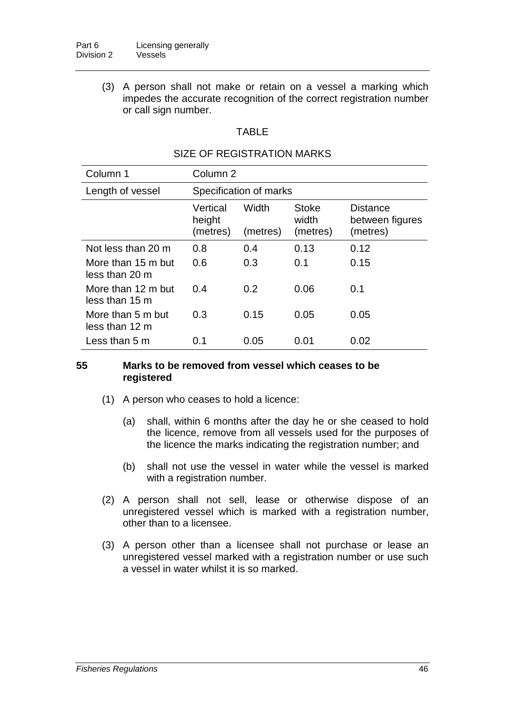(3) A person shall not make or retain on a vessel a marking which impedes the accurate recognition of the correct registration number or call sign number.

# TABLE

#### SIZE OF REGISTRATION MARKS

| Column 1                             | Column <sub>2</sub>            |                   |                                   |                                                |  |
|--------------------------------------|--------------------------------|-------------------|-----------------------------------|------------------------------------------------|--|
| Length of vessel                     | Specification of marks         |                   |                                   |                                                |  |
|                                      | Vertical<br>height<br>(metres) | Width<br>(metres) | <b>Stoke</b><br>width<br>(metres) | <b>Distance</b><br>between figures<br>(metres) |  |
| Not less than 20 m                   | 0.8                            | 0.4               | 0.13                              | 0.12                                           |  |
| More than 15 m but<br>less than 20 m | 0.6                            | 0.3               | 0.1                               | 0.15                                           |  |
| More than 12 m but<br>less than 15 m | 0.4                            | 0.2               | 0.06                              | 0.1                                            |  |
| More than 5 m but<br>less than 12 m  | 0.3                            | 0.15              | 0.05                              | 0.05                                           |  |
| Less than 5 m                        | 0.1                            | 0.05              | 0.01                              | 0.02                                           |  |

#### **55 Marks to be removed from vessel which ceases to be registered**

- (1) A person who ceases to hold a licence:
	- (a) shall, within 6 months after the day he or she ceased to hold the licence, remove from all vessels used for the purposes of the licence the marks indicating the registration number; and
	- (b) shall not use the vessel in water while the vessel is marked with a registration number.
- (2) A person shall not sell, lease or otherwise dispose of an unregistered vessel which is marked with a registration number, other than to a licensee.
- (3) A person other than a licensee shall not purchase or lease an unregistered vessel marked with a registration number or use such a vessel in water whilst it is so marked.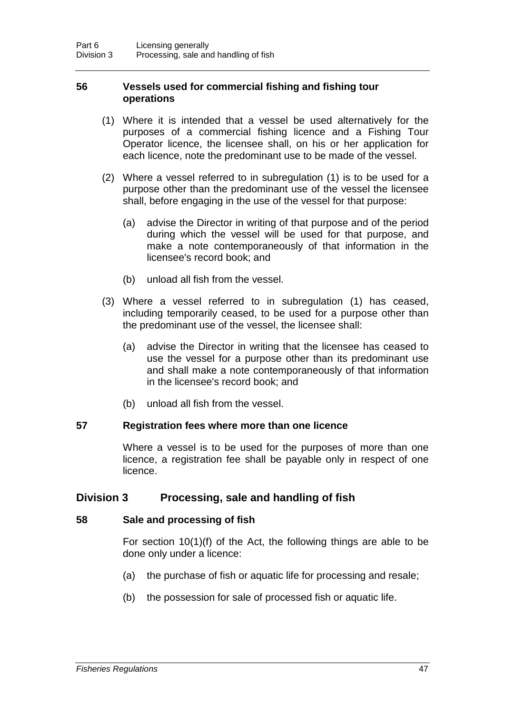### **56 Vessels used for commercial fishing and fishing tour operations**

- (1) Where it is intended that a vessel be used alternatively for the purposes of a commercial fishing licence and a Fishing Tour Operator licence, the licensee shall, on his or her application for each licence, note the predominant use to be made of the vessel.
- (2) Where a vessel referred to in subregulation (1) is to be used for a purpose other than the predominant use of the vessel the licensee shall, before engaging in the use of the vessel for that purpose:
	- (a) advise the Director in writing of that purpose and of the period during which the vessel will be used for that purpose, and make a note contemporaneously of that information in the licensee's record book; and
	- (b) unload all fish from the vessel.
- (3) Where a vessel referred to in subregulation (1) has ceased, including temporarily ceased, to be used for a purpose other than the predominant use of the vessel, the licensee shall:
	- (a) advise the Director in writing that the licensee has ceased to use the vessel for a purpose other than its predominant use and shall make a note contemporaneously of that information in the licensee's record book; and
	- (b) unload all fish from the vessel.

### **57 Registration fees where more than one licence**

Where a vessel is to be used for the purposes of more than one licence, a registration fee shall be payable only in respect of one licence.

### **Division 3 Processing, sale and handling of fish**

#### **58 Sale and processing of fish**

For section 10(1)(f) of the Act, the following things are able to be done only under a licence:

- (a) the purchase of fish or aquatic life for processing and resale;
- (b) the possession for sale of processed fish or aquatic life.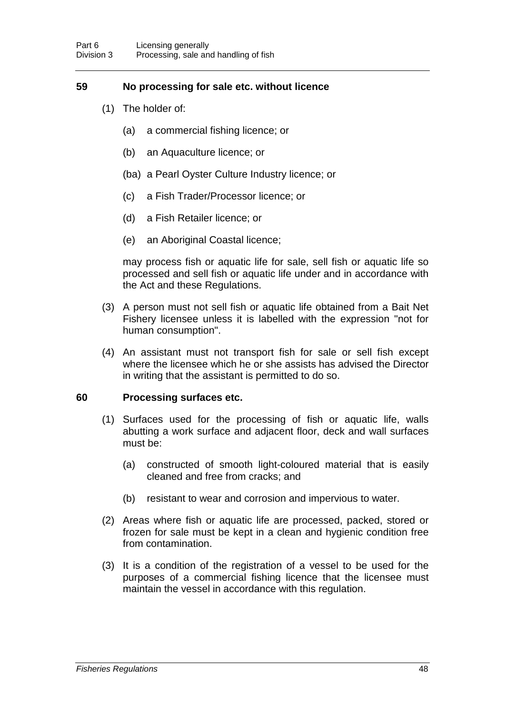#### **59 No processing for sale etc. without licence**

- (1) The holder of:
	- (a) a commercial fishing licence; or
	- (b) an Aquaculture licence; or
	- (ba) a Pearl Oyster Culture Industry licence; or
	- (c) a Fish Trader/Processor licence; or
	- (d) a Fish Retailer licence; or
	- (e) an Aboriginal Coastal licence;

may process fish or aquatic life for sale, sell fish or aquatic life so processed and sell fish or aquatic life under and in accordance with the Act and these Regulations.

- (3) A person must not sell fish or aquatic life obtained from a Bait Net Fishery licensee unless it is labelled with the expression "not for human consumption".
- (4) An assistant must not transport fish for sale or sell fish except where the licensee which he or she assists has advised the Director in writing that the assistant is permitted to do so.

#### **60 Processing surfaces etc.**

- (1) Surfaces used for the processing of fish or aquatic life, walls abutting a work surface and adjacent floor, deck and wall surfaces must be:
	- (a) constructed of smooth light-coloured material that is easily cleaned and free from cracks; and
	- (b) resistant to wear and corrosion and impervious to water.
- (2) Areas where fish or aquatic life are processed, packed, stored or frozen for sale must be kept in a clean and hygienic condition free from contamination.
- (3) It is a condition of the registration of a vessel to be used for the purposes of a commercial fishing licence that the licensee must maintain the vessel in accordance with this regulation.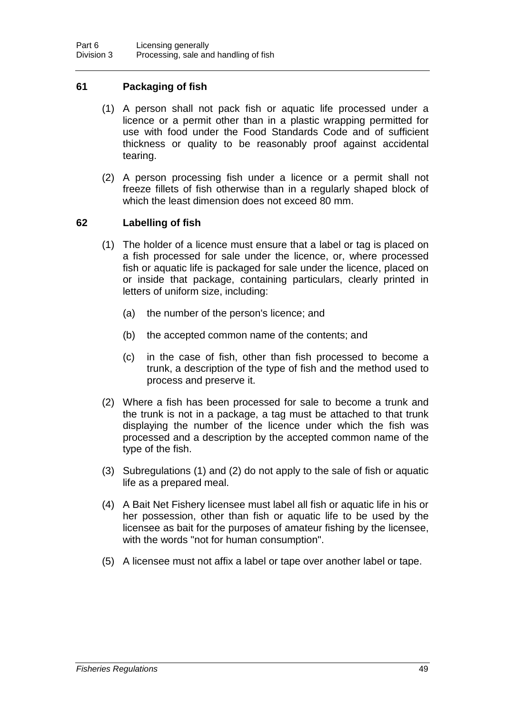## **61 Packaging of fish**

- (1) A person shall not pack fish or aquatic life processed under a licence or a permit other than in a plastic wrapping permitted for use with food under the Food Standards Code and of sufficient thickness or quality to be reasonably proof against accidental tearing.
- (2) A person processing fish under a licence or a permit shall not freeze fillets of fish otherwise than in a regularly shaped block of which the least dimension does not exceed 80 mm.

### **62 Labelling of fish**

- (1) The holder of a licence must ensure that a label or tag is placed on a fish processed for sale under the licence, or, where processed fish or aquatic life is packaged for sale under the licence, placed on or inside that package, containing particulars, clearly printed in letters of uniform size, including:
	- (a) the number of the person's licence; and
	- (b) the accepted common name of the contents; and
	- (c) in the case of fish, other than fish processed to become a trunk, a description of the type of fish and the method used to process and preserve it.
- (2) Where a fish has been processed for sale to become a trunk and the trunk is not in a package, a tag must be attached to that trunk displaying the number of the licence under which the fish was processed and a description by the accepted common name of the type of the fish.
- (3) Subregulations (1) and (2) do not apply to the sale of fish or aquatic life as a prepared meal.
- (4) A Bait Net Fishery licensee must label all fish or aquatic life in his or her possession, other than fish or aquatic life to be used by the licensee as bait for the purposes of amateur fishing by the licensee, with the words "not for human consumption".
- (5) A licensee must not affix a label or tape over another label or tape.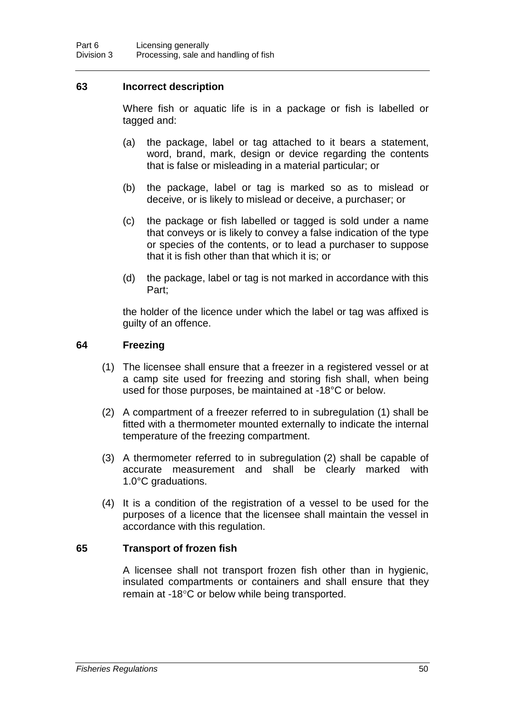### **63 Incorrect description**

Where fish or aquatic life is in a package or fish is labelled or tagged and:

- (a) the package, label or tag attached to it bears a statement, word, brand, mark, design or device regarding the contents that is false or misleading in a material particular; or
- (b) the package, label or tag is marked so as to mislead or deceive, or is likely to mislead or deceive, a purchaser; or
- (c) the package or fish labelled or tagged is sold under a name that conveys or is likely to convey a false indication of the type or species of the contents, or to lead a purchaser to suppose that it is fish other than that which it is; or
- (d) the package, label or tag is not marked in accordance with this Part;

the holder of the licence under which the label or tag was affixed is guilty of an offence.

### **64 Freezing**

- (1) The licensee shall ensure that a freezer in a registered vessel or at a camp site used for freezing and storing fish shall, when being used for those purposes, be maintained at -18°C or below.
- (2) A compartment of a freezer referred to in subregulation (1) shall be fitted with a thermometer mounted externally to indicate the internal temperature of the freezing compartment.
- (3) A thermometer referred to in subregulation (2) shall be capable of accurate measurement and shall be clearly marked with 1.0°C graduations.
- (4) It is a condition of the registration of a vessel to be used for the purposes of a licence that the licensee shall maintain the vessel in accordance with this regulation.

### **65 Transport of frozen fish**

A licensee shall not transport frozen fish other than in hygienic, insulated compartments or containers and shall ensure that they remain at -18°C or below while being transported.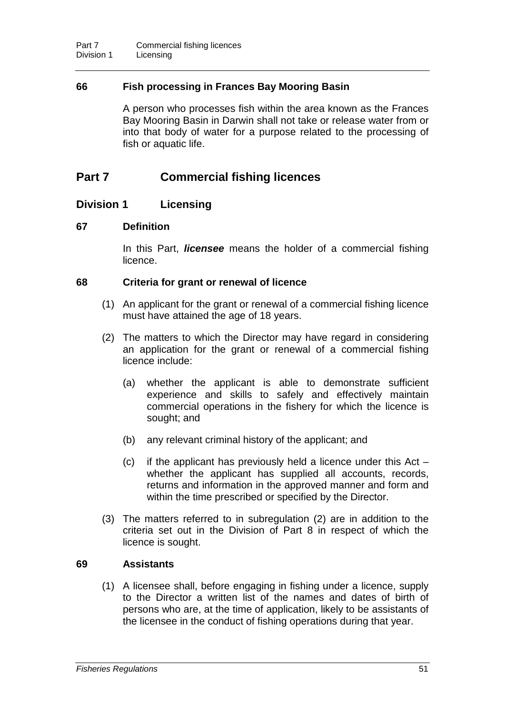# **66 Fish processing in Frances Bay Mooring Basin**

A person who processes fish within the area known as the Frances Bay Mooring Basin in Darwin shall not take or release water from or into that body of water for a purpose related to the processing of fish or aquatic life.

# **Part 7 Commercial fishing licences**

# **Division 1 Licensing**

#### **67 Definition**

In this Part, *licensee* means the holder of a commercial fishing licence.

#### **68 Criteria for grant or renewal of licence**

- (1) An applicant for the grant or renewal of a commercial fishing licence must have attained the age of 18 years.
- (2) The matters to which the Director may have regard in considering an application for the grant or renewal of a commercial fishing licence include:
	- (a) whether the applicant is able to demonstrate sufficient experience and skills to safely and effectively maintain commercial operations in the fishery for which the licence is sought; and
	- (b) any relevant criminal history of the applicant; and
	- (c) if the applicant has previously held a licence under this Act whether the applicant has supplied all accounts, records, returns and information in the approved manner and form and within the time prescribed or specified by the Director.
- (3) The matters referred to in subregulation (2) are in addition to the criteria set out in the Division of Part 8 in respect of which the licence is sought.

### **69 Assistants**

(1) A licensee shall, before engaging in fishing under a licence, supply to the Director a written list of the names and dates of birth of persons who are, at the time of application, likely to be assistants of the licensee in the conduct of fishing operations during that year.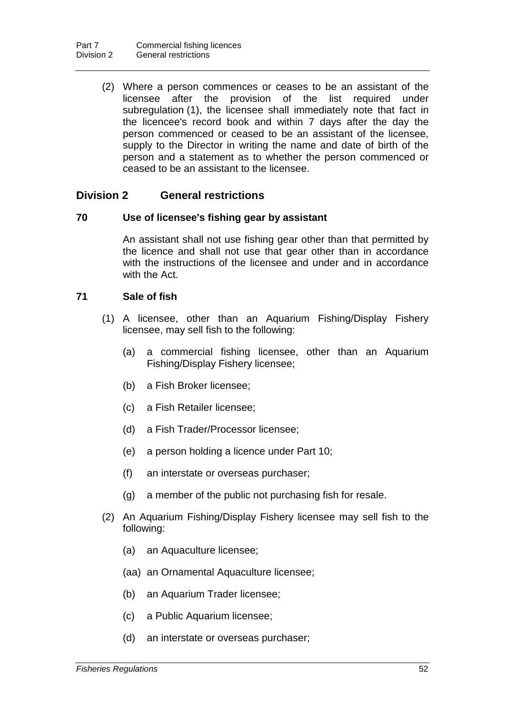(2) Where a person commences or ceases to be an assistant of the provision of the list required under subregulation (1), the licensee shall immediately note that fact in the licencee's record book and within 7 days after the day the person commenced or ceased to be an assistant of the licensee, supply to the Director in writing the name and date of birth of the person and a statement as to whether the person commenced or ceased to be an assistant to the licensee.

# **Division 2 General restrictions**

#### **70 Use of licensee's fishing gear by assistant**

An assistant shall not use fishing gear other than that permitted by the licence and shall not use that gear other than in accordance with the instructions of the licensee and under and in accordance with the Act.

### **71 Sale of fish**

- (1) A licensee, other than an Aquarium Fishing/Display Fishery licensee, may sell fish to the following:
	- (a) a commercial fishing licensee, other than an Aquarium Fishing/Display Fishery licensee;
	- (b) a Fish Broker licensee;
	- (c) a Fish Retailer licensee;
	- (d) a Fish Trader/Processor licensee;
	- (e) a person holding a licence under Part 10;
	- (f) an interstate or overseas purchaser;
	- (g) a member of the public not purchasing fish for resale.
- (2) An Aquarium Fishing/Display Fishery licensee may sell fish to the following:
	- (a) an Aquaculture licensee;
	- (aa) an Ornamental Aquaculture licensee;
	- (b) an Aquarium Trader licensee;
	- (c) a Public Aquarium licensee;
	- (d) an interstate or overseas purchaser;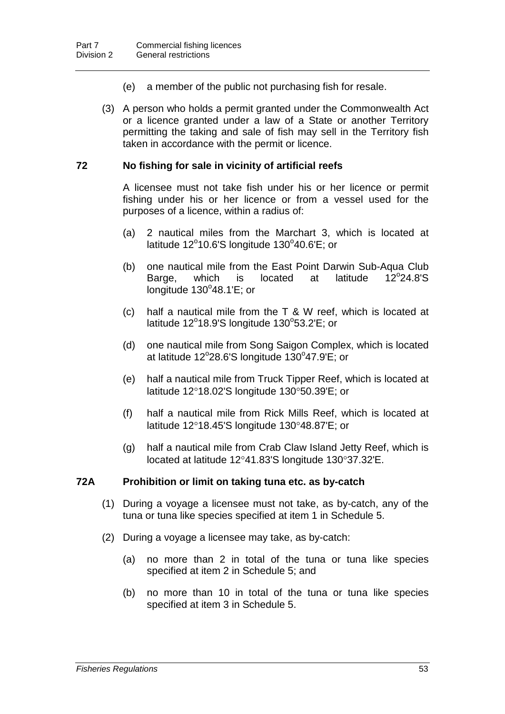- (e) a member of the public not purchasing fish for resale.
- (3) A person who holds a permit granted under the Commonwealth Act or a licence granted under a law of a State or another Territory permitting the taking and sale of fish may sell in the Territory fish taken in accordance with the permit or licence.

#### **72 No fishing for sale in vicinity of artificial reefs**

A licensee must not take fish under his or her licence or permit fishing under his or her licence or from a vessel used for the purposes of a licence, within a radius of:

- (a) 2 nautical miles from the Marchart 3, which is located at latitude 12°10.6'S longitude 130°40.6'E; or
- (b) one nautical mile from the East Point Darwin Sub-Aqua Club Barge, which is located at latitude  $12^{\circ}24.8^{\circ}$ S longitude 130°48.1'E; or
- (c) half a nautical mile from the T & W reef, which is located at latitude 12°18.9'S longitude 130°53.2'E; or
- (d) one nautical mile from Song Saigon Complex, which is located at latitude 12 $^{\circ}$ 28.6'S longitude 130 $^{\circ}$ 47.9'E; or
- (e) half a nautical mile from Truck Tipper Reef, which is located at latitude 12°18.02'S longitude 130°50.39'E; or
- (f) half a nautical mile from Rick Mills Reef, which is located at latitude 12°18.45'S longitude 130°48.87'E; or
- (g) half a nautical mile from Crab Claw Island Jetty Reef, which is located at latitude 12°41.83'S longitude 130°37.32'E.

#### **72A Prohibition or limit on taking tuna etc. as by-catch**

- (1) During a voyage a licensee must not take, as by-catch, any of the tuna or tuna like species specified at item 1 in Schedule 5.
- (2) During a voyage a licensee may take, as by-catch:
	- (a) no more than 2 in total of the tuna or tuna like species specified at item 2 in Schedule 5; and
	- (b) no more than 10 in total of the tuna or tuna like species specified at item 3 in Schedule 5.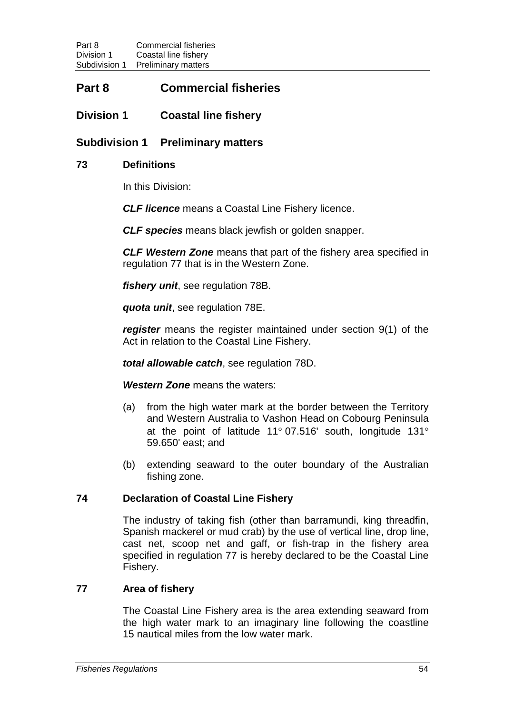# **Part 8 Commercial fisheries**

# **Division 1 Coastal line fishery**

# **Subdivision 1 Preliminary matters**

### **73 Definitions**

In this Division:

*CLF licence* means a Coastal Line Fishery licence.

*CLF species* means black jewfish or golden snapper.

*CLF Western Zone* means that part of the fishery area specified in regulation 77 that is in the Western Zone.

*fishery unit*, see regulation 78B.

*quota unit*, see regulation 78E.

*register* means the register maintained under section 9(1) of the Act in relation to the Coastal Line Fishery.

*total allowable catch*, see regulation 78D.

*Western Zone* means the waters:

- (a) from the high water mark at the border between the Territory and Western Australia to Vashon Head on Cobourg Peninsula at the point of latitude 11° 07.516' south, longitude 131° 59.650' east; and
- (b) extending seaward to the outer boundary of the Australian fishing zone.

### **74 Declaration of Coastal Line Fishery**

The industry of taking fish (other than barramundi, king threadfin, Spanish mackerel or mud crab) by the use of vertical line, drop line, cast net, scoop net and gaff, or fish-trap in the fishery area specified in regulation 77 is hereby declared to be the Coastal Line Fishery.

### **77 Area of fishery**

The Coastal Line Fishery area is the area extending seaward from the high water mark to an imaginary line following the coastline 15 nautical miles from the low water mark.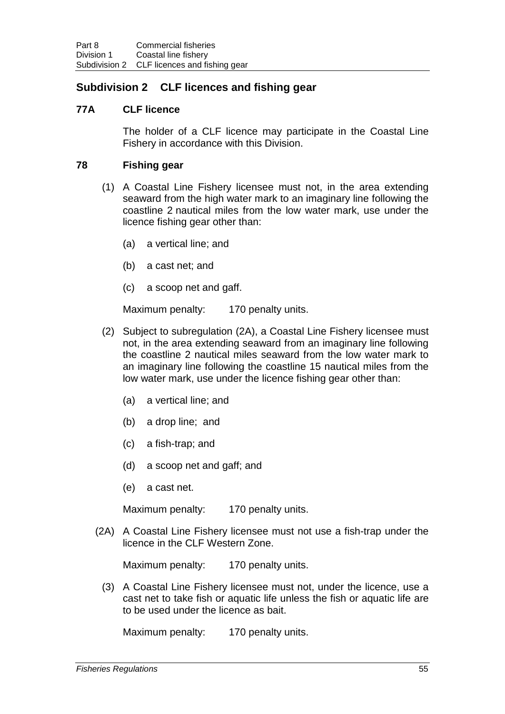# **Subdivision 2 CLF licences and fishing gear**

# **77A CLF licence**

The holder of a CLF licence may participate in the Coastal Line Fishery in accordance with this Division.

#### **78 Fishing gear**

- (1) A Coastal Line Fishery licensee must not, in the area extending seaward from the high water mark to an imaginary line following the coastline 2 nautical miles from the low water mark, use under the licence fishing gear other than:
	- (a) a vertical line; and
	- (b) a cast net; and
	- (c) a scoop net and gaff.

Maximum penalty: 170 penalty units.

- (2) Subject to subregulation (2A), a Coastal Line Fishery licensee must not, in the area extending seaward from an imaginary line following the coastline 2 nautical miles seaward from the low water mark to an imaginary line following the coastline 15 nautical miles from the low water mark, use under the licence fishing gear other than:
	- (a) a vertical line; and
	- (b) a drop line; and
	- (c) a fish-trap; and
	- (d) a scoop net and gaff; and
	- (e) a cast net.

Maximum penalty: 170 penalty units.

(2A) A Coastal Line Fishery licensee must not use a fish-trap under the licence in the CLF Western Zone.

Maximum penalty: 170 penalty units.

(3) A Coastal Line Fishery licensee must not, under the licence, use a cast net to take fish or aquatic life unless the fish or aquatic life are to be used under the licence as bait.

Maximum penalty: 170 penalty units.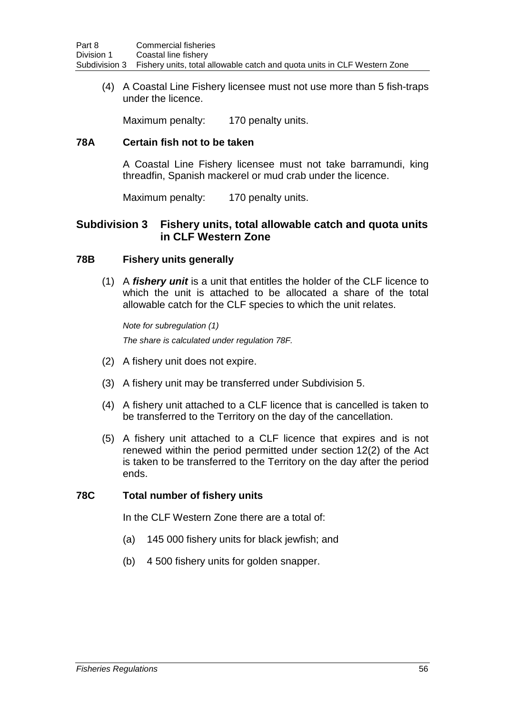(4) A Coastal Line Fishery licensee must not use more than 5 fish-traps under the licence.

Maximum penalty: 170 penalty units.

#### **78A Certain fish not to be taken**

A Coastal Line Fishery licensee must not take barramundi, king threadfin, Spanish mackerel or mud crab under the licence.

Maximum penalty: 170 penalty units.

# **Subdivision 3 Fishery units, total allowable catch and quota units in CLF Western Zone**

#### **78B Fishery units generally**

(1) A *fishery unit* is a unit that entitles the holder of the CLF licence to which the unit is attached to be allocated a share of the total allowable catch for the CLF species to which the unit relates.

*Note for subregulation (1) The share is calculated under regulation 78F.*

- (2) A fishery unit does not expire.
- (3) A fishery unit may be transferred under Subdivision 5.
- (4) A fishery unit attached to a CLF licence that is cancelled is taken to be transferred to the Territory on the day of the cancellation.
- (5) A fishery unit attached to a CLF licence that expires and is not renewed within the period permitted under section 12(2) of the Act is taken to be transferred to the Territory on the day after the period ends.

### **78C Total number of fishery units**

In the CLF Western Zone there are a total of:

- (a) 145 000 fishery units for black jewfish; and
- (b) 4 500 fishery units for golden snapper.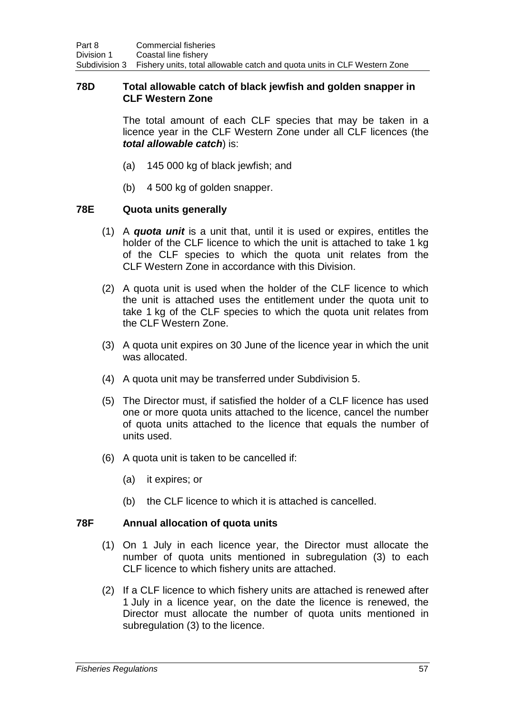### **78D Total allowable catch of black jewfish and golden snapper in CLF Western Zone**

The total amount of each CLF species that may be taken in a licence year in the CLF Western Zone under all CLF licences (the *total allowable catch*) is:

- (a) 145 000 kg of black jewfish; and
- (b) 4 500 kg of golden snapper.

### **78E Quota units generally**

- (1) A *quota unit* is a unit that, until it is used or expires, entitles the holder of the CLF licence to which the unit is attached to take 1 kg of the CLF species to which the quota unit relates from the CLF Western Zone in accordance with this Division.
- (2) A quota unit is used when the holder of the CLF licence to which the unit is attached uses the entitlement under the quota unit to take 1 kg of the CLF species to which the quota unit relates from the CLF Western Zone.
- (3) A quota unit expires on 30 June of the licence year in which the unit was allocated.
- (4) A quota unit may be transferred under Subdivision 5.
- (5) The Director must, if satisfied the holder of a CLF licence has used one or more quota units attached to the licence, cancel the number of quota units attached to the licence that equals the number of units used.
- (6) A quota unit is taken to be cancelled if:
	- (a) it expires; or
	- (b) the CLF licence to which it is attached is cancelled.

### **78F Annual allocation of quota units**

- (1) On 1 July in each licence year, the Director must allocate the number of quota units mentioned in subregulation (3) to each CLF licence to which fishery units are attached.
- (2) If a CLF licence to which fishery units are attached is renewed after 1 July in a licence year, on the date the licence is renewed, the Director must allocate the number of quota units mentioned in subregulation (3) to the licence.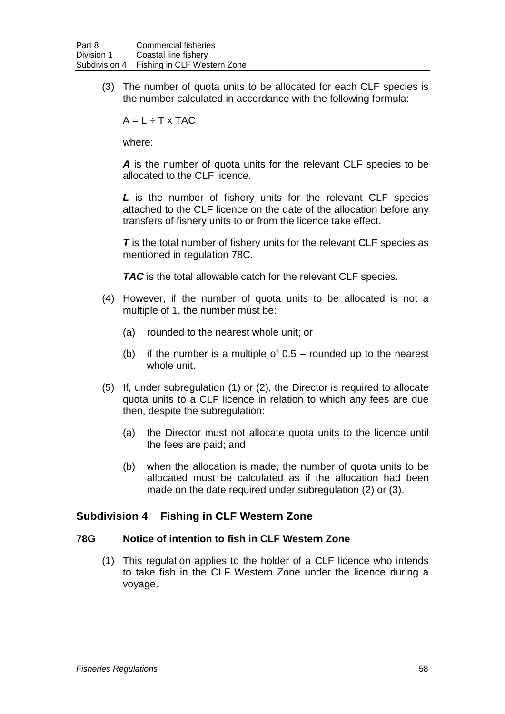(3) The number of quota units to be allocated for each CLF species is the number calculated in accordance with the following formula:

 $A = L \div T \times TAC$ 

where:

*A* is the number of quota units for the relevant CLF species to be allocated to the CLF licence.

*L* is the number of fishery units for the relevant CLF species attached to the CLF licence on the date of the allocation before any transfers of fishery units to or from the licence take effect.

**T** is the total number of fishery units for the relevant CLF species as mentioned in regulation 78C.

**TAC** is the total allowable catch for the relevant CLF species.

- (4) However, if the number of quota units to be allocated is not a multiple of 1, the number must be:
	- (a) rounded to the nearest whole unit; or
	- (b) if the number is a multiple of 0.5 rounded up to the nearest whole unit.
- (5) If, under subregulation (1) or (2), the Director is required to allocate quota units to a CLF licence in relation to which any fees are due then, despite the subregulation:
	- (a) the Director must not allocate quota units to the licence until the fees are paid; and
	- (b) when the allocation is made, the number of quota units to be allocated must be calculated as if the allocation had been made on the date required under subregulation (2) or (3).

## **Subdivision 4 Fishing in CLF Western Zone**

### **78G Notice of intention to fish in CLF Western Zone**

(1) This regulation applies to the holder of a CLF licence who intends to take fish in the CLF Western Zone under the licence during a voyage.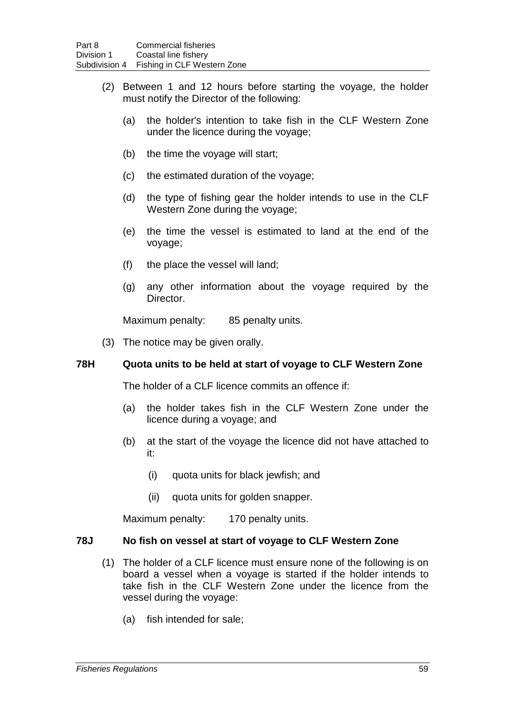- (2) Between 1 and 12 hours before starting the voyage, the holder must notify the Director of the following:
	- (a) the holder's intention to take fish in the CLF Western Zone under the licence during the voyage;
	- (b) the time the voyage will start;
	- (c) the estimated duration of the voyage;
	- (d) the type of fishing gear the holder intends to use in the CLF Western Zone during the voyage;
	- (e) the time the vessel is estimated to land at the end of the voyage;
	- (f) the place the vessel will land;
	- (g) any other information about the voyage required by the Director.

Maximum penalty: 85 penalty units.

(3) The notice may be given orally.

### **78H Quota units to be held at start of voyage to CLF Western Zone**

The holder of a CLF licence commits an offence if:

- (a) the holder takes fish in the CLF Western Zone under the licence during a voyage; and
- (b) at the start of the voyage the licence did not have attached to it:
	- (i) quota units for black jewfish; and
	- (ii) quota units for golden snapper.

Maximum penalty: 170 penalty units.

#### **78J No fish on vessel at start of voyage to CLF Western Zone**

- (1) The holder of a CLF licence must ensure none of the following is on board a vessel when a voyage is started if the holder intends to take fish in the CLF Western Zone under the licence from the vessel during the voyage:
	- (a) fish intended for sale;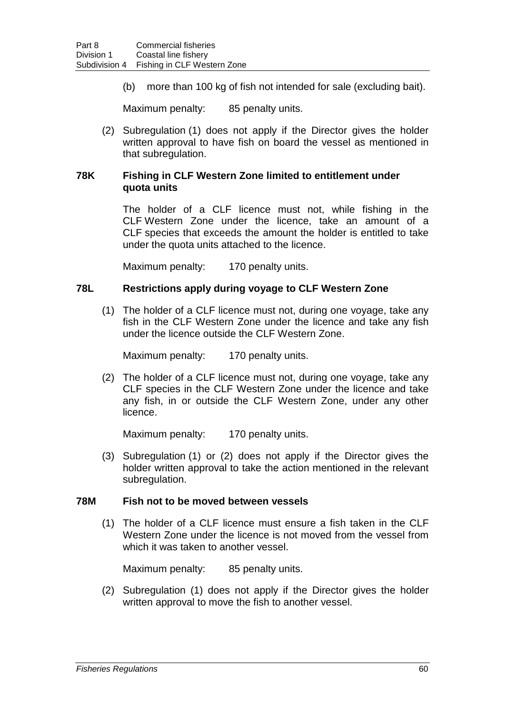(b) more than 100 kg of fish not intended for sale (excluding bait).

Maximum penalty: 85 penalty units.

(2) Subregulation (1) does not apply if the Director gives the holder written approval to have fish on board the vessel as mentioned in that subregulation.

### **78K Fishing in CLF Western Zone limited to entitlement under quota units**

The holder of a CLF licence must not, while fishing in the CLF Western Zone under the licence, take an amount of a CLF species that exceeds the amount the holder is entitled to take under the quota units attached to the licence.

Maximum penalty: 170 penalty units.

#### **78L Restrictions apply during voyage to CLF Western Zone**

(1) The holder of a CLF licence must not, during one voyage, take any fish in the CLF Western Zone under the licence and take any fish under the licence outside the CLF Western Zone.

Maximum penalty: 170 penalty units.

(2) The holder of a CLF licence must not, during one voyage, take any CLF species in the CLF Western Zone under the licence and take any fish, in or outside the CLF Western Zone, under any other licence.

Maximum penalty: 170 penalty units.

(3) Subregulation (1) or (2) does not apply if the Director gives the holder written approval to take the action mentioned in the relevant subregulation.

#### **78M Fish not to be moved between vessels**

(1) The holder of a CLF licence must ensure a fish taken in the CLF Western Zone under the licence is not moved from the vessel from which it was taken to another vessel.

Maximum penalty: 85 penalty units.

(2) Subregulation (1) does not apply if the Director gives the holder written approval to move the fish to another vessel.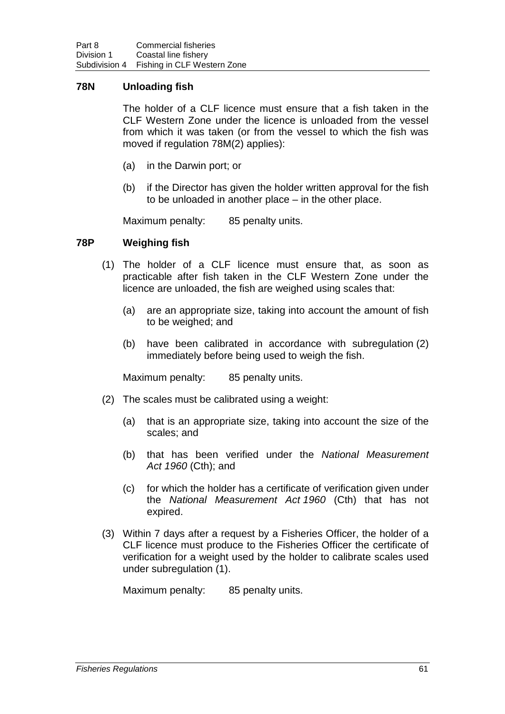### **78N Unloading fish**

The holder of a CLF licence must ensure that a fish taken in the CLF Western Zone under the licence is unloaded from the vessel from which it was taken (or from the vessel to which the fish was moved if regulation 78M(2) applies):

- (a) in the Darwin port; or
- (b) if the Director has given the holder written approval for the fish to be unloaded in another place – in the other place.

Maximum penalty: 85 penalty units.

### **78P Weighing fish**

- (1) The holder of a CLF licence must ensure that, as soon as practicable after fish taken in the CLF Western Zone under the licence are unloaded, the fish are weighed using scales that:
	- (a) are an appropriate size, taking into account the amount of fish to be weighed; and
	- (b) have been calibrated in accordance with subregulation (2) immediately before being used to weigh the fish.

Maximum penalty: 85 penalty units.

- (2) The scales must be calibrated using a weight:
	- (a) that is an appropriate size, taking into account the size of the scales; and
	- (b) that has been verified under the *National Measurement Act 1960* (Cth); and
	- (c) for which the holder has a certificate of verification given under the *National Measurement Act 1960* (Cth) that has not expired.
- (3) Within 7 days after a request by a Fisheries Officer, the holder of a CLF licence must produce to the Fisheries Officer the certificate of verification for a weight used by the holder to calibrate scales used under subregulation (1).

Maximum penalty: 85 penalty units.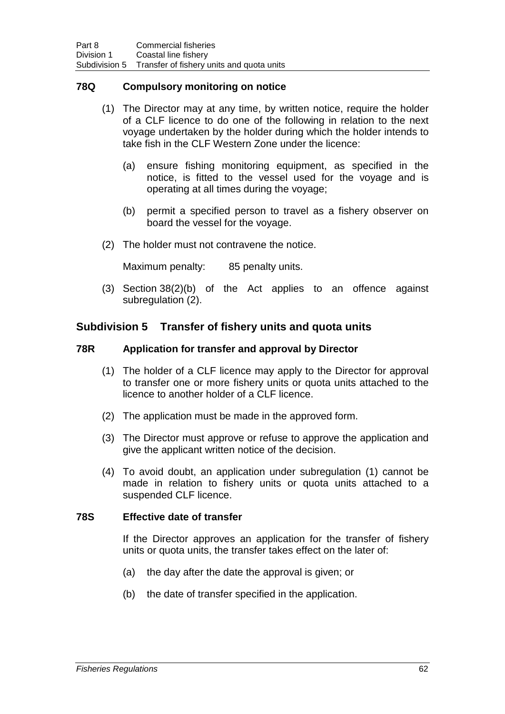## **78Q Compulsory monitoring on notice**

- (1) The Director may at any time, by written notice, require the holder of a CLF licence to do one of the following in relation to the next voyage undertaken by the holder during which the holder intends to take fish in the CLF Western Zone under the licence:
	- (a) ensure fishing monitoring equipment, as specified in the notice, is fitted to the vessel used for the voyage and is operating at all times during the voyage;
	- (b) permit a specified person to travel as a fishery observer on board the vessel for the voyage.
- (2) The holder must not contravene the notice.

Maximum penalty: 85 penalty units.

(3) Section 38(2)(b) of the Act applies to an offence against subregulation (2).

## **Subdivision 5 Transfer of fishery units and quota units**

#### **78R Application for transfer and approval by Director**

- (1) The holder of a CLF licence may apply to the Director for approval to transfer one or more fishery units or quota units attached to the licence to another holder of a CLF licence.
- (2) The application must be made in the approved form.
- (3) The Director must approve or refuse to approve the application and give the applicant written notice of the decision.
- (4) To avoid doubt, an application under subregulation (1) cannot be made in relation to fishery units or quota units attached to a suspended CLF licence.

#### **78S Effective date of transfer**

If the Director approves an application for the transfer of fishery units or quota units, the transfer takes effect on the later of:

- (a) the day after the date the approval is given; or
- (b) the date of transfer specified in the application.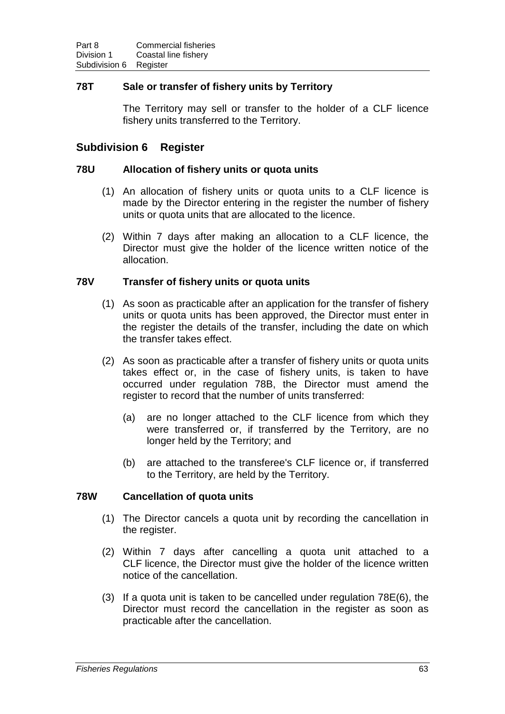## **78T Sale or transfer of fishery units by Territory**

The Territory may sell or transfer to the holder of a CLF licence fishery units transferred to the Territory.

### **Subdivision 6 Register**

#### **78U Allocation of fishery units or quota units**

- (1) An allocation of fishery units or quota units to a CLF licence is made by the Director entering in the register the number of fishery units or quota units that are allocated to the licence.
- (2) Within 7 days after making an allocation to a CLF licence, the Director must give the holder of the licence written notice of the allocation.

#### **78V Transfer of fishery units or quota units**

- (1) As soon as practicable after an application for the transfer of fishery units or quota units has been approved, the Director must enter in the register the details of the transfer, including the date on which the transfer takes effect.
- (2) As soon as practicable after a transfer of fishery units or quota units takes effect or, in the case of fishery units, is taken to have occurred under regulation 78B, the Director must amend the register to record that the number of units transferred:
	- (a) are no longer attached to the CLF licence from which they were transferred or, if transferred by the Territory, are no longer held by the Territory; and
	- (b) are attached to the transferee's CLF licence or, if transferred to the Territory, are held by the Territory.

### **78W Cancellation of quota units**

- (1) The Director cancels a quota unit by recording the cancellation in the register.
- (2) Within 7 days after cancelling a quota unit attached to a CLF licence, the Director must give the holder of the licence written notice of the cancellation.
- (3) If a quota unit is taken to be cancelled under regulation 78E(6), the Director must record the cancellation in the register as soon as practicable after the cancellation.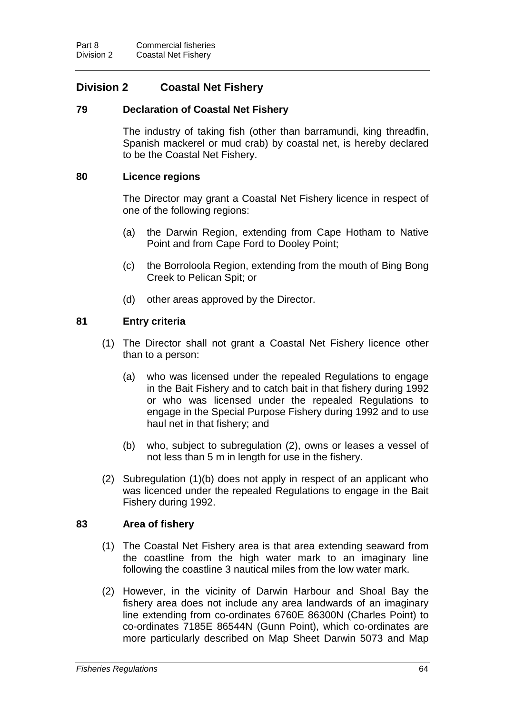# **Division 2 Coastal Net Fishery**

## **79 Declaration of Coastal Net Fishery**

The industry of taking fish (other than barramundi, king threadfin, Spanish mackerel or mud crab) by coastal net, is hereby declared to be the Coastal Net Fishery.

### **80 Licence regions**

The Director may grant a Coastal Net Fishery licence in respect of one of the following regions:

- (a) the Darwin Region, extending from Cape Hotham to Native Point and from Cape Ford to Dooley Point;
- (c) the Borroloola Region, extending from the mouth of Bing Bong Creek to Pelican Spit; or
- (d) other areas approved by the Director.

## **81 Entry criteria**

- (1) The Director shall not grant a Coastal Net Fishery licence other than to a person:
	- (a) who was licensed under the repealed Regulations to engage in the Bait Fishery and to catch bait in that fishery during 1992 or who was licensed under the repealed Regulations to engage in the Special Purpose Fishery during 1992 and to use haul net in that fishery; and
	- (b) who, subject to subregulation (2), owns or leases a vessel of not less than 5 m in length for use in the fishery.
- (2) Subregulation (1)(b) does not apply in respect of an applicant who was licenced under the repealed Regulations to engage in the Bait Fishery during 1992.

## **83 Area of fishery**

- (1) The Coastal Net Fishery area is that area extending seaward from the coastline from the high water mark to an imaginary line following the coastline 3 nautical miles from the low water mark.
- (2) However, in the vicinity of Darwin Harbour and Shoal Bay the fishery area does not include any area landwards of an imaginary line extending from co-ordinates 6760E 86300N (Charles Point) to co-ordinates 7185E 86544N (Gunn Point), which co-ordinates are more particularly described on Map Sheet Darwin 5073 and Map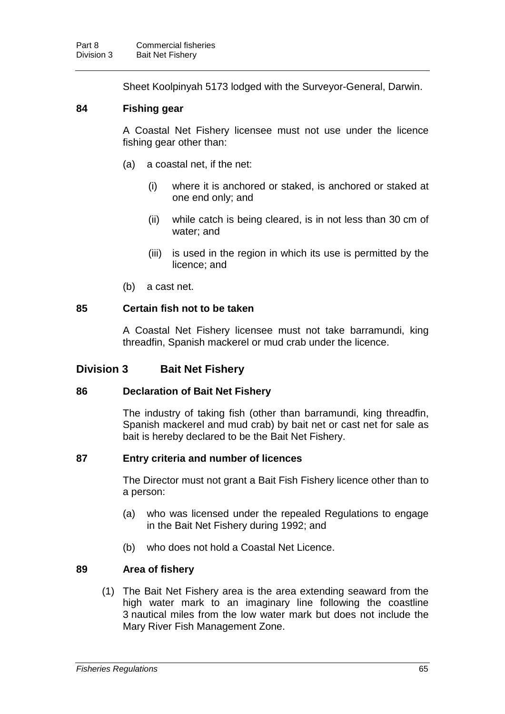Sheet Koolpinyah 5173 lodged with the Surveyor-General, Darwin.

### **84 Fishing gear**

A Coastal Net Fishery licensee must not use under the licence fishing gear other than:

- (a) a coastal net, if the net:
	- (i) where it is anchored or staked, is anchored or staked at one end only; and
	- (ii) while catch is being cleared, is in not less than 30 cm of water; and
	- (iii) is used in the region in which its use is permitted by the licence; and
- (b) a cast net.

### **85 Certain fish not to be taken**

A Coastal Net Fishery licensee must not take barramundi, king threadfin, Spanish mackerel or mud crab under the licence.

## **Division 3 Bait Net Fishery**

### **86 Declaration of Bait Net Fishery**

The industry of taking fish (other than barramundi, king threadfin, Spanish mackerel and mud crab) by bait net or cast net for sale as bait is hereby declared to be the Bait Net Fishery.

### **87 Entry criteria and number of licences**

The Director must not grant a Bait Fish Fishery licence other than to a person:

- (a) who was licensed under the repealed Regulations to engage in the Bait Net Fishery during 1992; and
- (b) who does not hold a Coastal Net Licence.

### **89 Area of fishery**

(1) The Bait Net Fishery area is the area extending seaward from the high water mark to an imaginary line following the coastline 3 nautical miles from the low water mark but does not include the Mary River Fish Management Zone.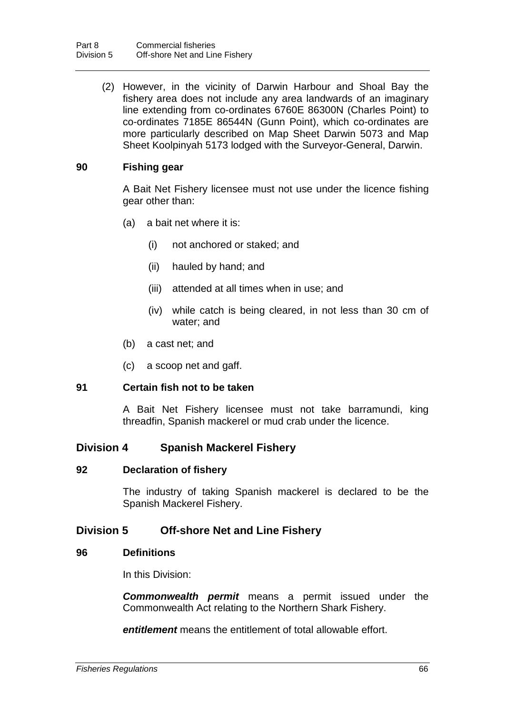(2) However, in the vicinity of Darwin Harbour and Shoal Bay the fishery area does not include any area landwards of an imaginary line extending from co-ordinates 6760E 86300N (Charles Point) to co-ordinates 7185E 86544N (Gunn Point), which co-ordinates are more particularly described on Map Sheet Darwin 5073 and Map Sheet Koolpinyah 5173 lodged with the Surveyor-General, Darwin.

### **90 Fishing gear**

A Bait Net Fishery licensee must not use under the licence fishing gear other than:

- (a) a bait net where it is:
	- (i) not anchored or staked; and
	- (ii) hauled by hand; and
	- (iii) attended at all times when in use; and
	- (iv) while catch is being cleared, in not less than 30 cm of water; and
- (b) a cast net; and
- (c) a scoop net and gaff.

### **91 Certain fish not to be taken**

A Bait Net Fishery licensee must not take barramundi, king threadfin, Spanish mackerel or mud crab under the licence.

### **Division 4 Spanish Mackerel Fishery**

#### **92 Declaration of fishery**

The industry of taking Spanish mackerel is declared to be the Spanish Mackerel Fishery.

### **Division 5 Off-shore Net and Line Fishery**

#### **96 Definitions**

In this Division:

*Commonwealth permit* means a permit issued under the Commonwealth Act relating to the Northern Shark Fishery.

*entitlement* means the entitlement of total allowable effort.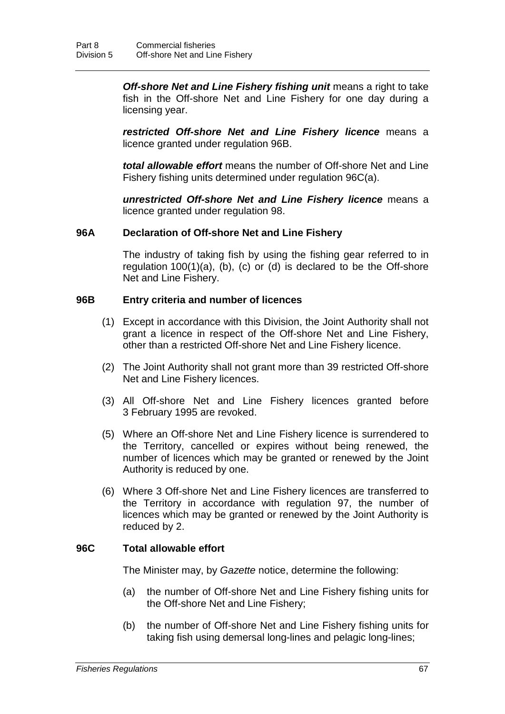*Off-shore Net and Line Fishery fishing unit* means a right to take fish in the Off-shore Net and Line Fishery for one day during a licensing year.

*restricted Off-shore Net and Line Fishery licence* means a licence granted under regulation 96B.

*total allowable effort* means the number of Off-shore Net and Line Fishery fishing units determined under regulation 96C(a).

*unrestricted Off-shore Net and Line Fishery licence* means a licence granted under regulation 98.

### **96A Declaration of Off-shore Net and Line Fishery**

The industry of taking fish by using the fishing gear referred to in regulation 100(1)(a), (b), (c) or (d) is declared to be the Off-shore Net and Line Fishery.

#### **96B Entry criteria and number of licences**

- (1) Except in accordance with this Division, the Joint Authority shall not grant a licence in respect of the Off-shore Net and Line Fishery, other than a restricted Off-shore Net and Line Fishery licence.
- (2) The Joint Authority shall not grant more than 39 restricted Off-shore Net and Line Fishery licences.
- (3) All Off-shore Net and Line Fishery licences granted before 3 February 1995 are revoked.
- (5) Where an Off-shore Net and Line Fishery licence is surrendered to the Territory, cancelled or expires without being renewed, the number of licences which may be granted or renewed by the Joint Authority is reduced by one.
- (6) Where 3 Off-shore Net and Line Fishery licences are transferred to the Territory in accordance with regulation 97, the number of licences which may be granted or renewed by the Joint Authority is reduced by 2.

### **96C Total allowable effort**

The Minister may, by *Gazette* notice, determine the following:

- (a) the number of Off-shore Net and Line Fishery fishing units for the Off-shore Net and Line Fishery;
- (b) the number of Off-shore Net and Line Fishery fishing units for taking fish using demersal long-lines and pelagic long-lines;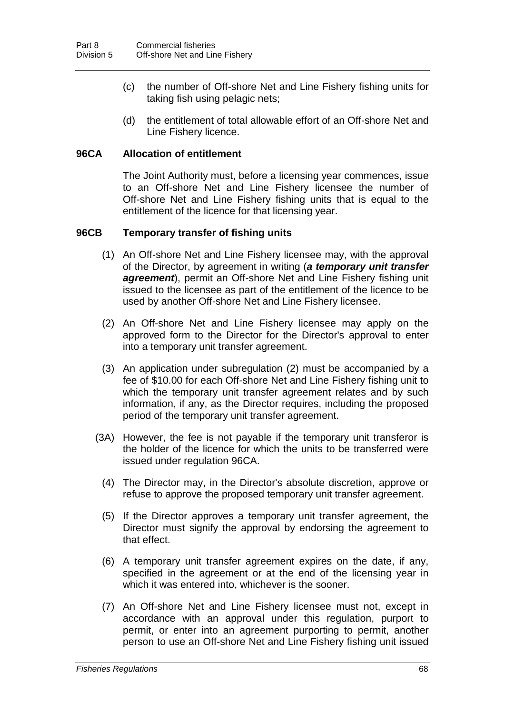- (c) the number of Off-shore Net and Line Fishery fishing units for taking fish using pelagic nets;
- (d) the entitlement of total allowable effort of an Off-shore Net and Line Fishery licence.

### **96CA Allocation of entitlement**

The Joint Authority must, before a licensing year commences, issue to an Off-shore Net and Line Fishery licensee the number of Off-shore Net and Line Fishery fishing units that is equal to the entitlement of the licence for that licensing year.

#### **96CB Temporary transfer of fishing units**

- (1) An Off-shore Net and Line Fishery licensee may, with the approval of the Director, by agreement in writing (*a temporary unit transfer agreement*), permit an Off-shore Net and Line Fishery fishing unit issued to the licensee as part of the entitlement of the licence to be used by another Off-shore Net and Line Fishery licensee.
- (2) An Off-shore Net and Line Fishery licensee may apply on the approved form to the Director for the Director's approval to enter into a temporary unit transfer agreement.
- (3) An application under subregulation (2) must be accompanied by a fee of \$10.00 for each Off-shore Net and Line Fishery fishing unit to which the temporary unit transfer agreement relates and by such information, if any, as the Director requires, including the proposed period of the temporary unit transfer agreement.
- (3A) However, the fee is not payable if the temporary unit transferor is the holder of the licence for which the units to be transferred were issued under regulation 96CA.
	- (4) The Director may, in the Director's absolute discretion, approve or refuse to approve the proposed temporary unit transfer agreement.
	- (5) If the Director approves a temporary unit transfer agreement, the Director must signify the approval by endorsing the agreement to that effect.
	- (6) A temporary unit transfer agreement expires on the date, if any, specified in the agreement or at the end of the licensing year in which it was entered into, whichever is the sooner.
	- (7) An Off-shore Net and Line Fishery licensee must not, except in accordance with an approval under this regulation, purport to permit, or enter into an agreement purporting to permit, another person to use an Off-shore Net and Line Fishery fishing unit issued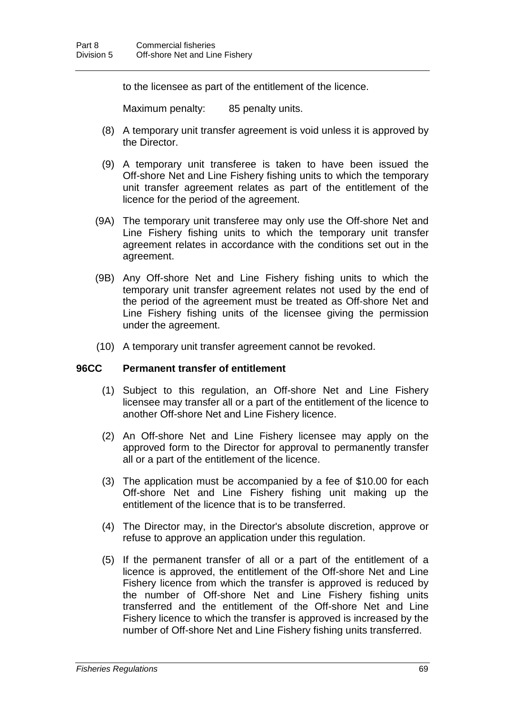to the licensee as part of the entitlement of the licence.

Maximum penalty: 85 penalty units.

- (8) A temporary unit transfer agreement is void unless it is approved by the Director.
- (9) A temporary unit transferee is taken to have been issued the Off-shore Net and Line Fishery fishing units to which the temporary unit transfer agreement relates as part of the entitlement of the licence for the period of the agreement.
- (9A) The temporary unit transferee may only use the Off-shore Net and Line Fishery fishing units to which the temporary unit transfer agreement relates in accordance with the conditions set out in the agreement.
- (9B) Any Off-shore Net and Line Fishery fishing units to which the temporary unit transfer agreement relates not used by the end of the period of the agreement must be treated as Off-shore Net and Line Fishery fishing units of the licensee giving the permission under the agreement.
- (10) A temporary unit transfer agreement cannot be revoked.

## **96CC Permanent transfer of entitlement**

- (1) Subject to this regulation, an Off-shore Net and Line Fishery licensee may transfer all or a part of the entitlement of the licence to another Off-shore Net and Line Fishery licence.
- (2) An Off-shore Net and Line Fishery licensee may apply on the approved form to the Director for approval to permanently transfer all or a part of the entitlement of the licence.
- (3) The application must be accompanied by a fee of \$10.00 for each Off-shore Net and Line Fishery fishing unit making up the entitlement of the licence that is to be transferred.
- (4) The Director may, in the Director's absolute discretion, approve or refuse to approve an application under this regulation.
- (5) If the permanent transfer of all or a part of the entitlement of a licence is approved, the entitlement of the Off-shore Net and Line Fishery licence from which the transfer is approved is reduced by the number of Off-shore Net and Line Fishery fishing units transferred and the entitlement of the Off-shore Net and Line Fishery licence to which the transfer is approved is increased by the number of Off-shore Net and Line Fishery fishing units transferred.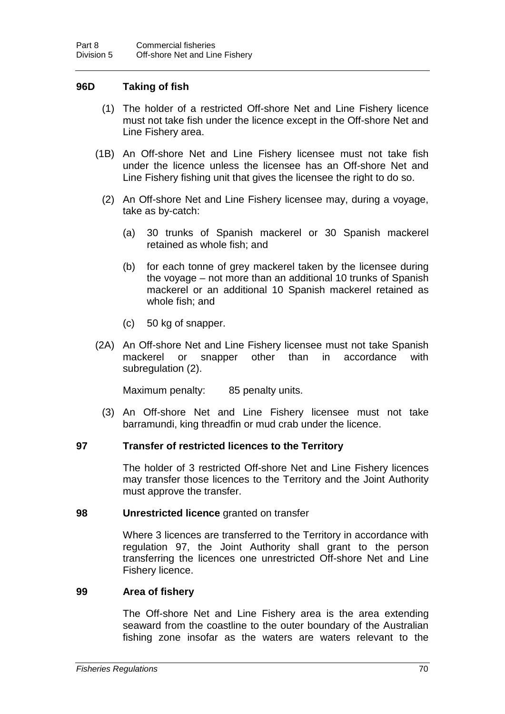## **96D Taking of fish**

- (1) The holder of a restricted Off-shore Net and Line Fishery licence must not take fish under the licence except in the Off-shore Net and Line Fishery area.
- (1B) An Off-shore Net and Line Fishery licensee must not take fish under the licence unless the licensee has an Off-shore Net and Line Fishery fishing unit that gives the licensee the right to do so.
	- (2) An Off-shore Net and Line Fishery licensee may, during a voyage, take as by-catch:
		- (a) 30 trunks of Spanish mackerel or 30 Spanish mackerel retained as whole fish; and
		- (b) for each tonne of grey mackerel taken by the licensee during the voyage – not more than an additional 10 trunks of Spanish mackerel or an additional 10 Spanish mackerel retained as whole fish; and
		- (c) 50 kg of snapper.
- (2A) An Off-shore Net and Line Fishery licensee must not take Spanish mackerel or snapper other than in accordance with subregulation (2).

Maximum penalty: 85 penalty units.

(3) An Off-shore Net and Line Fishery licensee must not take barramundi, king threadfin or mud crab under the licence.

#### **97 Transfer of restricted licences to the Territory**

The holder of 3 restricted Off-shore Net and Line Fishery licences may transfer those licences to the Territory and the Joint Authority must approve the transfer.

#### **98 Unrestricted licence** granted on transfer

Where 3 licences are transferred to the Territory in accordance with regulation 97, the Joint Authority shall grant to the person transferring the licences one unrestricted Off-shore Net and Line Fishery licence.

#### **99 Area of fishery**

The Off-shore Net and Line Fishery area is the area extending seaward from the coastline to the outer boundary of the Australian fishing zone insofar as the waters are waters relevant to the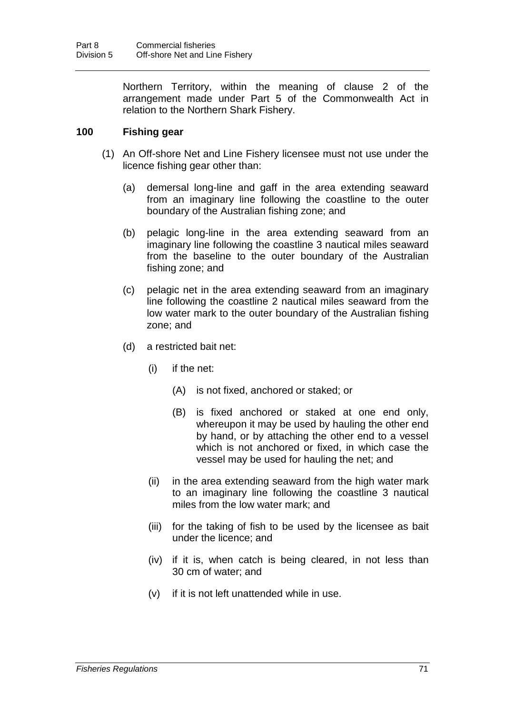Northern Territory, within the meaning of clause 2 of the arrangement made under Part 5 of the Commonwealth Act in relation to the Northern Shark Fishery.

## **100 Fishing gear**

- (1) An Off-shore Net and Line Fishery licensee must not use under the licence fishing gear other than:
	- (a) demersal long-line and gaff in the area extending seaward from an imaginary line following the coastline to the outer boundary of the Australian fishing zone; and
	- (b) pelagic long-line in the area extending seaward from an imaginary line following the coastline 3 nautical miles seaward from the baseline to the outer boundary of the Australian fishing zone; and
	- (c) pelagic net in the area extending seaward from an imaginary line following the coastline 2 nautical miles seaward from the low water mark to the outer boundary of the Australian fishing zone; and
	- (d) a restricted bait net:
		- (i) if the net:
			- (A) is not fixed, anchored or staked; or
			- (B) is fixed anchored or staked at one end only, whereupon it may be used by hauling the other end by hand, or by attaching the other end to a vessel which is not anchored or fixed, in which case the vessel may be used for hauling the net; and
		- (ii) in the area extending seaward from the high water mark to an imaginary line following the coastline 3 nautical miles from the low water mark; and
		- (iii) for the taking of fish to be used by the licensee as bait under the licence; and
		- (iv) if it is, when catch is being cleared, in not less than 30 cm of water; and
		- (v) if it is not left unattended while in use.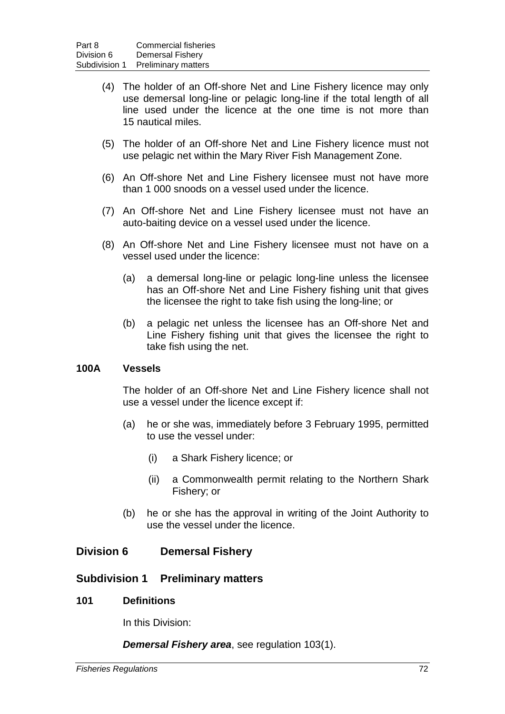- (4) The holder of an Off-shore Net and Line Fishery licence may only use demersal long-line or pelagic long-line if the total length of all line used under the licence at the one time is not more than 15 nautical miles.
- (5) The holder of an Off-shore Net and Line Fishery licence must not use pelagic net within the Mary River Fish Management Zone.
- (6) An Off-shore Net and Line Fishery licensee must not have more than 1 000 snoods on a vessel used under the licence.
- (7) An Off-shore Net and Line Fishery licensee must not have an auto-baiting device on a vessel used under the licence.
- (8) An Off-shore Net and Line Fishery licensee must not have on a vessel used under the licence:
	- (a) a demersal long-line or pelagic long-line unless the licensee has an Off-shore Net and Line Fishery fishing unit that gives the licensee the right to take fish using the long-line; or
	- (b) a pelagic net unless the licensee has an Off-shore Net and Line Fishery fishing unit that gives the licensee the right to take fish using the net.

### **100A Vessels**

The holder of an Off-shore Net and Line Fishery licence shall not use a vessel under the licence except if:

- (a) he or she was, immediately before 3 February 1995, permitted to use the vessel under:
	- (i) a Shark Fishery licence; or
	- (ii) a Commonwealth permit relating to the Northern Shark Fishery; or
- (b) he or she has the approval in writing of the Joint Authority to use the vessel under the licence.

### **Division 6 Demersal Fishery**

### **Subdivision 1 Preliminary matters**

#### **101 Definitions**

In this Division:

### *Demersal Fishery area*, see regulation 103(1).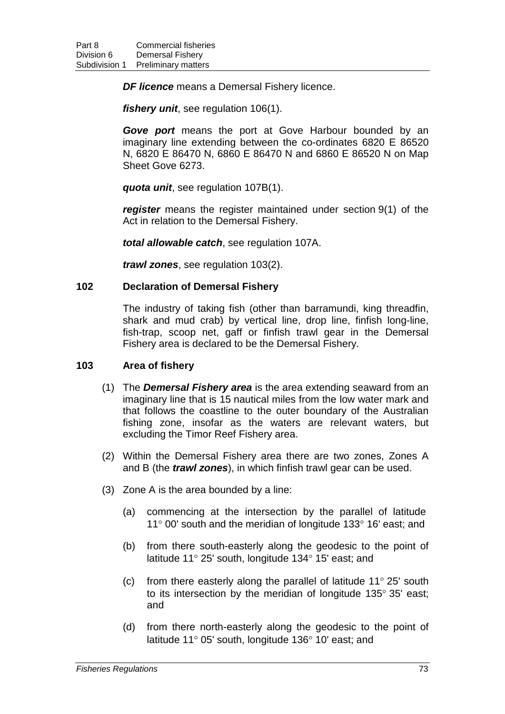*DF licence* means a Demersal Fishery licence.

*fishery unit*, see regulation 106(1).

*Gove port* means the port at Gove Harbour bounded by an imaginary line extending between the co-ordinates 6820 E 86520 N, 6820 E 86470 N, 6860 E 86470 N and 6860 E 86520 N on Map Sheet Gove 6273.

*quota unit*, see regulation 107B(1).

*register* means the register maintained under section 9(1) of the Act in relation to the Demersal Fishery.

*total allowable catch*, see regulation 107A.

*trawl zones*, see regulation 103(2).

#### **102 Declaration of Demersal Fishery**

The industry of taking fish (other than barramundi, king threadfin, shark and mud crab) by vertical line, drop line, finfish long-line, fish-trap, scoop net, gaff or finfish trawl gear in the Demersal Fishery area is declared to be the Demersal Fishery.

#### **103 Area of fishery**

- (1) The *Demersal Fishery area* is the area extending seaward from an imaginary line that is 15 nautical miles from the low water mark and that follows the coastline to the outer boundary of the Australian fishing zone, insofar as the waters are relevant waters, but excluding the Timor Reef Fishery area.
- (2) Within the Demersal Fishery area there are two zones, Zones A and B (the *trawl zones*), in which finfish trawl gear can be used.
- (3) Zone A is the area bounded by a line:
	- (a) commencing at the intersection by the parallel of latitude 11° 00' south and the meridian of longitude 133° 16' east; and
	- (b) from there south-easterly along the geodesic to the point of latitude 11° 25' south, longitude 134° 15' east; and
	- (c) from there easterly along the parallel of latitude  $11^{\circ}$  25' south to its intersection by the meridian of longitude 135° 35' east; and
	- (d) from there north-easterly along the geodesic to the point of latitude 11° 05' south, longitude 136° 10' east; and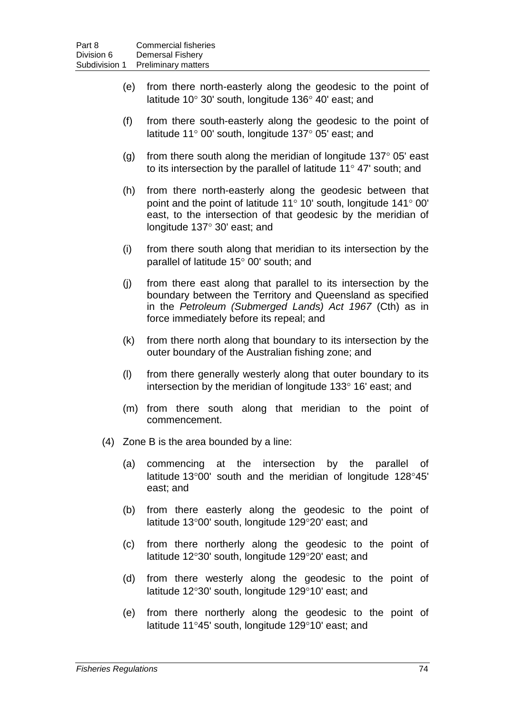- (e) from there north-easterly along the geodesic to the point of latitude 10° 30' south, longitude 136° 40' east; and
- (f) from there south-easterly along the geodesic to the point of latitude 11° 00' south, longitude 137° 05' east; and
- (g) from there south along the meridian of longitude  $137^{\circ}$  05' east to its intersection by the parallel of latitude 11° 47' south; and
- (h) from there north-easterly along the geodesic between that point and the point of latitude 11° 10' south, longitude 141° 00' east, to the intersection of that geodesic by the meridian of longitude 137° 30' east; and
- (i) from there south along that meridian to its intersection by the parallel of latitude 15° 00' south; and
- (j) from there east along that parallel to its intersection by the boundary between the Territory and Queensland as specified in the *Petroleum (Submerged Lands) Act 1967* (Cth) as in force immediately before its repeal; and
- (k) from there north along that boundary to its intersection by the outer boundary of the Australian fishing zone; and
- (l) from there generally westerly along that outer boundary to its intersection by the meridian of longitude 133° 16' east; and
- (m) from there south along that meridian to the point of commencement.
- (4) Zone B is the area bounded by a line:
	- (a) commencing at the intersection by the parallel of latitude 13°00' south and the meridian of longitude 128°45' east; and
	- (b) from there easterly along the geodesic to the point of latitude 13°00' south, longitude 129°20' east; and
	- (c) from there northerly along the geodesic to the point of latitude 12°30' south, longitude 129°20' east; and
	- (d) from there westerly along the geodesic to the point of latitude 12°30' south, longitude 129°10' east; and
	- (e) from there northerly along the geodesic to the point of latitude 11°45' south, longitude 129°10' east; and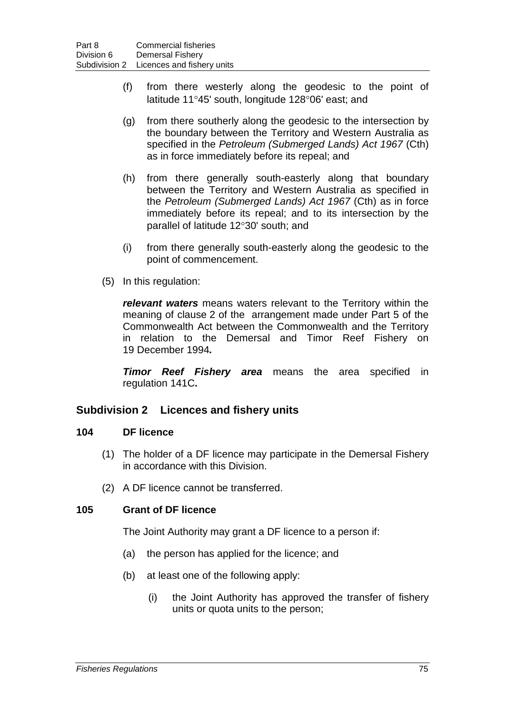- (f) from there westerly along the geodesic to the point of latitude 11°45' south, longitude 128°06' east; and
- (g) from there southerly along the geodesic to the intersection by the boundary between the Territory and Western Australia as specified in the *Petroleum (Submerged Lands) Act 1967* (Cth) as in force immediately before its repeal; and
- (h) from there generally south-easterly along that boundary between the Territory and Western Australia as specified in the *Petroleum (Submerged Lands) Act 1967* (Cth) as in force immediately before its repeal; and to its intersection by the parallel of latitude 12°30' south; and
- (i) from there generally south-easterly along the geodesic to the point of commencement.
- (5) In this regulation:

*relevant waters* means waters relevant to the Territory within the meaning of clause 2 of the arrangement made under Part 5 of the Commonwealth Act between the Commonwealth and the Territory in relation to the Demersal and Timor Reef Fishery on 19 December 1994*.*

*Timor Reef Fishery area* means the area specified in regulation 141C**.**

## **Subdivision 2 Licences and fishery units**

#### **104 DF licence**

- (1) The holder of a DF licence may participate in the Demersal Fishery in accordance with this Division.
- (2) A DF licence cannot be transferred.

### **105 Grant of DF licence**

The Joint Authority may grant a DF licence to a person if:

- (a) the person has applied for the licence; and
- (b) at least one of the following apply:
	- (i) the Joint Authority has approved the transfer of fishery units or quota units to the person;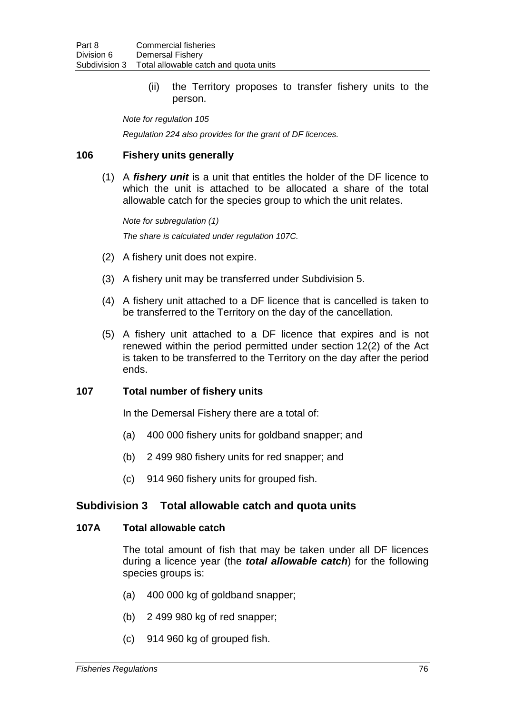(ii) the Territory proposes to transfer fishery units to the person.

*Note for regulation 105*

*Regulation 224 also provides for the grant of DF licences.*

### **106 Fishery units generally**

(1) A *fishery unit* is a unit that entitles the holder of the DF licence to which the unit is attached to be allocated a share of the total allowable catch for the species group to which the unit relates.

*Note for subregulation (1) The share is calculated under regulation 107C.*

- (2) A fishery unit does not expire.
- (3) A fishery unit may be transferred under Subdivision 5.
- (4) A fishery unit attached to a DF licence that is cancelled is taken to be transferred to the Territory on the day of the cancellation.
- (5) A fishery unit attached to a DF licence that expires and is not renewed within the period permitted under section 12(2) of the Act is taken to be transferred to the Territory on the day after the period ends.

### **107 Total number of fishery units**

In the Demersal Fishery there are a total of:

- (a) 400 000 fishery units for goldband snapper; and
- (b) 2 499 980 fishery units for red snapper; and
- (c) 914 960 fishery units for grouped fish.

## **Subdivision 3 Total allowable catch and quota units**

#### **107A Total allowable catch**

The total amount of fish that may be taken under all DF licences during a licence year (the *total allowable catch*) for the following species groups is:

- (a) 400 000 kg of goldband snapper;
- (b) 2 499 980 kg of red snapper;
- (c) 914 960 kg of grouped fish.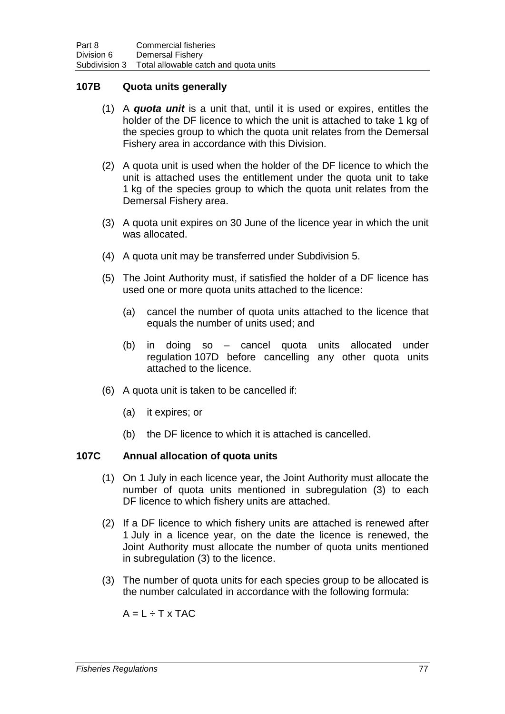## **107B Quota units generally**

- (1) A *quota unit* is a unit that, until it is used or expires, entitles the holder of the DF licence to which the unit is attached to take 1 kg of the species group to which the quota unit relates from the Demersal Fishery area in accordance with this Division.
- (2) A quota unit is used when the holder of the DF licence to which the unit is attached uses the entitlement under the quota unit to take 1 kg of the species group to which the quota unit relates from the Demersal Fishery area.
- (3) A quota unit expires on 30 June of the licence year in which the unit was allocated.
- (4) A quota unit may be transferred under Subdivision 5.
- (5) The Joint Authority must, if satisfied the holder of a DF licence has used one or more quota units attached to the licence:
	- (a) cancel the number of quota units attached to the licence that equals the number of units used; and
	- (b) in doing so cancel quota units allocated under regulation 107D before cancelling any other quota units attached to the licence.
- (6) A quota unit is taken to be cancelled if:
	- (a) it expires; or
	- (b) the DF licence to which it is attached is cancelled.

### **107C Annual allocation of quota units**

- (1) On 1 July in each licence year, the Joint Authority must allocate the number of quota units mentioned in subregulation (3) to each DF licence to which fishery units are attached.
- (2) If a DF licence to which fishery units are attached is renewed after 1 July in a licence year, on the date the licence is renewed, the Joint Authority must allocate the number of quota units mentioned in subregulation (3) to the licence.
- (3) The number of quota units for each species group to be allocated is the number calculated in accordance with the following formula:

 $A = L \div T \times TAC$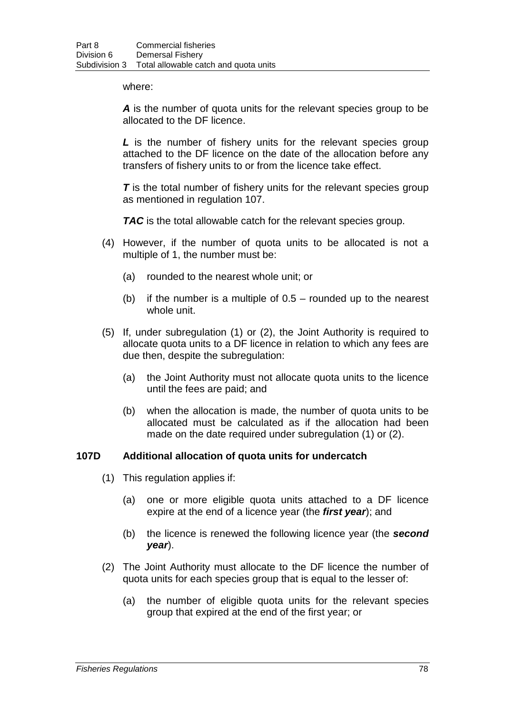#### where:

*A* is the number of quota units for the relevant species group to be allocated to the DF licence.

*L* is the number of fishery units for the relevant species group attached to the DF licence on the date of the allocation before any transfers of fishery units to or from the licence take effect.

**T** is the total number of fishery units for the relevant species group as mentioned in regulation 107.

*TAC* is the total allowable catch for the relevant species group.

- (4) However, if the number of quota units to be allocated is not a multiple of 1, the number must be:
	- (a) rounded to the nearest whole unit; or
	- (b) if the number is a multiple of  $0.5 -$  rounded up to the nearest whole unit.
- (5) If, under subregulation (1) or (2), the Joint Authority is required to allocate quota units to a DF licence in relation to which any fees are due then, despite the subregulation:
	- (a) the Joint Authority must not allocate quota units to the licence until the fees are paid; and
	- (b) when the allocation is made, the number of quota units to be allocated must be calculated as if the allocation had been made on the date required under subregulation (1) or (2).

### **107D Additional allocation of quota units for undercatch**

- (1) This regulation applies if:
	- (a) one or more eligible quota units attached to a DF licence expire at the end of a licence year (the *first year*); and
	- (b) the licence is renewed the following licence year (the *second year*).
- (2) The Joint Authority must allocate to the DF licence the number of quota units for each species group that is equal to the lesser of:
	- (a) the number of eligible quota units for the relevant species group that expired at the end of the first year; or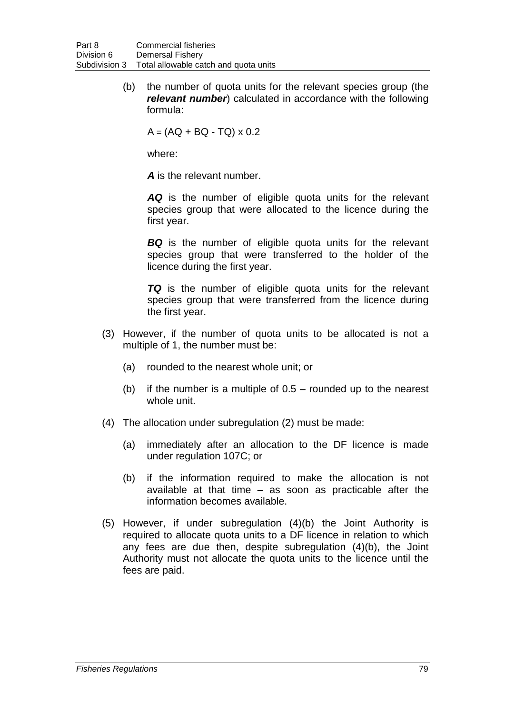(b) the number of quota units for the relevant species group (the *relevant number*) calculated in accordance with the following formula:

 $A = (AQ + BQ - TQ) \times 0.2$ 

where:

*A* is the relevant number.

*AQ* is the number of eligible quota units for the relevant species group that were allocated to the licence during the first year.

*BQ* is the number of eligible quota units for the relevant species group that were transferred to the holder of the licence during the first year.

*TQ* is the number of eligible quota units for the relevant species group that were transferred from the licence during the first year.

- (3) However, if the number of quota units to be allocated is not a multiple of 1, the number must be:
	- (a) rounded to the nearest whole unit; or
	- (b) if the number is a multiple of  $0.5 -$  rounded up to the nearest whole unit.
- (4) The allocation under subregulation (2) must be made:
	- (a) immediately after an allocation to the DF licence is made under regulation 107C; or
	- (b) if the information required to make the allocation is not available at that time – as soon as practicable after the information becomes available.
- (5) However, if under subregulation (4)(b) the Joint Authority is required to allocate quota units to a DF licence in relation to which any fees are due then, despite subregulation (4)(b), the Joint Authority must not allocate the quota units to the licence until the fees are paid.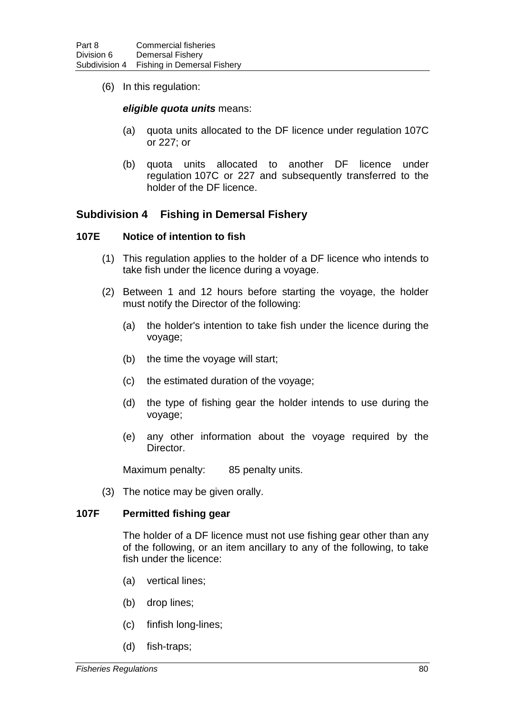(6) In this regulation:

#### *eligible quota units* means:

- (a) quota units allocated to the DF licence under regulation 107C or 227; or
- (b) quota units allocated to another DF licence under regulation 107C or 227 and subsequently transferred to the holder of the DF licence.

## **Subdivision 4 Fishing in Demersal Fishery**

#### **107E Notice of intention to fish**

- (1) This regulation applies to the holder of a DF licence who intends to take fish under the licence during a voyage.
- (2) Between 1 and 12 hours before starting the voyage, the holder must notify the Director of the following:
	- (a) the holder's intention to take fish under the licence during the voyage;
	- (b) the time the voyage will start;
	- (c) the estimated duration of the voyage;
	- (d) the type of fishing gear the holder intends to use during the voyage;
	- (e) any other information about the voyage required by the Director.

Maximum penalty: 85 penalty units.

(3) The notice may be given orally.

### **107F Permitted fishing gear**

The holder of a DF licence must not use fishing gear other than any of the following, or an item ancillary to any of the following, to take fish under the licence:

- (a) vertical lines;
- (b) drop lines;
- (c) finfish long-lines;
- (d) fish-traps;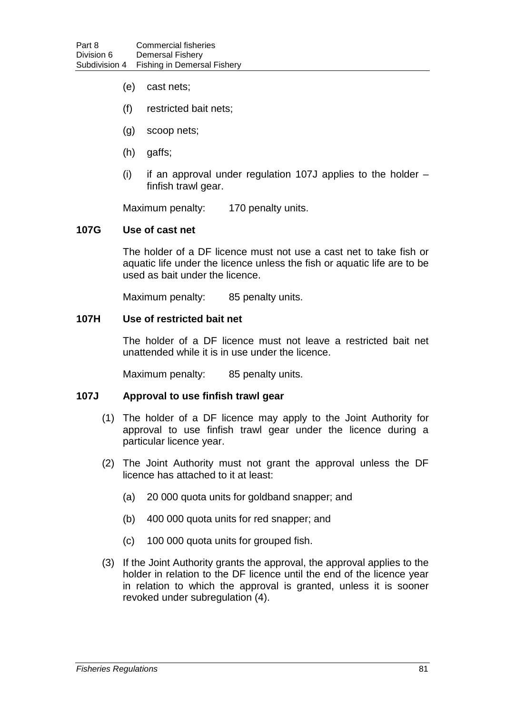- (e) cast nets;
- (f) restricted bait nets;
- (g) scoop nets;
- (h) gaffs;
- (i) if an approval under regulation 107J applies to the holder finfish trawl gear.

Maximum penalty: 170 penalty units.

## **107G Use of cast net**

The holder of a DF licence must not use a cast net to take fish or aquatic life under the licence unless the fish or aquatic life are to be used as bait under the licence.

Maximum penalty: 85 penalty units.

#### **107H Use of restricted bait net**

The holder of a DF licence must not leave a restricted bait net unattended while it is in use under the licence.

Maximum penalty: 85 penalty units.

#### **107J Approval to use finfish trawl gear**

- (1) The holder of a DF licence may apply to the Joint Authority for approval to use finfish trawl gear under the licence during a particular licence year.
- (2) The Joint Authority must not grant the approval unless the DF licence has attached to it at least:
	- (a) 20 000 quota units for goldband snapper; and
	- (b) 400 000 quota units for red snapper; and
	- (c) 100 000 quota units for grouped fish.
- (3) If the Joint Authority grants the approval, the approval applies to the holder in relation to the DF licence until the end of the licence year in relation to which the approval is granted, unless it is sooner revoked under subregulation (4).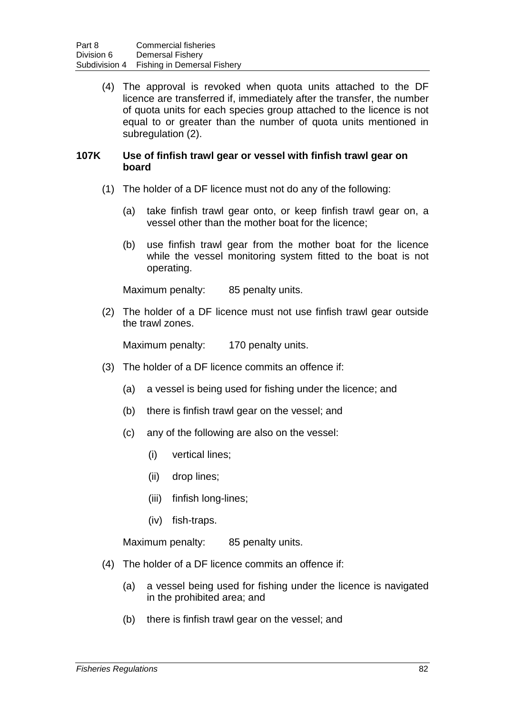(4) The approval is revoked when quota units attached to the DF licence are transferred if, immediately after the transfer, the number of quota units for each species group attached to the licence is not equal to or greater than the number of quota units mentioned in subregulation (2).

### **107K Use of finfish trawl gear or vessel with finfish trawl gear on board**

- (1) The holder of a DF licence must not do any of the following:
	- (a) take finfish trawl gear onto, or keep finfish trawl gear on, a vessel other than the mother boat for the licence;
	- (b) use finfish trawl gear from the mother boat for the licence while the vessel monitoring system fitted to the boat is not operating.

Maximum penalty: 85 penalty units.

(2) The holder of a DF licence must not use finfish trawl gear outside the trawl zones.

Maximum penalty: 170 penalty units.

- (3) The holder of a DF licence commits an offence if:
	- (a) a vessel is being used for fishing under the licence; and
	- (b) there is finfish trawl gear on the vessel; and
	- (c) any of the following are also on the vessel:
		- (i) vertical lines;
		- (ii) drop lines;
		- (iii) finfish long-lines;
		- (iv) fish-traps.

Maximum penalty: 85 penalty units.

- (4) The holder of a DF licence commits an offence if:
	- (a) a vessel being used for fishing under the licence is navigated in the prohibited area; and
	- (b) there is finfish trawl gear on the vessel; and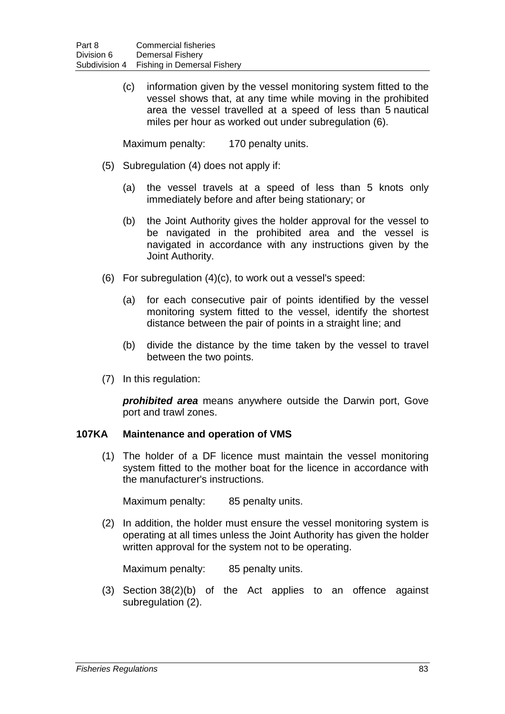(c) information given by the vessel monitoring system fitted to the vessel shows that, at any time while moving in the prohibited area the vessel travelled at a speed of less than 5 nautical miles per hour as worked out under subregulation (6).

Maximum penalty: 170 penalty units.

- (5) Subregulation (4) does not apply if:
	- (a) the vessel travels at a speed of less than 5 knots only immediately before and after being stationary; or
	- (b) the Joint Authority gives the holder approval for the vessel to be navigated in the prohibited area and the vessel is navigated in accordance with any instructions given by the Joint Authority.
- (6) For subregulation  $(4)(c)$ , to work out a vessel's speed:
	- (a) for each consecutive pair of points identified by the vessel monitoring system fitted to the vessel, identify the shortest distance between the pair of points in a straight line; and
	- (b) divide the distance by the time taken by the vessel to travel between the two points.
- (7) In this regulation:

*prohibited area* means anywhere outside the Darwin port, Gove port and trawl zones.

### **107KA Maintenance and operation of VMS**

(1) The holder of a DF licence must maintain the vessel monitoring system fitted to the mother boat for the licence in accordance with the manufacturer's instructions.

Maximum penalty: 85 penalty units.

(2) In addition, the holder must ensure the vessel monitoring system is operating at all times unless the Joint Authority has given the holder written approval for the system not to be operating.

Maximum penalty: 85 penalty units.

(3) Section 38(2)(b) of the Act applies to an offence against subregulation (2).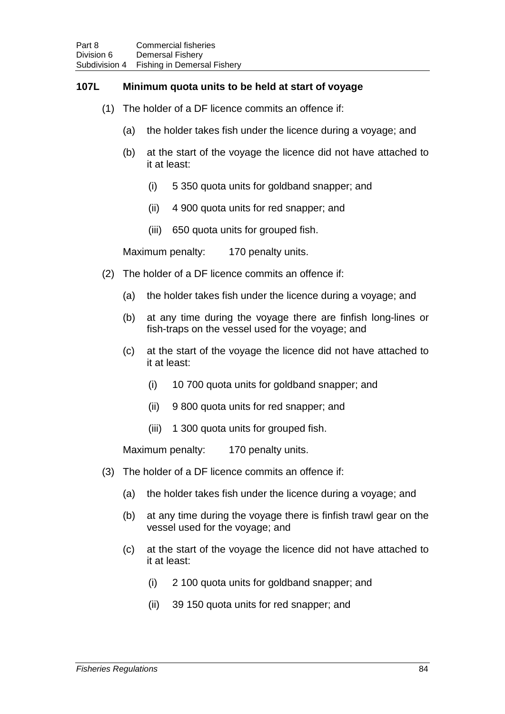## **107L Minimum quota units to be held at start of voyage**

- (1) The holder of a DF licence commits an offence if:
	- (a) the holder takes fish under the licence during a voyage; and
	- (b) at the start of the voyage the licence did not have attached to it at least:
		- (i) 5 350 quota units for goldband snapper; and
		- (ii) 4 900 quota units for red snapper; and
		- (iii) 650 quota units for grouped fish.

Maximum penalty: 170 penalty units.

- (2) The holder of a DF licence commits an offence if:
	- (a) the holder takes fish under the licence during a voyage; and
	- (b) at any time during the voyage there are finfish long-lines or fish-traps on the vessel used for the voyage; and
	- (c) at the start of the voyage the licence did not have attached to it at least:
		- (i) 10 700 quota units for goldband snapper; and
		- (ii) 9 800 quota units for red snapper; and
		- (iii) 1 300 quota units for grouped fish.

Maximum penalty: 170 penalty units.

- (3) The holder of a DF licence commits an offence if:
	- (a) the holder takes fish under the licence during a voyage; and
	- (b) at any time during the voyage there is finfish trawl gear on the vessel used for the voyage; and
	- (c) at the start of the voyage the licence did not have attached to it at least:
		- (i) 2 100 quota units for goldband snapper; and
		- (ii) 39 150 quota units for red snapper; and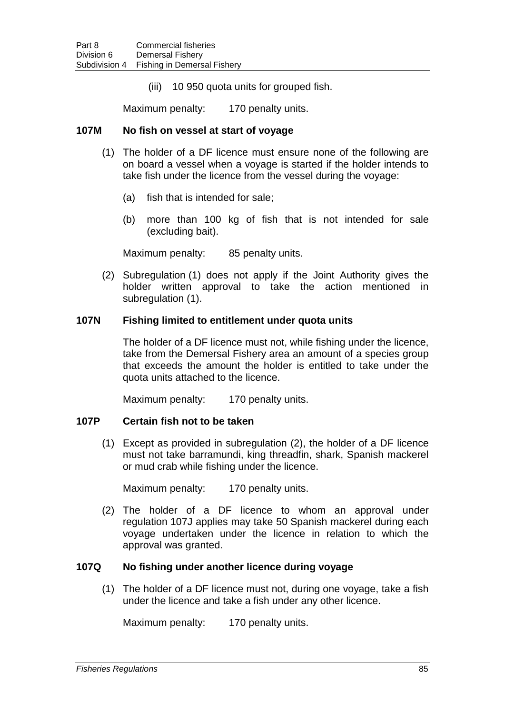(iii) 10 950 quota units for grouped fish.

Maximum penalty: 170 penalty units.

#### **107M No fish on vessel at start of voyage**

- (1) The holder of a DF licence must ensure none of the following are on board a vessel when a voyage is started if the holder intends to take fish under the licence from the vessel during the voyage:
	- (a) fish that is intended for sale;
	- (b) more than 100 kg of fish that is not intended for sale (excluding bait).

Maximum penalty: 85 penalty units.

(2) Subregulation (1) does not apply if the Joint Authority gives the holder written approval to take the action mentioned in subregulation (1).

#### **107N Fishing limited to entitlement under quota units**

The holder of a DF licence must not, while fishing under the licence, take from the Demersal Fishery area an amount of a species group that exceeds the amount the holder is entitled to take under the quota units attached to the licence.

Maximum penalty: 170 penalty units.

#### **107P Certain fish not to be taken**

(1) Except as provided in subregulation (2), the holder of a DF licence must not take barramundi, king threadfin, shark, Spanish mackerel or mud crab while fishing under the licence.

Maximum penalty: 170 penalty units.

(2) The holder of a DF licence to whom an approval under regulation 107J applies may take 50 Spanish mackerel during each voyage undertaken under the licence in relation to which the approval was granted.

#### **107Q No fishing under another licence during voyage**

(1) The holder of a DF licence must not, during one voyage, take a fish under the licence and take a fish under any other licence.

Maximum penalty: 170 penalty units.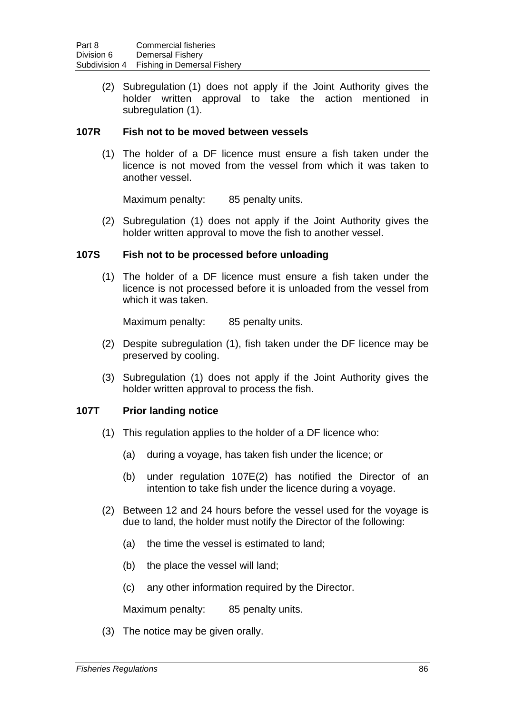(2) Subregulation (1) does not apply if the Joint Authority gives the holder written approval to take the action mentioned in subregulation (1).

### **107R Fish not to be moved between vessels**

(1) The holder of a DF licence must ensure a fish taken under the licence is not moved from the vessel from which it was taken to another vessel.

Maximum penalty: 85 penalty units.

(2) Subregulation (1) does not apply if the Joint Authority gives the holder written approval to move the fish to another vessel.

## **107S Fish not to be processed before unloading**

(1) The holder of a DF licence must ensure a fish taken under the licence is not processed before it is unloaded from the vessel from which it was taken.

Maximum penalty: 85 penalty units.

- (2) Despite subregulation (1), fish taken under the DF licence may be preserved by cooling.
- (3) Subregulation (1) does not apply if the Joint Authority gives the holder written approval to process the fish.

### **107T Prior landing notice**

- (1) This regulation applies to the holder of a DF licence who:
	- (a) during a voyage, has taken fish under the licence; or
	- (b) under regulation 107E(2) has notified the Director of an intention to take fish under the licence during a voyage.
- (2) Between 12 and 24 hours before the vessel used for the voyage is due to land, the holder must notify the Director of the following:
	- (a) the time the vessel is estimated to land;
	- (b) the place the vessel will land;
	- (c) any other information required by the Director.

Maximum penalty: 85 penalty units.

(3) The notice may be given orally.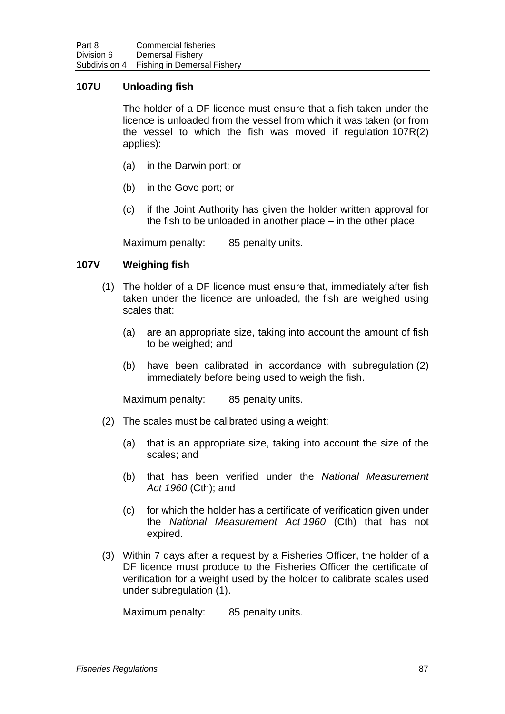## **107U Unloading fish**

The holder of a DF licence must ensure that a fish taken under the licence is unloaded from the vessel from which it was taken (or from the vessel to which the fish was moved if regulation 107R(2) applies):

- (a) in the Darwin port; or
- (b) in the Gove port; or
- (c) if the Joint Authority has given the holder written approval for the fish to be unloaded in another place – in the other place.

Maximum penalty: 85 penalty units.

### **107V Weighing fish**

- (1) The holder of a DF licence must ensure that, immediately after fish taken under the licence are unloaded, the fish are weighed using scales that:
	- (a) are an appropriate size, taking into account the amount of fish to be weighed; and
	- (b) have been calibrated in accordance with subregulation (2) immediately before being used to weigh the fish.

Maximum penalty: 85 penalty units.

- (2) The scales must be calibrated using a weight:
	- (a) that is an appropriate size, taking into account the size of the scales; and
	- (b) that has been verified under the *National Measurement Act 1960* (Cth); and
	- (c) for which the holder has a certificate of verification given under the *National Measurement Act 1960* (Cth) that has not expired.
- (3) Within 7 days after a request by a Fisheries Officer, the holder of a DF licence must produce to the Fisheries Officer the certificate of verification for a weight used by the holder to calibrate scales used under subregulation (1).

Maximum penalty: 85 penalty units.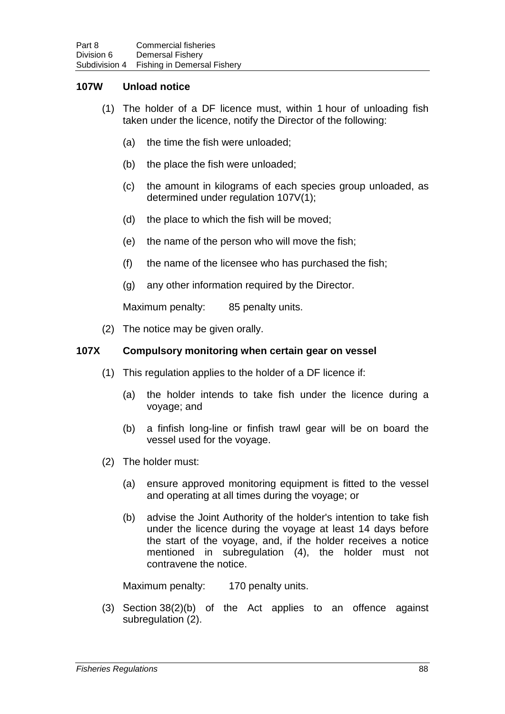## **107W Unload notice**

- (1) The holder of a DF licence must, within 1 hour of unloading fish taken under the licence, notify the Director of the following:
	- (a) the time the fish were unloaded;
	- (b) the place the fish were unloaded;
	- (c) the amount in kilograms of each species group unloaded, as determined under regulation 107V(1);
	- (d) the place to which the fish will be moved;
	- (e) the name of the person who will move the fish;
	- (f) the name of the licensee who has purchased the fish;
	- (g) any other information required by the Director.

Maximum penalty: 85 penalty units.

(2) The notice may be given orally.

#### **107X Compulsory monitoring when certain gear on vessel**

- (1) This regulation applies to the holder of a DF licence if:
	- (a) the holder intends to take fish under the licence during a voyage; and
	- (b) a finfish long-line or finfish trawl gear will be on board the vessel used for the voyage.
- (2) The holder must:
	- (a) ensure approved monitoring equipment is fitted to the vessel and operating at all times during the voyage; or
	- (b) advise the Joint Authority of the holder's intention to take fish under the licence during the voyage at least 14 days before the start of the voyage, and, if the holder receives a notice mentioned in subregulation (4), the holder must not contravene the notice.

Maximum penalty: 170 penalty units.

(3) Section 38(2)(b) of the Act applies to an offence against subregulation (2).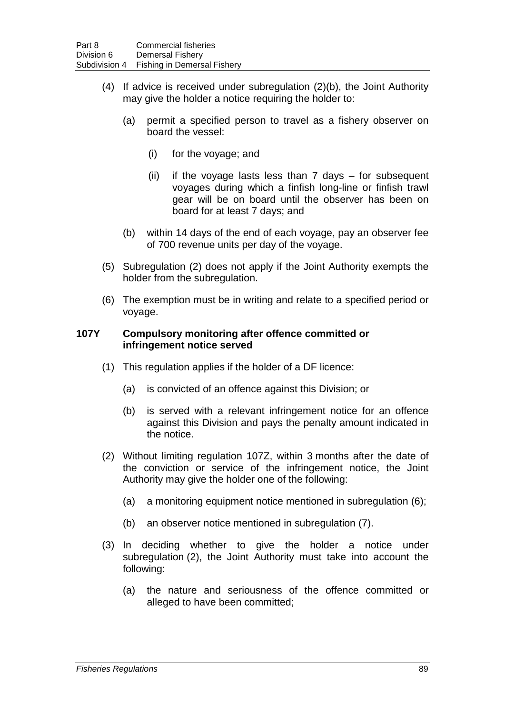- (4) If advice is received under subregulation (2)(b), the Joint Authority may give the holder a notice requiring the holder to:
	- (a) permit a specified person to travel as a fishery observer on board the vessel:
		- (i) for the voyage; and
		- (ii) if the voyage lasts less than 7 days for subsequent voyages during which a finfish long-line or finfish trawl gear will be on board until the observer has been on board for at least 7 days; and
	- (b) within 14 days of the end of each voyage, pay an observer fee of 700 revenue units per day of the voyage.
- (5) Subregulation (2) does not apply if the Joint Authority exempts the holder from the subregulation.
- (6) The exemption must be in writing and relate to a specified period or voyage.

### **107Y Compulsory monitoring after offence committed or infringement notice served**

- (1) This regulation applies if the holder of a DF licence:
	- (a) is convicted of an offence against this Division; or
	- (b) is served with a relevant infringement notice for an offence against this Division and pays the penalty amount indicated in the notice.
- (2) Without limiting regulation 107Z, within 3 months after the date of the conviction or service of the infringement notice, the Joint Authority may give the holder one of the following:
	- (a) a monitoring equipment notice mentioned in subregulation (6);
	- (b) an observer notice mentioned in subregulation (7).
- (3) In deciding whether to give the holder a notice under subregulation (2), the Joint Authority must take into account the following:
	- (a) the nature and seriousness of the offence committed or alleged to have been committed;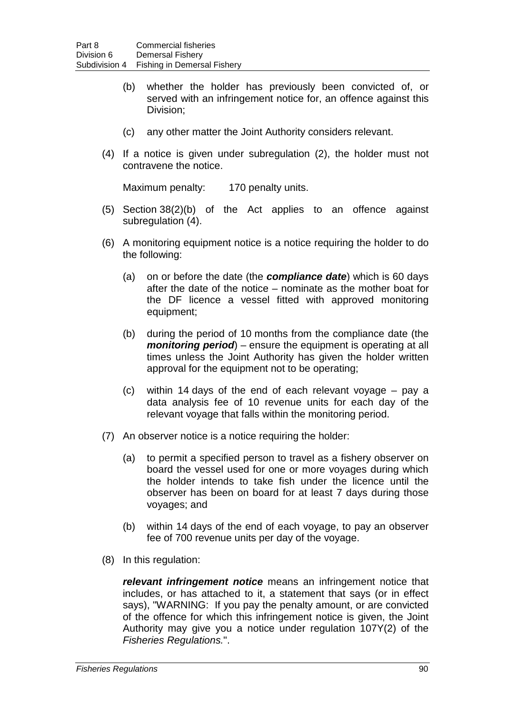- (b) whether the holder has previously been convicted of, or served with an infringement notice for, an offence against this Division;
- (c) any other matter the Joint Authority considers relevant.
- (4) If a notice is given under subregulation (2), the holder must not contravene the notice.

Maximum penalty: 170 penalty units.

- (5) Section 38(2)(b) of the Act applies to an offence against subregulation (4).
- (6) A monitoring equipment notice is a notice requiring the holder to do the following:
	- (a) on or before the date (the *compliance date*) which is 60 days after the date of the notice – nominate as the mother boat for the DF licence a vessel fitted with approved monitoring equipment;
	- (b) during the period of 10 months from the compliance date (the *monitoring period*) – ensure the equipment is operating at all times unless the Joint Authority has given the holder written approval for the equipment not to be operating;
	- (c) within 14 days of the end of each relevant voyage pay a data analysis fee of 10 revenue units for each day of the relevant voyage that falls within the monitoring period.
- (7) An observer notice is a notice requiring the holder:
	- (a) to permit a specified person to travel as a fishery observer on board the vessel used for one or more voyages during which the holder intends to take fish under the licence until the observer has been on board for at least 7 days during those voyages; and
	- (b) within 14 days of the end of each voyage, to pay an observer fee of 700 revenue units per day of the voyage.
- (8) In this regulation:

*relevant infringement notice* means an infringement notice that includes, or has attached to it, a statement that says (or in effect says), "WARNING: If you pay the penalty amount, or are convicted of the offence for which this infringement notice is given, the Joint Authority may give you a notice under regulation 107Y(2) of the *Fisheries Regulations.*".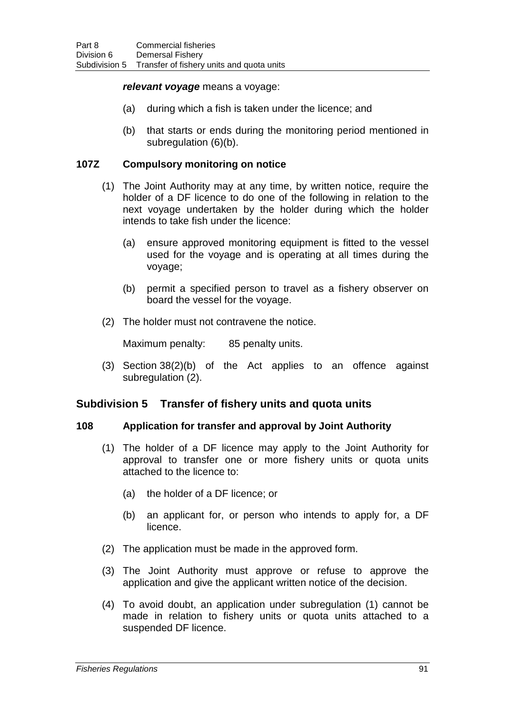#### *relevant voyage* means a voyage:

- (a) during which a fish is taken under the licence; and
- (b) that starts or ends during the monitoring period mentioned in subregulation (6)(b).

### **107Z Compulsory monitoring on notice**

- (1) The Joint Authority may at any time, by written notice, require the holder of a DF licence to do one of the following in relation to the next voyage undertaken by the holder during which the holder intends to take fish under the licence:
	- (a) ensure approved monitoring equipment is fitted to the vessel used for the voyage and is operating at all times during the voyage;
	- (b) permit a specified person to travel as a fishery observer on board the vessel for the voyage.
- (2) The holder must not contravene the notice.

Maximum penalty: 85 penalty units.

(3) Section 38(2)(b) of the Act applies to an offence against subregulation (2).

## **Subdivision 5 Transfer of fishery units and quota units**

### **108 Application for transfer and approval by Joint Authority**

- (1) The holder of a DF licence may apply to the Joint Authority for approval to transfer one or more fishery units or quota units attached to the licence to:
	- (a) the holder of a DF licence; or
	- (b) an applicant for, or person who intends to apply for, a DF licence.
- (2) The application must be made in the approved form.
- (3) The Joint Authority must approve or refuse to approve the application and give the applicant written notice of the decision.
- (4) To avoid doubt, an application under subregulation (1) cannot be made in relation to fishery units or quota units attached to a suspended DF licence.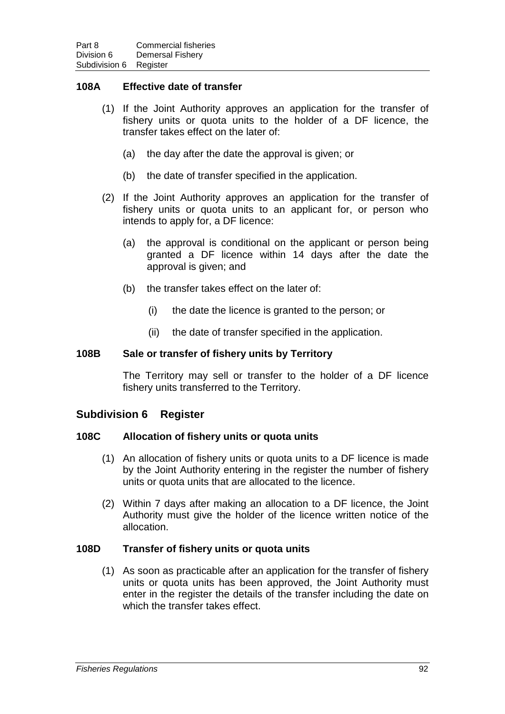## **108A Effective date of transfer**

- (1) If the Joint Authority approves an application for the transfer of fishery units or quota units to the holder of a DF licence, the transfer takes effect on the later of:
	- (a) the day after the date the approval is given; or
	- (b) the date of transfer specified in the application.
- (2) If the Joint Authority approves an application for the transfer of fishery units or quota units to an applicant for, or person who intends to apply for, a DF licence:
	- (a) the approval is conditional on the applicant or person being granted a DF licence within 14 days after the date the approval is given; and
	- (b) the transfer takes effect on the later of:
		- (i) the date the licence is granted to the person; or
		- (ii) the date of transfer specified in the application.

#### **108B Sale or transfer of fishery units by Territory**

The Territory may sell or transfer to the holder of a DF licence fishery units transferred to the Territory.

### **Subdivision 6 Register**

#### **108C Allocation of fishery units or quota units**

- (1) An allocation of fishery units or quota units to a DF licence is made by the Joint Authority entering in the register the number of fishery units or quota units that are allocated to the licence.
- (2) Within 7 days after making an allocation to a DF licence, the Joint Authority must give the holder of the licence written notice of the allocation.

### **108D Transfer of fishery units or quota units**

(1) As soon as practicable after an application for the transfer of fishery units or quota units has been approved, the Joint Authority must enter in the register the details of the transfer including the date on which the transfer takes effect.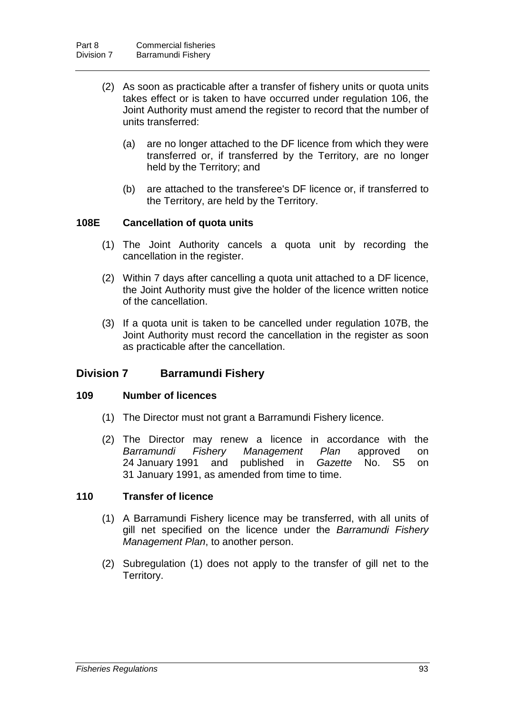- (2) As soon as practicable after a transfer of fishery units or quota units takes effect or is taken to have occurred under regulation 106, the Joint Authority must amend the register to record that the number of units transferred:
	- (a) are no longer attached to the DF licence from which they were transferred or, if transferred by the Territory, are no longer held by the Territory; and
	- (b) are attached to the transferee's DF licence or, if transferred to the Territory, are held by the Territory.

### **108E Cancellation of quota units**

- (1) The Joint Authority cancels a quota unit by recording the cancellation in the register.
- (2) Within 7 days after cancelling a quota unit attached to a DF licence, the Joint Authority must give the holder of the licence written notice of the cancellation.
- (3) If a quota unit is taken to be cancelled under regulation 107B, the Joint Authority must record the cancellation in the register as soon as practicable after the cancellation.

# **Division 7 Barramundi Fishery**

#### **109 Number of licences**

- (1) The Director must not grant a Barramundi Fishery licence.
- (2) The Director may renew a licence in accordance with the Barramundi Fishery Management Plan approved on *Management Plan* approved on 24 January 1991 and published in *Gazette* No. S5 on 31 January 1991, as amended from time to time.

## **110 Transfer of licence**

- (1) A Barramundi Fishery licence may be transferred, with all units of gill net specified on the licence under the *Barramundi Fishery Management Plan*, to another person.
- (2) Subregulation (1) does not apply to the transfer of gill net to the Territory.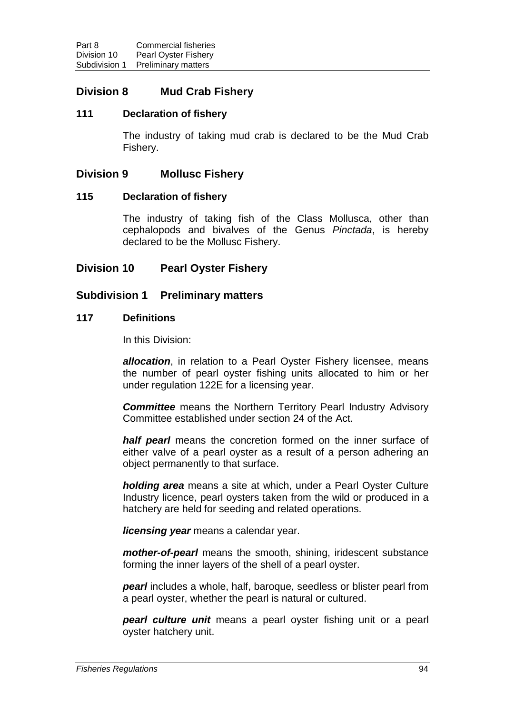# **Division 8 Mud Crab Fishery**

### **111 Declaration of fishery**

The industry of taking mud crab is declared to be the Mud Crab Fishery.

## **Division 9 Mollusc Fishery**

#### **115 Declaration of fishery**

The industry of taking fish of the Class Mollusca, other than cephalopods and bivalves of the Genus *Pinctada*, is hereby declared to be the Mollusc Fishery.

# **Division 10 Pearl Oyster Fishery**

## **Subdivision 1 Preliminary matters**

### **117 Definitions**

In this Division:

*allocation*, in relation to a Pearl Oyster Fishery licensee, means the number of pearl oyster fishing units allocated to him or her under regulation 122E for a licensing year.

*Committee* means the Northern Territory Pearl Industry Advisory Committee established under section 24 of the Act.

*half pearl* means the concretion formed on the inner surface of either valve of a pearl oyster as a result of a person adhering an object permanently to that surface.

*holding area* means a site at which, under a Pearl Oyster Culture Industry licence, pearl oysters taken from the wild or produced in a hatchery are held for seeding and related operations.

*licensing year* means a calendar year.

*mother-of-pearl* means the smooth, shining, iridescent substance forming the inner layers of the shell of a pearl oyster.

*pearl* includes a whole, half, baroque, seedless or blister pearl from a pearl oyster, whether the pearl is natural or cultured.

*pearl culture unit* means a pearl oyster fishing unit or a pearl oyster hatchery unit.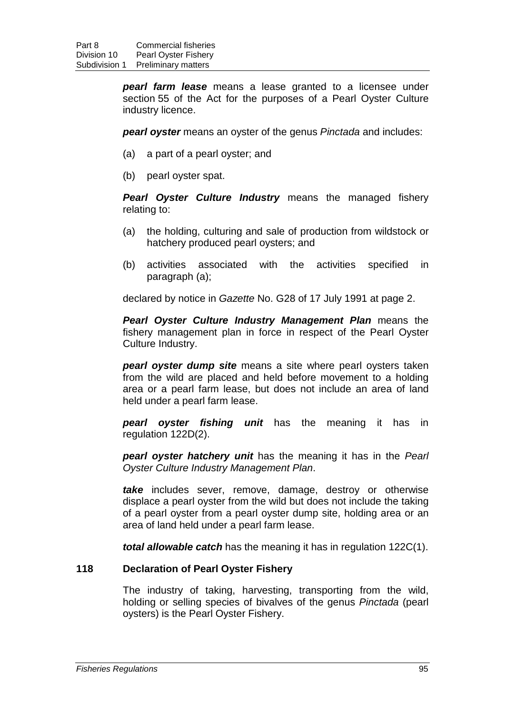*pearl farm lease* means a lease granted to a licensee under section 55 of the Act for the purposes of a Pearl Oyster Culture industry licence.

*pearl oyster* means an oyster of the genus *Pinctada* and includes:

- (a) a part of a pearl oyster; and
- (b) pearl oyster spat.

*Pearl Oyster Culture Industry* means the managed fishery relating to:

- (a) the holding, culturing and sale of production from wildstock or hatchery produced pearl oysters; and
- (b) activities associated with the activities specified in paragraph (a);

declared by notice in *Gazette* No. G28 of 17 July 1991 at page 2.

*Pearl Oyster Culture Industry Management Plan* means the fishery management plan in force in respect of the Pearl Oyster Culture Industry.

*pearl oyster dump site* means a site where pearl oysters taken from the wild are placed and held before movement to a holding area or a pearl farm lease, but does not include an area of land held under a pearl farm lease.

*pearl oyster fishing unit* has the meaning it has in regulation 122D(2).

*pearl oyster hatchery unit* has the meaning it has in the *Pearl Oyster Culture Industry Management Plan*.

*take* includes sever, remove, damage, destroy or otherwise displace a pearl oyster from the wild but does not include the taking of a pearl oyster from a pearl oyster dump site, holding area or an area of land held under a pearl farm lease.

*total allowable catch* has the meaning it has in regulation 122C(1).

### **118 Declaration of Pearl Oyster Fishery**

The industry of taking, harvesting, transporting from the wild, holding or selling species of bivalves of the genus *Pinctada* (pearl oysters) is the Pearl Oyster Fishery.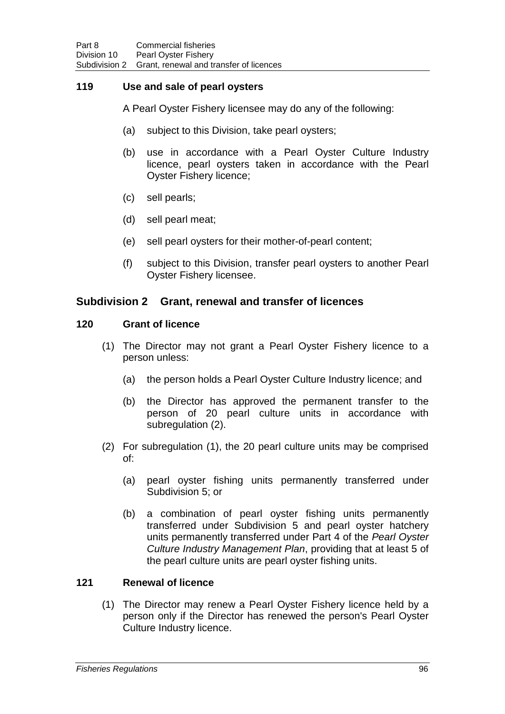## **119 Use and sale of pearl oysters**

A Pearl Oyster Fishery licensee may do any of the following:

- (a) subject to this Division, take pearl oysters;
- (b) use in accordance with a Pearl Oyster Culture Industry licence, pearl oysters taken in accordance with the Pearl Oyster Fishery licence;
- (c) sell pearls;
- (d) sell pearl meat;
- (e) sell pearl oysters for their mother-of-pearl content;
- (f) subject to this Division, transfer pearl oysters to another Pearl Oyster Fishery licensee.

# **Subdivision 2 Grant, renewal and transfer of licences**

### **120 Grant of licence**

- (1) The Director may not grant a Pearl Oyster Fishery licence to a person unless:
	- (a) the person holds a Pearl Oyster Culture Industry licence; and
	- (b) the Director has approved the permanent transfer to the person of 20 pearl culture units in accordance with subregulation (2).
- (2) For subregulation (1), the 20 pearl culture units may be comprised of:
	- (a) pearl oyster fishing units permanently transferred under Subdivision 5; or
	- (b) a combination of pearl oyster fishing units permanently transferred under Subdivision 5 and pearl oyster hatchery units permanently transferred under Part 4 of the *Pearl Oyster Culture Industry Management Plan*, providing that at least 5 of the pearl culture units are pearl oyster fishing units.

## **121 Renewal of licence**

(1) The Director may renew a Pearl Oyster Fishery licence held by a person only if the Director has renewed the person's Pearl Oyster Culture Industry licence.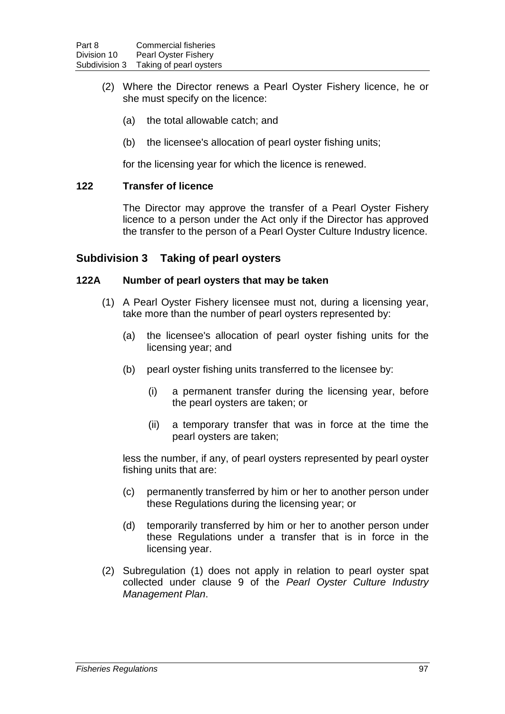- (2) Where the Director renews a Pearl Oyster Fishery licence, he or she must specify on the licence:
	- (a) the total allowable catch; and
	- (b) the licensee's allocation of pearl oyster fishing units;

for the licensing year for which the licence is renewed.

### **122 Transfer of licence**

The Director may approve the transfer of a Pearl Oyster Fishery licence to a person under the Act only if the Director has approved the transfer to the person of a Pearl Oyster Culture Industry licence.

## **Subdivision 3 Taking of pearl oysters**

#### **122A Number of pearl oysters that may be taken**

- (1) A Pearl Oyster Fishery licensee must not, during a licensing year, take more than the number of pearl oysters represented by:
	- (a) the licensee's allocation of pearl oyster fishing units for the licensing year; and
	- (b) pearl oyster fishing units transferred to the licensee by:
		- (i) a permanent transfer during the licensing year, before the pearl oysters are taken; or
		- (ii) a temporary transfer that was in force at the time the pearl oysters are taken;

less the number, if any, of pearl oysters represented by pearl oyster fishing units that are:

- (c) permanently transferred by him or her to another person under these Regulations during the licensing year; or
- (d) temporarily transferred by him or her to another person under these Regulations under a transfer that is in force in the licensing year.
- (2) Subregulation (1) does not apply in relation to pearl oyster spat collected under clause 9 of the *Pearl Oyster Culture Industry Management Plan*.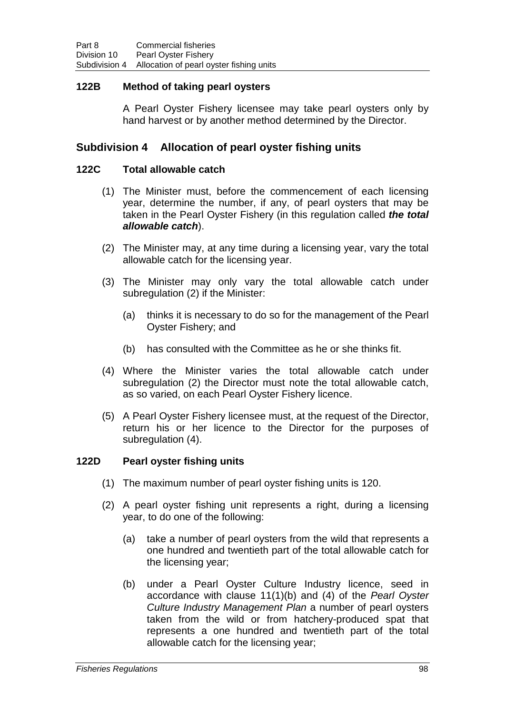## **122B Method of taking pearl oysters**

A Pearl Oyster Fishery licensee may take pearl oysters only by hand harvest or by another method determined by the Director.

# **Subdivision 4 Allocation of pearl oyster fishing units**

## **122C Total allowable catch**

- (1) The Minister must, before the commencement of each licensing year, determine the number, if any, of pearl oysters that may be taken in the Pearl Oyster Fishery (in this regulation called *the total allowable catch*).
- (2) The Minister may, at any time during a licensing year, vary the total allowable catch for the licensing year.
- (3) The Minister may only vary the total allowable catch under subregulation (2) if the Minister:
	- (a) thinks it is necessary to do so for the management of the Pearl Oyster Fishery; and
	- (b) has consulted with the Committee as he or she thinks fit.
- (4) Where the Minister varies the total allowable catch under subregulation (2) the Director must note the total allowable catch, as so varied, on each Pearl Oyster Fishery licence.
- (5) A Pearl Oyster Fishery licensee must, at the request of the Director, return his or her licence to the Director for the purposes of subregulation (4).

### **122D Pearl oyster fishing units**

- (1) The maximum number of pearl oyster fishing units is 120.
- (2) A pearl oyster fishing unit represents a right, during a licensing year, to do one of the following:
	- (a) take a number of pearl oysters from the wild that represents a one hundred and twentieth part of the total allowable catch for the licensing year;
	- (b) under a Pearl Oyster Culture Industry licence, seed in accordance with clause 11(1)(b) and (4) of the *Pearl Oyster Culture Industry Management Plan* a number of pearl oysters taken from the wild or from hatchery-produced spat that represents a one hundred and twentieth part of the total allowable catch for the licensing year;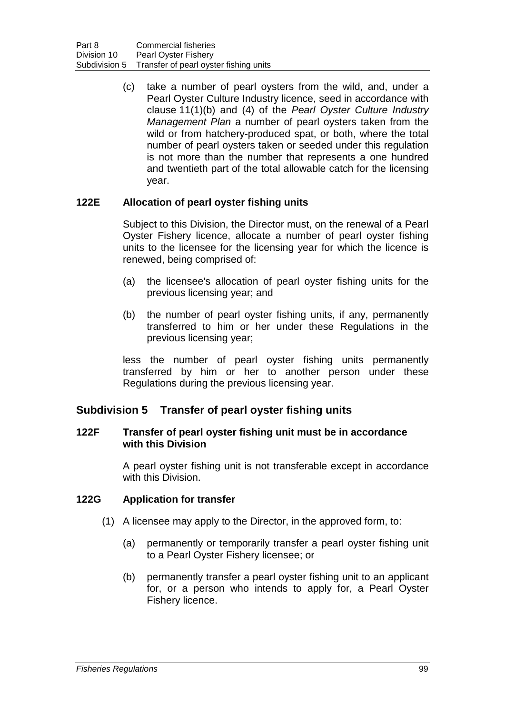(c) take a number of pearl oysters from the wild, and, under a Pearl Oyster Culture Industry licence, seed in accordance with clause 11(1)(b) and (4) of the *Pearl Oyster Culture Industry Management Plan* a number of pearl oysters taken from the wild or from hatchery-produced spat, or both, where the total number of pearl oysters taken or seeded under this regulation is not more than the number that represents a one hundred and twentieth part of the total allowable catch for the licensing year.

## **122E Allocation of pearl oyster fishing units**

Subject to this Division, the Director must, on the renewal of a Pearl Oyster Fishery licence, allocate a number of pearl oyster fishing units to the licensee for the licensing year for which the licence is renewed, being comprised of:

- (a) the licensee's allocation of pearl oyster fishing units for the previous licensing year; and
- (b) the number of pearl oyster fishing units, if any, permanently transferred to him or her under these Regulations in the previous licensing year;

less the number of pearl oyster fishing units permanently transferred by him or her to another person under these Regulations during the previous licensing year.

# **Subdivision 5 Transfer of pearl oyster fishing units**

#### **122F Transfer of pearl oyster fishing unit must be in accordance with this Division**

A pearl oyster fishing unit is not transferable except in accordance with this Division.

### **122G Application for transfer**

- (1) A licensee may apply to the Director, in the approved form, to:
	- (a) permanently or temporarily transfer a pearl oyster fishing unit to a Pearl Oyster Fishery licensee; or
	- (b) permanently transfer a pearl oyster fishing unit to an applicant for, or a person who intends to apply for, a Pearl Oyster Fishery licence.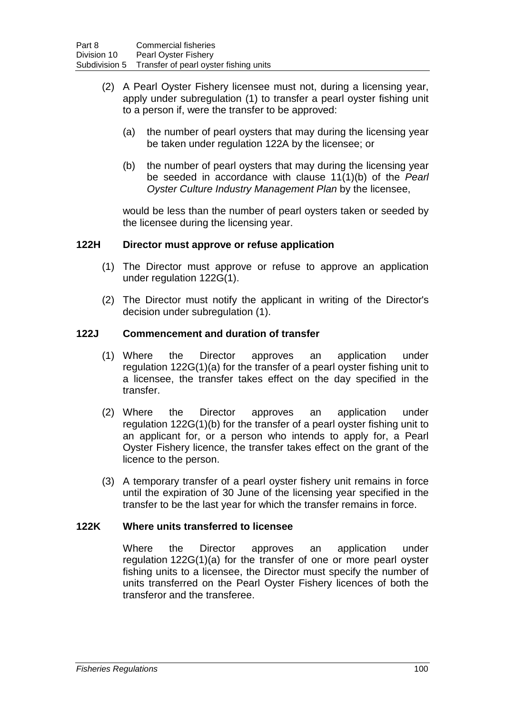- (2) A Pearl Oyster Fishery licensee must not, during a licensing year, apply under subregulation (1) to transfer a pearl oyster fishing unit to a person if, were the transfer to be approved:
	- (a) the number of pearl oysters that may during the licensing year be taken under regulation 122A by the licensee; or
	- (b) the number of pearl oysters that may during the licensing year be seeded in accordance with clause 11(1)(b) of the *Pearl Oyster Culture Industry Management Plan* by the licensee,

would be less than the number of pearl oysters taken or seeded by the licensee during the licensing year.

### **122H Director must approve or refuse application**

- (1) The Director must approve or refuse to approve an application under regulation 122G(1).
- (2) The Director must notify the applicant in writing of the Director's decision under subregulation (1).

### **122J Commencement and duration of transfer**

- (1) Where the Director approves an application under regulation 122G(1)(a) for the transfer of a pearl oyster fishing unit to a licensee, the transfer takes effect on the day specified in the transfer.
- (2) Where the Director approves an application under regulation 122G(1)(b) for the transfer of a pearl oyster fishing unit to an applicant for, or a person who intends to apply for, a Pearl Oyster Fishery licence, the transfer takes effect on the grant of the licence to the person.
- (3) A temporary transfer of a pearl oyster fishery unit remains in force until the expiration of 30 June of the licensing year specified in the transfer to be the last year for which the transfer remains in force.

### **122K Where units transferred to licensee**

Where the Director approves an application under regulation 122G(1)(a) for the transfer of one or more pearl oyster fishing units to a licensee, the Director must specify the number of units transferred on the Pearl Oyster Fishery licences of both the transferor and the transferee.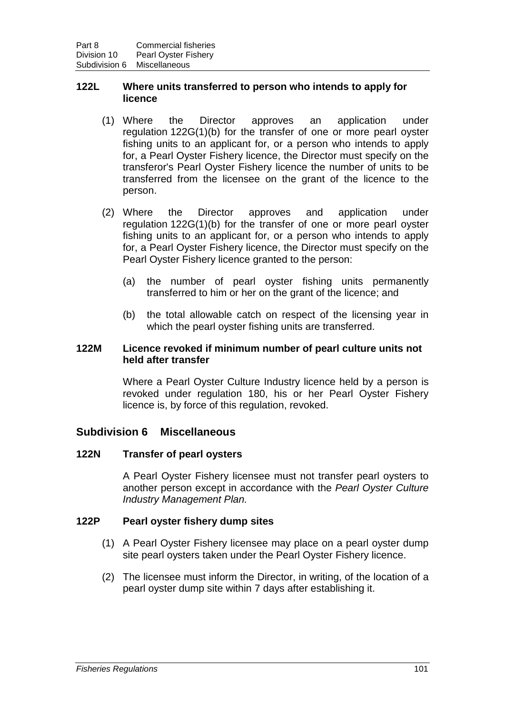### **122L Where units transferred to person who intends to apply for licence**

- (1) Where the Director approves an application under regulation 122G(1)(b) for the transfer of one or more pearl oyster fishing units to an applicant for, or a person who intends to apply for, a Pearl Oyster Fishery licence, the Director must specify on the transferor's Pearl Oyster Fishery licence the number of units to be transferred from the licensee on the grant of the licence to the person.
- (2) Where the Director approves and application under regulation 122G(1)(b) for the transfer of one or more pearl oyster fishing units to an applicant for, or a person who intends to apply for, a Pearl Oyster Fishery licence, the Director must specify on the Pearl Oyster Fishery licence granted to the person:
	- (a) the number of pearl oyster fishing units permanently transferred to him or her on the grant of the licence; and
	- (b) the total allowable catch on respect of the licensing year in which the pearl oyster fishing units are transferred.

### **122M Licence revoked if minimum number of pearl culture units not held after transfer**

Where a Pearl Oyster Culture Industry licence held by a person is revoked under regulation 180, his or her Pearl Oyster Fishery licence is, by force of this regulation, revoked.

# **Subdivision 6 Miscellaneous**

### **122N Transfer of pearl oysters**

A Pearl Oyster Fishery licensee must not transfer pearl oysters to another person except in accordance with the *Pearl Oyster Culture Industry Management Plan.*

### **122P Pearl oyster fishery dump sites**

- (1) A Pearl Oyster Fishery licensee may place on a pearl oyster dump site pearl oysters taken under the Pearl Oyster Fishery licence.
- (2) The licensee must inform the Director, in writing, of the location of a pearl oyster dump site within 7 days after establishing it.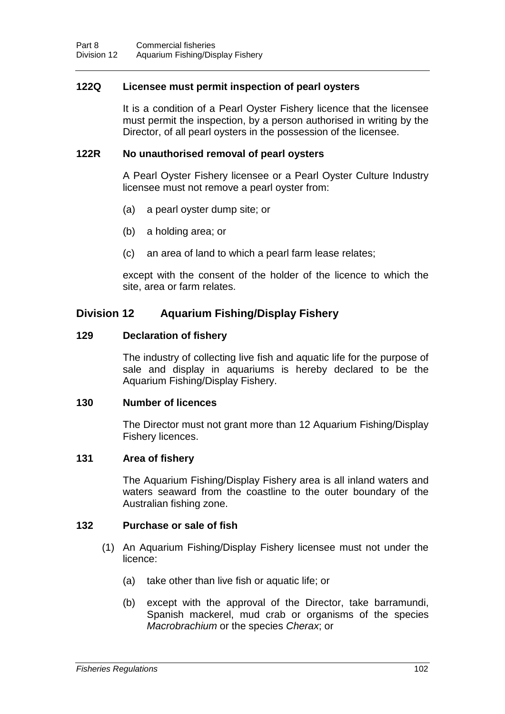### **122Q Licensee must permit inspection of pearl oysters**

It is a condition of a Pearl Oyster Fishery licence that the licensee must permit the inspection, by a person authorised in writing by the Director, of all pearl oysters in the possession of the licensee.

#### **122R No unauthorised removal of pearl oysters**

A Pearl Oyster Fishery licensee or a Pearl Oyster Culture Industry licensee must not remove a pearl oyster from:

- (a) a pearl oyster dump site; or
- (b) a holding area; or
- (c) an area of land to which a pearl farm lease relates;

except with the consent of the holder of the licence to which the site, area or farm relates.

## **Division 12 Aquarium Fishing/Display Fishery**

#### **129 Declaration of fishery**

The industry of collecting live fish and aquatic life for the purpose of sale and display in aquariums is hereby declared to be the Aquarium Fishing/Display Fishery.

#### **130 Number of licences**

The Director must not grant more than 12 Aquarium Fishing/Display Fishery licences.

#### **131 Area of fishery**

The Aquarium Fishing/Display Fishery area is all inland waters and waters seaward from the coastline to the outer boundary of the Australian fishing zone.

#### **132 Purchase or sale of fish**

- (1) An Aquarium Fishing/Display Fishery licensee must not under the licence:
	- (a) take other than live fish or aquatic life; or
	- (b) except with the approval of the Director, take barramundi, Spanish mackerel, mud crab or organisms of the species *Macrobrachium* or the species *Cherax*; or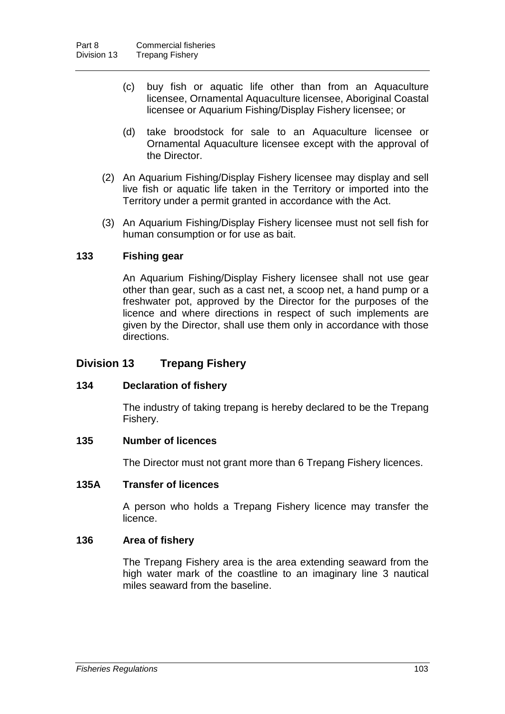- (c) buy fish or aquatic life other than from an Aquaculture licensee, Ornamental Aquaculture licensee, Aboriginal Coastal licensee or Aquarium Fishing/Display Fishery licensee; or
- (d) take broodstock for sale to an Aquaculture licensee or Ornamental Aquaculture licensee except with the approval of the Director.
- (2) An Aquarium Fishing/Display Fishery licensee may display and sell live fish or aquatic life taken in the Territory or imported into the Territory under a permit granted in accordance with the Act.
- (3) An Aquarium Fishing/Display Fishery licensee must not sell fish for human consumption or for use as bait.

## **133 Fishing gear**

An Aquarium Fishing/Display Fishery licensee shall not use gear other than gear, such as a cast net, a scoop net, a hand pump or a freshwater pot, approved by the Director for the purposes of the licence and where directions in respect of such implements are given by the Director, shall use them only in accordance with those directions.

# **Division 13 Trepang Fishery**

### **134 Declaration of fishery**

The industry of taking trepang is hereby declared to be the Trepang Fishery.

### **135 Number of licences**

The Director must not grant more than 6 Trepang Fishery licences.

### **135A Transfer of licences**

A person who holds a Trepang Fishery licence may transfer the licence.

### **136 Area of fishery**

The Trepang Fishery area is the area extending seaward from the high water mark of the coastline to an imaginary line 3 nautical miles seaward from the baseline.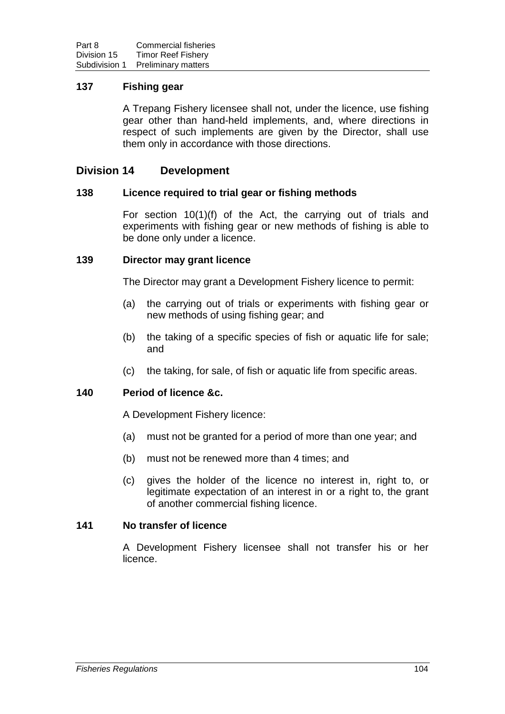## **137 Fishing gear**

A Trepang Fishery licensee shall not, under the licence, use fishing gear other than hand-held implements, and, where directions in respect of such implements are given by the Director, shall use them only in accordance with those directions.

## **Division 14 Development**

#### **138 Licence required to trial gear or fishing methods**

For section 10(1)(f) of the Act, the carrying out of trials and experiments with fishing gear or new methods of fishing is able to be done only under a licence.

#### **139 Director may grant licence**

The Director may grant a Development Fishery licence to permit:

- (a) the carrying out of trials or experiments with fishing gear or new methods of using fishing gear; and
- (b) the taking of a specific species of fish or aquatic life for sale; and
- (c) the taking, for sale, of fish or aquatic life from specific areas.

### **140 Period of licence &c.**

A Development Fishery licence:

- (a) must not be granted for a period of more than one year; and
- (b) must not be renewed more than 4 times; and
- (c) gives the holder of the licence no interest in, right to, or legitimate expectation of an interest in or a right to, the grant of another commercial fishing licence.

## **141 No transfer of licence**

A Development Fishery licensee shall not transfer his or her licence.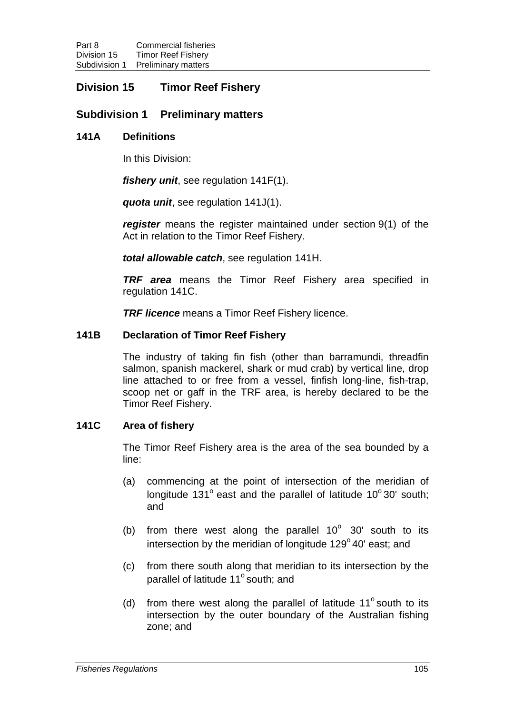# **Division 15 Timor Reef Fishery**

## **Subdivision 1 Preliminary matters**

#### **141A Definitions**

In this Division:

*fishery unit*, see regulation 141F(1).

*quota unit*, see regulation 141J(1).

*register* means the register maintained under section 9(1) of the Act in relation to the Timor Reef Fishery.

*total allowable catch*, see regulation 141H.

*TRF area* means the Timor Reef Fishery area specified in regulation 141C.

*TRF licence* means a Timor Reef Fishery licence.

#### **141B Declaration of Timor Reef Fishery**

The industry of taking fin fish (other than barramundi, threadfin salmon, spanish mackerel, shark or mud crab) by vertical line, drop line attached to or free from a vessel, finfish long-line, fish-trap, scoop net or gaff in the TRF area, is hereby declared to be the Timor Reef Fishery.

## **141C Area of fishery**

The Timor Reef Fishery area is the area of the sea bounded by a line:

- (a) commencing at the point of intersection of the meridian of longitude 131 $^{\circ}$  east and the parallel of latitude 10 $^{\circ}$ 30' south; and
- (b) from there west along the parallel  $10^{\circ}$  30' south to its intersection by the meridian of longitude  $129^{\circ}$  40' east; and
- (c) from there south along that meridian to its intersection by the parallel of latitude 11<sup>°</sup> south; and
- (d) from there west along the parallel of latitude  $11^\circ$  south to its intersection by the outer boundary of the Australian fishing zone; and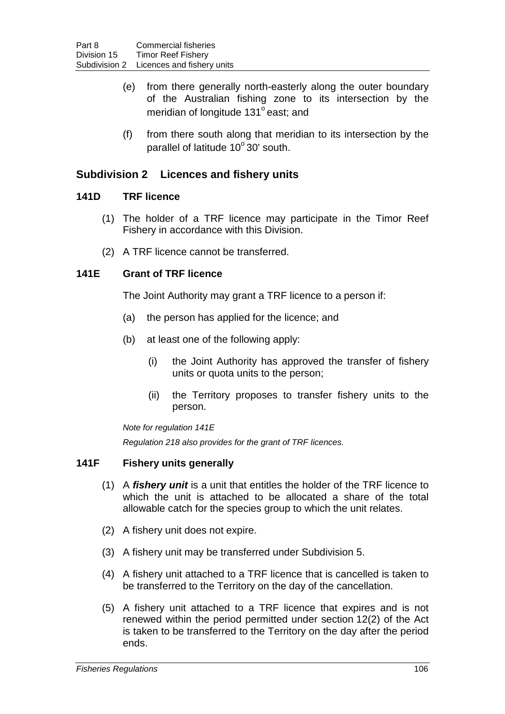- (e) from there generally north-easterly along the outer boundary of the Australian fishing zone to its intersection by the meridian of longitude 131° east; and
- (f) from there south along that meridian to its intersection by the parallel of latitude  $10^{\circ}$  30' south.

# **Subdivision 2 Licences and fishery units**

## **141D TRF licence**

- (1) The holder of a TRF licence may participate in the Timor Reef Fishery in accordance with this Division.
- (2) A TRF licence cannot be transferred.

## **141E Grant of TRF licence**

The Joint Authority may grant a TRF licence to a person if:

- (a) the person has applied for the licence; and
- (b) at least one of the following apply:
	- (i) the Joint Authority has approved the transfer of fishery units or quota units to the person;
	- (ii) the Territory proposes to transfer fishery units to the person.

*Note for regulation 141E*

*Regulation 218 also provides for the grant of TRF licences.*

### **141F Fishery units generally**

- (1) A *fishery unit* is a unit that entitles the holder of the TRF licence to which the unit is attached to be allocated a share of the total allowable catch for the species group to which the unit relates.
- (2) A fishery unit does not expire.
- (3) A fishery unit may be transferred under Subdivision 5.
- (4) A fishery unit attached to a TRF licence that is cancelled is taken to be transferred to the Territory on the day of the cancellation.
- (5) A fishery unit attached to a TRF licence that expires and is not renewed within the period permitted under section 12(2) of the Act is taken to be transferred to the Territory on the day after the period ends.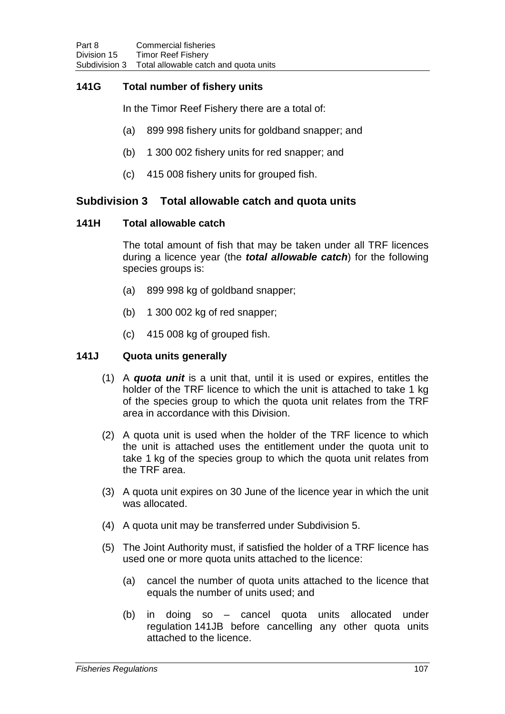# **141G Total number of fishery units**

In the Timor Reef Fishery there are a total of:

- (a) 899 998 fishery units for goldband snapper; and
- (b) 1 300 002 fishery units for red snapper; and
- (c) 415 008 fishery units for grouped fish.

# **Subdivision 3 Total allowable catch and quota units**

### **141H Total allowable catch**

The total amount of fish that may be taken under all TRF licences during a licence year (the *total allowable catch*) for the following species groups is:

- (a) 899 998 kg of goldband snapper;
- (b) 1 300 002 kg of red snapper;
- (c) 415 008 kg of grouped fish.

## **141J Quota units generally**

- (1) A *quota unit* is a unit that, until it is used or expires, entitles the holder of the TRF licence to which the unit is attached to take 1 kg of the species group to which the quota unit relates from the TRF area in accordance with this Division.
- (2) A quota unit is used when the holder of the TRF licence to which the unit is attached uses the entitlement under the quota unit to take 1 kg of the species group to which the quota unit relates from the TRF area.
- (3) A quota unit expires on 30 June of the licence year in which the unit was allocated.
- (4) A quota unit may be transferred under Subdivision 5.
- (5) The Joint Authority must, if satisfied the holder of a TRF licence has used one or more quota units attached to the licence:
	- (a) cancel the number of quota units attached to the licence that equals the number of units used; and
	- (b) in doing so cancel quota units allocated under regulation 141JB before cancelling any other quota units attached to the licence.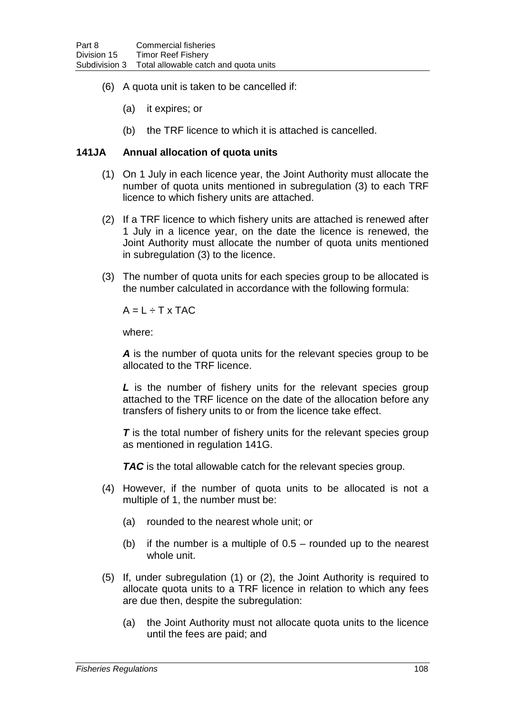- (6) A quota unit is taken to be cancelled if:
	- (a) it expires; or
	- (b) the TRF licence to which it is attached is cancelled.

### **141JA Annual allocation of quota units**

- (1) On 1 July in each licence year, the Joint Authority must allocate the number of quota units mentioned in subregulation (3) to each TRF licence to which fishery units are attached.
- (2) If a TRF licence to which fishery units are attached is renewed after 1 July in a licence year, on the date the licence is renewed, the Joint Authority must allocate the number of quota units mentioned in subregulation (3) to the licence.
- (3) The number of quota units for each species group to be allocated is the number calculated in accordance with the following formula:

 $A = L \div T \times TAC$ 

where:

*A* is the number of quota units for the relevant species group to be allocated to the TRF licence.

*L* is the number of fishery units for the relevant species group attached to the TRF licence on the date of the allocation before any transfers of fishery units to or from the licence take effect.

**T** is the total number of fishery units for the relevant species group as mentioned in regulation 141G.

**TAC** is the total allowable catch for the relevant species group.

- (4) However, if the number of quota units to be allocated is not a multiple of 1, the number must be:
	- (a) rounded to the nearest whole unit; or
	- (b) if the number is a multiple of 0.5 rounded up to the nearest whole unit.
- (5) If, under subregulation (1) or (2), the Joint Authority is required to allocate quota units to a TRF licence in relation to which any fees are due then, despite the subregulation:
	- (a) the Joint Authority must not allocate quota units to the licence until the fees are paid; and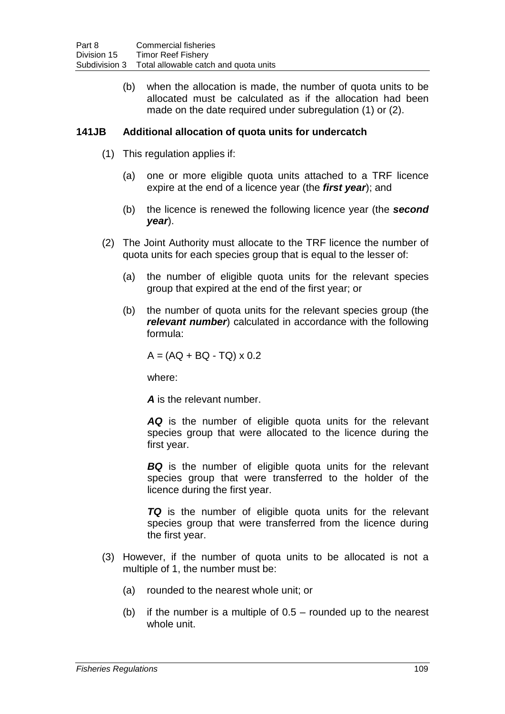(b) when the allocation is made, the number of quota units to be allocated must be calculated as if the allocation had been made on the date required under subregulation (1) or (2).

## **141JB Additional allocation of quota units for undercatch**

- (1) This regulation applies if:
	- (a) one or more eligible quota units attached to a TRF licence expire at the end of a licence year (the *first year*); and
	- (b) the licence is renewed the following licence year (the *second year*).
- (2) The Joint Authority must allocate to the TRF licence the number of quota units for each species group that is equal to the lesser of:
	- (a) the number of eligible quota units for the relevant species group that expired at the end of the first year; or
	- (b) the number of quota units for the relevant species group (the *relevant number*) calculated in accordance with the following formula:

 $A = (AQ + BQ - TQ) \times 0.2$ 

where:

*A* is the relevant number.

*AQ* is the number of eligible quota units for the relevant species group that were allocated to the licence during the first year.

*BQ* is the number of eligible quota units for the relevant species group that were transferred to the holder of the licence during the first year.

*TQ* is the number of eligible quota units for the relevant species group that were transferred from the licence during the first year.

- (3) However, if the number of quota units to be allocated is not a multiple of 1, the number must be:
	- (a) rounded to the nearest whole unit; or
	- (b) if the number is a multiple of 0.5 rounded up to the nearest whole unit.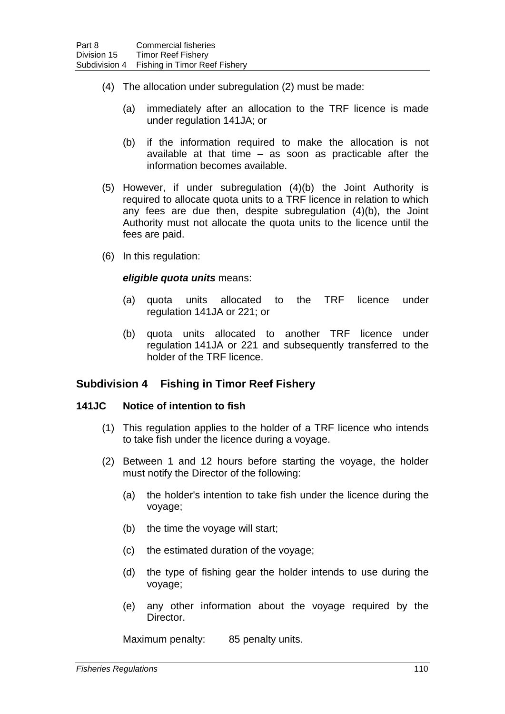- (4) The allocation under subregulation (2) must be made:
	- (a) immediately after an allocation to the TRF licence is made under regulation 141JA; or
	- (b) if the information required to make the allocation is not available at that time – as soon as practicable after the information becomes available.
- (5) However, if under subregulation (4)(b) the Joint Authority is required to allocate quota units to a TRF licence in relation to which any fees are due then, despite subregulation (4)(b), the Joint Authority must not allocate the quota units to the licence until the fees are paid.
- (6) In this regulation:

#### *eligible quota units* means:

- (a) quota units allocated to the TRF licence under regulation 141JA or 221; or
- (b) quota units allocated to another TRF licence under regulation 141JA or 221 and subsequently transferred to the holder of the TRF licence.

# **Subdivision 4 Fishing in Timor Reef Fishery**

### **141JC Notice of intention to fish**

- (1) This regulation applies to the holder of a TRF licence who intends to take fish under the licence during a voyage.
- (2) Between 1 and 12 hours before starting the voyage, the holder must notify the Director of the following:
	- (a) the holder's intention to take fish under the licence during the voyage;
	- (b) the time the voyage will start;
	- (c) the estimated duration of the voyage;
	- (d) the type of fishing gear the holder intends to use during the voyage;
	- (e) any other information about the voyage required by the Director.

Maximum penalty: 85 penalty units.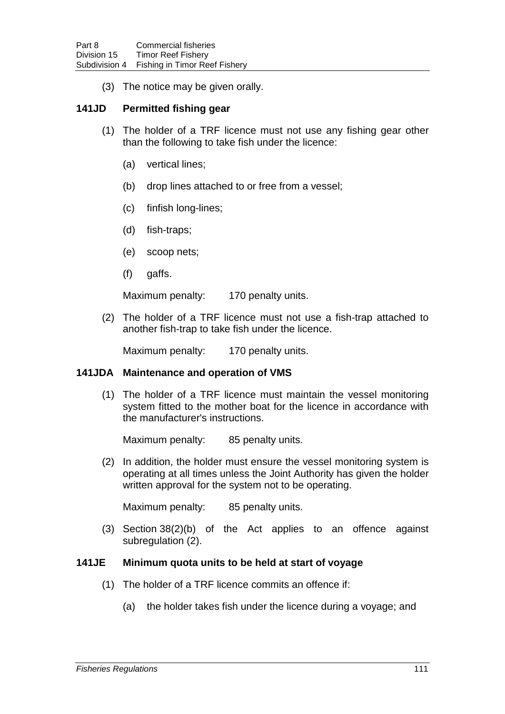(3) The notice may be given orally.

## **141JD Permitted fishing gear**

- (1) The holder of a TRF licence must not use any fishing gear other than the following to take fish under the licence:
	- (a) vertical lines;
	- (b) drop lines attached to or free from a vessel;
	- (c) finfish long-lines;
	- (d) fish-traps;
	- (e) scoop nets;
	- (f) gaffs.

Maximum penalty: 170 penalty units.

(2) The holder of a TRF licence must not use a fish-trap attached to another fish-trap to take fish under the licence.

Maximum penalty: 170 penalty units.

### **141JDA Maintenance and operation of VMS**

(1) The holder of a TRF licence must maintain the vessel monitoring system fitted to the mother boat for the licence in accordance with the manufacturer's instructions.

Maximum penalty: 85 penalty units.

(2) In addition, the holder must ensure the vessel monitoring system is operating at all times unless the Joint Authority has given the holder written approval for the system not to be operating.

Maximum penalty: 85 penalty units.

(3) Section 38(2)(b) of the Act applies to an offence against subregulation (2).

### **141JE Minimum quota units to be held at start of voyage**

- (1) The holder of a TRF licence commits an offence if:
	- (a) the holder takes fish under the licence during a voyage; and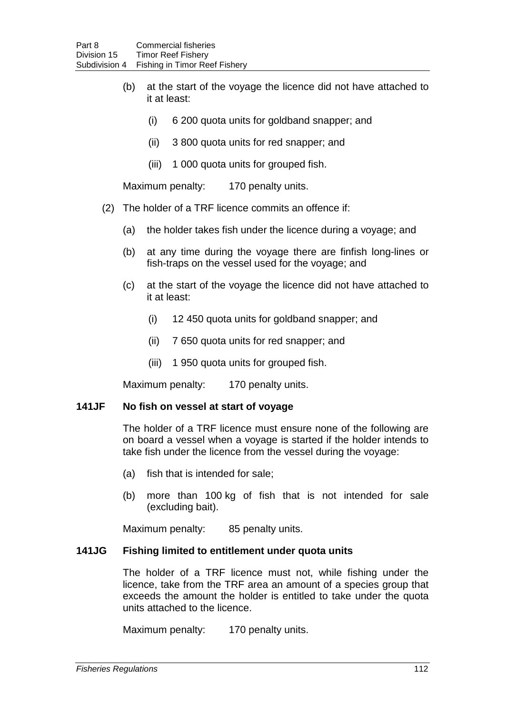- (b) at the start of the voyage the licence did not have attached to it at least:
	- (i) 6 200 quota units for goldband snapper; and
	- (ii) 3 800 quota units for red snapper; and
	- (iii) 1 000 quota units for grouped fish.

Maximum penalty: 170 penalty units.

- (2) The holder of a TRF licence commits an offence if:
	- (a) the holder takes fish under the licence during a voyage; and
	- (b) at any time during the voyage there are finfish long-lines or fish-traps on the vessel used for the voyage; and
	- (c) at the start of the voyage the licence did not have attached to it at least:
		- (i) 12 450 quota units for goldband snapper; and
		- (ii) 7 650 quota units for red snapper; and
		- (iii) 1 950 quota units for grouped fish.

Maximum penalty: 170 penalty units.

#### **141JF No fish on vessel at start of voyage**

The holder of a TRF licence must ensure none of the following are on board a vessel when a voyage is started if the holder intends to take fish under the licence from the vessel during the voyage:

- (a) fish that is intended for sale;
- (b) more than 100 kg of fish that is not intended for sale (excluding bait).

Maximum penalty: 85 penalty units.

### **141JG Fishing limited to entitlement under quota units**

The holder of a TRF licence must not, while fishing under the licence, take from the TRF area an amount of a species group that exceeds the amount the holder is entitled to take under the quota units attached to the licence.

Maximum penalty: 170 penalty units.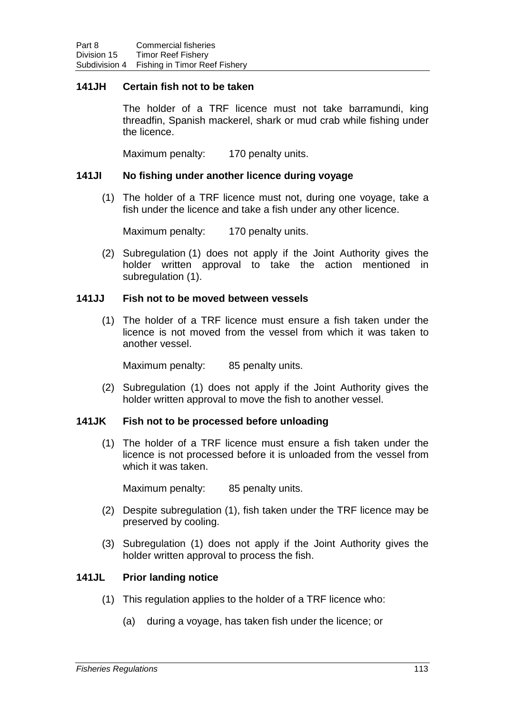#### **141JH Certain fish not to be taken**

The holder of a TRF licence must not take barramundi, king threadfin, Spanish mackerel, shark or mud crab while fishing under the licence.

Maximum penalty: 170 penalty units.

#### **141JI No fishing under another licence during voyage**

(1) The holder of a TRF licence must not, during one voyage, take a fish under the licence and take a fish under any other licence.

Maximum penalty: 170 penalty units.

(2) Subregulation (1) does not apply if the Joint Authority gives the holder written approval to take the action mentioned in subregulation (1).

#### **141JJ Fish not to be moved between vessels**

(1) The holder of a TRF licence must ensure a fish taken under the licence is not moved from the vessel from which it was taken to another vessel.

Maximum penalty: 85 penalty units.

(2) Subregulation (1) does not apply if the Joint Authority gives the holder written approval to move the fish to another vessel.

### **141JK Fish not to be processed before unloading**

(1) The holder of a TRF licence must ensure a fish taken under the licence is not processed before it is unloaded from the vessel from which it was taken.

Maximum penalty: 85 penalty units.

- (2) Despite subregulation (1), fish taken under the TRF licence may be preserved by cooling.
- (3) Subregulation (1) does not apply if the Joint Authority gives the holder written approval to process the fish.

### **141JL Prior landing notice**

- (1) This regulation applies to the holder of a TRF licence who:
	- (a) during a voyage, has taken fish under the licence; or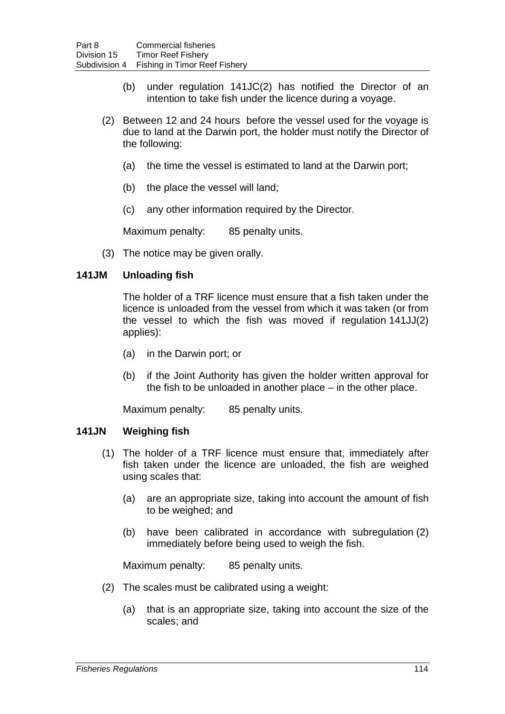- (b) under regulation 141JC(2) has notified the Director of an intention to take fish under the licence during a voyage.
- (2) Between 12 and 24 hours before the vessel used for the voyage is due to land at the Darwin port, the holder must notify the Director of the following:
	- (a) the time the vessel is estimated to land at the Darwin port;
	- (b) the place the vessel will land;
	- (c) any other information required by the Director.

Maximum penalty: 85 penalty units.

(3) The notice may be given orally.

### **141JM Unloading fish**

The holder of a TRF licence must ensure that a fish taken under the licence is unloaded from the vessel from which it was taken (or from the vessel to which the fish was moved if regulation 141JJ(2) applies):

- (a) in the Darwin port; or
- (b) if the Joint Authority has given the holder written approval for the fish to be unloaded in another place – in the other place.

Maximum penalty: 85 penalty units.

### **141JN Weighing fish**

- (1) The holder of a TRF licence must ensure that, immediately after fish taken under the licence are unloaded, the fish are weighed using scales that:
	- (a) are an appropriate size, taking into account the amount of fish to be weighed; and
	- (b) have been calibrated in accordance with subregulation (2) immediately before being used to weigh the fish.

Maximum penalty: 85 penalty units.

- (2) The scales must be calibrated using a weight:
	- (a) that is an appropriate size, taking into account the size of the scales; and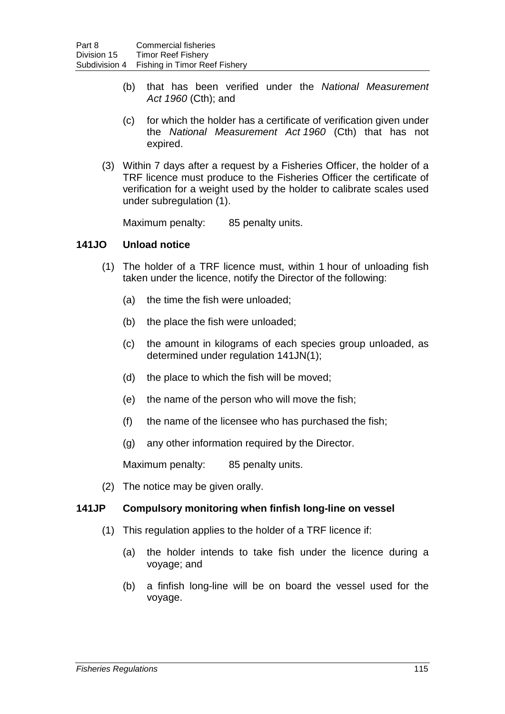- (b) that has been verified under the *National Measurement Act 1960* (Cth); and
- (c) for which the holder has a certificate of verification given under the *National Measurement Act 1960* (Cth) that has not expired.
- (3) Within 7 days after a request by a Fisheries Officer, the holder of a TRF licence must produce to the Fisheries Officer the certificate of verification for a weight used by the holder to calibrate scales used under subregulation (1).

Maximum penalty: 85 penalty units.

### **141JO Unload notice**

- (1) The holder of a TRF licence must, within 1 hour of unloading fish taken under the licence, notify the Director of the following:
	- (a) the time the fish were unloaded;
	- (b) the place the fish were unloaded;
	- (c) the amount in kilograms of each species group unloaded, as determined under regulation 141JN(1);
	- (d) the place to which the fish will be moved;
	- (e) the name of the person who will move the fish;
	- (f) the name of the licensee who has purchased the fish;
	- (g) any other information required by the Director.

Maximum penalty: 85 penalty units.

(2) The notice may be given orally.

### **141JP Compulsory monitoring when finfish long-line on vessel**

- (1) This regulation applies to the holder of a TRF licence if:
	- (a) the holder intends to take fish under the licence during a voyage; and
	- (b) a finfish long-line will be on board the vessel used for the voyage.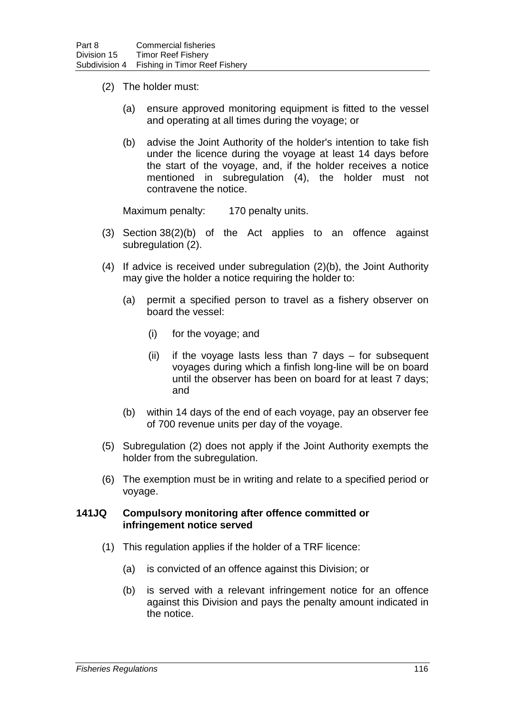- (2) The holder must:
	- (a) ensure approved monitoring equipment is fitted to the vessel and operating at all times during the voyage; or
	- (b) advise the Joint Authority of the holder's intention to take fish under the licence during the voyage at least 14 days before the start of the voyage, and, if the holder receives a notice mentioned in subregulation (4), the holder must not contravene the notice.

Maximum penalty: 170 penalty units.

- (3) Section 38(2)(b) of the Act applies to an offence against subregulation (2).
- (4) If advice is received under subregulation (2)(b), the Joint Authority may give the holder a notice requiring the holder to:
	- (a) permit a specified person to travel as a fishery observer on board the vessel:
		- (i) for the voyage; and
		- (ii) if the voyage lasts less than 7 days for subsequent voyages during which a finfish long-line will be on board until the observer has been on board for at least 7 days; and
	- (b) within 14 days of the end of each voyage, pay an observer fee of 700 revenue units per day of the voyage.
- (5) Subregulation (2) does not apply if the Joint Authority exempts the holder from the subregulation.
- (6) The exemption must be in writing and relate to a specified period or voyage.

#### **141JQ Compulsory monitoring after offence committed or infringement notice served**

- (1) This regulation applies if the holder of a TRF licence:
	- (a) is convicted of an offence against this Division; or
	- (b) is served with a relevant infringement notice for an offence against this Division and pays the penalty amount indicated in the notice.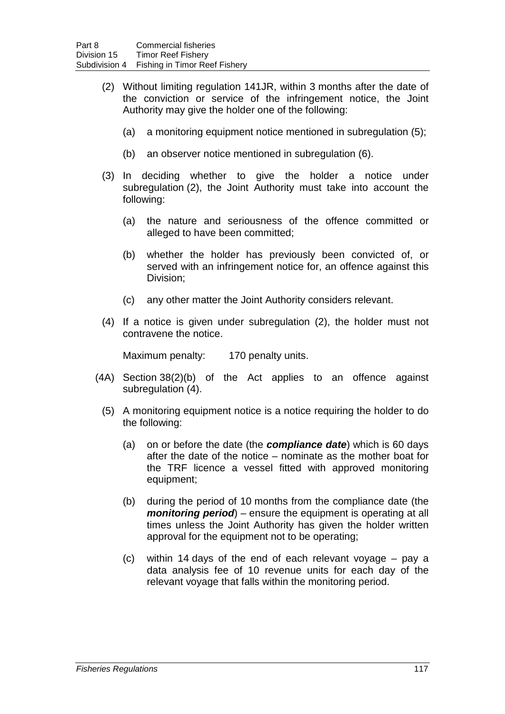- (2) Without limiting regulation 141JR, within 3 months after the date of the conviction or service of the infringement notice, the Joint Authority may give the holder one of the following:
	- (a) a monitoring equipment notice mentioned in subregulation (5);
	- (b) an observer notice mentioned in subregulation (6).
- (3) In deciding whether to give the holder a notice under subregulation (2), the Joint Authority must take into account the following:
	- (a) the nature and seriousness of the offence committed or alleged to have been committed;
	- (b) whether the holder has previously been convicted of, or served with an infringement notice for, an offence against this Division;
	- (c) any other matter the Joint Authority considers relevant.
- (4) If a notice is given under subregulation (2), the holder must not contravene the notice.

Maximum penalty: 170 penalty units.

- (4A) Section 38(2)(b) of the Act applies to an offence against subregulation (4).
	- (5) A monitoring equipment notice is a notice requiring the holder to do the following:
		- (a) on or before the date (the *compliance date*) which is 60 days after the date of the notice – nominate as the mother boat for the TRF licence a vessel fitted with approved monitoring equipment;
		- (b) during the period of 10 months from the compliance date (the *monitoring period*) – ensure the equipment is operating at all times unless the Joint Authority has given the holder written approval for the equipment not to be operating;
		- (c) within 14 days of the end of each relevant voyage pay a data analysis fee of 10 revenue units for each day of the relevant voyage that falls within the monitoring period.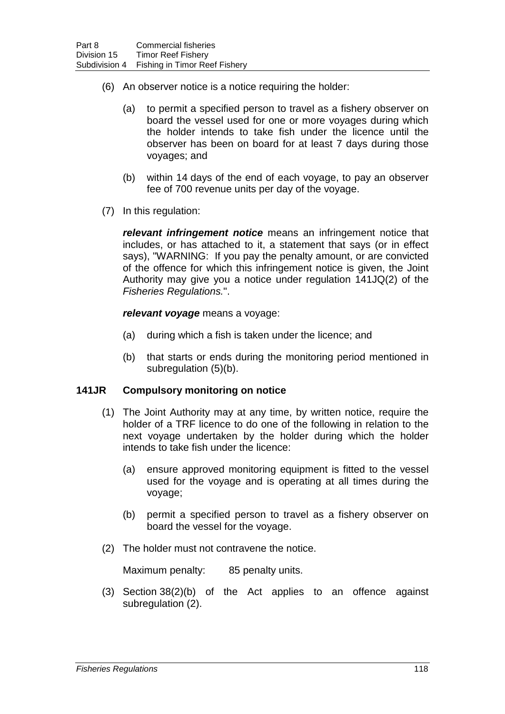- (6) An observer notice is a notice requiring the holder:
	- (a) to permit a specified person to travel as a fishery observer on board the vessel used for one or more voyages during which the holder intends to take fish under the licence until the observer has been on board for at least 7 days during those voyages; and
	- (b) within 14 days of the end of each voyage, to pay an observer fee of 700 revenue units per day of the voyage.
- (7) In this regulation:

*relevant infringement notice* means an infringement notice that includes, or has attached to it, a statement that says (or in effect says), "WARNING: If you pay the penalty amount, or are convicted of the offence for which this infringement notice is given, the Joint Authority may give you a notice under regulation 141JQ(2) of the *Fisheries Regulations.*".

#### *relevant voyage* means a voyage:

- (a) during which a fish is taken under the licence; and
- (b) that starts or ends during the monitoring period mentioned in subregulation (5)(b).

### **141JR Compulsory monitoring on notice**

- (1) The Joint Authority may at any time, by written notice, require the holder of a TRF licence to do one of the following in relation to the next voyage undertaken by the holder during which the holder intends to take fish under the licence:
	- (a) ensure approved monitoring equipment is fitted to the vessel used for the voyage and is operating at all times during the voyage;
	- (b) permit a specified person to travel as a fishery observer on board the vessel for the voyage.
- (2) The holder must not contravene the notice.

Maximum penalty: 85 penalty units.

(3) Section 38(2)(b) of the Act applies to an offence against subregulation (2).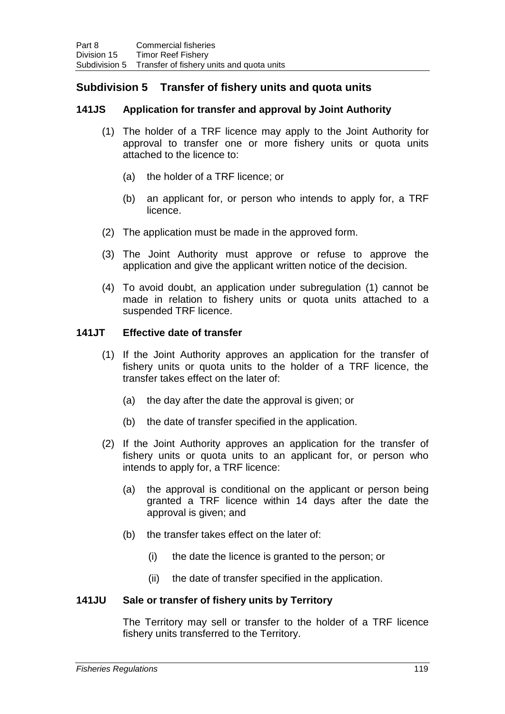# **Subdivision 5 Transfer of fishery units and quota units**

## **141JS Application for transfer and approval by Joint Authority**

- (1) The holder of a TRF licence may apply to the Joint Authority for approval to transfer one or more fishery units or quota units attached to the licence to:
	- (a) the holder of a TRF licence; or
	- (b) an applicant for, or person who intends to apply for, a TRF licence.
- (2) The application must be made in the approved form.
- (3) The Joint Authority must approve or refuse to approve the application and give the applicant written notice of the decision.
- (4) To avoid doubt, an application under subregulation (1) cannot be made in relation to fishery units or quota units attached to a suspended TRF licence.

#### **141JT Effective date of transfer**

- (1) If the Joint Authority approves an application for the transfer of fishery units or quota units to the holder of a TRF licence, the transfer takes effect on the later of:
	- (a) the day after the date the approval is given; or
	- (b) the date of transfer specified in the application.
- (2) If the Joint Authority approves an application for the transfer of fishery units or quota units to an applicant for, or person who intends to apply for, a TRF licence:
	- (a) the approval is conditional on the applicant or person being granted a TRF licence within 14 days after the date the approval is given; and
	- (b) the transfer takes effect on the later of:
		- (i) the date the licence is granted to the person; or
		- (ii) the date of transfer specified in the application.

#### **141JU Sale or transfer of fishery units by Territory**

The Territory may sell or transfer to the holder of a TRF licence fishery units transferred to the Territory.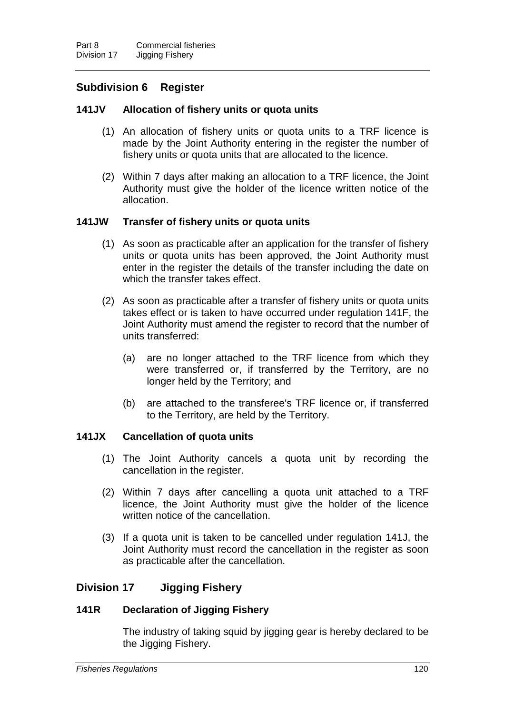# **Subdivision 6 Register**

## **141JV Allocation of fishery units or quota units**

- (1) An allocation of fishery units or quota units to a TRF licence is made by the Joint Authority entering in the register the number of fishery units or quota units that are allocated to the licence.
- (2) Within 7 days after making an allocation to a TRF licence, the Joint Authority must give the holder of the licence written notice of the allocation.

## **141JW Transfer of fishery units or quota units**

- (1) As soon as practicable after an application for the transfer of fishery units or quota units has been approved, the Joint Authority must enter in the register the details of the transfer including the date on which the transfer takes effect.
- (2) As soon as practicable after a transfer of fishery units or quota units takes effect or is taken to have occurred under regulation 141F, the Joint Authority must amend the register to record that the number of units transferred:
	- (a) are no longer attached to the TRF licence from which they were transferred or, if transferred by the Territory, are no longer held by the Territory; and
	- (b) are attached to the transferee's TRF licence or, if transferred to the Territory, are held by the Territory.

### **141JX Cancellation of quota units**

- (1) The Joint Authority cancels a quota unit by recording the cancellation in the register.
- (2) Within 7 days after cancelling a quota unit attached to a TRF licence, the Joint Authority must give the holder of the licence written notice of the cancellation.
- (3) If a quota unit is taken to be cancelled under regulation 141J, the Joint Authority must record the cancellation in the register as soon as practicable after the cancellation.

# **Division 17 Jigging Fishery**

### **141R Declaration of Jigging Fishery**

The industry of taking squid by jigging gear is hereby declared to be the Jigging Fishery.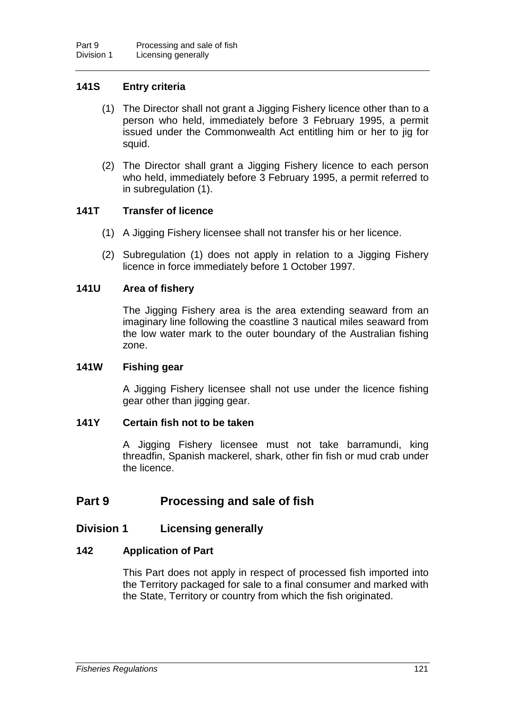# **141S Entry criteria**

- (1) The Director shall not grant a Jigging Fishery licence other than to a person who held, immediately before 3 February 1995, a permit issued under the Commonwealth Act entitling him or her to jig for squid.
- (2) The Director shall grant a Jigging Fishery licence to each person who held, immediately before 3 February 1995, a permit referred to in subregulation (1).

### **141T Transfer of licence**

- (1) A Jigging Fishery licensee shall not transfer his or her licence.
- (2) Subregulation (1) does not apply in relation to a Jigging Fishery licence in force immediately before 1 October 1997.

### **141U Area of fishery**

The Jigging Fishery area is the area extending seaward from an imaginary line following the coastline 3 nautical miles seaward from the low water mark to the outer boundary of the Australian fishing zone.

### **141W Fishing gear**

A Jigging Fishery licensee shall not use under the licence fishing gear other than jigging gear.

## **141Y Certain fish not to be taken**

A Jigging Fishery licensee must not take barramundi, king threadfin, Spanish mackerel, shark, other fin fish or mud crab under the licence.

# **Part 9 Processing and sale of fish**

### **Division 1 Licensing generally**

### **142 Application of Part**

This Part does not apply in respect of processed fish imported into the Territory packaged for sale to a final consumer and marked with the State, Territory or country from which the fish originated.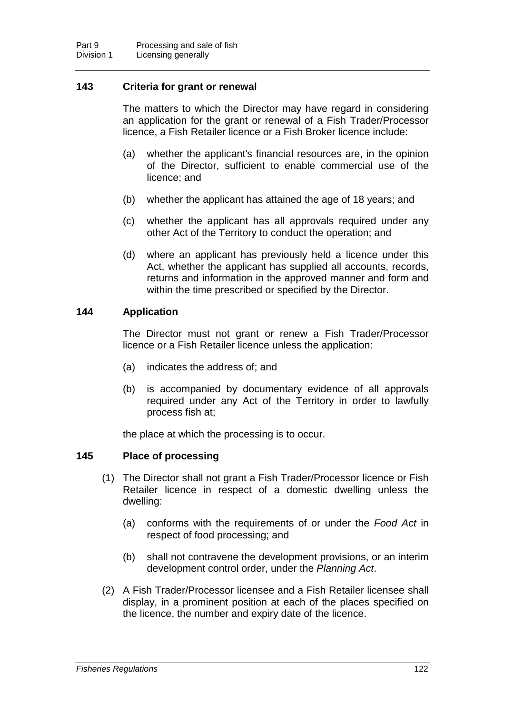## **143 Criteria for grant or renewal**

The matters to which the Director may have regard in considering an application for the grant or renewal of a Fish Trader/Processor licence, a Fish Retailer licence or a Fish Broker licence include:

- (a) whether the applicant's financial resources are, in the opinion of the Director, sufficient to enable commercial use of the licence; and
- (b) whether the applicant has attained the age of 18 years; and
- (c) whether the applicant has all approvals required under any other Act of the Territory to conduct the operation; and
- (d) where an applicant has previously held a licence under this Act, whether the applicant has supplied all accounts, records, returns and information in the approved manner and form and within the time prescribed or specified by the Director.

## **144 Application**

The Director must not grant or renew a Fish Trader/Processor licence or a Fish Retailer licence unless the application:

- (a) indicates the address of; and
- (b) is accompanied by documentary evidence of all approvals required under any Act of the Territory in order to lawfully process fish at;

the place at which the processing is to occur.

### **145 Place of processing**

- (1) The Director shall not grant a Fish Trader/Processor licence or Fish Retailer licence in respect of a domestic dwelling unless the dwelling:
	- (a) conforms with the requirements of or under the *Food Act* in respect of food processing; and
	- (b) shall not contravene the development provisions, or an interim development control order, under the *Planning Act*.
- (2) A Fish Trader/Processor licensee and a Fish Retailer licensee shall display, in a prominent position at each of the places specified on the licence, the number and expiry date of the licence.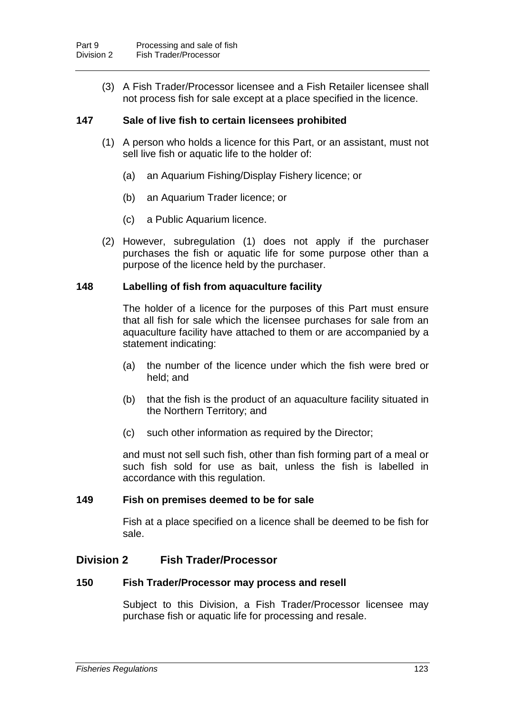(3) A Fish Trader/Processor licensee and a Fish Retailer licensee shall not process fish for sale except at a place specified in the licence.

### **147 Sale of live fish to certain licensees prohibited**

- (1) A person who holds a licence for this Part, or an assistant, must not sell live fish or aquatic life to the holder of:
	- (a) an Aquarium Fishing/Display Fishery licence; or
	- (b) an Aquarium Trader licence; or
	- (c) a Public Aquarium licence.
- (2) However, subregulation (1) does not apply if the purchaser purchases the fish or aquatic life for some purpose other than a purpose of the licence held by the purchaser.

#### **148 Labelling of fish from aquaculture facility**

The holder of a licence for the purposes of this Part must ensure that all fish for sale which the licensee purchases for sale from an aquaculture facility have attached to them or are accompanied by a statement indicating:

- (a) the number of the licence under which the fish were bred or held; and
- (b) that the fish is the product of an aquaculture facility situated in the Northern Territory; and
- (c) such other information as required by the Director;

and must not sell such fish, other than fish forming part of a meal or such fish sold for use as bait, unless the fish is labelled in accordance with this regulation.

#### **149 Fish on premises deemed to be for sale**

Fish at a place specified on a licence shall be deemed to be fish for sale.

# **Division 2 Fish Trader/Processor**

#### **150 Fish Trader/Processor may process and resell**

Subject to this Division, a Fish Trader/Processor licensee may purchase fish or aquatic life for processing and resale.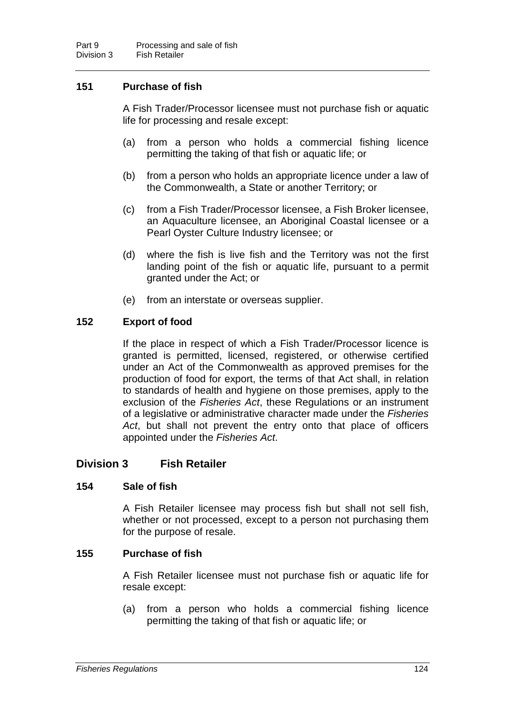## **151 Purchase of fish**

A Fish Trader/Processor licensee must not purchase fish or aquatic life for processing and resale except:

- (a) from a person who holds a commercial fishing licence permitting the taking of that fish or aquatic life; or
- (b) from a person who holds an appropriate licence under a law of the Commonwealth, a State or another Territory; or
- (c) from a Fish Trader/Processor licensee, a Fish Broker licensee, an Aquaculture licensee, an Aboriginal Coastal licensee or a Pearl Oyster Culture Industry licensee; or
- (d) where the fish is live fish and the Territory was not the first landing point of the fish or aquatic life, pursuant to a permit granted under the Act; or
- (e) from an interstate or overseas supplier.

### **152 Export of food**

If the place in respect of which a Fish Trader/Processor licence is granted is permitted, licensed, registered, or otherwise certified under an Act of the Commonwealth as approved premises for the production of food for export, the terms of that Act shall, in relation to standards of health and hygiene on those premises, apply to the exclusion of the *Fisheries Act*, these Regulations or an instrument of a legislative or administrative character made under the *Fisheries Act*, but shall not prevent the entry onto that place of officers appointed under the *Fisheries Act*.

### **Division 3 Fish Retailer**

### **154 Sale of fish**

A Fish Retailer licensee may process fish but shall not sell fish, whether or not processed, except to a person not purchasing them for the purpose of resale.

## **155 Purchase of fish**

A Fish Retailer licensee must not purchase fish or aquatic life for resale except:

(a) from a person who holds a commercial fishing licence permitting the taking of that fish or aquatic life; or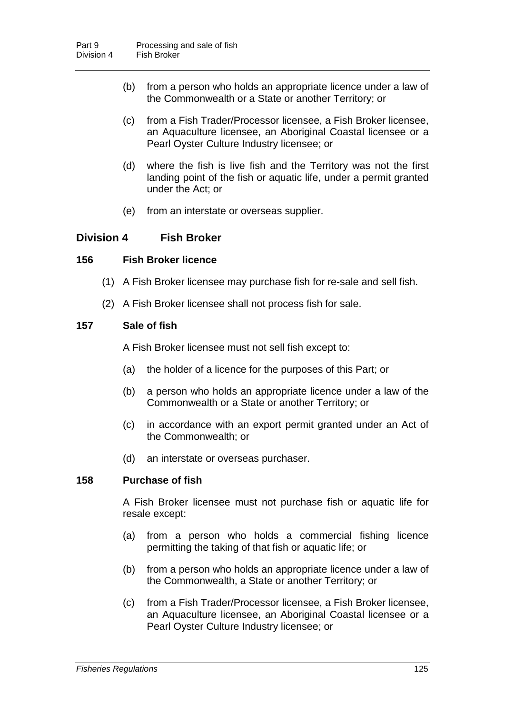- (b) from a person who holds an appropriate licence under a law of the Commonwealth or a State or another Territory; or
- (c) from a Fish Trader/Processor licensee, a Fish Broker licensee, an Aquaculture licensee, an Aboriginal Coastal licensee or a Pearl Oyster Culture Industry licensee; or
- (d) where the fish is live fish and the Territory was not the first landing point of the fish or aquatic life, under a permit granted under the Act; or
- (e) from an interstate or overseas supplier.

# **Division 4 Fish Broker**

### **156 Fish Broker licence**

- (1) A Fish Broker licensee may purchase fish for re-sale and sell fish.
- (2) A Fish Broker licensee shall not process fish for sale.

#### **157 Sale of fish**

A Fish Broker licensee must not sell fish except to:

- (a) the holder of a licence for the purposes of this Part; or
- (b) a person who holds an appropriate licence under a law of the Commonwealth or a State or another Territory; or
- (c) in accordance with an export permit granted under an Act of the Commonwealth; or
- (d) an interstate or overseas purchaser.

## **158 Purchase of fish**

A Fish Broker licensee must not purchase fish or aquatic life for resale except:

- (a) from a person who holds a commercial fishing licence permitting the taking of that fish or aquatic life; or
- (b) from a person who holds an appropriate licence under a law of the Commonwealth, a State or another Territory; or
- (c) from a Fish Trader/Processor licensee, a Fish Broker licensee, an Aquaculture licensee, an Aboriginal Coastal licensee or a Pearl Oyster Culture Industry licensee; or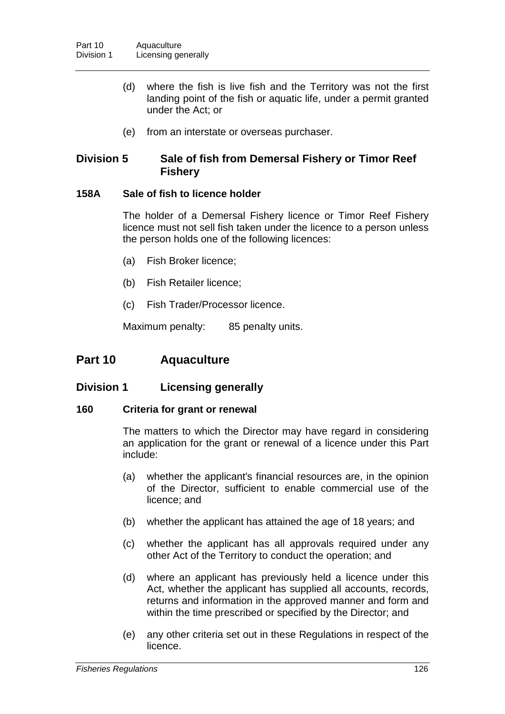- (d) where the fish is live fish and the Territory was not the first landing point of the fish or aquatic life, under a permit granted under the Act; or
- (e) from an interstate or overseas purchaser.

# **Division 5 Sale of fish from Demersal Fishery or Timor Reef Fishery**

## **158A Sale of fish to licence holder**

The holder of a Demersal Fishery licence or Timor Reef Fishery licence must not sell fish taken under the licence to a person unless the person holds one of the following licences:

- (a) Fish Broker licence;
- (b) Fish Retailer licence;
- (c) Fish Trader/Processor licence.

Maximum penalty: 85 penalty units.

# **Part 10 Aquaculture**

# **Division 1 Licensing generally**

### **160 Criteria for grant or renewal**

The matters to which the Director may have regard in considering an application for the grant or renewal of a licence under this Part include:

- (a) whether the applicant's financial resources are, in the opinion of the Director, sufficient to enable commercial use of the licence; and
- (b) whether the applicant has attained the age of 18 years; and
- (c) whether the applicant has all approvals required under any other Act of the Territory to conduct the operation; and
- (d) where an applicant has previously held a licence under this Act, whether the applicant has supplied all accounts, records, returns and information in the approved manner and form and within the time prescribed or specified by the Director; and
- (e) any other criteria set out in these Regulations in respect of the licence.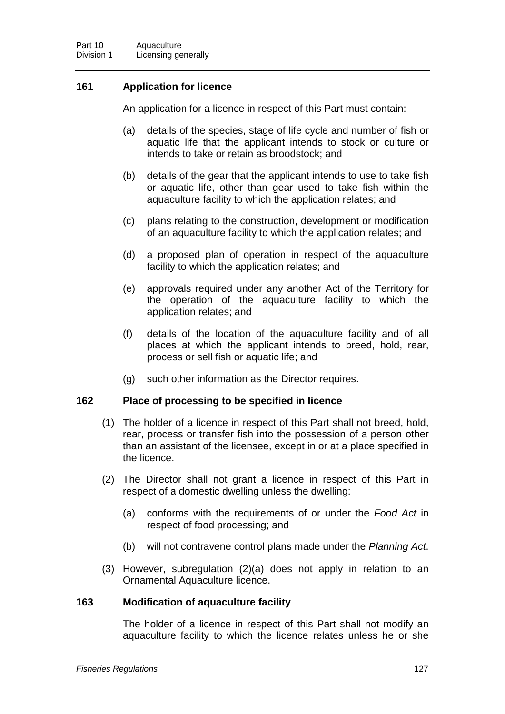## **161 Application for licence**

An application for a licence in respect of this Part must contain:

- (a) details of the species, stage of life cycle and number of fish or aquatic life that the applicant intends to stock or culture or intends to take or retain as broodstock; and
- (b) details of the gear that the applicant intends to use to take fish or aquatic life, other than gear used to take fish within the aquaculture facility to which the application relates; and
- (c) plans relating to the construction, development or modification of an aquaculture facility to which the application relates; and
- (d) a proposed plan of operation in respect of the aquaculture facility to which the application relates; and
- (e) approvals required under any another Act of the Territory for the operation of the aquaculture facility to which the application relates; and
- (f) details of the location of the aquaculture facility and of all places at which the applicant intends to breed, hold, rear, process or sell fish or aquatic life; and
- (g) such other information as the Director requires.

#### **162 Place of processing to be specified in licence**

- (1) The holder of a licence in respect of this Part shall not breed, hold, rear, process or transfer fish into the possession of a person other than an assistant of the licensee, except in or at a place specified in the licence.
- (2) The Director shall not grant a licence in respect of this Part in respect of a domestic dwelling unless the dwelling:
	- (a) conforms with the requirements of or under the *Food Act* in respect of food processing; and
	- (b) will not contravene control plans made under the *Planning Act*.
- (3) However, subregulation (2)(a) does not apply in relation to an Ornamental Aquaculture licence.

### **163 Modification of aquaculture facility**

The holder of a licence in respect of this Part shall not modify an aquaculture facility to which the licence relates unless he or she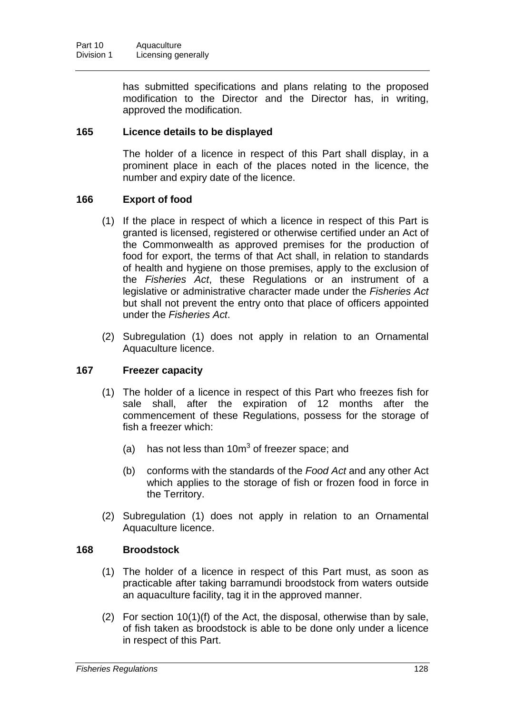has submitted specifications and plans relating to the proposed modification to the Director and the Director has, in writing, approved the modification.

## **165 Licence details to be displayed**

The holder of a licence in respect of this Part shall display, in a prominent place in each of the places noted in the licence, the number and expiry date of the licence.

## **166 Export of food**

- (1) If the place in respect of which a licence in respect of this Part is granted is licensed, registered or otherwise certified under an Act of the Commonwealth as approved premises for the production of food for export, the terms of that Act shall, in relation to standards of health and hygiene on those premises, apply to the exclusion of the *Fisheries Act*, these Regulations or an instrument of a legislative or administrative character made under the *Fisheries Act* but shall not prevent the entry onto that place of officers appointed under the *Fisheries Act*.
- (2) Subregulation (1) does not apply in relation to an Ornamental Aquaculture licence.

### **167 Freezer capacity**

- (1) The holder of a licence in respect of this Part who freezes fish for sale shall, after the expiration of 12 months after the commencement of these Regulations, possess for the storage of fish a freezer which:
	- (a) has not less than  $10m<sup>3</sup>$  of freezer space; and
	- (b) conforms with the standards of the *Food Act* and any other Act which applies to the storage of fish or frozen food in force in the Territory.
- (2) Subregulation (1) does not apply in relation to an Ornamental Aquaculture licence.

### **168 Broodstock**

- (1) The holder of a licence in respect of this Part must, as soon as practicable after taking barramundi broodstock from waters outside an aquaculture facility, tag it in the approved manner.
- (2) For section 10(1)(f) of the Act, the disposal, otherwise than by sale, of fish taken as broodstock is able to be done only under a licence in respect of this Part.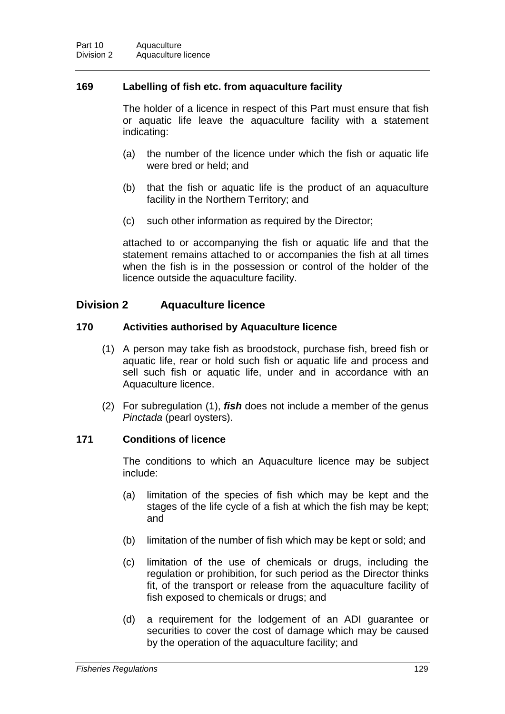### **169 Labelling of fish etc. from aquaculture facility**

The holder of a licence in respect of this Part must ensure that fish or aquatic life leave the aquaculture facility with a statement indicating:

- (a) the number of the licence under which the fish or aquatic life were bred or held; and
- (b) that the fish or aquatic life is the product of an aquaculture facility in the Northern Territory; and
- (c) such other information as required by the Director;

attached to or accompanying the fish or aquatic life and that the statement remains attached to or accompanies the fish at all times when the fish is in the possession or control of the holder of the licence outside the aquaculture facility.

# **Division 2 Aquaculture licence**

# **170 Activities authorised by Aquaculture licence**

- (1) A person may take fish as broodstock, purchase fish, breed fish or aquatic life, rear or hold such fish or aquatic life and process and sell such fish or aquatic life, under and in accordance with an Aquaculture licence.
- (2) For subregulation (1), *fish* does not include a member of the genus *Pinctada* (pearl oysters).

### **171 Conditions of licence**

The conditions to which an Aquaculture licence may be subject include:

- (a) limitation of the species of fish which may be kept and the stages of the life cycle of a fish at which the fish may be kept; and
- (b) limitation of the number of fish which may be kept or sold; and
- (c) limitation of the use of chemicals or drugs, including the regulation or prohibition, for such period as the Director thinks fit, of the transport or release from the aquaculture facility of fish exposed to chemicals or drugs; and
- (d) a requirement for the lodgement of an ADI guarantee or securities to cover the cost of damage which may be caused by the operation of the aquaculture facility; and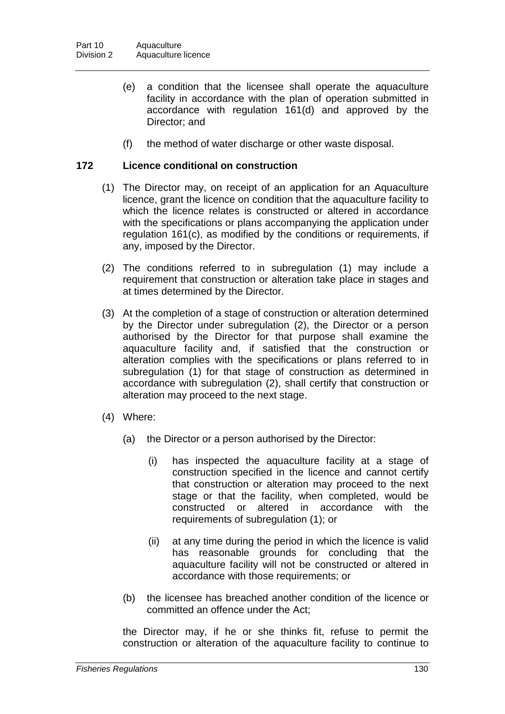- (e) a condition that the licensee shall operate the aquaculture facility in accordance with the plan of operation submitted in accordance with regulation 161(d) and approved by the Director; and
- (f) the method of water discharge or other waste disposal.

### **172 Licence conditional on construction**

- (1) The Director may, on receipt of an application for an Aquaculture licence, grant the licence on condition that the aquaculture facility to which the licence relates is constructed or altered in accordance with the specifications or plans accompanying the application under regulation 161(c), as modified by the conditions or requirements, if any, imposed by the Director.
- (2) The conditions referred to in subregulation (1) may include a requirement that construction or alteration take place in stages and at times determined by the Director.
- (3) At the completion of a stage of construction or alteration determined by the Director under subregulation (2), the Director or a person authorised by the Director for that purpose shall examine the aquaculture facility and, if satisfied that the construction or alteration complies with the specifications or plans referred to in subregulation (1) for that stage of construction as determined in accordance with subregulation (2), shall certify that construction or alteration may proceed to the next stage.
- (4) Where:
	- (a) the Director or a person authorised by the Director:
		- (i) has inspected the aquaculture facility at a stage of construction specified in the licence and cannot certify that construction or alteration may proceed to the next stage or that the facility, when completed, would be constructed or altered in accordance with the requirements of subregulation (1); or
		- (ii) at any time during the period in which the licence is valid has reasonable grounds for concluding that the aquaculture facility will not be constructed or altered in accordance with those requirements; or
	- (b) the licensee has breached another condition of the licence or committed an offence under the Act;

the Director may, if he or she thinks fit, refuse to permit the construction or alteration of the aquaculture facility to continue to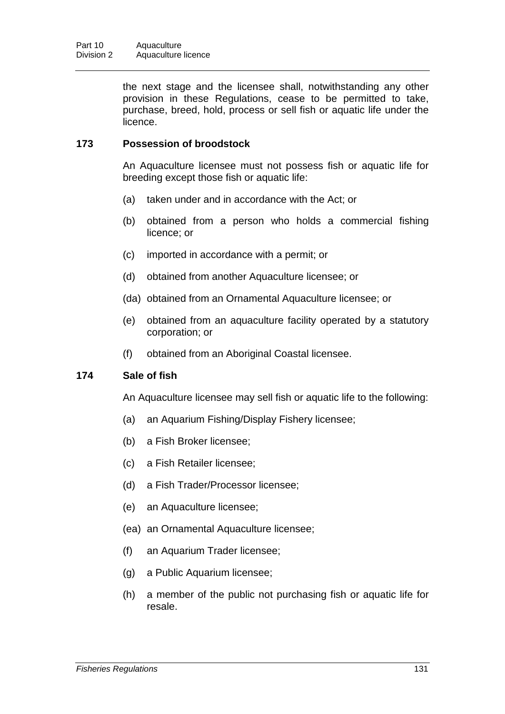the next stage and the licensee shall, notwithstanding any other provision in these Regulations, cease to be permitted to take, purchase, breed, hold, process or sell fish or aquatic life under the licence.

# **173 Possession of broodstock**

An Aquaculture licensee must not possess fish or aquatic life for breeding except those fish or aquatic life:

- (a) taken under and in accordance with the Act; or
- (b) obtained from a person who holds a commercial fishing licence; or
- (c) imported in accordance with a permit; or
- (d) obtained from another Aquaculture licensee; or
- (da) obtained from an Ornamental Aquaculture licensee; or
- (e) obtained from an aquaculture facility operated by a statutory corporation; or
- (f) obtained from an Aboriginal Coastal licensee.

### **174 Sale of fish**

An Aquaculture licensee may sell fish or aquatic life to the following:

- (a) an Aquarium Fishing/Display Fishery licensee;
- (b) a Fish Broker licensee;
- (c) a Fish Retailer licensee;
- (d) a Fish Trader/Processor licensee;
- (e) an Aquaculture licensee;
- (ea) an Ornamental Aquaculture licensee;
- (f) an Aquarium Trader licensee;
- (g) a Public Aquarium licensee;
- (h) a member of the public not purchasing fish or aquatic life for resale.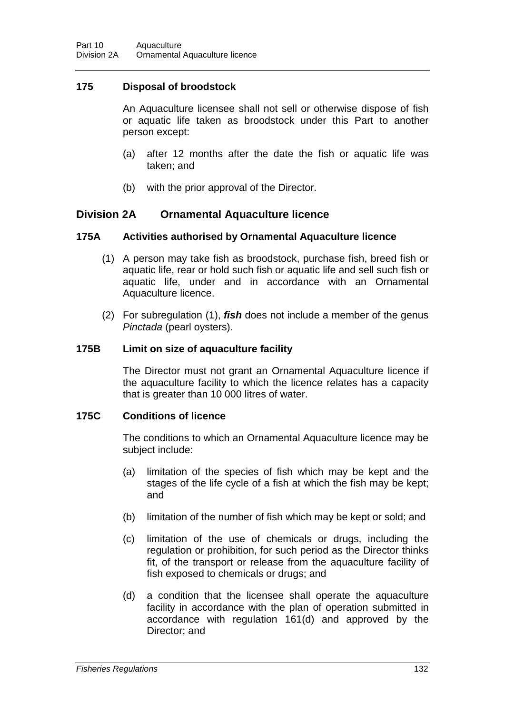# **175 Disposal of broodstock**

An Aquaculture licensee shall not sell or otherwise dispose of fish or aquatic life taken as broodstock under this Part to another person except:

- (a) after 12 months after the date the fish or aquatic life was taken; and
- (b) with the prior approval of the Director.

# **Division 2A Ornamental Aquaculture licence**

# **175A Activities authorised by Ornamental Aquaculture licence**

- (1) A person may take fish as broodstock, purchase fish, breed fish or aquatic life, rear or hold such fish or aquatic life and sell such fish or aquatic life, under and in accordance with an Ornamental Aquaculture licence.
- (2) For subregulation (1), *fish* does not include a member of the genus *Pinctada* (pearl oysters).

### **175B Limit on size of aquaculture facility**

The Director must not grant an Ornamental Aquaculture licence if the aquaculture facility to which the licence relates has a capacity that is greater than 10 000 litres of water.

# **175C Conditions of licence**

The conditions to which an Ornamental Aquaculture licence may be subject include:

- (a) limitation of the species of fish which may be kept and the stages of the life cycle of a fish at which the fish may be kept; and
- (b) limitation of the number of fish which may be kept or sold; and
- (c) limitation of the use of chemicals or drugs, including the regulation or prohibition, for such period as the Director thinks fit, of the transport or release from the aquaculture facility of fish exposed to chemicals or drugs; and
- (d) a condition that the licensee shall operate the aquaculture facility in accordance with the plan of operation submitted in accordance with regulation 161(d) and approved by the Director; and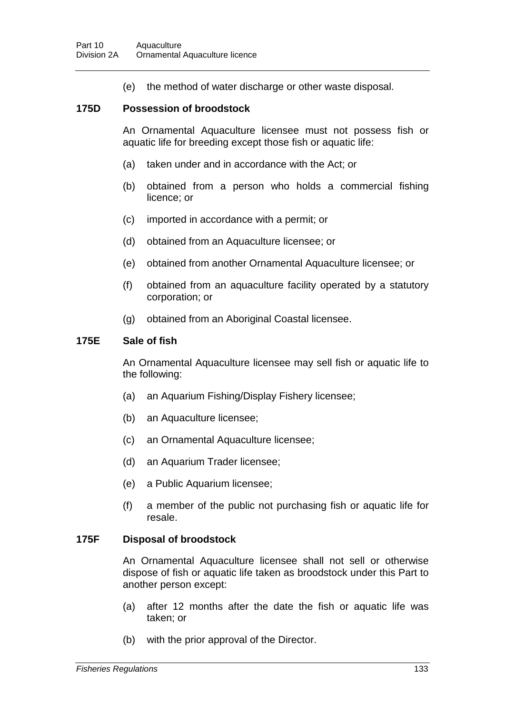(e) the method of water discharge or other waste disposal.

### **175D Possession of broodstock**

An Ornamental Aquaculture licensee must not possess fish or aquatic life for breeding except those fish or aquatic life:

- (a) taken under and in accordance with the Act; or
- (b) obtained from a person who holds a commercial fishing licence; or
- (c) imported in accordance with a permit; or
- (d) obtained from an Aquaculture licensee; or
- (e) obtained from another Ornamental Aquaculture licensee; or
- (f) obtained from an aquaculture facility operated by a statutory corporation; or
- (g) obtained from an Aboriginal Coastal licensee.

### **175E Sale of fish**

An Ornamental Aquaculture licensee may sell fish or aquatic life to the following:

- (a) an Aquarium Fishing/Display Fishery licensee;
- (b) an Aquaculture licensee;
- (c) an Ornamental Aquaculture licensee;
- (d) an Aquarium Trader licensee;
- (e) a Public Aquarium licensee;
- (f) a member of the public not purchasing fish or aquatic life for resale.

### **175F Disposal of broodstock**

An Ornamental Aquaculture licensee shall not sell or otherwise dispose of fish or aquatic life taken as broodstock under this Part to another person except:

- (a) after 12 months after the date the fish or aquatic life was taken; or
- (b) with the prior approval of the Director.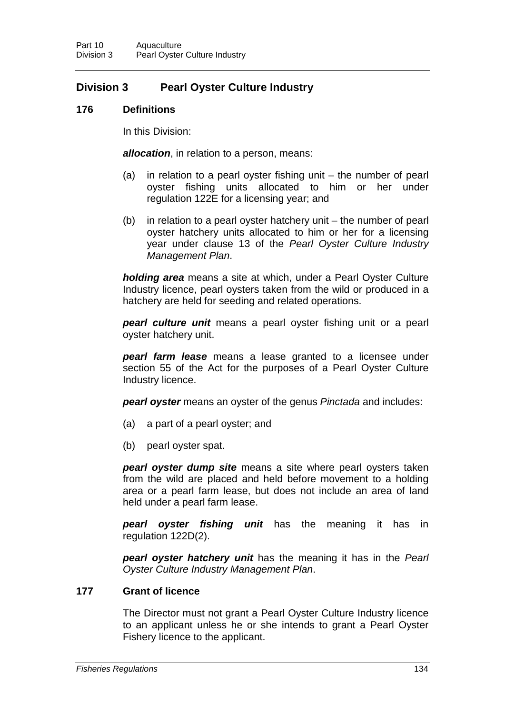# **Division 3 Pearl Oyster Culture Industry**

# **176 Definitions**

In this Division:

*allocation*, in relation to a person, means:

- (a) in relation to a pearl oyster fishing unit the number of pearl oyster fishing units allocated to him or her under regulation 122E for a licensing year; and
- (b) in relation to a pearl oyster hatchery unit the number of pearl oyster hatchery units allocated to him or her for a licensing year under clause 13 of the *Pearl Oyster Culture Industry Management Plan*.

*holding area* means a site at which, under a Pearl Oyster Culture Industry licence, pearl oysters taken from the wild or produced in a hatchery are held for seeding and related operations.

*pearl culture unit* means a pearl oyster fishing unit or a pearl oyster hatchery unit.

*pearl farm lease* means a lease granted to a licensee under section 55 of the Act for the purposes of a Pearl Oyster Culture Industry licence.

*pearl oyster* means an oyster of the genus *Pinctada* and includes:

- (a) a part of a pearl oyster; and
- (b) pearl oyster spat.

*pearl oyster dump site* means a site where pearl oysters taken from the wild are placed and held before movement to a holding area or a pearl farm lease, but does not include an area of land held under a pearl farm lease.

*pearl oyster fishing unit* has the meaning it has in regulation 122D(2).

*pearl oyster hatchery unit* has the meaning it has in the *Pearl Oyster Culture Industry Management Plan*.

### **177 Grant of licence**

The Director must not grant a Pearl Oyster Culture Industry licence to an applicant unless he or she intends to grant a Pearl Oyster Fishery licence to the applicant.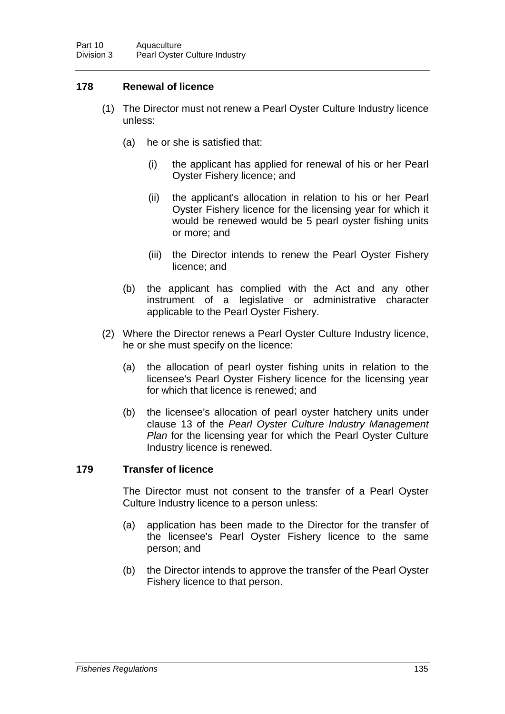# **178 Renewal of licence**

- (1) The Director must not renew a Pearl Oyster Culture Industry licence unless:
	- (a) he or she is satisfied that:
		- (i) the applicant has applied for renewal of his or her Pearl Oyster Fishery licence; and
		- (ii) the applicant's allocation in relation to his or her Pearl Oyster Fishery licence for the licensing year for which it would be renewed would be 5 pearl oyster fishing units or more; and
		- (iii) the Director intends to renew the Pearl Oyster Fishery licence; and
	- (b) the applicant has complied with the Act and any other instrument of a legislative or administrative character applicable to the Pearl Oyster Fishery.
- (2) Where the Director renews a Pearl Oyster Culture Industry licence, he or she must specify on the licence:
	- (a) the allocation of pearl oyster fishing units in relation to the licensee's Pearl Oyster Fishery licence for the licensing year for which that licence is renewed; and
	- (b) the licensee's allocation of pearl oyster hatchery units under clause 13 of the *Pearl Oyster Culture Industry Management Plan* for the licensing year for which the Pearl Oyster Culture Industry licence is renewed.

### **179 Transfer of licence**

The Director must not consent to the transfer of a Pearl Oyster Culture Industry licence to a person unless:

- (a) application has been made to the Director for the transfer of the licensee's Pearl Oyster Fishery licence to the same person; and
- (b) the Director intends to approve the transfer of the Pearl Oyster Fishery licence to that person.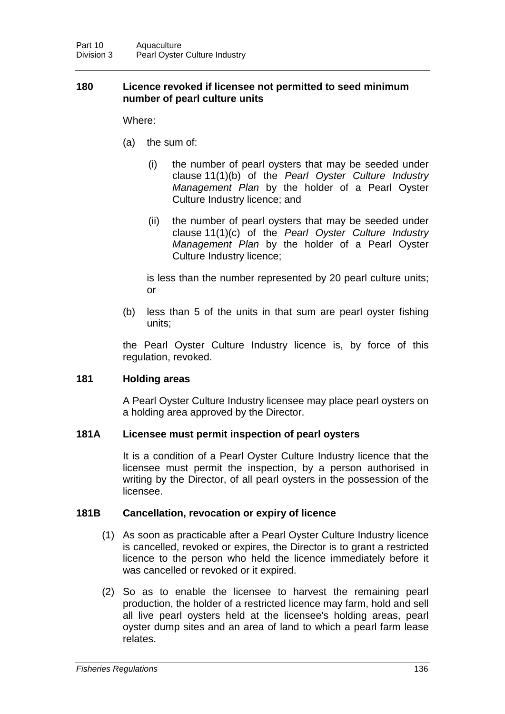### **180 Licence revoked if licensee not permitted to seed minimum number of pearl culture units**

Where:

- (a) the sum of:
	- (i) the number of pearl oysters that may be seeded under clause 11(1)(b) of the *Pearl Oyster Culture Industry Management Plan* by the holder of a Pearl Oyster Culture Industry licence; and
	- (ii) the number of pearl oysters that may be seeded under clause 11(1)(c) of the *Pearl Oyster Culture Industry Management Plan* by the holder of a Pearl Oyster Culture Industry licence;

is less than the number represented by 20 pearl culture units; or

(b) less than 5 of the units in that sum are pearl oyster fishing units;

the Pearl Oyster Culture Industry licence is, by force of this regulation, revoked.

### **181 Holding areas**

A Pearl Oyster Culture Industry licensee may place pearl oysters on a holding area approved by the Director.

# **181A Licensee must permit inspection of pearl oysters**

It is a condition of a Pearl Oyster Culture Industry licence that the licensee must permit the inspection, by a person authorised in writing by the Director, of all pearl oysters in the possession of the licensee.

### **181B Cancellation, revocation or expiry of licence**

- (1) As soon as practicable after a Pearl Oyster Culture Industry licence is cancelled, revoked or expires, the Director is to grant a restricted licence to the person who held the licence immediately before it was cancelled or revoked or it expired.
- (2) So as to enable the licensee to harvest the remaining pearl production, the holder of a restricted licence may farm, hold and sell all live pearl oysters held at the licensee's holding areas, pearl oyster dump sites and an area of land to which a pearl farm lease relates.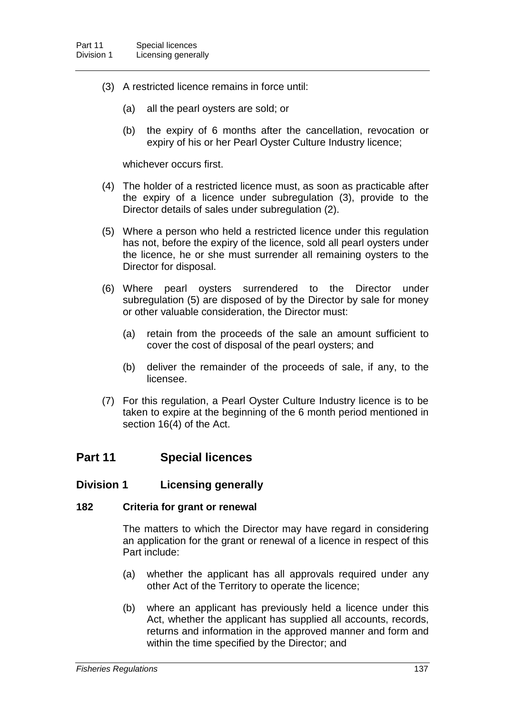- (3) A restricted licence remains in force until:
	- (a) all the pearl oysters are sold; or
	- (b) the expiry of 6 months after the cancellation, revocation or expiry of his or her Pearl Oyster Culture Industry licence;

whichever occurs first.

- (4) The holder of a restricted licence must, as soon as practicable after the expiry of a licence under subregulation (3), provide to the Director details of sales under subregulation (2).
- (5) Where a person who held a restricted licence under this regulation has not, before the expiry of the licence, sold all pearl oysters under the licence, he or she must surrender all remaining oysters to the Director for disposal.
- (6) Where pearl oysters surrendered to the Director under subregulation (5) are disposed of by the Director by sale for money or other valuable consideration, the Director must:
	- (a) retain from the proceeds of the sale an amount sufficient to cover the cost of disposal of the pearl oysters; and
	- (b) deliver the remainder of the proceeds of sale, if any, to the licensee.
- (7) For this regulation, a Pearl Oyster Culture Industry licence is to be taken to expire at the beginning of the 6 month period mentioned in section 16(4) of the Act.

# **Part 11 Special licences**

### **Division 1 Licensing generally**

### **182 Criteria for grant or renewal**

The matters to which the Director may have regard in considering an application for the grant or renewal of a licence in respect of this Part include:

- (a) whether the applicant has all approvals required under any other Act of the Territory to operate the licence;
- (b) where an applicant has previously held a licence under this Act, whether the applicant has supplied all accounts, records, returns and information in the approved manner and form and within the time specified by the Director; and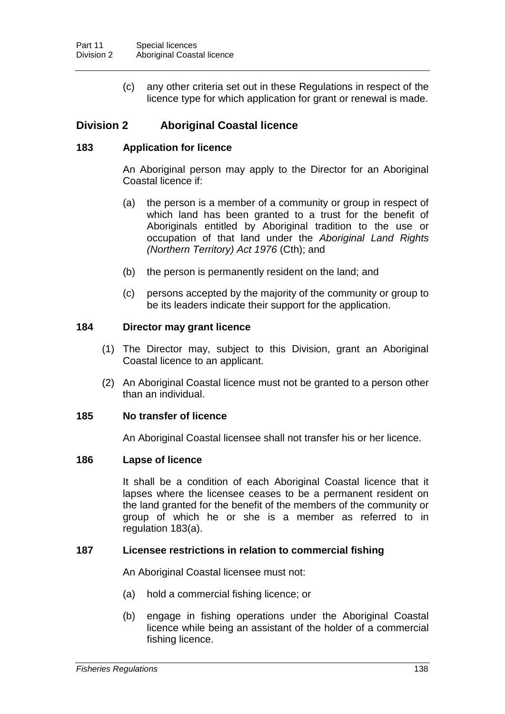(c) any other criteria set out in these Regulations in respect of the licence type for which application for grant or renewal is made.

# **Division 2 Aboriginal Coastal licence**

### **183 Application for licence**

An Aboriginal person may apply to the Director for an Aboriginal Coastal licence if:

- (a) the person is a member of a community or group in respect of which land has been granted to a trust for the benefit of Aboriginals entitled by Aboriginal tradition to the use or occupation of that land under the *Aboriginal Land Rights (Northern Territory) Act 1976* (Cth); and
- (b) the person is permanently resident on the land; and
- (c) persons accepted by the majority of the community or group to be its leaders indicate their support for the application.

### **184 Director may grant licence**

- (1) The Director may, subject to this Division, grant an Aboriginal Coastal licence to an applicant.
- (2) An Aboriginal Coastal licence must not be granted to a person other than an individual.

# **185 No transfer of licence**

An Aboriginal Coastal licensee shall not transfer his or her licence.

### **186 Lapse of licence**

It shall be a condition of each Aboriginal Coastal licence that it lapses where the licensee ceases to be a permanent resident on the land granted for the benefit of the members of the community or group of which he or she is a member as referred to in regulation 183(a).

### **187 Licensee restrictions in relation to commercial fishing**

An Aboriginal Coastal licensee must not:

- (a) hold a commercial fishing licence; or
- (b) engage in fishing operations under the Aboriginal Coastal licence while being an assistant of the holder of a commercial fishing licence.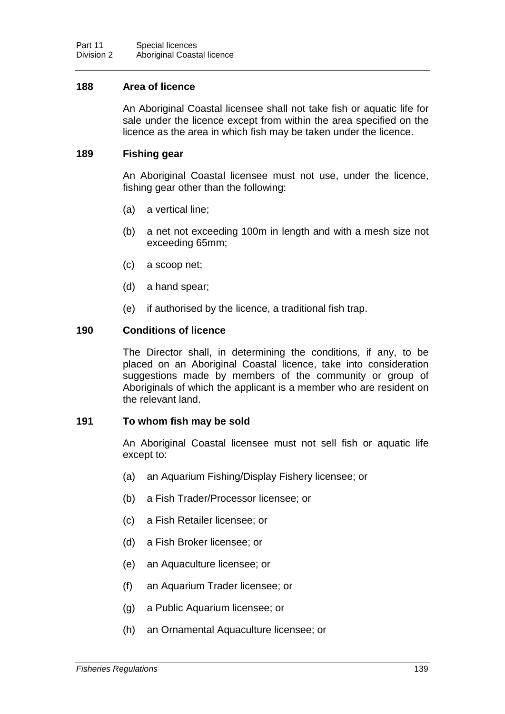### **188 Area of licence**

An Aboriginal Coastal licensee shall not take fish or aquatic life for sale under the licence except from within the area specified on the licence as the area in which fish may be taken under the licence.

### **189 Fishing gear**

An Aboriginal Coastal licensee must not use, under the licence, fishing gear other than the following:

- (a) a vertical line;
- (b) a net not exceeding 100m in length and with a mesh size not exceeding 65mm;
- (c) a scoop net;
- (d) a hand spear;
- (e) if authorised by the licence, a traditional fish trap.

### **190 Conditions of licence**

The Director shall, in determining the conditions, if any, to be placed on an Aboriginal Coastal licence, take into consideration suggestions made by members of the community or group of Aboriginals of which the applicant is a member who are resident on the relevant land.

### **191 To whom fish may be sold**

An Aboriginal Coastal licensee must not sell fish or aquatic life except to:

- (a) an Aquarium Fishing/Display Fishery licensee; or
- (b) a Fish Trader/Processor licensee; or
- (c) a Fish Retailer licensee; or
- (d) a Fish Broker licensee; or
- (e) an Aquaculture licensee; or
- (f) an Aquarium Trader licensee; or
- (g) a Public Aquarium licensee; or
- (h) an Ornamental Aquaculture licensee; or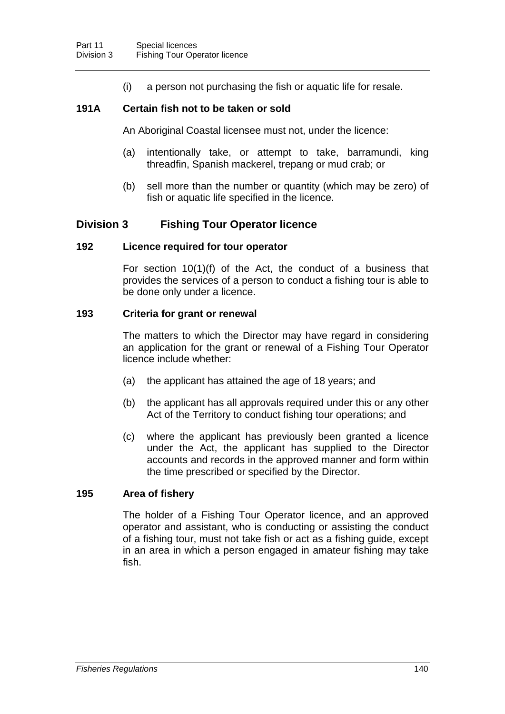(i) a person not purchasing the fish or aquatic life for resale.

### **191A Certain fish not to be taken or sold**

An Aboriginal Coastal licensee must not, under the licence:

- (a) intentionally take, or attempt to take, barramundi, king threadfin, Spanish mackerel, trepang or mud crab; or
- (b) sell more than the number or quantity (which may be zero) of fish or aquatic life specified in the licence.

# **Division 3 Fishing Tour Operator licence**

### **192 Licence required for tour operator**

For section 10(1)(f) of the Act, the conduct of a business that provides the services of a person to conduct a fishing tour is able to be done only under a licence.

### **193 Criteria for grant or renewal**

The matters to which the Director may have regard in considering an application for the grant or renewal of a Fishing Tour Operator licence include whether:

- (a) the applicant has attained the age of 18 years; and
- (b) the applicant has all approvals required under this or any other Act of the Territory to conduct fishing tour operations; and
- (c) where the applicant has previously been granted a licence under the Act, the applicant has supplied to the Director accounts and records in the approved manner and form within the time prescribed or specified by the Director.

### **195 Area of fishery**

The holder of a Fishing Tour Operator licence, and an approved operator and assistant, who is conducting or assisting the conduct of a fishing tour, must not take fish or act as a fishing guide, except in an area in which a person engaged in amateur fishing may take fish.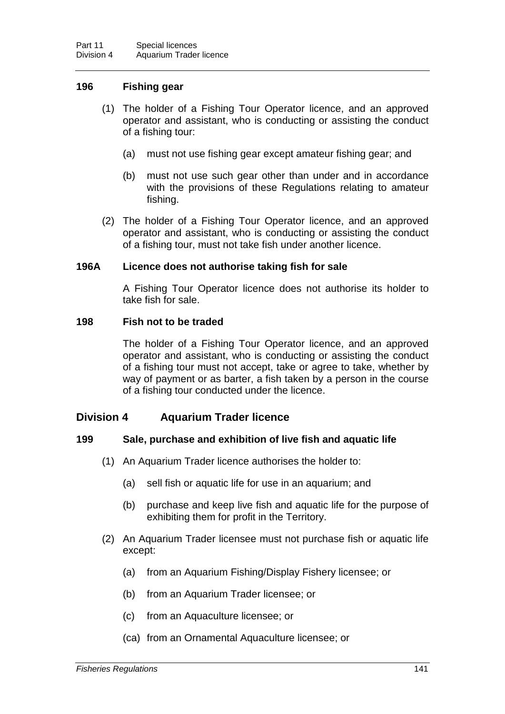### **196 Fishing gear**

- (1) The holder of a Fishing Tour Operator licence, and an approved operator and assistant, who is conducting or assisting the conduct of a fishing tour:
	- (a) must not use fishing gear except amateur fishing gear; and
	- (b) must not use such gear other than under and in accordance with the provisions of these Regulations relating to amateur fishing.
- (2) The holder of a Fishing Tour Operator licence, and an approved operator and assistant, who is conducting or assisting the conduct of a fishing tour, must not take fish under another licence.

### **196A Licence does not authorise taking fish for sale**

A Fishing Tour Operator licence does not authorise its holder to take fish for sale.

### **198 Fish not to be traded**

The holder of a Fishing Tour Operator licence, and an approved operator and assistant, who is conducting or assisting the conduct of a fishing tour must not accept, take or agree to take, whether by way of payment or as barter, a fish taken by a person in the course of a fishing tour conducted under the licence.

### **Division 4 Aquarium Trader licence**

### **199 Sale, purchase and exhibition of live fish and aquatic life**

- (1) An Aquarium Trader licence authorises the holder to:
	- (a) sell fish or aquatic life for use in an aquarium; and
	- (b) purchase and keep live fish and aquatic life for the purpose of exhibiting them for profit in the Territory.
- (2) An Aquarium Trader licensee must not purchase fish or aquatic life except:
	- (a) from an Aquarium Fishing/Display Fishery licensee; or
	- (b) from an Aquarium Trader licensee; or
	- (c) from an Aquaculture licensee; or
	- (ca) from an Ornamental Aquaculture licensee; or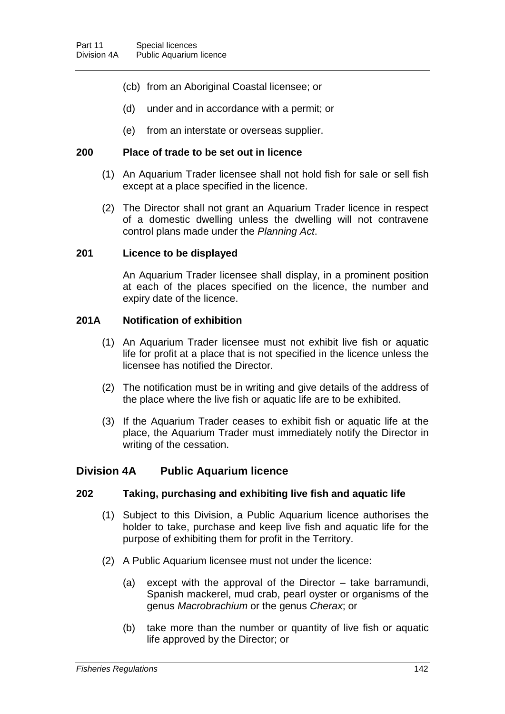- (cb) from an Aboriginal Coastal licensee; or
- (d) under and in accordance with a permit; or
- (e) from an interstate or overseas supplier.

### **200 Place of trade to be set out in licence**

- (1) An Aquarium Trader licensee shall not hold fish for sale or sell fish except at a place specified in the licence.
- (2) The Director shall not grant an Aquarium Trader licence in respect of a domestic dwelling unless the dwelling will not contravene control plans made under the *Planning Act*.

### **201 Licence to be displayed**

An Aquarium Trader licensee shall display, in a prominent position at each of the places specified on the licence, the number and expiry date of the licence.

### **201A Notification of exhibition**

- (1) An Aquarium Trader licensee must not exhibit live fish or aquatic life for profit at a place that is not specified in the licence unless the licensee has notified the Director.
- (2) The notification must be in writing and give details of the address of the place where the live fish or aquatic life are to be exhibited.
- (3) If the Aquarium Trader ceases to exhibit fish or aquatic life at the place, the Aquarium Trader must immediately notify the Director in writing of the cessation.

### **Division 4A Public Aquarium licence**

### **202 Taking, purchasing and exhibiting live fish and aquatic life**

- (1) Subject to this Division, a Public Aquarium licence authorises the holder to take, purchase and keep live fish and aquatic life for the purpose of exhibiting them for profit in the Territory.
- (2) A Public Aquarium licensee must not under the licence:
	- (a) except with the approval of the Director take barramundi, Spanish mackerel, mud crab, pearl oyster or organisms of the genus *Macrobrachium* or the genus *Cherax*; or
	- (b) take more than the number or quantity of live fish or aquatic life approved by the Director; or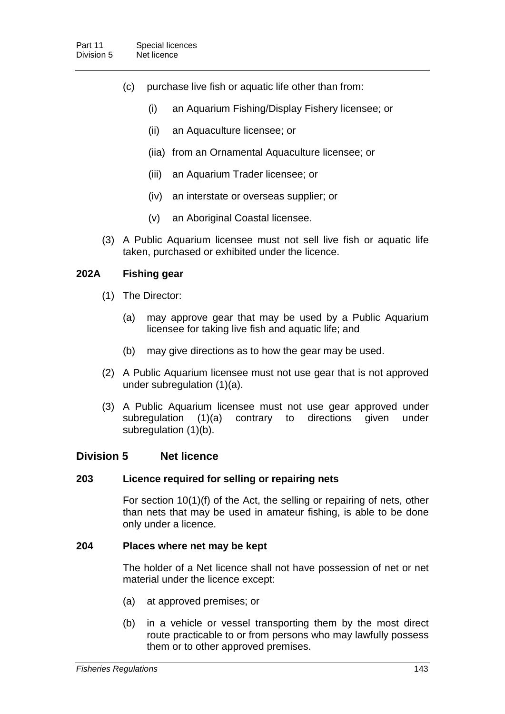- (c) purchase live fish or aquatic life other than from:
	- (i) an Aquarium Fishing/Display Fishery licensee; or
	- (ii) an Aquaculture licensee; or
	- (iia) from an Ornamental Aquaculture licensee; or
	- (iii) an Aquarium Trader licensee; or
	- (iv) an interstate or overseas supplier; or
	- (v) an Aboriginal Coastal licensee.
- (3) A Public Aquarium licensee must not sell live fish or aquatic life taken, purchased or exhibited under the licence.

### **202A Fishing gear**

- (1) The Director:
	- (a) may approve gear that may be used by a Public Aquarium licensee for taking live fish and aquatic life; and
	- (b) may give directions as to how the gear may be used.
- (2) A Public Aquarium licensee must not use gear that is not approved under subregulation (1)(a).
- (3) A Public Aquarium licensee must not use gear approved under subregulation (1)(a) contrary to directions given under subregulation (1)(b).

### **Division 5 Net licence**

### **203 Licence required for selling or repairing nets**

For section 10(1)(f) of the Act, the selling or repairing of nets, other than nets that may be used in amateur fishing, is able to be done only under a licence.

### **204 Places where net may be kept**

The holder of a Net licence shall not have possession of net or net material under the licence except:

- (a) at approved premises; or
- (b) in a vehicle or vessel transporting them by the most direct route practicable to or from persons who may lawfully possess them or to other approved premises.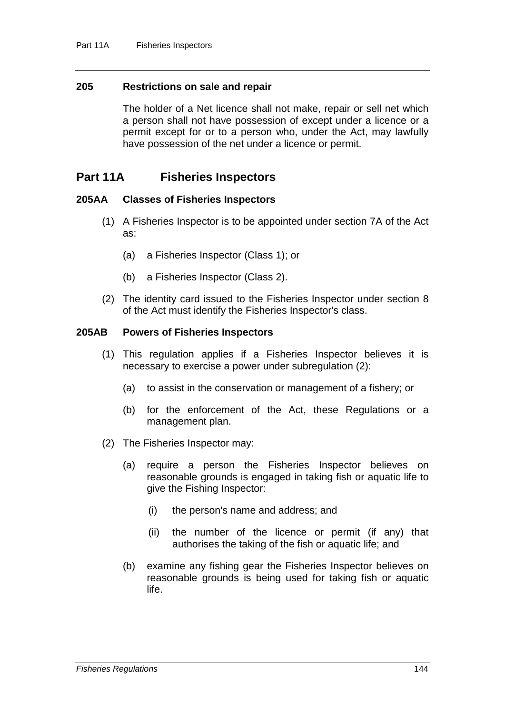### **205 Restrictions on sale and repair**

The holder of a Net licence shall not make, repair or sell net which a person shall not have possession of except under a licence or a permit except for or to a person who, under the Act, may lawfully have possession of the net under a licence or permit.

# **Part 11A Fisheries Inspectors**

### **205AA Classes of Fisheries Inspectors**

- (1) A Fisheries Inspector is to be appointed under section 7A of the Act as:
	- (a) a Fisheries Inspector (Class 1); or
	- (b) a Fisheries Inspector (Class 2).
- (2) The identity card issued to the Fisheries Inspector under section 8 of the Act must identify the Fisheries Inspector's class.

### **205AB Powers of Fisheries Inspectors**

- (1) This regulation applies if a Fisheries Inspector believes it is necessary to exercise a power under subregulation (2):
	- (a) to assist in the conservation or management of a fishery; or
	- (b) for the enforcement of the Act, these Regulations or a management plan.
- (2) The Fisheries Inspector may:
	- (a) require a person the Fisheries Inspector believes on reasonable grounds is engaged in taking fish or aquatic life to give the Fishing Inspector:
		- (i) the person's name and address; and
		- (ii) the number of the licence or permit (if any) that authorises the taking of the fish or aquatic life; and
	- (b) examine any fishing gear the Fisheries Inspector believes on reasonable grounds is being used for taking fish or aquatic life.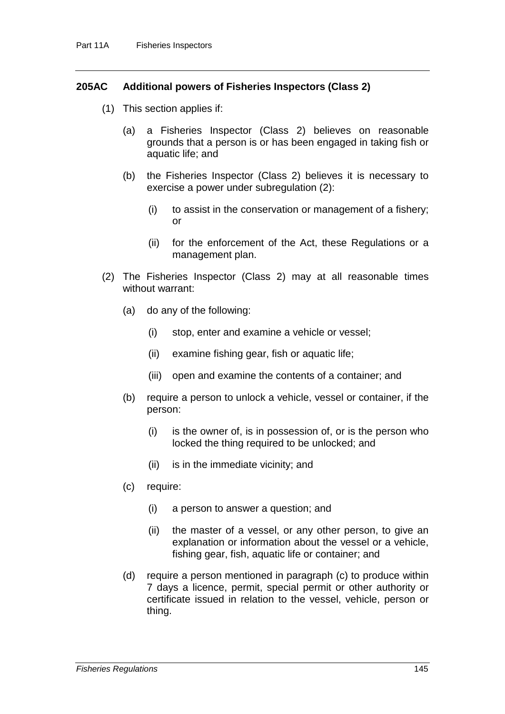# **205AC Additional powers of Fisheries Inspectors (Class 2)**

- (1) This section applies if:
	- (a) a Fisheries Inspector (Class 2) believes on reasonable grounds that a person is or has been engaged in taking fish or aquatic life; and
	- (b) the Fisheries Inspector (Class 2) believes it is necessary to exercise a power under subregulation (2):
		- (i) to assist in the conservation or management of a fishery; or
		- (ii) for the enforcement of the Act, these Regulations or a management plan.
- (2) The Fisheries Inspector (Class 2) may at all reasonable times without warrant:
	- (a) do any of the following:
		- (i) stop, enter and examine a vehicle or vessel;
		- (ii) examine fishing gear, fish or aquatic life;
		- (iii) open and examine the contents of a container; and
	- (b) require a person to unlock a vehicle, vessel or container, if the person:
		- (i) is the owner of, is in possession of, or is the person who locked the thing required to be unlocked; and
		- (ii) is in the immediate vicinity; and
	- (c) require:
		- (i) a person to answer a question; and
		- (ii) the master of a vessel, or any other person, to give an explanation or information about the vessel or a vehicle, fishing gear, fish, aquatic life or container; and
	- (d) require a person mentioned in paragraph (c) to produce within 7 days a licence, permit, special permit or other authority or certificate issued in relation to the vessel, vehicle, person or thing.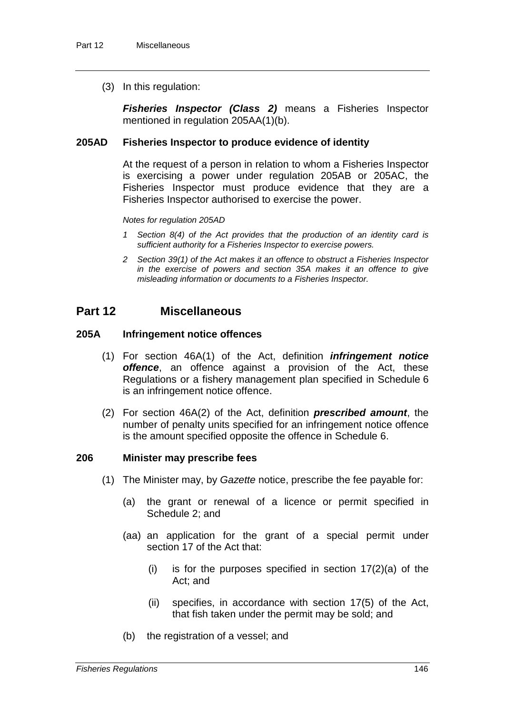(3) In this regulation:

*Fisheries Inspector (Class 2)* means a Fisheries Inspector mentioned in regulation 205AA(1)(b).

### **205AD Fisheries Inspector to produce evidence of identity**

At the request of a person in relation to whom a Fisheries Inspector is exercising a power under regulation 205AB or 205AC, the Fisheries Inspector must produce evidence that they are a Fisheries Inspector authorised to exercise the power.

*Notes for regulation 205AD*

- *1 Section 8(4) of the Act provides that the production of an identity card is sufficient authority for a Fisheries Inspector to exercise powers.*
- *2 Section 39(1) of the Act makes it an offence to obstruct a Fisheries Inspector in the exercise of powers and section 35A makes it an offence to give misleading information or documents to a Fisheries Inspector.*

# **Part 12 Miscellaneous**

### **205A Infringement notice offences**

- (1) For section 46A(1) of the Act, definition *infringement notice offence*, an offence against a provision of the Act, these Regulations or a fishery management plan specified in Schedule 6 is an infringement notice offence.
- (2) For section 46A(2) of the Act, definition *prescribed amount*, the number of penalty units specified for an infringement notice offence is the amount specified opposite the offence in Schedule 6.

### **206 Minister may prescribe fees**

- (1) The Minister may, by *Gazette* notice, prescribe the fee payable for:
	- (a) the grant or renewal of a licence or permit specified in Schedule 2; and
	- (aa) an application for the grant of a special permit under section 17 of the Act that:
		- $(i)$  is for the purposes specified in section 17 $(2)(a)$  of the Act; and
		- (ii) specifies, in accordance with section 17(5) of the Act, that fish taken under the permit may be sold; and
	- (b) the registration of a vessel; and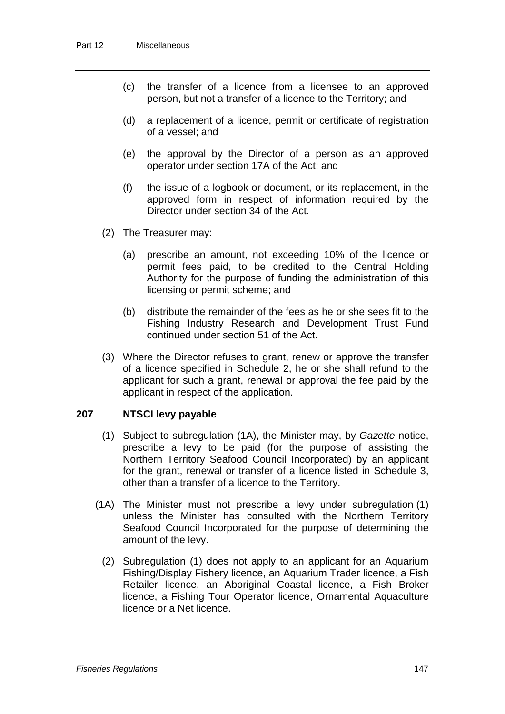- (c) the transfer of a licence from a licensee to an approved person, but not a transfer of a licence to the Territory; and
- (d) a replacement of a licence, permit or certificate of registration of a vessel; and
- (e) the approval by the Director of a person as an approved operator under section 17A of the Act; and
- (f) the issue of a logbook or document, or its replacement, in the approved form in respect of information required by the Director under section 34 of the Act.
- (2) The Treasurer may:
	- (a) prescribe an amount, not exceeding 10% of the licence or permit fees paid, to be credited to the Central Holding Authority for the purpose of funding the administration of this licensing or permit scheme; and
	- (b) distribute the remainder of the fees as he or she sees fit to the Fishing Industry Research and Development Trust Fund continued under section 51 of the Act.
- (3) Where the Director refuses to grant, renew or approve the transfer of a licence specified in Schedule 2, he or she shall refund to the applicant for such a grant, renewal or approval the fee paid by the applicant in respect of the application.

# **207 NTSCI levy payable**

- (1) Subject to subregulation (1A), the Minister may, by *Gazette* notice, prescribe a levy to be paid (for the purpose of assisting the Northern Territory Seafood Council Incorporated) by an applicant for the grant, renewal or transfer of a licence listed in Schedule 3, other than a transfer of a licence to the Territory.
- (1A) The Minister must not prescribe a levy under subregulation (1) unless the Minister has consulted with the Northern Territory Seafood Council Incorporated for the purpose of determining the amount of the levy.
	- (2) Subregulation (1) does not apply to an applicant for an Aquarium Fishing/Display Fishery licence, an Aquarium Trader licence, a Fish Retailer licence, an Aboriginal Coastal licence, a Fish Broker licence, a Fishing Tour Operator licence, Ornamental Aquaculture licence or a Net licence.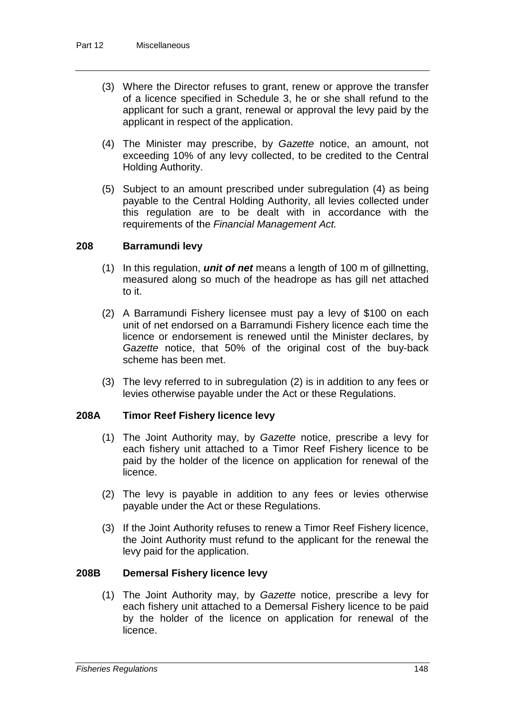- (3) Where the Director refuses to grant, renew or approve the transfer of a licence specified in Schedule 3, he or she shall refund to the applicant for such a grant, renewal or approval the levy paid by the applicant in respect of the application.
- (4) The Minister may prescribe, by *Gazette* notice, an amount, not exceeding 10% of any levy collected, to be credited to the Central Holding Authority.
- (5) Subject to an amount prescribed under subregulation (4) as being payable to the Central Holding Authority, all levies collected under this regulation are to be dealt with in accordance with the requirements of the *Financial Management Act.*

### **208 Barramundi levy**

- (1) In this regulation, *unit of net* means a length of 100 m of gillnetting, measured along so much of the headrope as has gill net attached to it.
- (2) A Barramundi Fishery licensee must pay a levy of \$100 on each unit of net endorsed on a Barramundi Fishery licence each time the licence or endorsement is renewed until the Minister declares, by *Gazette* notice, that 50% of the original cost of the buy-back scheme has been met.
- (3) The levy referred to in subregulation (2) is in addition to any fees or levies otherwise payable under the Act or these Regulations.

### **208A Timor Reef Fishery licence levy**

- (1) The Joint Authority may, by *Gazette* notice, prescribe a levy for each fishery unit attached to a Timor Reef Fishery licence to be paid by the holder of the licence on application for renewal of the licence.
- (2) The levy is payable in addition to any fees or levies otherwise payable under the Act or these Regulations.
- (3) If the Joint Authority refuses to renew a Timor Reef Fishery licence, the Joint Authority must refund to the applicant for the renewal the levy paid for the application.

### **208B Demersal Fishery licence levy**

(1) The Joint Authority may, by *Gazette* notice, prescribe a levy for each fishery unit attached to a Demersal Fishery licence to be paid by the holder of the licence on application for renewal of the licence.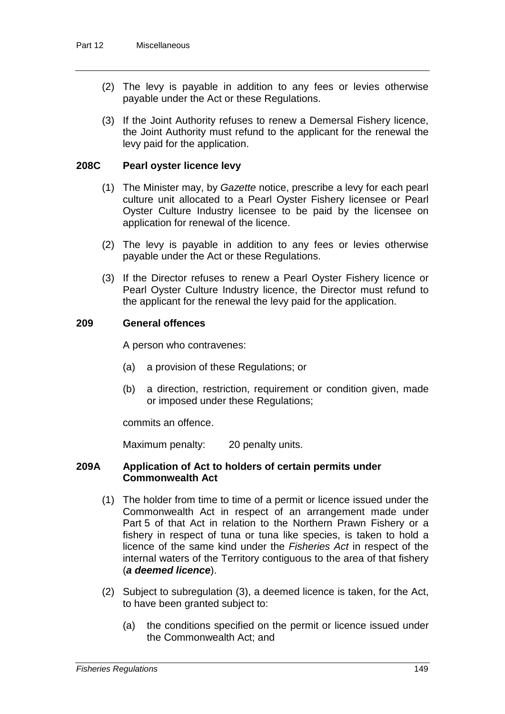- (2) The levy is payable in addition to any fees or levies otherwise payable under the Act or these Regulations.
- (3) If the Joint Authority refuses to renew a Demersal Fishery licence, the Joint Authority must refund to the applicant for the renewal the levy paid for the application.

### **208C Pearl oyster licence levy**

- (1) The Minister may, by *Gazette* notice, prescribe a levy for each pearl culture unit allocated to a Pearl Oyster Fishery licensee or Pearl Oyster Culture Industry licensee to be paid by the licensee on application for renewal of the licence.
- (2) The levy is payable in addition to any fees or levies otherwise payable under the Act or these Regulations.
- (3) If the Director refuses to renew a Pearl Oyster Fishery licence or Pearl Oyster Culture Industry licence, the Director must refund to the applicant for the renewal the levy paid for the application.

### **209 General offences**

A person who contravenes:

- (a) a provision of these Regulations; or
- (b) a direction, restriction, requirement or condition given, made or imposed under these Regulations;

commits an offence.

Maximum penalty: 20 penalty units.

### **209A Application of Act to holders of certain permits under Commonwealth Act**

- (1) The holder from time to time of a permit or licence issued under the Commonwealth Act in respect of an arrangement made under Part 5 of that Act in relation to the Northern Prawn Fishery or a fishery in respect of tuna or tuna like species, is taken to hold a licence of the same kind under the *Fisheries Act* in respect of the internal waters of the Territory contiguous to the area of that fishery (*a deemed licence*).
- (2) Subject to subregulation (3), a deemed licence is taken, for the Act, to have been granted subject to:
	- (a) the conditions specified on the permit or licence issued under the Commonwealth Act; and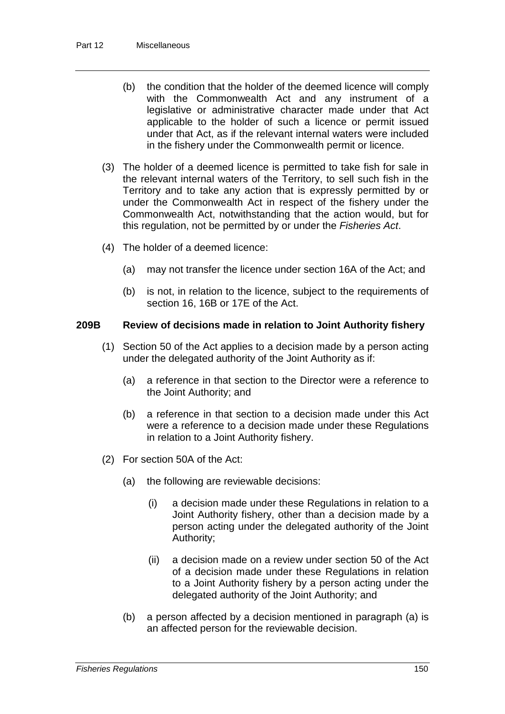- (b) the condition that the holder of the deemed licence will comply with the Commonwealth Act and any instrument of a legislative or administrative character made under that Act applicable to the holder of such a licence or permit issued under that Act, as if the relevant internal waters were included in the fishery under the Commonwealth permit or licence.
- (3) The holder of a deemed licence is permitted to take fish for sale in the relevant internal waters of the Territory, to sell such fish in the Territory and to take any action that is expressly permitted by or under the Commonwealth Act in respect of the fishery under the Commonwealth Act, notwithstanding that the action would, but for this regulation, not be permitted by or under the *Fisheries Act*.
- (4) The holder of a deemed licence:
	- (a) may not transfer the licence under section 16A of the Act; and
	- (b) is not, in relation to the licence, subject to the requirements of section 16, 16B or 17E of the Act.

### **209B Review of decisions made in relation to Joint Authority fishery**

- (1) Section 50 of the Act applies to a decision made by a person acting under the delegated authority of the Joint Authority as if:
	- (a) a reference in that section to the Director were a reference to the Joint Authority; and
	- (b) a reference in that section to a decision made under this Act were a reference to a decision made under these Regulations in relation to a Joint Authority fishery.
- (2) For section 50A of the Act:
	- (a) the following are reviewable decisions:
		- (i) a decision made under these Regulations in relation to a Joint Authority fishery, other than a decision made by a person acting under the delegated authority of the Joint Authority;
		- (ii) a decision made on a review under section 50 of the Act of a decision made under these Regulations in relation to a Joint Authority fishery by a person acting under the delegated authority of the Joint Authority; and
	- (b) a person affected by a decision mentioned in paragraph (a) is an affected person for the reviewable decision.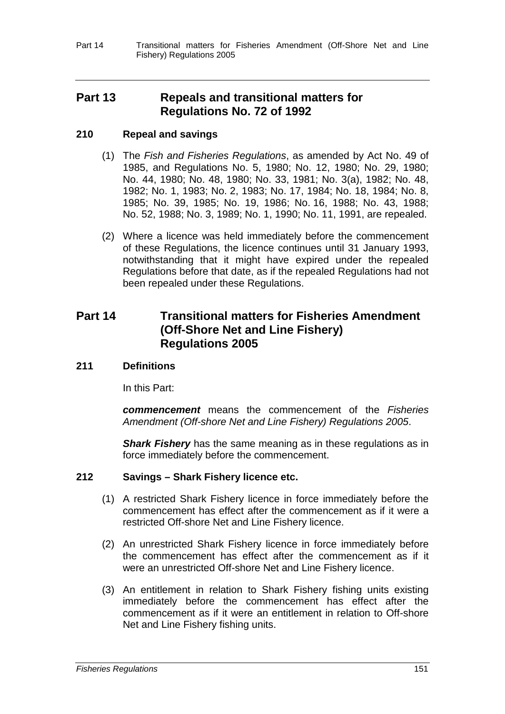Part 14 Transitional matters for Fisheries Amendment (Off-Shore Net and Line Fishery) Regulations 2005

# **Part 13 Repeals and transitional matters for Regulations No. 72 of 1992**

# **210 Repeal and savings**

- (1) The *Fish and Fisheries Regulations*, as amended by Act No. 49 of 1985, and Regulations No. 5, 1980; No. 12, 1980; No. 29, 1980; No. 44, 1980; No. 48, 1980; No. 33, 1981; No. 3(a), 1982; No. 48, 1982; No. 1, 1983; No. 2, 1983; No. 17, 1984; No. 18, 1984; No. 8, 1985; No. 39, 1985; No. 19, 1986; No. 16, 1988; No. 43, 1988; No. 52, 1988; No. 3, 1989; No. 1, 1990; No. 11, 1991, are repealed.
- (2) Where a licence was held immediately before the commencement of these Regulations, the licence continues until 31 January 1993, notwithstanding that it might have expired under the repealed Regulations before that date, as if the repealed Regulations had not been repealed under these Regulations.

# **Part 14 Transitional matters for Fisheries Amendment (Off-Shore Net and Line Fishery) Regulations 2005**

### **211 Definitions**

In this Part:

*commencement* means the commencement of the *Fisheries Amendment (Off-shore Net and Line Fishery) Regulations 2005*.

*Shark Fishery* has the same meaning as in these regulations as in force immediately before the commencement.

### **212 Savings – Shark Fishery licence etc.**

- (1) A restricted Shark Fishery licence in force immediately before the commencement has effect after the commencement as if it were a restricted Off-shore Net and Line Fishery licence.
- (2) An unrestricted Shark Fishery licence in force immediately before the commencement has effect after the commencement as if it were an unrestricted Off-shore Net and Line Fishery licence.
- (3) An entitlement in relation to Shark Fishery fishing units existing immediately before the commencement has effect after the commencement as if it were an entitlement in relation to Off-shore Net and Line Fishery fishing units.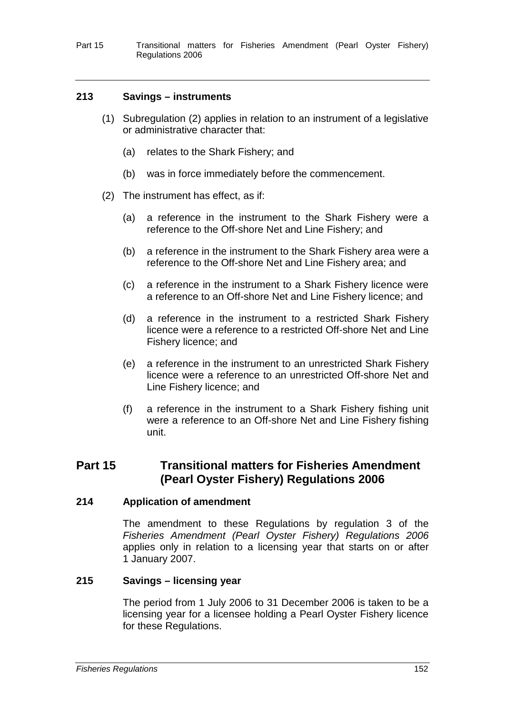Part 15 Transitional matters for Fisheries Amendment (Pearl Oyster Fishery) Regulations 2006

### **213 Savings – instruments**

- (1) Subregulation (2) applies in relation to an instrument of a legislative or administrative character that:
	- (a) relates to the Shark Fishery; and
	- (b) was in force immediately before the commencement.
- (2) The instrument has effect, as if:
	- (a) a reference in the instrument to the Shark Fishery were a reference to the Off-shore Net and Line Fishery; and
	- (b) a reference in the instrument to the Shark Fishery area were a reference to the Off-shore Net and Line Fishery area; and
	- (c) a reference in the instrument to a Shark Fishery licence were a reference to an Off-shore Net and Line Fishery licence; and
	- (d) a reference in the instrument to a restricted Shark Fishery licence were a reference to a restricted Off-shore Net and Line Fishery licence; and
	- (e) a reference in the instrument to an unrestricted Shark Fishery licence were a reference to an unrestricted Off-shore Net and Line Fishery licence; and
	- (f) a reference in the instrument to a Shark Fishery fishing unit were a reference to an Off-shore Net and Line Fishery fishing unit.

# **Part 15 Transitional matters for Fisheries Amendment (Pearl Oyster Fishery) Regulations 2006**

### **214 Application of amendment**

The amendment to these Regulations by regulation 3 of the *Fisheries Amendment (Pearl Oyster Fishery) Regulations 2006* applies only in relation to a licensing year that starts on or after 1 January 2007.

### **215 Savings – licensing year**

The period from 1 July 2006 to 31 December 2006 is taken to be a licensing year for a licensee holding a Pearl Oyster Fishery licence for these Regulations.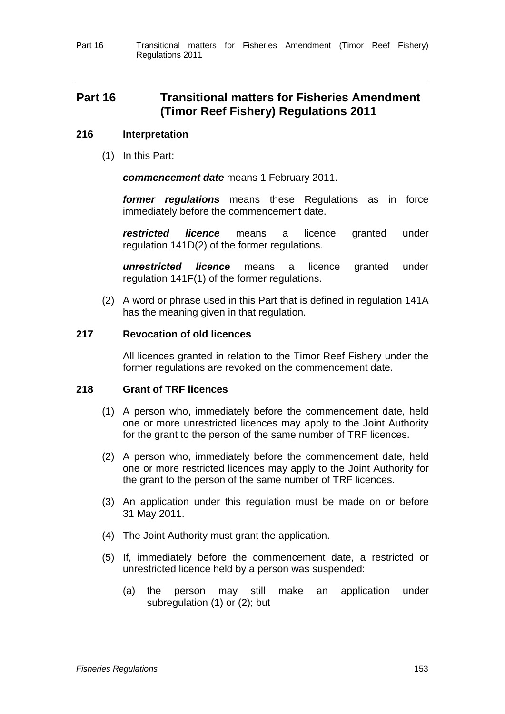Part 16 Transitional matters for Fisheries Amendment (Timor Reef Fishery) Regulations 2011

# **Part 16 Transitional matters for Fisheries Amendment (Timor Reef Fishery) Regulations 2011**

### **216 Interpretation**

(1) In this Part:

*commencement date* means 1 February 2011.

*former regulations* means these Regulations as in force immediately before the commencement date.

*restricted licence* means a licence granted under regulation 141D(2) of the former regulations.

*unrestricted licence* means a licence granted under regulation 141F(1) of the former regulations.

(2) A word or phrase used in this Part that is defined in regulation 141A has the meaning given in that regulation.

### **217 Revocation of old licences**

All licences granted in relation to the Timor Reef Fishery under the former regulations are revoked on the commencement date.

### **218 Grant of TRF licences**

- (1) A person who, immediately before the commencement date, held one or more unrestricted licences may apply to the Joint Authority for the grant to the person of the same number of TRF licences.
- (2) A person who, immediately before the commencement date, held one or more restricted licences may apply to the Joint Authority for the grant to the person of the same number of TRF licences.
- (3) An application under this regulation must be made on or before 31 May 2011.
- (4) The Joint Authority must grant the application.
- (5) If, immediately before the commencement date, a restricted or unrestricted licence held by a person was suspended:
	- (a) the person may still make an application under subregulation (1) or (2); but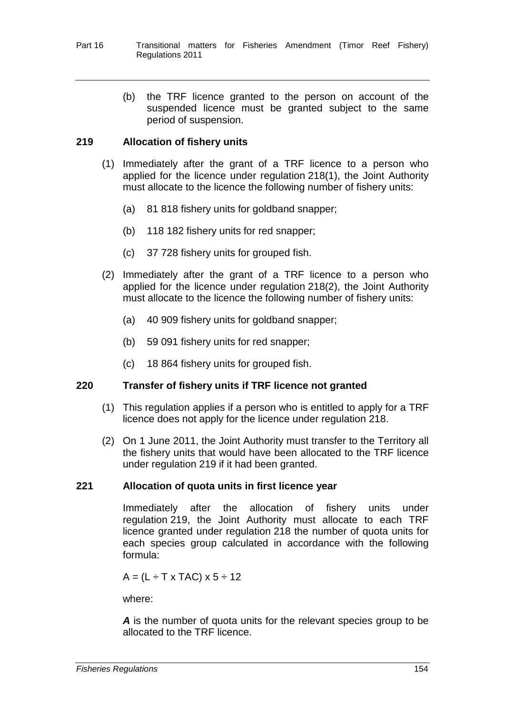- Part 16 Transitional matters for Fisheries Amendment (Timor Reef Fishery) Regulations 2011
	- (b) the TRF licence granted to the person on account of the suspended licence must be granted subject to the same period of suspension.

### **219 Allocation of fishery units**

- (1) Immediately after the grant of a TRF licence to a person who applied for the licence under regulation 218(1), the Joint Authority must allocate to the licence the following number of fishery units:
	- (a) 81 818 fishery units for goldband snapper;
	- (b) 118 182 fishery units for red snapper;
	- (c) 37 728 fishery units for grouped fish.
- (2) Immediately after the grant of a TRF licence to a person who applied for the licence under regulation 218(2), the Joint Authority must allocate to the licence the following number of fishery units:
	- (a) 40 909 fishery units for goldband snapper;
	- (b) 59 091 fishery units for red snapper;
	- (c) 18 864 fishery units for grouped fish.

### **220 Transfer of fishery units if TRF licence not granted**

- (1) This regulation applies if a person who is entitled to apply for a TRF licence does not apply for the licence under regulation 218.
- (2) On 1 June 2011, the Joint Authority must transfer to the Territory all the fishery units that would have been allocated to the TRF licence under regulation 219 if it had been granted.

### **221 Allocation of quota units in first licence year**

Immediately after the allocation of fishery units under regulation 219, the Joint Authority must allocate to each TRF licence granted under regulation 218 the number of quota units for each species group calculated in accordance with the following formula:

 $A = (L \div T \times TAC) \times 5 \div 12$ 

where:

*A* is the number of quota units for the relevant species group to be allocated to the TRF licence.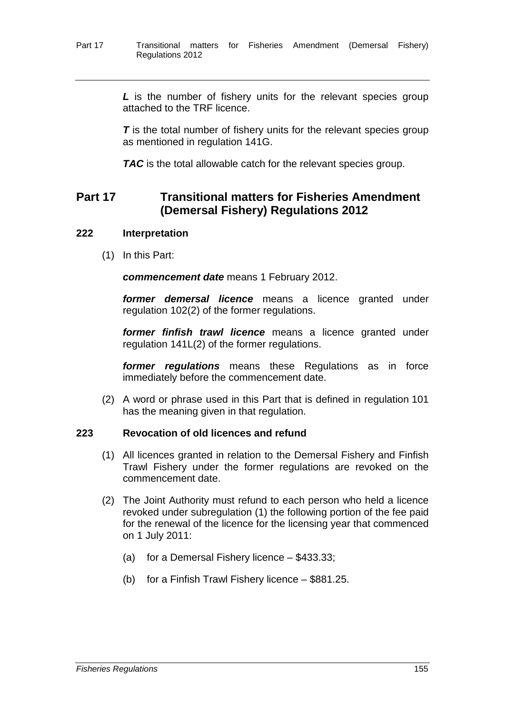*L* is the number of fishery units for the relevant species group attached to the TRF licence.

**T** is the total number of fishery units for the relevant species group as mentioned in regulation 141G.

*TAC* is the total allowable catch for the relevant species group.

# **Part 17 Transitional matters for Fisheries Amendment (Demersal Fishery) Regulations 2012**

### **222 Interpretation**

(1) In this Part:

*commencement date* means 1 February 2012.

*former demersal licence* means a licence granted under regulation 102(2) of the former regulations.

*former finfish trawl licence* means a licence granted under regulation 141L(2) of the former regulations.

*former regulations* means these Regulations as in force immediately before the commencement date.

(2) A word or phrase used in this Part that is defined in regulation 101 has the meaning given in that regulation.

### **223 Revocation of old licences and refund**

- (1) All licences granted in relation to the Demersal Fishery and Finfish Trawl Fishery under the former regulations are revoked on the commencement date.
- (2) The Joint Authority must refund to each person who held a licence revoked under subregulation (1) the following portion of the fee paid for the renewal of the licence for the licensing year that commenced on 1 July 2011:
	- (a) for a Demersal Fishery licence \$433.33;
	- (b) for a Finfish Trawl Fishery licence \$881.25.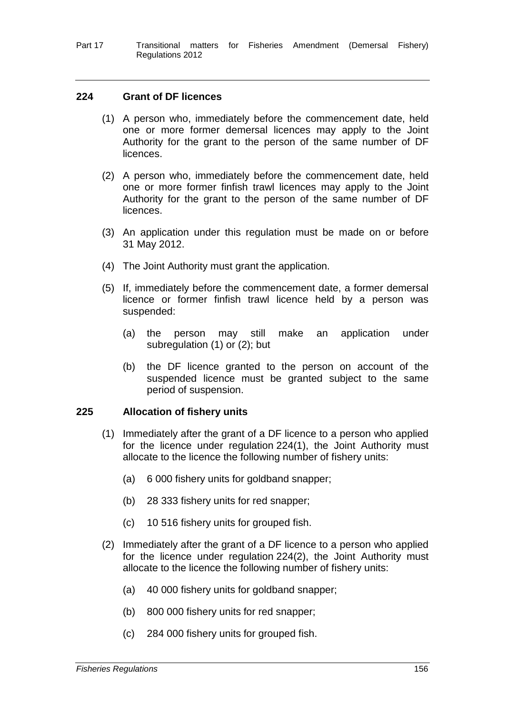Part 17 Transitional matters for Fisheries Amendment (Demersal Fishery) Regulations 2012

### **224 Grant of DF licences**

- (1) A person who, immediately before the commencement date, held one or more former demersal licences may apply to the Joint Authority for the grant to the person of the same number of DF licences.
- (2) A person who, immediately before the commencement date, held one or more former finfish trawl licences may apply to the Joint Authority for the grant to the person of the same number of DF licences.
- (3) An application under this regulation must be made on or before 31 May 2012.
- (4) The Joint Authority must grant the application.
- (5) If, immediately before the commencement date, a former demersal licence or former finfish trawl licence held by a person was suspended:
	- (a) the person may still make an application under subregulation (1) or (2); but
	- (b) the DF licence granted to the person on account of the suspended licence must be granted subject to the same period of suspension.

### **225 Allocation of fishery units**

- (1) Immediately after the grant of a DF licence to a person who applied for the licence under regulation 224(1), the Joint Authority must allocate to the licence the following number of fishery units:
	- (a) 6 000 fishery units for goldband snapper;
	- (b) 28 333 fishery units for red snapper;
	- (c) 10 516 fishery units for grouped fish.
- (2) Immediately after the grant of a DF licence to a person who applied for the licence under regulation 224(2), the Joint Authority must allocate to the licence the following number of fishery units:
	- (a) 40 000 fishery units for goldband snapper;
	- (b) 800 000 fishery units for red snapper;
	- (c) 284 000 fishery units for grouped fish.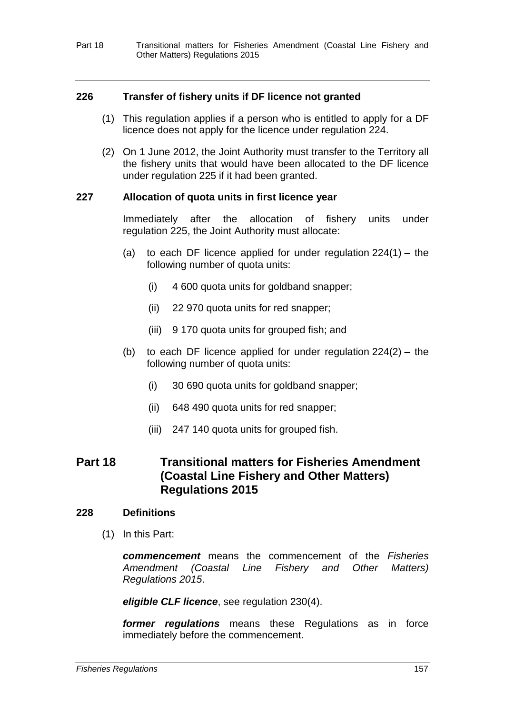Part 18 Transitional matters for Fisheries Amendment (Coastal Line Fishery and Other Matters) Regulations 2015

### **226 Transfer of fishery units if DF licence not granted**

- (1) This regulation applies if a person who is entitled to apply for a DF licence does not apply for the licence under regulation 224.
- (2) On 1 June 2012, the Joint Authority must transfer to the Territory all the fishery units that would have been allocated to the DF licence under regulation 225 if it had been granted.

### **227 Allocation of quota units in first licence year**

Immediately after the allocation of fishery units under regulation 225, the Joint Authority must allocate:

- (a) to each DF licence applied for under regulation 224(1) the following number of quota units:
	- (i) 4 600 quota units for goldband snapper;
	- (ii) 22 970 quota units for red snapper;
	- (iii) 9 170 quota units for grouped fish; and
- (b) to each DF licence applied for under regulation 224(2) the following number of quota units:
	- (i) 30 690 quota units for goldband snapper;
	- (ii) 648 490 quota units for red snapper;
	- (iii) 247 140 quota units for grouped fish.

# **Part 18 Transitional matters for Fisheries Amendment (Coastal Line Fishery and Other Matters) Regulations 2015**

### **228 Definitions**

(1) In this Part:

*commencement* means the commencement of the *Fisheries Amendment (Coastal Line Fishery and Other Matters) Regulations 2015*.

*eligible CLF licence*, see regulation 230(4).

*former regulations* means these Regulations as in force immediately before the commencement.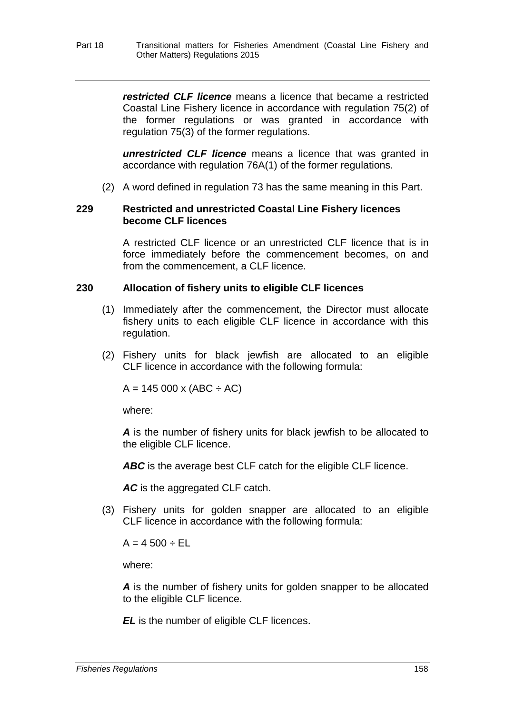*restricted CLF licence* means a licence that became a restricted Coastal Line Fishery licence in accordance with regulation 75(2) of the former regulations or was granted in accordance with regulation 75(3) of the former regulations.

*unrestricted CLF licence* means a licence that was granted in accordance with regulation 76A(1) of the former regulations.

(2) A word defined in regulation 73 has the same meaning in this Part.

### **229 Restricted and unrestricted Coastal Line Fishery licences become CLF licences**

A restricted CLF licence or an unrestricted CLF licence that is in force immediately before the commencement becomes, on and from the commencement, a CLF licence.

### **230 Allocation of fishery units to eligible CLF licences**

- (1) Immediately after the commencement, the Director must allocate fishery units to each eligible CLF licence in accordance with this regulation.
- (2) Fishery units for black jewfish are allocated to an eligible CLF licence in accordance with the following formula:

 $A = 145\,000 \times (ABC \div AC)$ 

where:

*A* is the number of fishery units for black jewfish to be allocated to the eligible CLF licence.

ABC is the average best CLF catch for the eligible CLF licence.

AC is the aggregated CLF catch.

(3) Fishery units for golden snapper are allocated to an eligible CLF licence in accordance with the following formula:

 $A = 4500 \div EL$ 

where:

*A* is the number of fishery units for golden snapper to be allocated to the eligible CLF licence.

*EL* is the number of eligible CLF licences.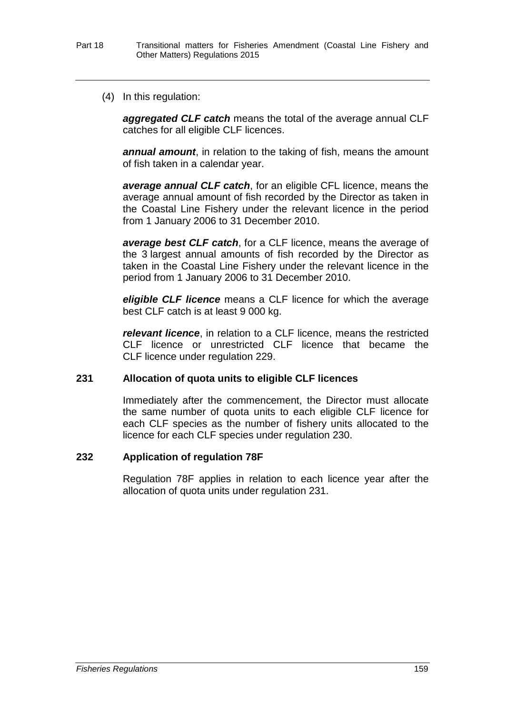(4) In this regulation:

*aggregated CLF catch* means the total of the average annual CLF catches for all eligible CLF licences.

*annual amount*, in relation to the taking of fish, means the amount of fish taken in a calendar year.

*average annual CLF catch*, for an eligible CFL licence, means the average annual amount of fish recorded by the Director as taken in the Coastal Line Fishery under the relevant licence in the period from 1 January 2006 to 31 December 2010.

*average best CLF catch*, for a CLF licence, means the average of the 3 largest annual amounts of fish recorded by the Director as taken in the Coastal Line Fishery under the relevant licence in the period from 1 January 2006 to 31 December 2010.

*eligible CLF licence* means a CLF licence for which the average best CLF catch is at least 9 000 kg.

*relevant licence*, in relation to a CLF licence, means the restricted CLF licence or unrestricted CLF licence that became the CLF licence under regulation 229.

### **231 Allocation of quota units to eligible CLF licences**

Immediately after the commencement, the Director must allocate the same number of quota units to each eligible CLF licence for each CLF species as the number of fishery units allocated to the licence for each CLF species under regulation 230.

### **232 Application of regulation 78F**

Regulation 78F applies in relation to each licence year after the allocation of quota units under regulation 231.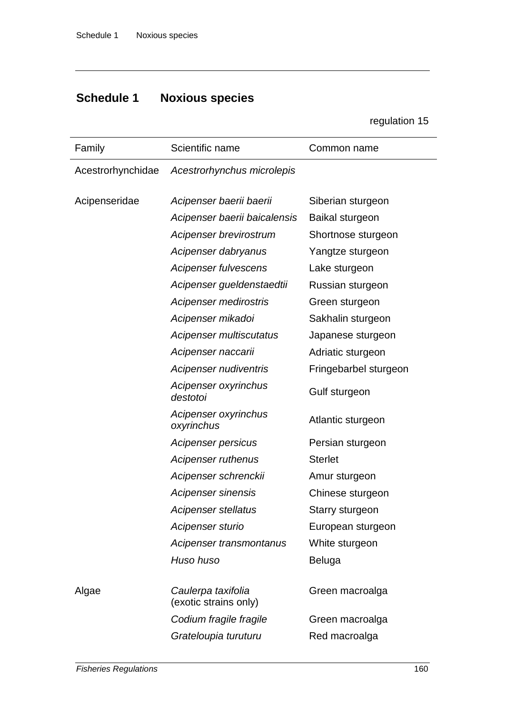# **Schedule 1 Noxious species**

# regulation 15

| Family            | Scientific name                             | Common name            |
|-------------------|---------------------------------------------|------------------------|
| Acestrorhynchidae | Acestrorhynchus microlepis                  |                        |
|                   |                                             |                        |
| Acipenseridae     | Acipenser baerii baerii                     | Siberian sturgeon      |
|                   | Acipenser baerii baicalensis                | <b>Baikal sturgeon</b> |
|                   | Acipenser brevirostrum                      | Shortnose sturgeon     |
|                   | Acipenser dabryanus                         | Yangtze sturgeon       |
|                   | Acipenser fulvescens                        | Lake sturgeon          |
|                   | Acipenser gueldenstaedtii                   | Russian sturgeon       |
|                   | Acipenser medirostris                       | Green sturgeon         |
|                   | Acipenser mikadoi                           | Sakhalin sturgeon      |
|                   | Acipenser multiscutatus                     | Japanese sturgeon      |
|                   | Acipenser naccarii                          | Adriatic sturgeon      |
|                   | Acipenser nudiventris                       | Fringebarbel sturgeon  |
|                   | Acipenser oxyrinchus<br>destotoi            | Gulf sturgeon          |
|                   | Acipenser oxyrinchus<br>oxyrinchus          | Atlantic sturgeon      |
|                   | Acipenser persicus                          | Persian sturgeon       |
|                   | Acipenser ruthenus                          | <b>Sterlet</b>         |
|                   | Acipenser schrenckii                        | Amur sturgeon          |
|                   | Acipenser sinensis                          | Chinese sturgeon       |
|                   | Acipenser stellatus                         | Starry sturgeon        |
|                   | Acipenser sturio                            | European sturgeon      |
|                   | Acipenser transmontanus                     | White sturgeon         |
|                   | Huso huso                                   | <b>Beluga</b>          |
| Algae             | Caulerpa taxifolia<br>(exotic strains only) | Green macroalga        |
|                   | Codium fragile fragile                      | Green macroalga        |
|                   | Grateloupia turuturu                        | Red macroalga          |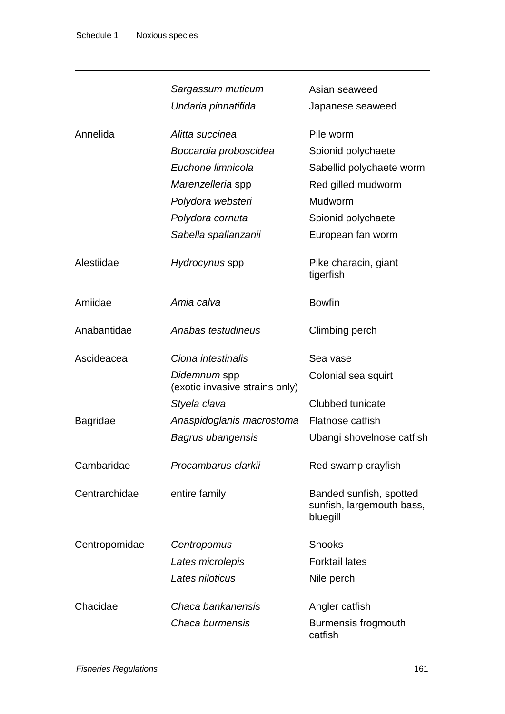|                 | Sargassum muticum                              | Asian seaweed                                                    |
|-----------------|------------------------------------------------|------------------------------------------------------------------|
|                 | Undaria pinnatifida                            | Japanese seaweed                                                 |
|                 |                                                |                                                                  |
| Annelida        | Alitta succinea                                | Pile worm                                                        |
|                 | Boccardia proboscidea                          | Spionid polychaete                                               |
|                 | Euchone limnicola                              | Sabellid polychaete worm                                         |
|                 | Marenzelleria spp                              | Red gilled mudworm                                               |
|                 | Polydora websteri                              | Mudworm                                                          |
|                 | Polydora cornuta                               | Spionid polychaete                                               |
|                 | Sabella spallanzanii                           | European fan worm                                                |
| Alestiidae      | Hydrocynus spp                                 | Pike characin, giant<br>tigerfish                                |
| Amiidae         | Amia calva                                     | <b>Bowfin</b>                                                    |
| Anabantidae     | Anabas testudineus                             | Climbing perch                                                   |
| Ascideacea      | Ciona intestinalis                             | Sea vase                                                         |
|                 | Didemnum spp<br>(exotic invasive strains only) | Colonial sea squirt                                              |
|                 | Styela clava                                   | Clubbed tunicate                                                 |
| <b>Bagridae</b> | Anaspidoglanis macrostoma                      | Flatnose catfish                                                 |
|                 | Bagrus ubangensis                              | Ubangi shovelnose catfish                                        |
| Cambaridae      | Procambarus clarkii                            | Red swamp crayfish                                               |
| Centrarchidae   | entire family                                  | Banded sunfish, spotted<br>sunfish, largemouth bass,<br>bluegill |
| Centropomidae   | Centropomus                                    | <b>Snooks</b>                                                    |
|                 | Lates microlepis                               | <b>Forktail lates</b>                                            |
|                 | Lates niloticus                                | Nile perch                                                       |
| Chacidae        | Chaca bankanensis                              | Angler catfish                                                   |
|                 | Chaca burmensis                                | Burmensis frogmouth<br>catfish                                   |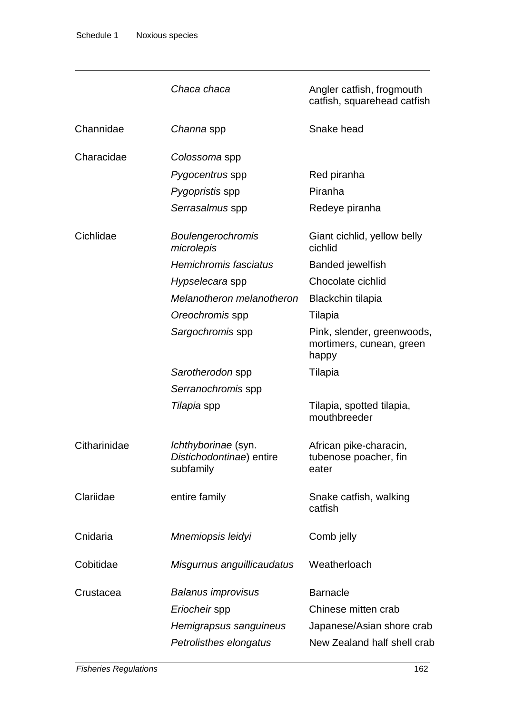|              | Chaca chaca                                                         | Angler catfish, frogmouth<br>catfish, squarehead catfish        |
|--------------|---------------------------------------------------------------------|-----------------------------------------------------------------|
| Channidae    | Channa spp                                                          | Snake head                                                      |
| Characidae   | Colossoma spp                                                       |                                                                 |
|              | Pygocentrus spp                                                     | Red piranha                                                     |
|              | Pygopristis spp                                                     | Piranha                                                         |
|              | Serrasalmus spp                                                     | Redeye piranha                                                  |
| Cichlidae    | <b>Boulengerochromis</b><br>microlepis                              | Giant cichlid, yellow belly<br>cichlid                          |
|              | Hemichromis fasciatus                                               | <b>Banded jewelfish</b>                                         |
|              | Hypselecara spp                                                     | Chocolate cichlid                                               |
|              | Melanotheron melanotheron                                           | Blackchin tilapia                                               |
|              | Oreochromis spp                                                     | Tilapia                                                         |
|              | Sargochromis spp                                                    | Pink, slender, greenwoods,<br>mortimers, cunean, green<br>happy |
|              | Sarotherodon spp                                                    | Tilapia                                                         |
|              | Serranochromis spp                                                  |                                                                 |
|              | <i>Tilapia</i> spp                                                  | Tilapia, spotted tilapia,<br>mouthbreeder                       |
| Citharinidae | <i>Ichthyborinae</i> (syn.<br>Distichodontinae) entire<br>subfamily | African pike-characin,<br>tubenose poacher, fin<br>eater        |
| Clariidae    | entire family                                                       | Snake catfish, walking<br>catfish                               |
| Cnidaria     | Mnemiopsis leidyi                                                   | Comb jelly                                                      |
| Cobitidae    | Misgurnus anguillicaudatus                                          | Weatherloach                                                    |
| Crustacea    | <b>Balanus improvisus</b>                                           | <b>Barnacle</b>                                                 |
|              | Eriocheir spp                                                       | Chinese mitten crab                                             |
|              | Hemigrapsus sanguineus                                              | Japanese/Asian shore crab                                       |
|              | Petrolisthes elongatus                                              | New Zealand half shell crab                                     |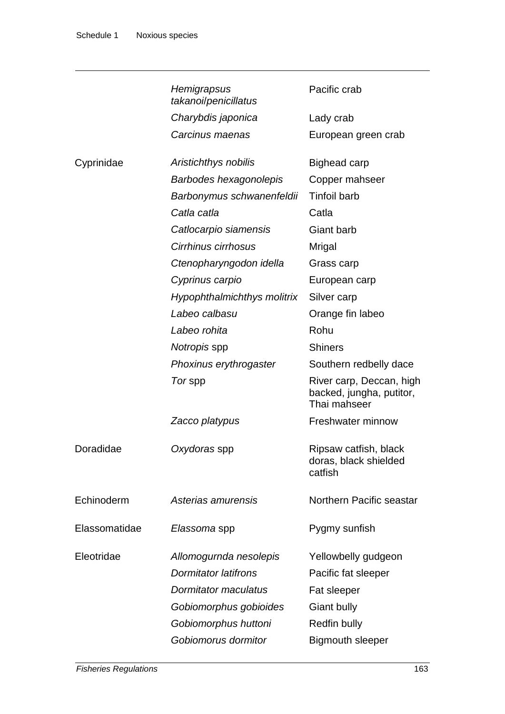|               | Hemigrapsus<br>takanoi/penicillatus | Pacific crab                                                         |
|---------------|-------------------------------------|----------------------------------------------------------------------|
|               | Charybdis japonica                  | Lady crab                                                            |
|               | Carcinus maenas                     | European green crab                                                  |
| Cyprinidae    | Aristichthys nobilis                | Bighead carp                                                         |
|               | Barbodes hexagonolepis              | Copper mahseer                                                       |
|               | Barbonymus schwanenfeldii           | <b>Tinfoil barb</b>                                                  |
|               | Catla catla                         | Catla                                                                |
|               | Catlocarpio siamensis               | Giant barb                                                           |
|               | Cirrhinus cirrhosus                 | Mrigal                                                               |
|               | Ctenopharyngodon idella             | Grass carp                                                           |
|               | Cyprinus carpio                     | European carp                                                        |
|               | Hypophthalmichthys molitrix         | Silver carp                                                          |
|               | Labeo calbasu                       | Orange fin labeo                                                     |
|               | Labeo rohita                        | Rohu                                                                 |
|               | Notropis spp                        | <b>Shiners</b>                                                       |
|               | Phoxinus erythrogaster              | Southern redbelly dace                                               |
|               | Tor spp                             | River carp, Deccan, high<br>backed, jungha, putitor,<br>Thai mahseer |
|               | Zacco platypus                      | Freshwater minnow                                                    |
| Doradidae     | Oxydoras spp                        | Ripsaw catfish, black<br>doras, black shielded<br>catfish            |
| Echinoderm    | Asterias amurensis                  | Northern Pacific seastar                                             |
| Elassomatidae | Elassoma spp                        | Pygmy sunfish                                                        |
| Eleotridae    | Allomogurnda nesolepis              | Yellowbelly gudgeon                                                  |
|               | <b>Dormitator latifrons</b>         | Pacific fat sleeper                                                  |
|               | Dormitator maculatus                | Fat sleeper                                                          |
|               | Gobiomorphus gobioides              | Giant bully                                                          |
|               | Gobiomorphus huttoni                | <b>Redfin bully</b>                                                  |
|               | Gobiomorus dormitor                 | <b>Bigmouth sleeper</b>                                              |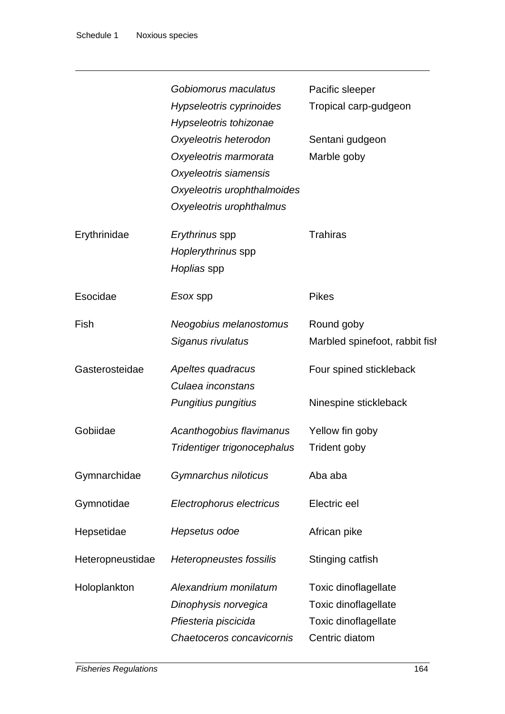|                  | Gobiomorus maculatus<br>Hypseleotris cyprinoides<br>Hypseleotris tohizonae<br>Oxyeleotris heterodon       | Pacific sleeper<br>Tropical carp-gudgeon<br>Sentani gudgeon                            |
|------------------|-----------------------------------------------------------------------------------------------------------|----------------------------------------------------------------------------------------|
|                  | Oxyeleotris marmorata<br>Oxyeleotris siamensis<br>Oxyeleotris urophthalmoides<br>Oxyeleotris urophthalmus | Marble goby                                                                            |
| Erythrinidae     | <i>Erythrinus</i> spp<br>Hoplerythrinus spp<br>Hoplias spp                                                | <b>Trahiras</b>                                                                        |
| Esocidae         | Esox spp                                                                                                  | <b>Pikes</b>                                                                           |
| Fish             | Neogobius melanostomus<br>Siganus rivulatus                                                               | Round goby<br>Marbled spinefoot, rabbit fish                                           |
| Gasterosteidae   | Apeltes quadracus<br>Culaea inconstans<br>Pungitius pungitius                                             | Four spined stickleback<br>Ninespine stickleback                                       |
| Gobiidae         | Acanthogobius flavimanus<br>Tridentiger trigonocephalus                                                   | Yellow fin goby<br>Trident goby                                                        |
| Gymnarchidae     | Gymnarchus niloticus                                                                                      | Aba aba                                                                                |
| Gymnotidae       | Electrophorus electricus                                                                                  | Electric eel                                                                           |
| Hepsetidae       | Hepsetus odoe                                                                                             | African pike                                                                           |
| Heteropneustidae | Heteropneustes fossilis                                                                                   | Stinging catfish                                                                       |
| Holoplankton     | Alexandrium monilatum<br>Dinophysis norvegica<br>Pfiesteria piscicida<br>Chaetoceros concavicornis        | Toxic dinoflagellate<br>Toxic dinoflagellate<br>Toxic dinoflagellate<br>Centric diatom |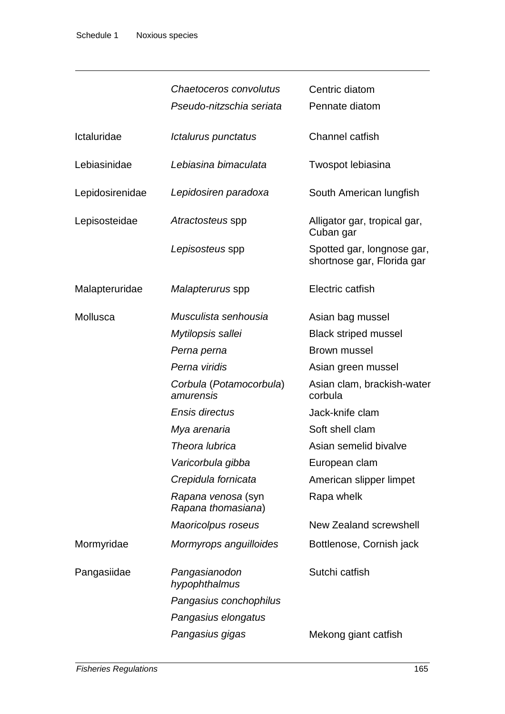|                 | Chaetoceros convolutus                   | Centric diatom                                           |
|-----------------|------------------------------------------|----------------------------------------------------------|
|                 | Pseudo-nitzschia seriata                 | Pennate diatom                                           |
|                 |                                          |                                                          |
| Ictaluridae     | Ictalurus punctatus                      | Channel catfish                                          |
| Lebiasinidae    | Lebiasina bimaculata                     | Twospot lebiasina                                        |
| Lepidosirenidae | Lepidosiren paradoxa                     | South American lungfish                                  |
| Lepisosteidae   | Atractosteus spp                         | Alligator gar, tropical gar,<br>Cuban gar                |
|                 | Lepisosteus spp                          | Spotted gar, longnose gar,<br>shortnose gar, Florida gar |
| Malapteruridae  | Malapterurus spp                         | Electric catfish                                         |
| Mollusca        | Musculista senhousia                     | Asian bag mussel                                         |
|                 | Mytilopsis sallei                        | <b>Black striped mussel</b>                              |
|                 | Perna perna                              | Brown mussel                                             |
|                 | Perna viridis                            | Asian green mussel                                       |
|                 | Corbula (Potamocorbula)<br>amurensis     | Asian clam, brackish-water<br>corbula                    |
|                 | Ensis directus                           | Jack-knife clam                                          |
|                 | Mya arenaria                             | Soft shell clam                                          |
|                 | Theora Iubrica                           | Asian semelid bivalve                                    |
|                 | Varicorbula gibba                        | European clam                                            |
|                 | Crepidula fornicata                      | American slipper limpet                                  |
|                 | Rapana venosa (syn<br>Rapana thomasiana) | Rapa whelk                                               |
|                 | Maoricolpus roseus                       | New Zealand screwshell                                   |
| Mormyridae      | Mormyrops anguilloides                   | Bottlenose, Cornish jack                                 |
| Pangasiidae     | Pangasianodon<br>hypophthalmus           | Sutchi catfish                                           |
|                 | Pangasius conchophilus                   |                                                          |
|                 | Pangasius elongatus                      |                                                          |
|                 | Pangasius gigas                          | Mekong giant catfish                                     |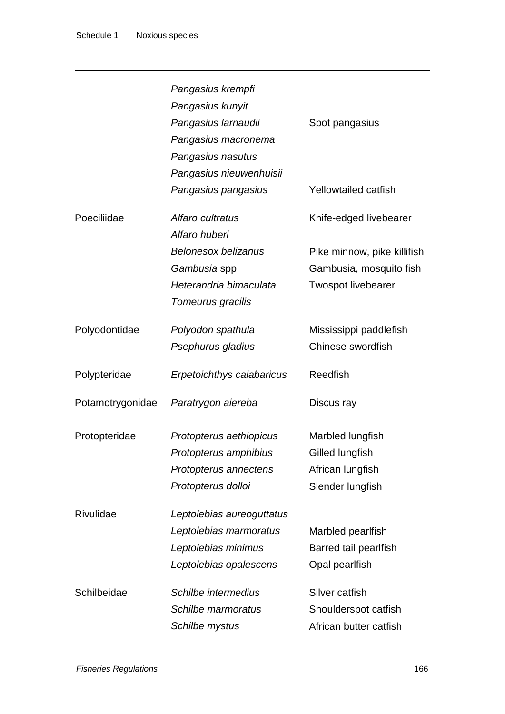|                  | Pangasius krempfi          |                             |
|------------------|----------------------------|-----------------------------|
|                  | Pangasius kunyit           |                             |
|                  | Pangasius larnaudii        | Spot pangasius              |
|                  | Pangasius macronema        |                             |
|                  | Pangasius nasutus          |                             |
|                  | Pangasius nieuwenhuisii    |                             |
|                  | Pangasius pangasius        | <b>Yellowtailed catfish</b> |
| Poeciliidae      | Alfaro cultratus           | Knife-edged livebearer      |
|                  | Alfaro huberi              |                             |
|                  | <b>Belonesox belizanus</b> | Pike minnow, pike killifish |
|                  | Gambusia spp               | Gambusia, mosquito fish     |
|                  | Heterandria bimaculata     | <b>Twospot livebearer</b>   |
|                  | Tomeurus gracilis          |                             |
| Polyodontidae    | Polyodon spathula          | Mississippi paddlefish      |
|                  | Psephurus gladius          | Chinese swordfish           |
| Polypteridae     | Erpetoichthys calabaricus  | Reedfish                    |
| Potamotrygonidae | Paratrygon aiereba         | Discus ray                  |
| Protopteridae    | Protopterus aethiopicus    | Marbled lungfish            |
|                  | Protopterus amphibius      | Gilled lungfish             |
|                  | Protopterus annectens      | African lungfish            |
|                  | Protopterus dolloi         | Slender lungfish            |
| Rivulidae        | Leptolebias aureoguttatus  |                             |
|                  | Leptolebias marmoratus     | Marbled pearlfish           |
|                  | Leptolebias minimus        | Barred tail pearlfish       |
|                  | Leptolebias opalescens     | Opal pearlfish              |
| Schilbeidae      | Schilbe intermedius        | Silver catfish              |
|                  | Schilbe marmoratus         | Shoulderspot catfish        |
|                  | Schilbe mystus             | African butter catfish      |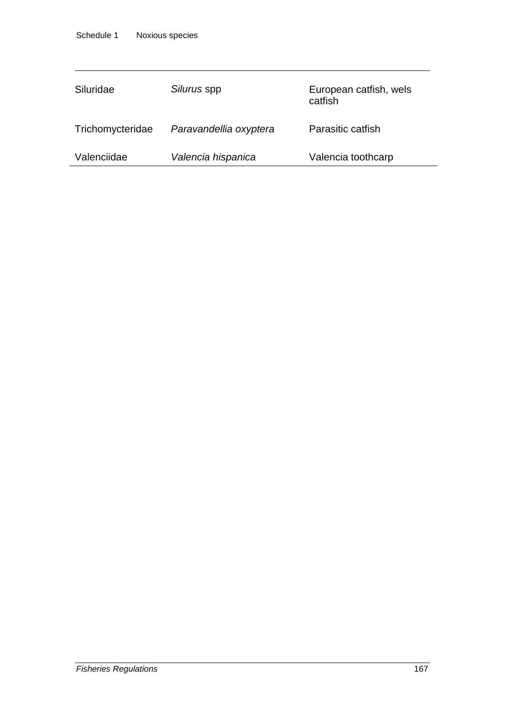| Siluridae        | Silurus spp            | European catfish, wels<br>catfish |
|------------------|------------------------|-----------------------------------|
| Trichomycteridae | Paravandellia oxyptera | Parasitic catfish                 |
| Valenciidae      | Valencia hispanica     | Valencia toothcarp                |

 $\overline{\phantom{a}}$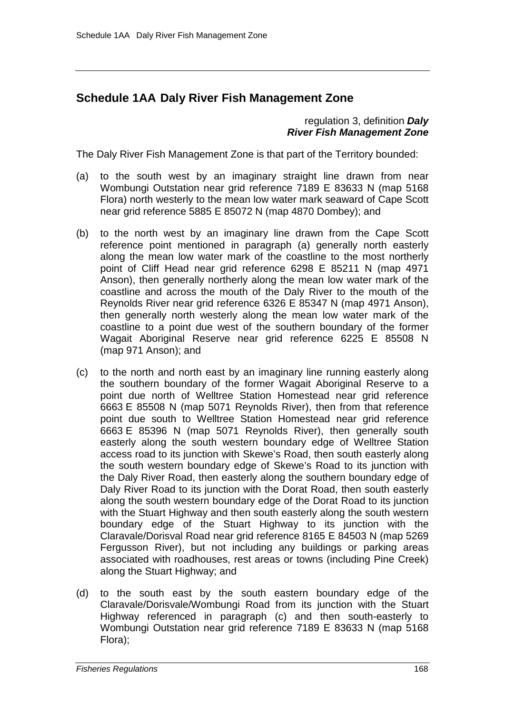## **Schedule 1AA Daly River Fish Management Zone**

regulation 3, definition *Daly River Fish Management Zone*

The Daly River Fish Management Zone is that part of the Territory bounded:

- (a) to the south west by an imaginary straight line drawn from near Wombungi Outstation near grid reference 7189 E 83633 N (map 5168 Flora) north westerly to the mean low water mark seaward of Cape Scott near grid reference 5885 E 85072 N (map 4870 Dombey); and
- (b) to the north west by an imaginary line drawn from the Cape Scott reference point mentioned in paragraph (a) generally north easterly along the mean low water mark of the coastline to the most northerly point of Cliff Head near grid reference 6298 E 85211 N (map 4971 Anson), then generally northerly along the mean low water mark of the coastline and across the mouth of the Daly River to the mouth of the Reynolds River near grid reference 6326 E 85347 N (map 4971 Anson), then generally north westerly along the mean low water mark of the coastline to a point due west of the southern boundary of the former Wagait Aboriginal Reserve near grid reference 6225 E 85508 N (map 971 Anson); and
- (c) to the north and north east by an imaginary line running easterly along the southern boundary of the former Wagait Aboriginal Reserve to a point due north of Welltree Station Homestead near grid reference 6663 E 85508 N (map 5071 Reynolds River), then from that reference point due south to Welltree Station Homestead near grid reference 6663 E 85396 N (map 5071 Reynolds River), then generally south easterly along the south western boundary edge of Welltree Station access road to its junction with Skewe's Road, then south easterly along the south western boundary edge of Skewe's Road to its junction with the Daly River Road, then easterly along the southern boundary edge of Daly River Road to its junction with the Dorat Road, then south easterly along the south western boundary edge of the Dorat Road to its junction with the Stuart Highway and then south easterly along the south western boundary edge of the Stuart Highway to its junction with the Claravale/Dorisval Road near grid reference 8165 E 84503 N (map 5269 Fergusson River), but not including any buildings or parking areas associated with roadhouses, rest areas or towns (including Pine Creek) along the Stuart Highway; and
- (d) to the south east by the south eastern boundary edge of the Claravale/Dorisvale/Wombungi Road from its junction with the Stuart Highway referenced in paragraph (c) and then south-easterly to Wombungi Outstation near grid reference 7189 E 83633 N (map 5168 Flora);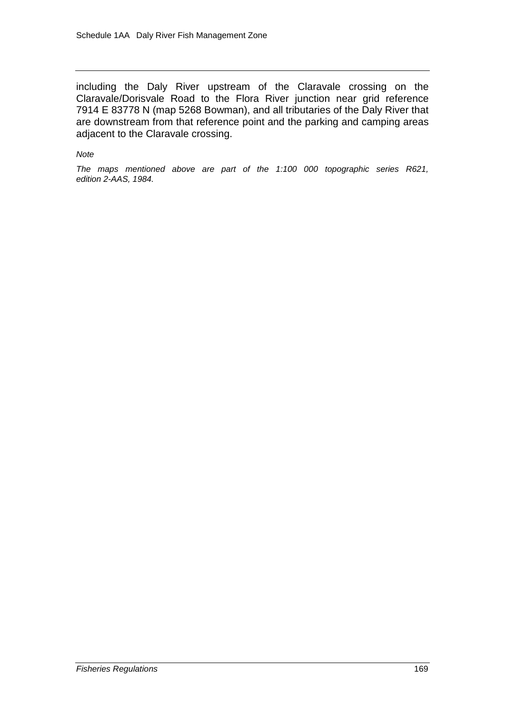including the Daly River upstream of the Claravale crossing on the Claravale/Dorisvale Road to the Flora River junction near grid reference 7914 E 83778 N (map 5268 Bowman), and all tributaries of the Daly River that are downstream from that reference point and the parking and camping areas adjacent to the Claravale crossing.

#### *Note*

*The maps mentioned above are part of the 1:100 000 topographic series R621, edition 2-AAS, 1984.*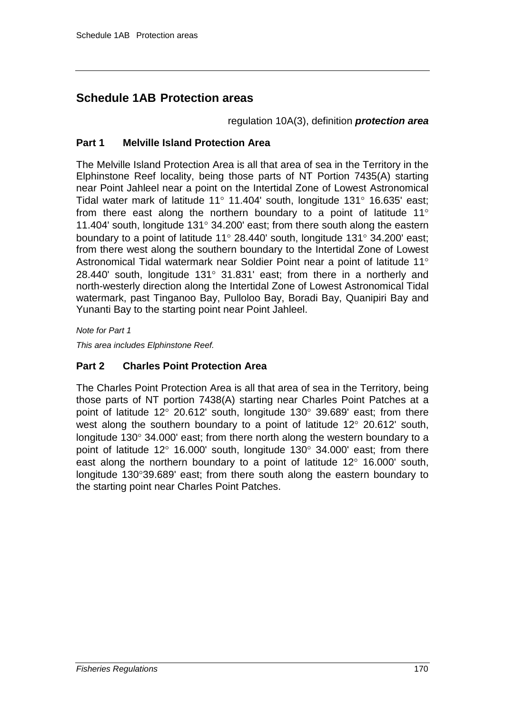## **Schedule 1AB Protection areas**

regulation 10A(3), definition *protection area*

## **Part 1 Melville Island Protection Area**

The Melville Island Protection Area is all that area of sea in the Territory in the Elphinstone Reef locality, being those parts of NT Portion 7435(A) starting near Point Jahleel near a point on the Intertidal Zone of Lowest Astronomical Tidal water mark of latitude 11° 11.404' south, longitude 131° 16.635' east; from there east along the northern boundary to a point of latitude 11° 11.404' south, longitude 131° 34.200' east; from there south along the eastern boundary to a point of latitude 11° 28.440' south, longitude 131° 34.200' east; from there west along the southern boundary to the Intertidal Zone of Lowest Astronomical Tidal watermark near Soldier Point near a point of latitude 11° 28.440' south, longitude 131° 31.831' east; from there in a northerly and north-westerly direction along the Intertidal Zone of Lowest Astronomical Tidal watermark, past Tinganoo Bay, Pulloloo Bay, Boradi Bay, Quanipiri Bay and Yunanti Bay to the starting point near Point Jahleel.

*Note for Part 1*

*This area includes Elphinstone Reef.*

## **Part 2 Charles Point Protection Area**

The Charles Point Protection Area is all that area of sea in the Territory, being those parts of NT portion 7438(A) starting near Charles Point Patches at a point of latitude 12° 20.612' south, longitude 130° 39.689' east; from there west along the southern boundary to a point of latitude 12° 20.612' south, longitude 130° 34.000' east; from there north along the western boundary to a point of latitude 12° 16.000' south, longitude 130° 34.000' east; from there east along the northern boundary to a point of latitude 12° 16.000' south, longitude 130°39.689' east; from there south along the eastern boundary to the starting point near Charles Point Patches.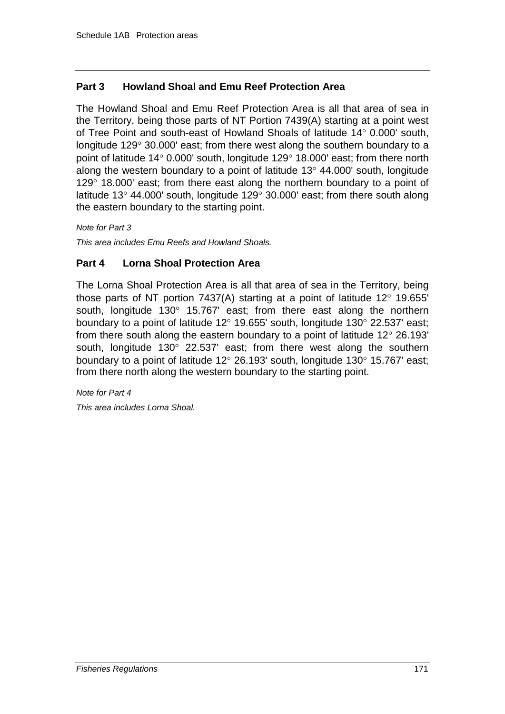## **Part 3 Howland Shoal and Emu Reef Protection Area**

The Howland Shoal and Emu Reef Protection Area is all that area of sea in the Territory, being those parts of NT Portion 7439(A) starting at a point west of Tree Point and south-east of Howland Shoals of latitude 14° 0.000' south, longitude 129° 30.000' east; from there west along the southern boundary to a point of latitude 14° 0.000' south, longitude 129° 18.000' east; from there north along the western boundary to a point of latitude 13° 44.000' south, longitude 129° 18.000' east; from there east along the northern boundary to a point of latitude 13° 44.000' south, longitude 129° 30.000' east; from there south along the eastern boundary to the starting point.

*Note for Part 3*

*This area includes Emu Reefs and Howland Shoals.*

## **Part 4 Lorna Shoal Protection Area**

The Lorna Shoal Protection Area is all that area of sea in the Territory, being those parts of NT portion 7437(A) starting at a point of latitude 12° 19.655' south, longitude 130° 15.767' east; from there east along the northern boundary to a point of latitude 12° 19.655' south, longitude 130° 22.537' east; from there south along the eastern boundary to a point of latitude 12° 26.193' south, longitude 130° 22.537' east; from there west along the southern boundary to a point of latitude 12° 26.193' south, longitude 130° 15.767' east; from there north along the western boundary to the starting point.

*Note for Part 4*

*This area includes Lorna Shoal.*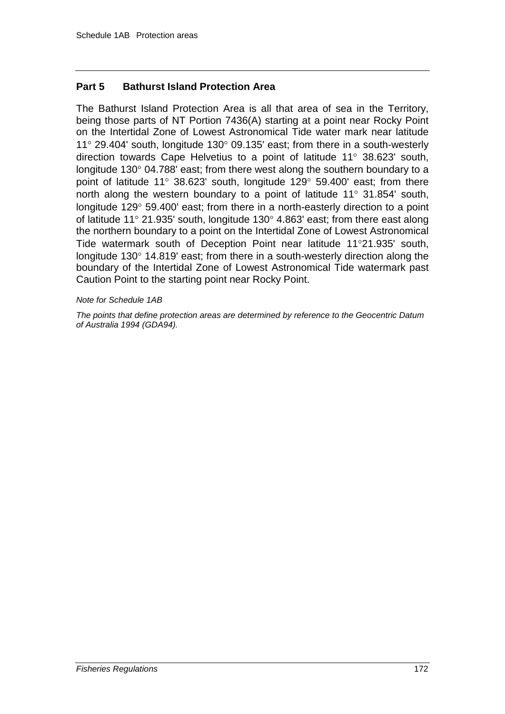### **Part 5 Bathurst Island Protection Area**

The Bathurst Island Protection Area is all that area of sea in the Territory, being those parts of NT Portion 7436(A) starting at a point near Rocky Point on the Intertidal Zone of Lowest Astronomical Tide water mark near latitude 11° 29.404' south, longitude 130° 09.135' east; from there in a south-westerly direction towards Cape Helvetius to a point of latitude 11° 38.623' south, longitude 130° 04.788' east; from there west along the southern boundary to a point of latitude 11° 38.623' south, longitude 129° 59.400' east; from there north along the western boundary to a point of latitude 11° 31.854' south, longitude 129° 59.400' east; from there in a north-easterly direction to a point of latitude 11° 21.935' south, longitude 130° 4.863' east; from there east along the northern boundary to a point on the Intertidal Zone of Lowest Astronomical Tide watermark south of Deception Point near latitude 11°21.935' south, longitude 130° 14.819' east; from there in a south-westerly direction along the boundary of the Intertidal Zone of Lowest Astronomical Tide watermark past Caution Point to the starting point near Rocky Point.

#### *Note for Schedule 1AB*

*The points that define protection areas are determined by reference to the Geocentric Datum of Australia 1994 (GDA94).*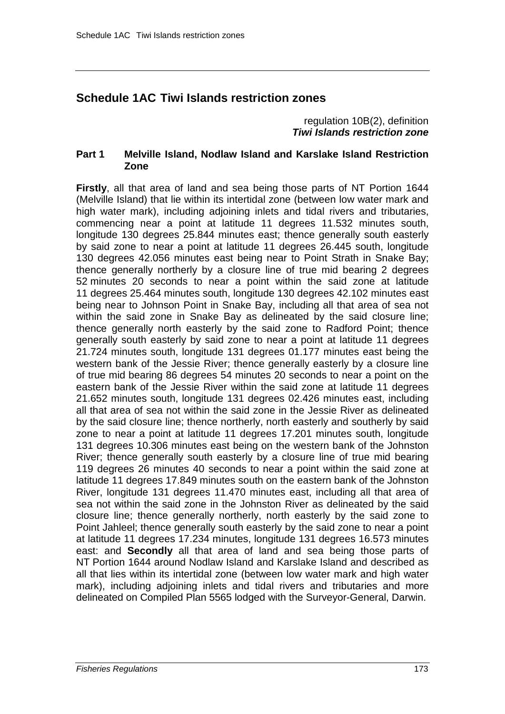## **Schedule 1AC Tiwi Islands restriction zones**

#### regulation 10B(2), definition *Tiwi Islands restriction zone*

### **Part 1 Melville Island, Nodlaw Island and Karslake Island Restriction Zone**

**Firstly**, all that area of land and sea being those parts of NT Portion 1644 (Melville Island) that lie within its intertidal zone (between low water mark and high water mark), including adjoining inlets and tidal rivers and tributaries, commencing near a point at latitude 11 degrees 11.532 minutes south, longitude 130 degrees 25.844 minutes east; thence generally south easterly by said zone to near a point at latitude 11 degrees 26.445 south, longitude 130 degrees 42.056 minutes east being near to Point Strath in Snake Bay; thence generally northerly by a closure line of true mid bearing 2 degrees 52 minutes 20 seconds to near a point within the said zone at latitude 11 degrees 25.464 minutes south, longitude 130 degrees 42.102 minutes east being near to Johnson Point in Snake Bay, including all that area of sea not within the said zone in Snake Bay as delineated by the said closure line; thence generally north easterly by the said zone to Radford Point; thence generally south easterly by said zone to near a point at latitude 11 degrees 21.724 minutes south, longitude 131 degrees 01.177 minutes east being the western bank of the Jessie River; thence generally easterly by a closure line of true mid bearing 86 degrees 54 minutes 20 seconds to near a point on the eastern bank of the Jessie River within the said zone at latitude 11 degrees 21.652 minutes south, longitude 131 degrees 02.426 minutes east, including all that area of sea not within the said zone in the Jessie River as delineated by the said closure line; thence northerly, north easterly and southerly by said zone to near a point at latitude 11 degrees 17.201 minutes south, longitude 131 degrees 10.306 minutes east being on the western bank of the Johnston River; thence generally south easterly by a closure line of true mid bearing 119 degrees 26 minutes 40 seconds to near a point within the said zone at latitude 11 degrees 17.849 minutes south on the eastern bank of the Johnston River, longitude 131 degrees 11.470 minutes east, including all that area of sea not within the said zone in the Johnston River as delineated by the said closure line; thence generally northerly, north easterly by the said zone to Point Jahleel; thence generally south easterly by the said zone to near a point at latitude 11 degrees 17.234 minutes, longitude 131 degrees 16.573 minutes east: and **Secondly** all that area of land and sea being those parts of NT Portion 1644 around Nodlaw Island and Karslake Island and described as all that lies within its intertidal zone (between low water mark and high water mark), including adjoining inlets and tidal rivers and tributaries and more delineated on Compiled Plan 5565 lodged with the Surveyor-General, Darwin.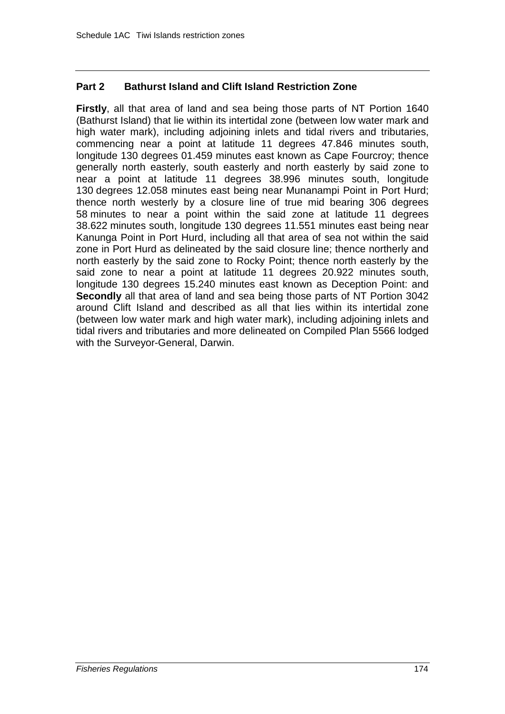## **Part 2 Bathurst Island and Clift Island Restriction Zone**

**Firstly**, all that area of land and sea being those parts of NT Portion 1640 (Bathurst Island) that lie within its intertidal zone (between low water mark and high water mark), including adjoining inlets and tidal rivers and tributaries, commencing near a point at latitude 11 degrees 47.846 minutes south, longitude 130 degrees 01.459 minutes east known as Cape Fourcroy; thence generally north easterly, south easterly and north easterly by said zone to near a point at latitude 11 degrees 38.996 minutes south, longitude 130 degrees 12.058 minutes east being near Munanampi Point in Port Hurd; thence north westerly by a closure line of true mid bearing 306 degrees 58 minutes to near a point within the said zone at latitude 11 degrees 38.622 minutes south, longitude 130 degrees 11.551 minutes east being near Kanunga Point in Port Hurd, including all that area of sea not within the said zone in Port Hurd as delineated by the said closure line; thence northerly and north easterly by the said zone to Rocky Point; thence north easterly by the said zone to near a point at latitude 11 degrees 20.922 minutes south, longitude 130 degrees 15.240 minutes east known as Deception Point: and **Secondly** all that area of land and sea being those parts of NT Portion 3042 around Clift Island and described as all that lies within its intertidal zone (between low water mark and high water mark), including adjoining inlets and tidal rivers and tributaries and more delineated on Compiled Plan 5566 lodged with the Surveyor-General, Darwin.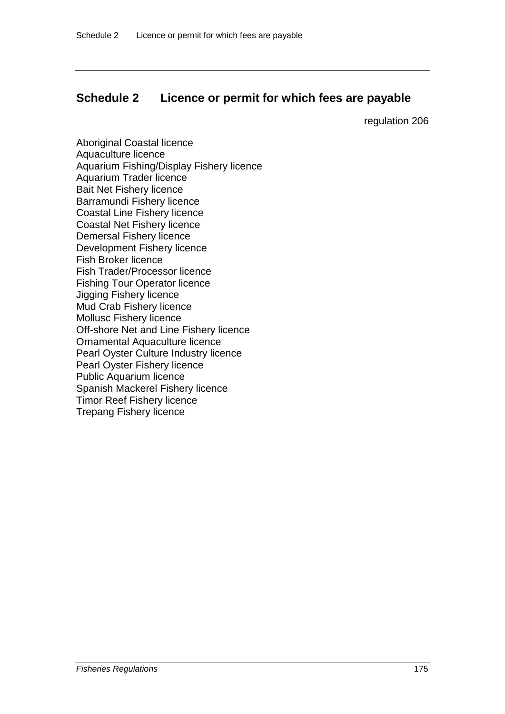## **Schedule 2 Licence or permit for which fees are payable**

regulation 206

Aboriginal Coastal licence Aquaculture licence Aquarium Fishing/Display Fishery licence Aquarium Trader licence Bait Net Fishery licence Barramundi Fishery licence Coastal Line Fishery licence Coastal Net Fishery licence Demersal Fishery licence Development Fishery licence Fish Broker licence Fish Trader/Processor licence Fishing Tour Operator licence Jigging Fishery licence Mud Crab Fishery licence Mollusc Fishery licence Off-shore Net and Line Fishery licence Ornamental Aquaculture licence Pearl Oyster Culture Industry licence Pearl Oyster Fishery licence Public Aquarium licence Spanish Mackerel Fishery licence Timor Reef Fishery licence Trepang Fishery licence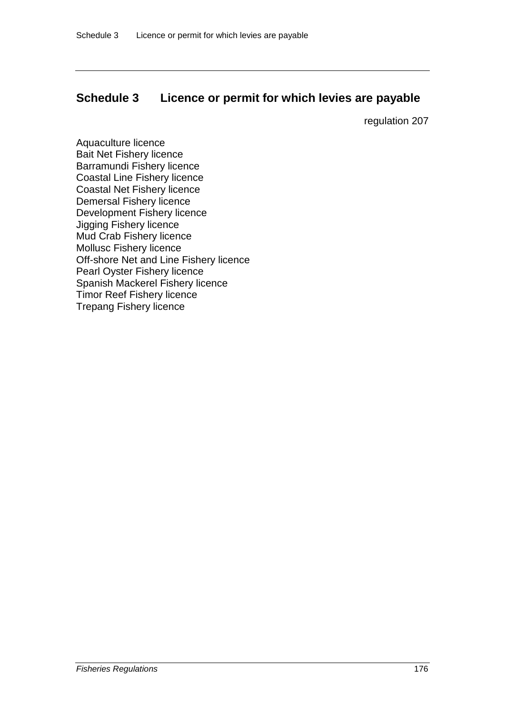## **Schedule 3 Licence or permit for which levies are payable**

regulation 207

Aquaculture licence Bait Net Fishery licence Barramundi Fishery licence Coastal Line Fishery licence Coastal Net Fishery licence Demersal Fishery licence Development Fishery licence Jigging Fishery licence Mud Crab Fishery licence Mollusc Fishery licence Off-shore Net and Line Fishery licence Pearl Oyster Fishery licence Spanish Mackerel Fishery licence Timor Reef Fishery licence Trepang Fishery licence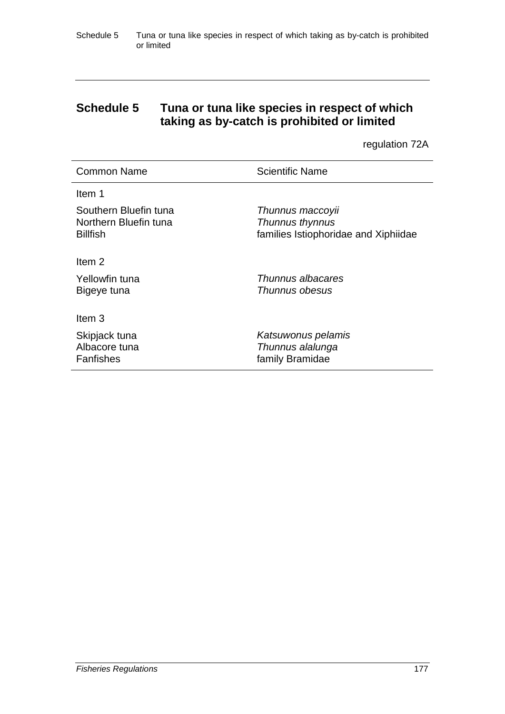## **Schedule 5 Tuna or tuna like species in respect of which taking as by-catch is prohibited or limited**

regulation 72A

| <b>Common Name</b>                                                | <b>Scientific Name</b>                                                      |
|-------------------------------------------------------------------|-----------------------------------------------------------------------------|
| Item 1                                                            |                                                                             |
| Southern Bluefin tuna<br>Northern Bluefin tuna<br><b>Billfish</b> | Thunnus maccoyii<br>Thunnus thynnus<br>families Istiophoridae and Xiphiidae |
| Item <sub>2</sub>                                                 |                                                                             |
| Yellowfin tuna<br>Bigeye tuna                                     | Thunnus albacares<br>Thunnus obesus                                         |
| Item <sub>3</sub>                                                 |                                                                             |
| Skipjack tuna<br>Albacore tuna<br>Fanfishes                       | Katsuwonus pelamis<br>Thunnus alalunga<br>family Bramidae                   |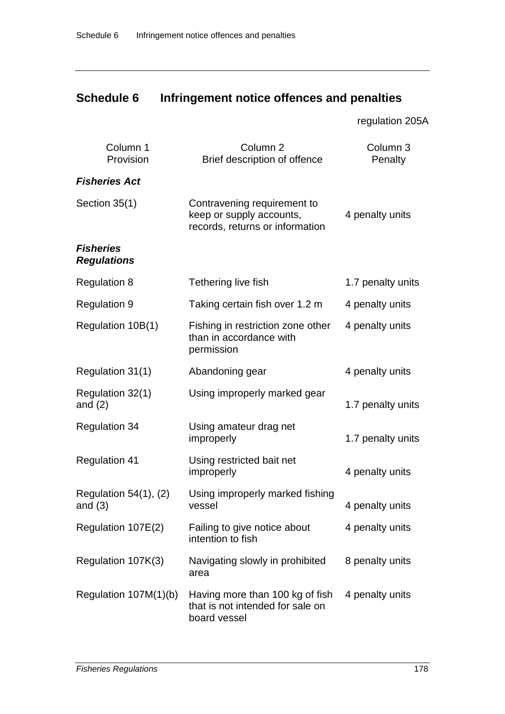# **Schedule 6 Infringement notice offences and penalties**

regulation 205A

| Column 1<br>Provision                   | Column <sub>2</sub><br>Brief description of offence                                        | Column 3<br>Penalty |
|-----------------------------------------|--------------------------------------------------------------------------------------------|---------------------|
| <b>Fisheries Act</b>                    |                                                                                            |                     |
| Section 35(1)                           | Contravening requirement to<br>keep or supply accounts,<br>records, returns or information | 4 penalty units     |
| <b>Fisheries</b><br><b>Regulations</b>  |                                                                                            |                     |
| <b>Regulation 8</b>                     | Tethering live fish                                                                        | 1.7 penalty units   |
| <b>Regulation 9</b>                     | Taking certain fish over 1.2 m                                                             | 4 penalty units     |
| Regulation 10B(1)                       | Fishing in restriction zone other<br>than in accordance with<br>permission                 | 4 penalty units     |
| Regulation 31(1)                        | Abandoning gear                                                                            | 4 penalty units     |
| Regulation 32(1)<br>and $(2)$           | Using improperly marked gear                                                               | 1.7 penalty units   |
| <b>Regulation 34</b>                    | Using amateur drag net<br>improperly                                                       | 1.7 penalty units   |
| <b>Regulation 41</b>                    | Using restricted bait net<br>improperly                                                    | 4 penalty units     |
| Regulation $54(1)$ , $(2)$<br>and $(3)$ | Using improperly marked fishing<br>vessel                                                  | 4 penalty units     |
| Regulation 107E(2)                      | Failing to give notice about<br>intention to fish                                          | 4 penalty units     |
| Regulation 107K(3)                      | Navigating slowly in prohibited<br>area                                                    | 8 penalty units     |
| Regulation 107M(1)(b)                   | Having more than 100 kg of fish<br>that is not intended for sale on<br>board vessel        | 4 penalty units     |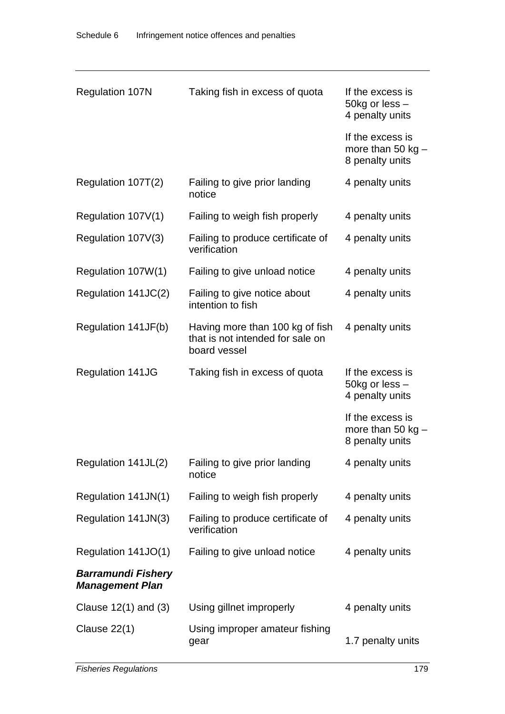| Taking fish in excess of quota<br>Failing to give prior landing<br>notice<br>Failing to weigh fish properly<br>Failing to produce certificate of<br>verification<br>Failing to give unload notice | If the excess is<br>50kg or less -<br>4 penalty units<br>If the excess is<br>more than 50 $kg -$<br>8 penalty units<br>4 penalty units<br>4 penalty units<br>4 penalty units<br>4 penalty units                                                                                                                                                                                                                     |
|---------------------------------------------------------------------------------------------------------------------------------------------------------------------------------------------------|---------------------------------------------------------------------------------------------------------------------------------------------------------------------------------------------------------------------------------------------------------------------------------------------------------------------------------------------------------------------------------------------------------------------|
|                                                                                                                                                                                                   |                                                                                                                                                                                                                                                                                                                                                                                                                     |
|                                                                                                                                                                                                   |                                                                                                                                                                                                                                                                                                                                                                                                                     |
|                                                                                                                                                                                                   |                                                                                                                                                                                                                                                                                                                                                                                                                     |
|                                                                                                                                                                                                   |                                                                                                                                                                                                                                                                                                                                                                                                                     |
|                                                                                                                                                                                                   |                                                                                                                                                                                                                                                                                                                                                                                                                     |
|                                                                                                                                                                                                   |                                                                                                                                                                                                                                                                                                                                                                                                                     |
|                                                                                                                                                                                                   | 4 penalty units                                                                                                                                                                                                                                                                                                                                                                                                     |
|                                                                                                                                                                                                   | 4 penalty units                                                                                                                                                                                                                                                                                                                                                                                                     |
|                                                                                                                                                                                                   | If the excess is<br>50kg or less -<br>4 penalty units                                                                                                                                                                                                                                                                                                                                                               |
|                                                                                                                                                                                                   | If the excess is<br>more than 50 $kg -$<br>8 penalty units                                                                                                                                                                                                                                                                                                                                                          |
|                                                                                                                                                                                                   | 4 penalty units                                                                                                                                                                                                                                                                                                                                                                                                     |
|                                                                                                                                                                                                   | 4 penalty units                                                                                                                                                                                                                                                                                                                                                                                                     |
|                                                                                                                                                                                                   | 4 penalty units                                                                                                                                                                                                                                                                                                                                                                                                     |
|                                                                                                                                                                                                   | 4 penalty units                                                                                                                                                                                                                                                                                                                                                                                                     |
|                                                                                                                                                                                                   |                                                                                                                                                                                                                                                                                                                                                                                                                     |
|                                                                                                                                                                                                   | 4 penalty units                                                                                                                                                                                                                                                                                                                                                                                                     |
|                                                                                                                                                                                                   | 1.7 penalty units                                                                                                                                                                                                                                                                                                                                                                                                   |
|                                                                                                                                                                                                   | Failing to give notice about<br>intention to fish<br>Having more than 100 kg of fish<br>that is not intended for sale on<br>board vessel<br>Taking fish in excess of quota<br>Failing to give prior landing<br>notice<br>Failing to weigh fish properly<br>Failing to produce certificate of<br>verification<br>Failing to give unload notice<br>Using gillnet improperly<br>Using improper amateur fishing<br>gear |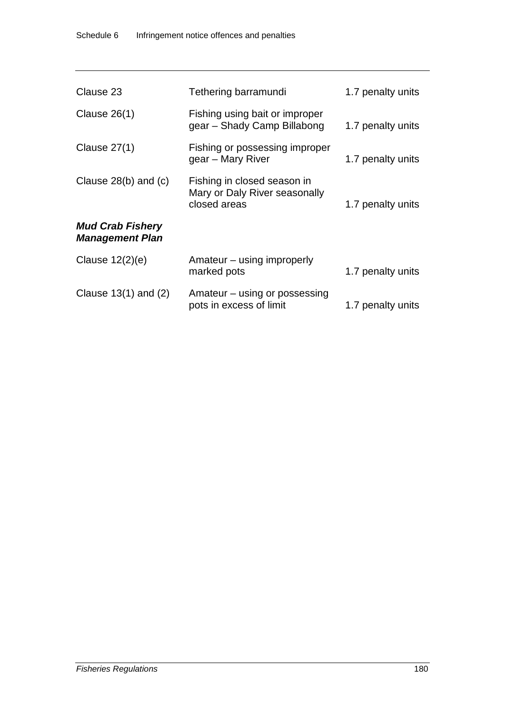| Clause 23                                         | Tethering barramundi                                                         | 1.7 penalty units |
|---------------------------------------------------|------------------------------------------------------------------------------|-------------------|
| Clause $26(1)$                                    | Fishing using bait or improper<br>gear – Shady Camp Billabong                | 1.7 penalty units |
| Clause 27(1)                                      | Fishing or possessing improper<br>gear – Mary River                          | 1.7 penalty units |
| Clause $28(b)$ and $(c)$                          | Fishing in closed season in<br>Mary or Daly River seasonally<br>closed areas | 1.7 penalty units |
| <b>Mud Crab Fishery</b><br><b>Management Plan</b> |                                                                              |                   |
| Clause $12(2)(e)$                                 | Amateur – using improperly<br>marked pots                                    | 1.7 penalty units |
| Clause $13(1)$ and $(2)$                          | Amateur – using or possessing<br>pots in excess of limit                     | 1.7 penalty units |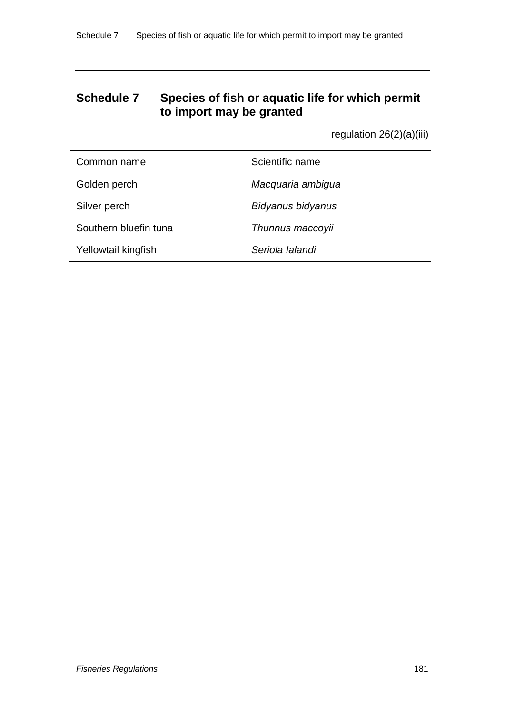## **Schedule 7 Species of fish or aquatic life for which permit to import may be granted**

regulation 26(2)(a)(iii)

| Common name           | Scientific name   |
|-----------------------|-------------------|
| Golden perch          | Macquaria ambigua |
| Silver perch          | Bidyanus bidyanus |
| Southern bluefin tuna | Thunnus maccoyii  |
| Yellowtail kingfish   | Seriola lalandi   |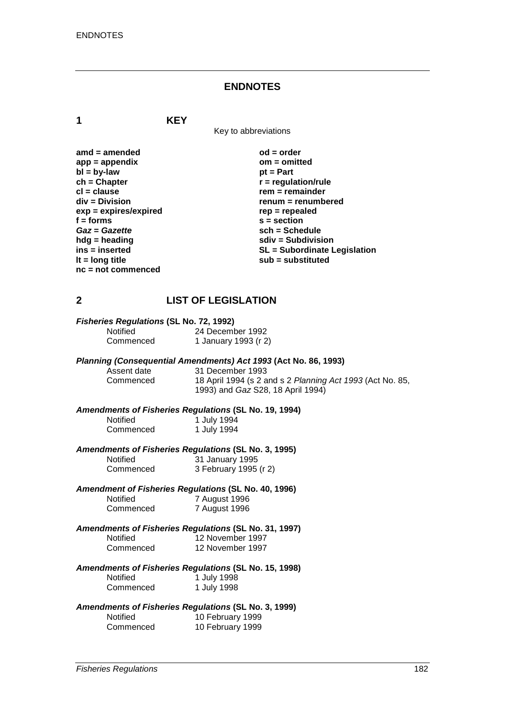#### **ENDNOTES**

**1 KEY**

Key to abbreviations

amd = amended od = order<br>
app = appendix **butch** on = omitted app = appendix<br>bl = by-law bl = by-law bl = com **bl** = by-law<br>
ch = Chapter **ch = Chapter**<br> **cl** = clause **r** = regulation/rule<br> **r** = remainder **cl = clause rem = remainder**  $exp = expires/expired$ <br>**f** = forms *Gaz* = *Gazette*<br>hdg = heading **hdg = heading sdiv = Subdivision nc = not commenced**

**renum = renumbered**<br>rep = repealed **f** = section<br>sch = Schedule **ins = inserted SL = Subordinate Legislation lt = long title sub = substituted**

### **2 LIST OF LEGISLATION**

|  | Fisheries Regulations (SL No. 72, 1992) |  |  |  |  |
|--|-----------------------------------------|--|--|--|--|
|--|-----------------------------------------|--|--|--|--|

| Notified  | 24 December 1992     |
|-----------|----------------------|
| Commenced | 1 January 1993 (r 2) |

#### *Planning (Consequential Amendments) Act 1993* **(Act No. 86, 1993)**

| Assent date | 31 December 1993                                          |
|-------------|-----------------------------------------------------------|
| Commenced   | 18 April 1994 (s 2 and s 2 Planning Act 1993 (Act No. 85, |
|             | 1993) and <i>Gaz</i> S28, 18 April 1994)                  |

# *Amendments of Fisheries Regulations* **(SL No. 19, 1994)**

Notified 1 July 1994<br>Commenced 1 July 1994 1 July 1994

#### *Amendments of Fisheries Regulations* **(SL No. 3, 1995)** Notified

| <b>Notified</b> | 31 January 1995       |
|-----------------|-----------------------|
| Commenced       | 3 February 1995 (r 2) |

*Amendment of Fisheries Regulations* **(SL No. 40, 1996)**

Notified 7 August 1996<br>Commenced 7 August 1996 7 August 1996

## *Amendments of Fisheries Regulations* **(SL No. 31, 1997)** Notified 12 November 1997<br>Commenced 12 November 1997

| Commenced | 12 November 1997 |
|-----------|------------------|
|           |                  |

#### *Amendments of Fisheries Regulations* **(SL No. 15, 1998) Notified**

| Notified  | 1 July 1998 |
|-----------|-------------|
| Commenced | 1 July 1998 |

#### *Amendments of Fisheries Regulations* **(SL No. 3, 1999)**

| <b>Notified</b> | 10 February 1999 |
|-----------------|------------------|
| Commenced       | 10 February 1999 |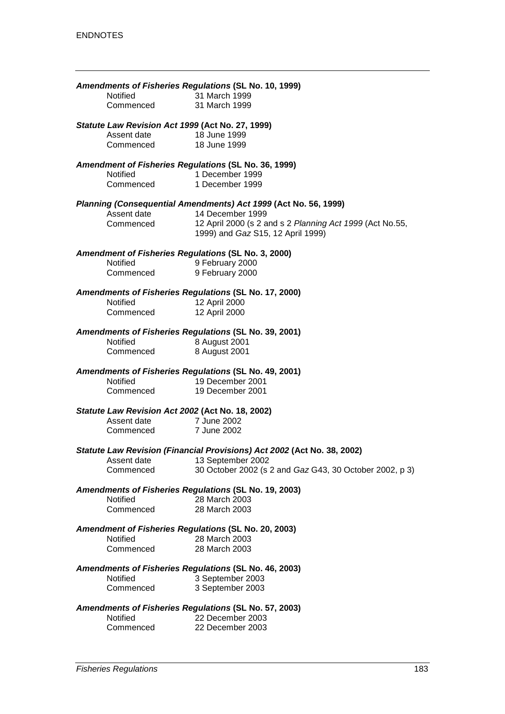|                                                                 | Amendments of Fisheries Regulations (SL No. 10, 1999)                   |
|-----------------------------------------------------------------|-------------------------------------------------------------------------|
| Notified                                                        | 31 March 1999                                                           |
| Commenced                                                       | 31 March 1999                                                           |
|                                                                 |                                                                         |
| Statute Law Revision Act 1999 (Act No. 27, 1999)<br>Assent date | 18 June 1999                                                            |
| Commenced                                                       | 18 June 1999                                                            |
|                                                                 |                                                                         |
|                                                                 | Amendment of Fisheries Regulations (SL No. 36, 1999)                    |
| Notified                                                        | 1 December 1999                                                         |
| Commenced                                                       | 1 December 1999                                                         |
|                                                                 | Planning (Consequential Amendments) Act 1999 (Act No. 56, 1999)         |
| Assent date                                                     | 14 December 1999                                                        |
| Commenced                                                       | 12 April 2000 (s 2 and s 2 Planning Act 1999 (Act No.55,                |
|                                                                 | 1999) and Gaz S15, 12 April 1999)                                       |
|                                                                 | Amendment of Fisheries Regulations (SL No. 3, 2000)                     |
| <b>Notified</b>                                                 | 9 February 2000                                                         |
| Commenced                                                       | 9 February 2000                                                         |
|                                                                 |                                                                         |
|                                                                 | Amendments of Fisheries Regulations (SL No. 17, 2000)                   |
| Notified                                                        | 12 April 2000                                                           |
| Commenced                                                       | 12 April 2000                                                           |
|                                                                 |                                                                         |
|                                                                 | Amendments of Fisheries Regulations (SL No. 39, 2001)                   |
| Notified                                                        | 8 August 2001                                                           |
| Commenced                                                       | 8 August 2001                                                           |
|                                                                 | Amendments of Fisheries Regulations (SL No. 49, 2001)                   |
| Notified                                                        | 19 December 2001                                                        |
| Commenced                                                       | 19 December 2001                                                        |
| Statute Law Revision Act 2002 (Act No. 18, 2002)                |                                                                         |
| Assent date                                                     | 7 June 2002                                                             |
| Commenced                                                       | 7 June 2002                                                             |
|                                                                 |                                                                         |
|                                                                 | Statute Law Revision (Financial Provisions) Act 2002 (Act No. 38, 2002) |
| Assent date                                                     | 13 September 2002                                                       |
| Commenced                                                       | 30 October 2002 (s 2 and Gaz G43, 30 October 2002, p 3)                 |
|                                                                 | <b>Amendments of Fisheries Regulations (SL No. 19, 2003)</b>            |
| Notified                                                        | 28 March 2003                                                           |
| Commenced                                                       | 28 March 2003                                                           |
|                                                                 |                                                                         |
|                                                                 | Amendment of Fisheries Regulations (SL No. 20, 2003)                    |
| Notified                                                        | 28 March 2003                                                           |
| Commenced                                                       | 28 March 2003                                                           |
|                                                                 | <b>Amendments of Fisheries Regulations (SL No. 46, 2003)</b>            |
| Notified                                                        | 3 September 2003                                                        |
| Commenced                                                       | 3 September 2003                                                        |
|                                                                 | <b>Amendments of Fisheries Regulations (SL No. 57, 2003)</b>            |
| Notified                                                        | 22 December 2003                                                        |
| Commenced                                                       | 22 December 2003                                                        |
|                                                                 |                                                                         |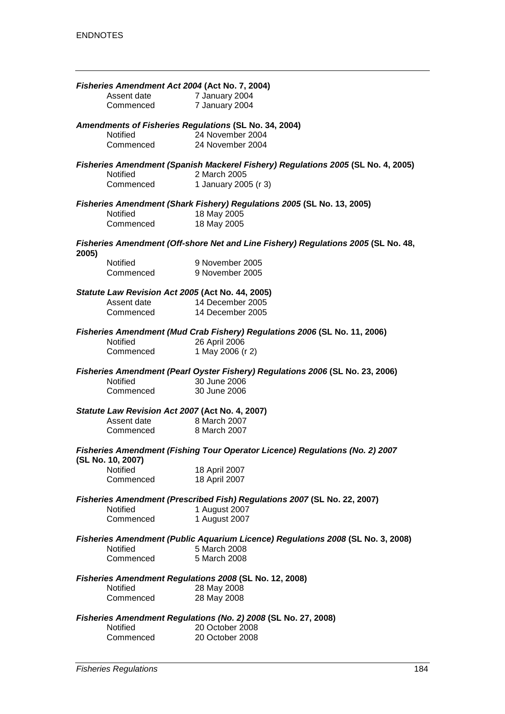|       | Fisheries Amendment Act 2004 (Act No. 7, 2004)   |                                                                                                  |
|-------|--------------------------------------------------|--------------------------------------------------------------------------------------------------|
|       | Assent date                                      | 7 January 2004                                                                                   |
|       | Commenced                                        | 7 January 2004                                                                                   |
|       | Notified                                         | Amendments of Fisheries Regulations (SL No. 34, 2004)<br>24 November 2004                        |
|       | Commenced                                        | 24 November 2004                                                                                 |
|       |                                                  |                                                                                                  |
|       | Notified                                         | Fisheries Amendment (Spanish Mackerel Fishery) Regulations 2005 (SL No. 4, 2005)<br>2 March 2005 |
|       | Commenced                                        | 1 January 2005 (r 3)                                                                             |
|       |                                                  |                                                                                                  |
|       |                                                  | Fisheries Amendment (Shark Fishery) Regulations 2005 (SL No. 13, 2005)                           |
|       | Notified                                         | 18 May 2005                                                                                      |
|       | Commenced                                        | 18 May 2005                                                                                      |
| 2005) |                                                  | Fisheries Amendment (Off-shore Net and Line Fishery) Regulations 2005 (SL No. 48,                |
|       | <b>Notified</b>                                  | 9 November 2005                                                                                  |
|       | Commenced                                        | 9 November 2005                                                                                  |
|       |                                                  |                                                                                                  |
|       | Statute Law Revision Act 2005 (Act No. 44, 2005) |                                                                                                  |
|       | Assent date                                      | 14 December 2005                                                                                 |
|       | Commenced                                        | 14 December 2005                                                                                 |
|       |                                                  | Fisheries Amendment (Mud Crab Fishery) Regulations 2006 (SL No. 11, 2006)                        |
|       | Notified                                         | 26 April 2006                                                                                    |
|       | Commenced                                        | 1 May 2006 (r 2)                                                                                 |
|       |                                                  | Fisheries Amendment (Pearl Oyster Fishery) Regulations 2006 (SL No. 23, 2006)                    |
|       | <b>Notified</b>                                  | 30 June 2006                                                                                     |
|       | Commenced                                        | 30 June 2006                                                                                     |
|       |                                                  |                                                                                                  |
|       | Statute Law Revision Act 2007 (Act No. 4, 2007)  |                                                                                                  |
|       | Assent date                                      | 8 March 2007                                                                                     |
|       | Commenced                                        | 8 March 2007                                                                                     |
|       | (SL No. 10, 2007)                                | Fisheries Amendment (Fishing Tour Operator Licence) Regulations (No. 2) 2007                     |
|       | Notified                                         | 18 April 2007                                                                                    |
|       | Commenced                                        | 18 April 2007                                                                                    |
|       |                                                  |                                                                                                  |
|       |                                                  | Fisheries Amendment (Prescribed Fish) Regulations 2007 (SL No. 22, 2007)                         |
|       | Notified                                         | 1 August 2007                                                                                    |
|       | Commenced                                        | 1 August 2007                                                                                    |
|       |                                                  | Fisheries Amendment (Public Aquarium Licence) Regulations 2008 (SL No. 3, 2008)                  |
|       | Notified                                         | 5 March 2008                                                                                     |
|       | Commenced                                        | 5 March 2008                                                                                     |
|       |                                                  | <b>Fisheries Amendment Regulations 2008 (SL No. 12, 2008)</b>                                    |
|       | Notified                                         | 28 May 2008                                                                                      |
|       | Commenced                                        | 28 May 2008                                                                                      |
|       |                                                  |                                                                                                  |
|       |                                                  | Fisheries Amendment Regulations (No. 2) 2008 (SL No. 27, 2008)                                   |
|       | Notified                                         | 20 October 2008                                                                                  |
|       | Commenced                                        | 20 October 2008                                                                                  |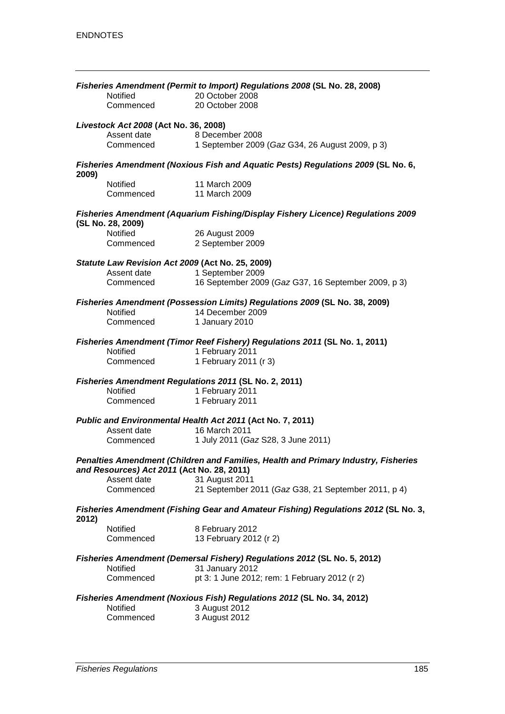|       | Notified                                                        | Fisheries Amendment (Permit to Import) Regulations 2008 (SL No. 28, 2008)<br>20 October 2008 |
|-------|-----------------------------------------------------------------|----------------------------------------------------------------------------------------------|
|       | Commenced                                                       | 20 October 2008                                                                              |
|       | Livestock Act 2008 (Act No. 36, 2008)                           |                                                                                              |
|       | Assent date                                                     | 8 December 2008                                                                              |
|       | Commenced                                                       | 1 September 2009 (Gaz G34, 26 August 2009, p 3)                                              |
| 2009) |                                                                 | Fisheries Amendment (Noxious Fish and Aquatic Pests) Regulations 2009 (SL No. 6,             |
|       | <b>Notified</b>                                                 | 11 March 2009                                                                                |
|       | Commenced                                                       | 11 March 2009                                                                                |
|       | (SL No. 28, 2009)                                               | Fisheries Amendment (Aquarium Fishing/Display Fishery Licence) Regulations 2009              |
|       | Notified                                                        | 26 August 2009                                                                               |
|       | Commenced                                                       | 2 September 2009                                                                             |
|       | Statute Law Revision Act 2009 (Act No. 25, 2009)<br>Assent date | 1 September 2009                                                                             |
|       | Commenced                                                       | 16 September 2009 (Gaz G37, 16 September 2009, p 3)                                          |
|       |                                                                 | Fisheries Amendment (Possession Limits) Regulations 2009 (SL No. 38, 2009)                   |
|       | Notified                                                        | 14 December 2009                                                                             |
|       | Commenced                                                       | 1 January 2010                                                                               |
|       |                                                                 | Fisheries Amendment (Timor Reef Fishery) Regulations 2011 (SL No. 1, 2011)                   |
|       | Notified                                                        | 1 February 2011                                                                              |
|       | Commenced                                                       | 1 February 2011 (r 3)                                                                        |
|       |                                                                 | Fisheries Amendment Regulations 2011 (SL No. 2, 2011)                                        |
|       | <b>Notified</b>                                                 | 1 February 2011                                                                              |
|       | Commenced                                                       | 1 February 2011                                                                              |
|       |                                                                 | Public and Environmental Health Act 2011 (Act No. 7, 2011)                                   |
|       | Assent date                                                     | 16 March 2011                                                                                |
|       | Commenced                                                       | 1 July 2011 (Gaz S28, 3 June 2011)                                                           |
|       | and Resources) Act 2011 (Act No. 28, 2011)                      | Penalties Amendment (Children and Families, Health and Primary Industry, Fisheries           |
|       | Assent date                                                     | 31 August 2011                                                                               |
|       | Commenced                                                       | 21 September 2011 (Gaz G38, 21 September 2011, p 4)                                          |
| 2012) |                                                                 | Fisheries Amendment (Fishing Gear and Amateur Fishing) Regulations 2012 (SL No. 3,           |
|       | Notified                                                        | 8 February 2012                                                                              |
|       | Commenced                                                       | 13 February 2012 (r 2)                                                                       |
|       |                                                                 | Fisheries Amendment (Demersal Fishery) Regulations 2012 (SL No. 5, 2012)                     |
|       | Notified                                                        | 31 January 2012                                                                              |
|       | Commenced                                                       | pt 3: 1 June 2012; rem: 1 February 2012 (r 2)                                                |
|       |                                                                 | Fisheries Amendment (Noxious Fish) Regulations 2012 (SL No. 34, 2012)                        |
|       | Notified                                                        | 3 August 2012                                                                                |
|       | Commenced                                                       | 3 August 2012                                                                                |
|       |                                                                 |                                                                                              |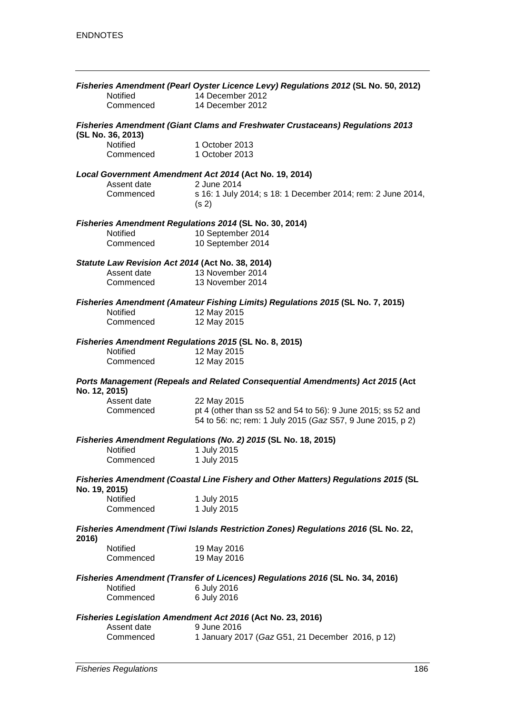|               |                                                  | Fisheries Amendment (Pearl Oyster Licence Levy) Regulations 2012 (SL No. 50, 2012)    |
|---------------|--------------------------------------------------|---------------------------------------------------------------------------------------|
|               | Notified                                         | 14 December 2012                                                                      |
|               | Commenced                                        | 14 December 2012                                                                      |
|               |                                                  |                                                                                       |
|               | (SL No. 36, 2013)                                | <b>Fisheries Amendment (Giant Clams and Freshwater Crustaceans) Regulations 2013</b>  |
|               | Notified                                         | 1 October 2013                                                                        |
|               | Commenced                                        | 1 October 2013                                                                        |
|               |                                                  |                                                                                       |
|               |                                                  | Local Government Amendment Act 2014 (Act No. 19, 2014)                                |
|               | Assent date                                      | 2 June 2014                                                                           |
|               | Commenced                                        | s 16: 1 July 2014; s 18: 1 December 2014; rem: 2 June 2014,<br>(s <sub>2</sub> )      |
|               |                                                  | Fisheries Amendment Regulations 2014 (SL No. 30, 2014)                                |
|               | Notified                                         | 10 September 2014                                                                     |
|               | Commenced                                        | 10 September 2014                                                                     |
|               |                                                  |                                                                                       |
|               | Statute Law Revision Act 2014 (Act No. 38, 2014) |                                                                                       |
|               | Assent date<br>Commenced                         | 13 November 2014                                                                      |
|               |                                                  | 13 November 2014                                                                      |
|               |                                                  | <b>Fisheries Amendment (Amateur Fishing Limits) Regulations 2015 (SL No. 7, 2015)</b> |
|               | Notified                                         | 12 May 2015                                                                           |
|               | Commenced                                        | 12 May 2015                                                                           |
|               |                                                  |                                                                                       |
|               | Notified                                         | Fisheries Amendment Regulations 2015 (SL No. 8, 2015)                                 |
|               |                                                  | 12 May 2015                                                                           |
|               | Commenced                                        | 12 May 2015                                                                           |
| No. 12, 2015) |                                                  | Ports Management (Repeals and Related Consequential Amendments) Act 2015 (Act         |
|               | Assent date                                      | 22 May 2015                                                                           |
|               | Commenced                                        | pt 4 (other than ss 52 and 54 to 56): 9 June 2015; ss 52 and                          |
|               |                                                  | 54 to 56: nc; rem: 1 July 2015 (Gaz S57, 9 June 2015, p 2)                            |
|               |                                                  | Fisheries Amendment Regulations (No. 2) 2015 (SL No. 18, 2015)                        |
|               | Notified                                         | 1 July 2015                                                                           |
|               | Commenced                                        | 1 July 2015                                                                           |
|               |                                                  |                                                                                       |
| No. 19, 2015) |                                                  | Fisheries Amendment (Coastal Line Fishery and Other Matters) Regulations 2015 (SL     |
|               | Notified                                         | 1 July 2015                                                                           |
|               | Commenced                                        | 1 July 2015                                                                           |
| 2016)         |                                                  | Fisheries Amendment (Tiwi Islands Restriction Zones) Regulations 2016 (SL No. 22,     |
|               | Notified                                         | 19 May 2016                                                                           |
|               | Commenced                                        | 19 May 2016                                                                           |
|               |                                                  | Fisheries Amendment (Transfer of Licences) Regulations 2016 (SL No. 34, 2016)         |
|               | Notified                                         | 6 July 2016                                                                           |
|               | Commenced                                        | 6 July 2016                                                                           |
|               |                                                  |                                                                                       |
|               |                                                  | Fisheries Legislation Amendment Act 2016 (Act No. 23, 2016)                           |
|               | Assent date                                      | 9 June 2016                                                                           |
|               | Commenced                                        | 1 January 2017 (Gaz G51, 21 December 2016, p 12)                                      |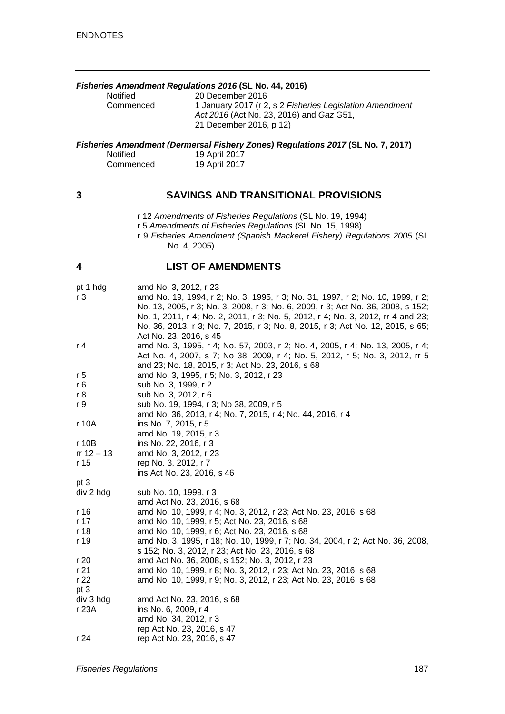# *Fisheries Amendment Regulations 2016* **(SL No. 44, 2016)**

Notified 20 December 2016<br>Commenced 1 January 2017 (r 2 Commenced 1 January 2017 (r 2, s 2 *Fisheries Legislation Amendment Act 2016* (Act No. 23, 2016) and *Gaz* G51, 21 December 2016, p 12)

*Fisheries Amendment (Dermersal Fishery Zones) Regulations 2017* **(SL No. 7, 2017)**

| Notified  | 19 April 2017 |
|-----------|---------------|
| Commenced | 19 April 2017 |

### **3 SAVINGS AND TRANSITIONAL PROVISIONS**

- r 12 *Amendments of Fisheries Regulations* (SL No. 19, 1994)
- r 5 *Amendments of Fisheries Regulations* (SL No. 15, 1998)
- r 9 *Fisheries Amendment (Spanish Mackerel Fishery) Regulations 2005* (SL No. 4, 2005)

### **4 LIST OF AMENDMENTS**

| pt 1 hdg       | amd No. 3, 2012, r 23                                                           |
|----------------|---------------------------------------------------------------------------------|
| r <sub>3</sub> | amd No. 19, 1994, r 2; No. 3, 1995, r 3; No. 31, 1997, r 2; No. 10, 1999, r 2;  |
|                | No. 13, 2005, r 3; No. 3, 2008, r 3; No. 6, 2009, r 3; Act No. 36, 2008, s 152; |
|                | No. 1, 2011, r 4; No. 2, 2011, r 3; No. 5, 2012, r 4; No. 3, 2012, rr 4 and 23; |
|                | No. 36, 2013, r 3; No. 7, 2015, r 3; No. 8, 2015, r 3; Act No. 12, 2015, s 65;  |
|                | Act No. 23, 2016, s 45                                                          |
| r 4            | amd No. 3, 1995, r 4; No. 57, 2003, r 2; No. 4, 2005, r 4; No. 13, 2005, r 4;   |
|                | Act No. 4, 2007, s 7; No 38, 2009, r 4; No. 5, 2012, r 5; No. 3, 2012, rr 5     |
|                | and 23; No. 18, 2015, r 3; Act No. 23, 2016, s 68                               |
| r 5            | amd No. 3, 1995, r 5; No. 3, 2012, r 23                                         |
| r6             | sub No. 3, 1999, r 2                                                            |
| r 8            | sub No. 3, 2012, r 6                                                            |
| r <sub>9</sub> | sub No. 19, 1994, r 3; No 38, 2009, r 5                                         |
|                | amd No. 36, 2013, r 4; No. 7, 2015, r 4; No. 44, 2016, r 4                      |
| r 10A          | ins No. 7, 2015, r 5                                                            |
|                | amd No. 19, 2015, r 3                                                           |
| r 10B          | ins No. 22, 2016, r 3                                                           |
| $rr 12 - 13$   | amd No. 3, 2012, r 23                                                           |
| r 15           | rep No. 3, 2012, r 7                                                            |
|                | ins Act No. 23, 2016, s 46                                                      |
| pt 3           |                                                                                 |
| div 2 hdg      | sub No. 10, 1999, r 3                                                           |
|                | amd Act No. 23, 2016, s 68                                                      |
| r 16           | amd No. 10, 1999, r 4; No. 3, 2012, r 23; Act No. 23, 2016, s 68                |
| r 17           | amd No. 10, 1999, r 5; Act No. 23, 2016, s 68                                   |
| r 18           | amd No. 10, 1999, r 6; Act No. 23, 2016, s 68                                   |
| r 19           | amd No. 3, 1995, r 18; No. 10, 1999, r 7; No. 34, 2004, r 2; Act No. 36, 2008,  |
|                | s 152; No. 3, 2012, r 23; Act No. 23, 2016, s 68                                |
| r 20           | amd Act No. 36, 2008, s 152; No. 3, 2012, r 23                                  |
| r 21           | amd No. 10, 1999, r 8; No. 3, 2012, r 23; Act No. 23, 2016, s 68                |
| r 22           | amd No. 10, 1999, r 9; No. 3, 2012, r 23; Act No. 23, 2016, s 68                |
| pt 3           |                                                                                 |
| div 3 hdg      | amd Act No. 23, 2016, s 68                                                      |
| r 23A          | ins No. 6, 2009, r 4                                                            |
|                | amd No. 34, 2012, r 3                                                           |
|                | rep Act No. 23, 2016, s 47                                                      |
| r 24           | rep Act No. 23, 2016, s 47                                                      |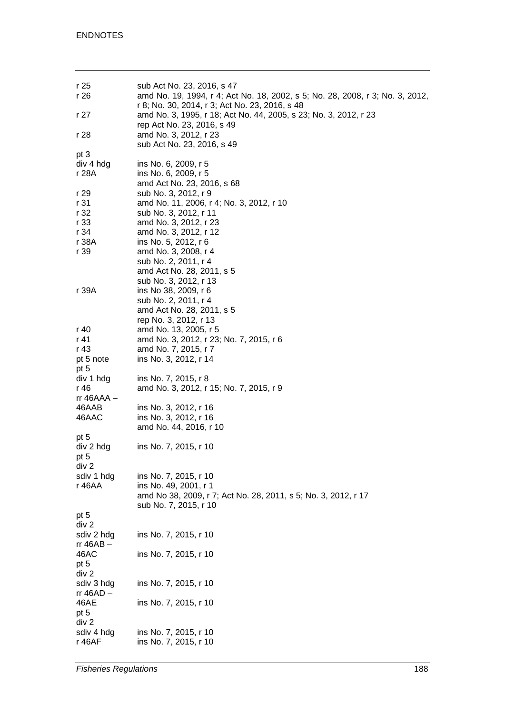| r 25<br>r 26         | sub Act No. 23, 2016, s 47<br>amd No. 19, 1994, r 4; Act No. 18, 2002, s 5; No. 28, 2008, r 3; No. 3, 2012,        |
|----------------------|--------------------------------------------------------------------------------------------------------------------|
| r 27                 | r 8; No. 30, 2014, r 3; Act No. 23, 2016, s 48<br>amd No. 3, 1995, r 18; Act No. 44, 2005, s 23; No. 3, 2012, r 23 |
| r 28                 | rep Act No. 23, 2016, s 49<br>amd No. 3, 2012, r 23<br>sub Act No. 23, 2016, s 49                                  |
| pt 3                 |                                                                                                                    |
| div 4 hdg            | ins No. 6, 2009, r 5                                                                                               |
| r 28A                | ins No. 6, 2009, r 5                                                                                               |
|                      | amd Act No. 23, 2016, s 68                                                                                         |
| r 29                 | sub No. 3, 2012, r 9                                                                                               |
| r31<br>r 32          | amd No. 11, 2006, r 4; No. 3, 2012, r 10<br>sub No. 3, 2012, r 11                                                  |
| r 33                 | amd No. 3, 2012, r 23                                                                                              |
| r 34                 | amd No. 3, 2012, r 12                                                                                              |
| r 38A                | ins No. 5, 2012, r 6                                                                                               |
| r 39                 | amd No. 3, 2008, r 4                                                                                               |
|                      | sub No. 2, 2011, r 4                                                                                               |
|                      | amd Act No. 28, 2011, s 5                                                                                          |
|                      | sub No. 3, 2012, r 13                                                                                              |
| r 39A                | ins No 38, 2009, r 6                                                                                               |
|                      | sub No. 2, 2011, r 4                                                                                               |
|                      | amd Act No. 28, 2011, s 5                                                                                          |
|                      | rep No. 3, 2012, r 13                                                                                              |
| r 40                 | amd No. 13, 2005, r 5                                                                                              |
| r 41                 | amd No. 3, 2012, r 23; No. 7, 2015, r 6                                                                            |
| r 43                 | amd No. 7, 2015, r 7                                                                                               |
| pt 5 note            | ins No. 3, 2012, r 14                                                                                              |
| pt 5                 |                                                                                                                    |
| div 1 hdg<br>r 46    | ins No. 7, 2015, r 8<br>amd No. 3, 2012, r 15; No. 7, 2015, r 9                                                    |
| rr 46AAA $-$         |                                                                                                                    |
| 46AAB                | ins No. 3, 2012, r 16                                                                                              |
| 46AAC                | ins No. 3, 2012, r 16                                                                                              |
|                      | amd No. 44, 2016, r 10                                                                                             |
| pt 5                 |                                                                                                                    |
| div 2 hdg            | ins No. 7, 2015, r 10                                                                                              |
| pt 5                 |                                                                                                                    |
| div 2                |                                                                                                                    |
| sdiv 1 hdg           | ins No. 7, 2015, r 10                                                                                              |
| r 46AA               | ins No. 49, 2001, r 1                                                                                              |
|                      | amd No 38, 2009, r 7; Act No. 28, 2011, s 5; No. 3, 2012, r 17                                                     |
|                      | sub No. 7, 2015, r 10                                                                                              |
| pt 5                 |                                                                                                                    |
| div 2                |                                                                                                                    |
| sdiv 2 hdg           | ins No. 7, 2015, r 10                                                                                              |
| rr 46 $AB -$<br>46AC | ins No. 7, 2015, r 10                                                                                              |
| pt 5                 |                                                                                                                    |
| div 2                |                                                                                                                    |
| sdiv 3 hdg           | ins No. 7, 2015, r 10                                                                                              |
| rr 46AD $-$          |                                                                                                                    |
| 46AE                 | ins No. 7, 2015, r 10                                                                                              |
| pt 5                 |                                                                                                                    |
| div 2                |                                                                                                                    |
| sdiv 4 hdg           | ins No. 7, 2015, r 10                                                                                              |
| r 46AF               | ins No. 7, 2015, r 10                                                                                              |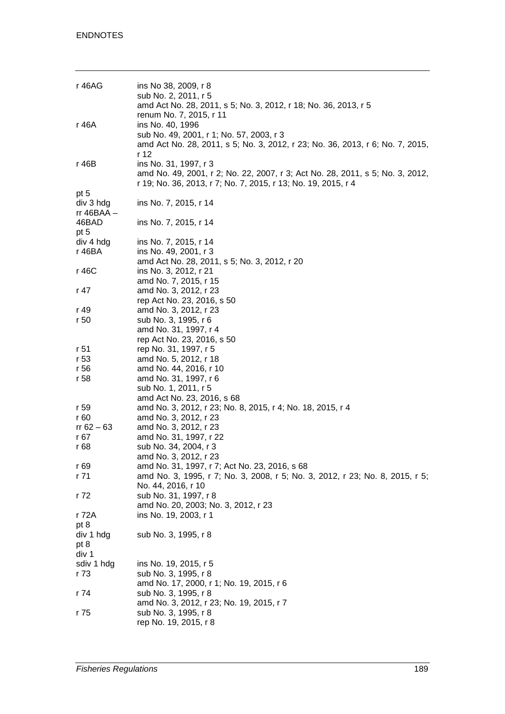| r 46AG                            | ins No 38, 2009, r 8<br>sub No. 2, 2011, r 5<br>amd Act No. 28, 2011, s 5; No. 3, 2012, r 18; No. 36, 2013, r 5                                                                  |
|-----------------------------------|----------------------------------------------------------------------------------------------------------------------------------------------------------------------------------|
| r 46A                             | renum No. 7, 2015, r 11<br>ins No. 40, 1996<br>sub No. 49, 2001, r 1; No. 57, 2003, r 3<br>amd Act No. 28, 2011, s 5; No. 3, 2012, r 23; No. 36, 2013, r 6; No. 7, 2015,<br>r 12 |
| r 46B                             | ins No. 31, 1997, r 3<br>amd No. 49, 2001, r 2; No. 22, 2007, r 3; Act No. 28, 2011, s 5; No. 3, 2012,<br>r 19; No. 36, 2013, r 7; No. 7, 2015, r 13; No. 19, 2015, r 4          |
| pt 5<br>div 3 hdg<br>rr 46BAA $-$ | ins No. 7, 2015, r 14                                                                                                                                                            |
| 46BAD<br>pt 5                     | ins No. 7, 2015, r 14                                                                                                                                                            |
| div 4 hdg                         | ins No. 7, 2015, r 14                                                                                                                                                            |
| r 46BA                            | ins No. 49, 2001, r 3                                                                                                                                                            |
|                                   | amd Act No. 28, 2011, s 5; No. 3, 2012, r 20                                                                                                                                     |
| r 46C                             | ins No. 3, 2012, r 21                                                                                                                                                            |
|                                   |                                                                                                                                                                                  |
|                                   | amd No. 7, 2015, r 15                                                                                                                                                            |
| r 47                              | amd No. 3, 2012, r 23                                                                                                                                                            |
|                                   | rep Act No. 23, 2016, s 50                                                                                                                                                       |
| r 49                              | amd No. 3, 2012, r 23                                                                                                                                                            |
| r 50                              | sub No. 3, 1995, r 6                                                                                                                                                             |
|                                   | amd No. 31, 1997, r 4                                                                                                                                                            |
|                                   | rep Act No. 23, 2016, s 50                                                                                                                                                       |
| r 51                              | rep No. 31, 1997, r 5                                                                                                                                                            |
| r 53                              | amd No. 5, 2012, r 18                                                                                                                                                            |
| r 56                              | amd No. 44, 2016, r 10                                                                                                                                                           |
| r 58                              | amd No. 31, 1997, r 6                                                                                                                                                            |
|                                   | sub No. 1, 2011, r 5                                                                                                                                                             |
|                                   | amd Act No. 23, 2016, s 68                                                                                                                                                       |
| r 59                              | amd No. 3, 2012, r 23; No. 8, 2015, r 4; No. 18, 2015, r 4                                                                                                                       |
|                                   |                                                                                                                                                                                  |
| r 60                              | amd No. 3, 2012, r 23                                                                                                                                                            |
| $rr 62 - 63$                      | amd No. 3, 2012, r 23                                                                                                                                                            |
| r 67                              | amd No. 31, 1997, r 22                                                                                                                                                           |
| r 68                              | sub No. 34, 2004, r 3                                                                                                                                                            |
|                                   | amd No. 3, 2012, r 23                                                                                                                                                            |
| r 69                              | amd No. 31, 1997, r 7; Act No. 23, 2016, s 68                                                                                                                                    |
| r 71                              | amd No. 3, 1995, r 7; No. 3, 2008, r 5; No. 3, 2012, r 23; No. 8, 2015, r 5;                                                                                                     |
|                                   | No. 44, 2016, r 10                                                                                                                                                               |
| r 72                              | sub No. 31, 1997, r 8                                                                                                                                                            |
|                                   | amd No. 20, 2003; No. 3, 2012, r 23                                                                                                                                              |
| r 72A                             | ins No. 19, 2003, r 1                                                                                                                                                            |
| pt 8                              |                                                                                                                                                                                  |
| div 1 hdg                         | sub No. 3, 1995, r 8                                                                                                                                                             |
| pt 8                              |                                                                                                                                                                                  |
| div 1                             |                                                                                                                                                                                  |
|                                   |                                                                                                                                                                                  |
| sdiv 1 hdg                        | ins No. 19, 2015, r 5                                                                                                                                                            |
| r 73                              | sub No. 3, 1995, r 8                                                                                                                                                             |
|                                   | amd No. 17, 2000, r 1; No. 19, 2015, r 6                                                                                                                                         |
| r 74                              | sub No. 3, 1995, r 8                                                                                                                                                             |
|                                   | amd No. 3, 2012, r 23; No. 19, 2015, r 7                                                                                                                                         |
| r 75                              | sub No. 3, 1995, r 8                                                                                                                                                             |
|                                   | rep No. 19, 2015, r 8                                                                                                                                                            |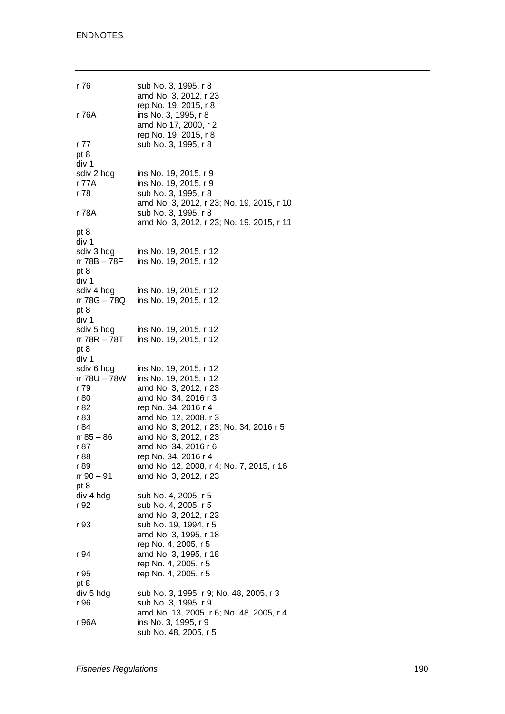| r 76                       | sub No. 3, 1995, r 8<br>amd No. 3, 2012, r 23<br>rep No. 19, 2015, r 8 |
|----------------------------|------------------------------------------------------------------------|
| r 76A                      | ins No. 3, 1995, r 8<br>amd No.17, 2000, r 2<br>rep No. 19, 2015, r 8  |
| r 77                       | sub No. 3, 1995, r 8                                                   |
| pt 8                       |                                                                        |
| div 1                      |                                                                        |
| sdiv 2 hdg                 | ins No. 19, 2015, r 9                                                  |
| r 77A                      | ins No. 19, 2015, r 9                                                  |
| r 78                       | sub No. 3, 1995, r 8                                                   |
|                            | amd No. 3, 2012, r 23; No. 19, 2015, r 10                              |
| r 78A                      | sub No. 3, 1995, r 8                                                   |
|                            | amd No. 3, 2012, r 23; No. 19, 2015, r 11                              |
| pt 8<br>div 1              |                                                                        |
| sdiv 3 hdg                 | ins No. 19, 2015, r 12                                                 |
| rr 78B - 78F               | ins No. 19, 2015, r 12                                                 |
| pt 8                       |                                                                        |
| div 1                      |                                                                        |
| sdiv 4 hdg                 | ins No. 19, 2015, r 12                                                 |
| rr 78G – 78Q               | ins No. 19, 2015, r 12                                                 |
| pt 8                       |                                                                        |
| div 1                      |                                                                        |
| sdiv 5 hdg                 | ins No. 19, 2015, r 12                                                 |
| rr 78R – 78T               | ins No. 19, 2015, r 12                                                 |
| pt 8                       |                                                                        |
| div 1                      | ins No. 19, 2015, r 12                                                 |
| sdiv 6 hdg<br>rr 78U - 78W | ins No. 19, 2015, r 12                                                 |
| r 79                       | amd No. 3, 2012, r 23                                                  |
| r 80                       | amd No. 34, 2016 r 3                                                   |
| r 82                       | rep No. 34, 2016 r 4                                                   |
| r 83                       | amd No. 12, 2008, r 3                                                  |
| r 84                       | amd No. 3, 2012, r 23; No. 34, 2016 r 5                                |
| $rr 85 - 86$               | amd No. 3, 2012, r 23                                                  |
| r 87                       | amd No. 34, 2016 r 6                                                   |
| r 88                       | rep No. 34, 2016 r 4                                                   |
| r 89                       | amd No. 12, 2008, r 4; No. 7, 2015, r 16                               |
| $rr 90 - 91$<br>pt 8       | amd No. 3, 2012, r 23                                                  |
| div 4 hdg                  | sub No. 4, 2005, r 5                                                   |
| r 92                       | sub No. 4, 2005, r 5                                                   |
|                            | amd No. 3, 2012, r 23                                                  |
| r 93                       | sub No. 19, 1994, r 5                                                  |
|                            | amd No. 3, 1995, r 18                                                  |
|                            | rep No. 4, 2005, r 5                                                   |
| r 94                       | amd No. 3, 1995, r 18                                                  |
|                            | rep No. 4, 2005, r 5                                                   |
| r 95                       | rep No. 4, 2005, r 5                                                   |
| pt 8                       |                                                                        |
| div 5 hdg<br>r 96          | sub No. 3, 1995, r 9; No. 48, 2005, r 3<br>sub No. 3, 1995, r 9        |
|                            | amd No. 13, 2005, r 6; No. 48, 2005, r 4                               |
| r 96A                      | ins No. 3, 1995, r 9                                                   |
|                            | sub No. 48, 2005, r 5                                                  |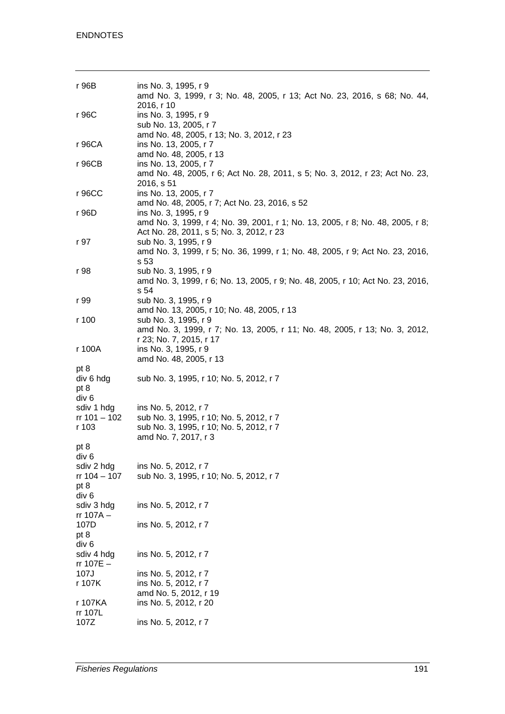| r 96B                                 | ins No. 3, 1995, r 9<br>amd No. 3, 1999, r 3; No. 48, 2005, r 13; Act No. 23, 2016, s 68; No. 44,                                                 |
|---------------------------------------|---------------------------------------------------------------------------------------------------------------------------------------------------|
| r 96C                                 | 2016, r 10<br>ins No. 3, 1995, r 9<br>sub No. 13, 2005, r 7                                                                                       |
| r 96CA                                | amd No. 48, 2005, r 13; No. 3, 2012, r 23<br>ins No. 13, 2005, r 7<br>amd No. 48, 2005, r 13                                                      |
| r 96CB                                | ins No. 13, 2005, r 7<br>amd No. 48, 2005, r 6; Act No. 28, 2011, s 5; No. 3, 2012, r 23; Act No. 23,                                             |
| r 96CC                                | 2016, s 51<br>ins No. 13, 2005, r 7<br>amd No. 48, 2005, r 7; Act No. 23, 2016, s 52                                                              |
| r 96D                                 | ins No. 3, 1995, r 9<br>amd No. 3, 1999, r 4; No. 39, 2001, r 1; No. 13, 2005, r 8; No. 48, 2005, r 8;                                            |
| r 97                                  | Act No. 28, 2011, s 5; No. 3, 2012, r 23<br>sub No. 3, 1995, r 9<br>amd No. 3, 1999, r 5; No. 36, 1999, r 1; No. 48, 2005, r 9; Act No. 23, 2016, |
| r 98                                  | s 53<br>sub No. 3, 1995, r 9<br>amd No. 3, 1999, r 6; No. 13, 2005, r 9; No. 48, 2005, r 10; Act No. 23, 2016,                                    |
| r 99                                  | s 54<br>sub No. 3, 1995, r 9<br>amd No. 13, 2005, r 10; No. 48, 2005, r 13                                                                        |
| r 100                                 | sub No. 3, 1995, r 9<br>amd No. 3, 1999, r 7; No. 13, 2005, r 11; No. 48, 2005, r 13; No. 3, 2012,<br>r 23; No. 7, 2015, r 17                     |
| r 100A                                | ins No. 3, 1995, r 9<br>amd No. 48, 2005, r 13                                                                                                    |
| pt 8                                  |                                                                                                                                                   |
| div 6 hdg<br>pt 8<br>div <sub>6</sub> | sub No. 3, 1995, r 10; No. 5, 2012, r 7                                                                                                           |
| sdiv 1 hdg                            | ins No. 5, 2012, r 7                                                                                                                              |
| $rr 101 - 102$                        | sub No. 3, 1995, r 10; No. 5, 2012, r 7                                                                                                           |
| r 103                                 | sub No. 3, 1995, r 10; No. 5, 2012, r 7<br>amd No. 7, 2017, r 3                                                                                   |
| pt 8<br>div 6                         |                                                                                                                                                   |
| sdiv 2 hdg<br>rr 104 - 107<br>pt 8    | ins No. 5, 2012, r 7<br>sub No. 3, 1995, r 10; No. 5, 2012, r 7                                                                                   |
| div 6                                 |                                                                                                                                                   |
| sdiv 3 hdg<br>rr 107A -               | ins No. 5, 2012, r 7                                                                                                                              |
| 107D<br>pt 8<br>div <sub>6</sub>      | ins No. 5, 2012, r 7                                                                                                                              |
| sdiv 4 hdg<br>rr 107E -               | ins No. 5, 2012, r 7                                                                                                                              |
| 107J                                  | ins No. 5, 2012, r 7                                                                                                                              |
| r 107K                                | ins No. 5, 2012, r 7                                                                                                                              |
|                                       | amd No. 5, 2012, r 19                                                                                                                             |
| r 107KA<br>rr 107L                    | ins No. 5, 2012, r 20                                                                                                                             |
| 107Z                                  | ins No. 5, 2012, r 7                                                                                                                              |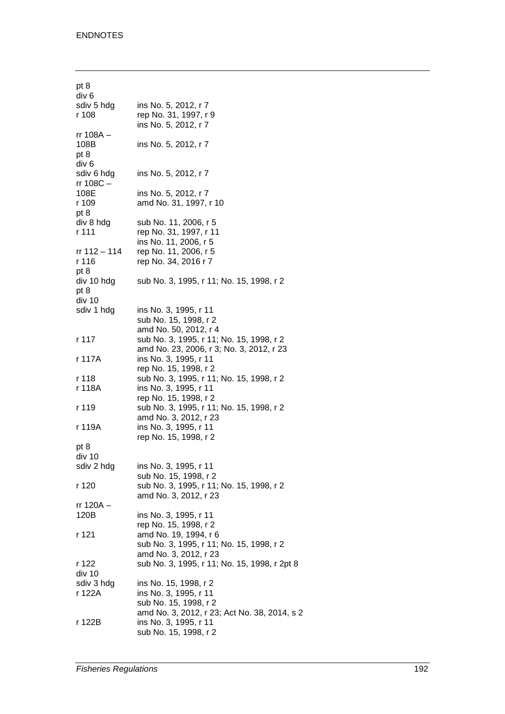| pt 8<br>div 6 |                                              |
|---------------|----------------------------------------------|
| sdiv 5 hdg    | ins No. 5, 2012, r 7                         |
| r 108         | rep No. 31, 1997, r 9                        |
|               | ins No. 5, 2012, r 7                         |
| rr 108A -     |                                              |
|               |                                              |
| 108B          | ins No. 5, 2012, r 7                         |
| pt 8          |                                              |
| div 6         |                                              |
| sdiv 6 hdg    | ins No. 5, 2012, r 7                         |
| rr 108C -     |                                              |
| 108E          | ins No. 5, 2012, r 7                         |
| r 109         | amd No. 31, 1997, r 10                       |
| pt 8          |                                              |
| div 8 hdg     | sub No. 11, 2006, r 5                        |
| r 111         | rep No. 31, 1997, r 11                       |
|               | ins No. 11, 2006, r 5                        |
| rr 112 - 114  | rep No. 11, 2006, r 5                        |
| r 116         | rep No. 34, 2016 r 7                         |
| pt 8          |                                              |
| div 10 hdg    | sub No. 3, 1995, r 11; No. 15, 1998, r 2     |
| pt 8          |                                              |
| div 10        |                                              |
| sdiv 1 hdg    | ins No. 3, 1995, r 11                        |
|               | sub No. 15, 1998, r 2                        |
|               | amd No. 50, 2012, r 4                        |
| r 117         | sub No. 3, 1995, r 11; No. 15, 1998, r 2     |
|               | amd No. 23, 2006, r 3; No. 3, 2012, r 23     |
| r 117A        | ins No. 3, 1995, r 11                        |
|               |                                              |
|               | rep No. 15, 1998, r 2                        |
| r 118         | sub No. 3, 1995, r 11; No. 15, 1998, r 2     |
| r 118A        | ins No. 3, 1995, r 11                        |
|               | rep No. 15, 1998, r 2                        |
| r 119         | sub No. 3, 1995, r 11; No. 15, 1998, r 2     |
|               | amd No. 3, 2012, r 23                        |
| r 119A        | ins No. 3, 1995, r 11                        |
|               | rep No. 15, 1998, r 2                        |
| pt 8          |                                              |
| div 10        |                                              |
| sdiv 2 hdg    | ins No. 3, 1995, r 11                        |
|               | sub No. 15, 1998, r 2                        |
| r 120         | sub No. 3, 1995, r 11; No. 15, 1998, r 2     |
|               | amd No. 3, 2012, r 23                        |
| rr 120A –     |                                              |
| 120B          | ins No. 3, 1995, r 11                        |
|               | rep No. 15, 1998, r 2                        |
| r 121         | amd No. 19, 1994, r 6                        |
|               | sub No. 3, 1995, r 11; No. 15, 1998, r 2     |
|               | amd No. 3, 2012, r 23                        |
| r 122         | sub No. 3, 1995, r 11; No. 15, 1998, r 2pt 8 |
| div 10        |                                              |
| sdiv 3 hdg    | ins No. 15, 1998, r 2                        |
| r 122A        | ins No. 3, 1995, r 11                        |
|               | sub No. 15, 1998, r 2                        |
|               | amd No. 3, 2012, r 23; Act No. 38, 2014, s 2 |
| r 122B        | ins No. 3, 1995, r 11                        |
|               | sub No. 15, 1998, r 2                        |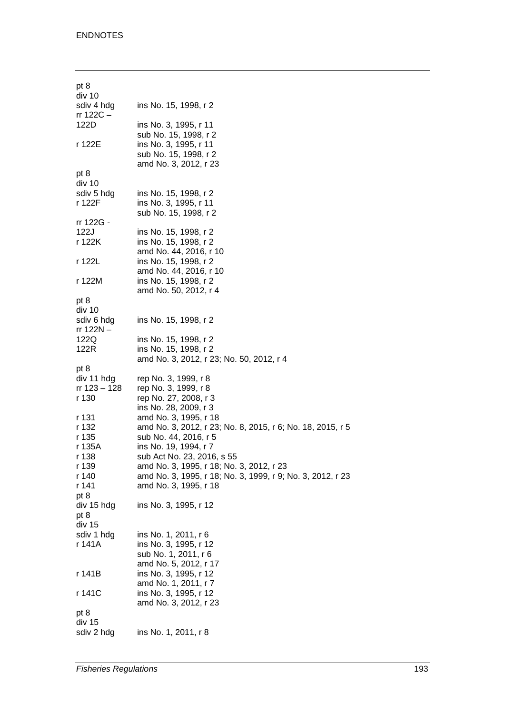| pt 8<br>div 10             |                                                                         |
|----------------------------|-------------------------------------------------------------------------|
| sdiv 4 hdg<br>$rr 122C -$  | ins No. 15, 1998, r 2                                                   |
| 122D                       | ins No. 3, 1995, r 11                                                   |
| r 122E                     | sub No. 15, 1998, r 2<br>ins No. 3, 1995, r 11<br>sub No. 15, 1998, r 2 |
| pt 8                       | amd No. 3, 2012, r 23                                                   |
| div 10                     |                                                                         |
| sdiv 5 hdg<br>r 122F       | ins No. 15, 1998, r 2<br>ins No. 3, 1995, r 11<br>sub No. 15, 1998, r 2 |
| rr 122G -                  |                                                                         |
| 122J                       | ins No. 15, 1998, r 2                                                   |
| r 122K                     | ins No. 15, 1998, r 2                                                   |
| r 122L                     | amd No. 44, 2016, r 10<br>ins No. 15, 1998, r 2                         |
|                            | amd No. 44, 2016, r 10                                                  |
| r 122M                     | ins No. 15, 1998, r 2                                                   |
|                            | amd No. 50, 2012, r 4                                                   |
| pt 8                       |                                                                         |
| div 10                     |                                                                         |
| sdiv 6 hdg<br>rr 122 $N -$ | ins No. 15, 1998, r 2                                                   |
| 122Q                       | ins No. 15, 1998, r 2                                                   |
| 122R                       | ins No. 15, 1998, r 2<br>amd No. 3, 2012, r 23; No. 50, 2012, r 4       |
| pt 8                       |                                                                         |
| div 11 hdg                 | rep No. 3, 1999, r 8                                                    |
| rr 123 – 128               | rep No. 3, 1999, r 8                                                    |
| r 130                      | rep No. 27, 2008, r 3                                                   |
|                            | ins No. 28, 2009, r 3                                                   |
| r 131                      | amd No. 3, 1995, r 18                                                   |
| r 132                      | amd No. 3, 2012, r 23; No. 8, 2015, r 6; No. 18, 2015, r 5              |
| r 135<br>r 135A            | sub No. 44, 2016, r 5<br>ins No. 19, 1994, r 7                          |
| r 138                      | sub Act No. 23, 2016, s 55                                              |
| r 139                      | amd No. 3, 1995, r 18; No. 3, 2012, r 23                                |
| r 140                      | amd No. 3, 1995, r 18; No. 3, 1999, r 9; No. 3, 2012, r 23              |
| r 141                      | amd No. 3, 1995, r 18                                                   |
| pt 8                       |                                                                         |
| div 15 hdg                 | ins No. 3, 1995, r 12                                                   |
| pt 8                       |                                                                         |
| div 15<br>sdiv 1 hdg       | ins No. 1, 2011, r 6                                                    |
| r 141A                     | ins No. 3, 1995, r 12                                                   |
|                            | sub No. 1, 2011, r 6                                                    |
|                            | amd No. 5, 2012, r 17                                                   |
| r 141B                     | ins No. 3, 1995, r 12                                                   |
|                            | amd No. 1, 2011, r 7                                                    |
| r 141C                     | ins No. 3, 1995, r 12                                                   |
| pt 8                       | amd No. 3, 2012, r 23                                                   |
| div 15                     |                                                                         |
| sdiv 2 hdg                 | ins No. 1, 2011, r 8                                                    |
|                            |                                                                         |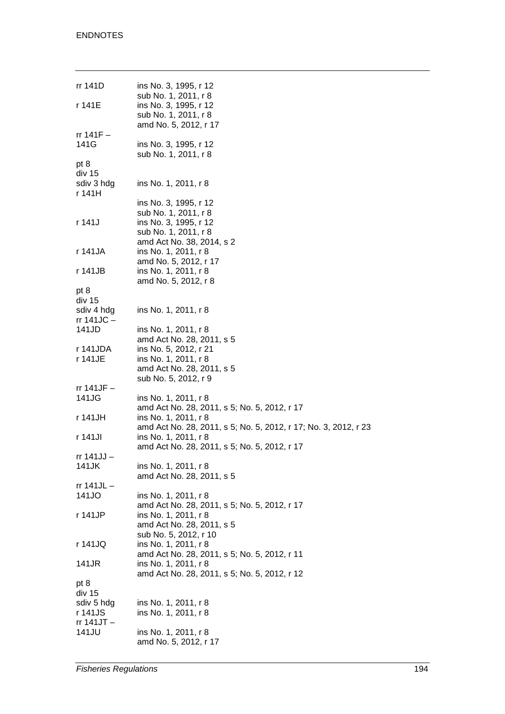| rr 141D              | ins No. 3, 1995, r 12                                                |
|----------------------|----------------------------------------------------------------------|
|                      | sub No. 1, 2011, r 8                                                 |
| r 141E               | ins No. 3, 1995, r 12<br>sub No. 1, 2011, r 8                        |
|                      | amd No. 5, 2012, r 17                                                |
| rr 141F-             |                                                                      |
| 141G                 | ins No. 3, 1995, r 12                                                |
|                      | sub No. 1, 2011, r 8                                                 |
| pt 8<br>div 15       |                                                                      |
| sdiv 3 hdg           | ins No. 1, 2011, r 8                                                 |
| r 141H               |                                                                      |
|                      | ins No. 3, 1995, r 12                                                |
|                      | sub No. 1, 2011, r 8                                                 |
| r 141J               | ins No. 3, 1995, r 12                                                |
|                      | sub No. 1, 2011, r 8<br>amd Act No. 38, 2014, s 2                    |
| r 141JA              | ins No. 1, 2011, r 8                                                 |
|                      | amd No. 5, 2012, r 17                                                |
| r 141JB              | ins No. 1, 2011, r 8                                                 |
|                      | amd No. 5, 2012, r 8                                                 |
| pt 8<br>div 15       |                                                                      |
| sdiv 4 hdg           | ins No. 1, 2011, r 8                                                 |
| rr 141JC –           |                                                                      |
| 141JD                | ins No. 1, 2011, r 8                                                 |
|                      | amd Act No. 28, 2011, s 5                                            |
| r 141JDA<br>r 141JE  | ins No. 5, 2012, r 21<br>ins No. 1, 2011, r 8                        |
|                      | amd Act No. 28, 2011, s 5                                            |
|                      | sub No. 5, 2012, r 9                                                 |
| rr 141JF $-$         |                                                                      |
| 141JG                | ins No. 1, 2011, r 8                                                 |
| r 141JH              | amd Act No. 28, 2011, s 5; No. 5, 2012, r 17<br>ins No. 1, 2011, r 8 |
|                      | amd Act No. 28, 2011, s 5; No. 5, 2012, r 17; No. 3, 2012, r 23      |
| r 141JI              | ins No. 1, 2011, r 8                                                 |
|                      | amd Act No. 28, 2011, s 5; No. 5, 2012, r 17                         |
| rr 141JJ –           |                                                                      |
| 141JK                | ins No. 1, 2011, r 8<br>amd Act No. 28, 2011, s 5                    |
| rr 141JL $-$         |                                                                      |
| 141JO                | ins No. 1, 2011, r 8                                                 |
|                      | amd Act No. 28, 2011, s 5; No. 5, 2012, r 17                         |
| r 141JP              | ins No. 1, 2011, r 8                                                 |
|                      | amd Act No. 28, 2011, s 5                                            |
| r 141JQ              | sub No. 5, 2012, r 10<br>ins No. 1, 2011, r 8                        |
|                      | amd Act No. 28, 2011, s 5; No. 5, 2012, r 11                         |
| 141JR                | ins No. 1, 2011, r 8                                                 |
|                      | amd Act No. 28, 2011, s 5; No. 5, 2012, r 12                         |
| pt 8                 |                                                                      |
| div 15<br>sdiv 5 hdg | ins No. 1, 2011, r 8                                                 |
| r 141JS              | ins No. 1, 2011, r 8                                                 |
| rr 141JT -           |                                                                      |
| 141JU                | ins No. 1, 2011, r 8                                                 |
|                      | amd No. 5, 2012, r 17                                                |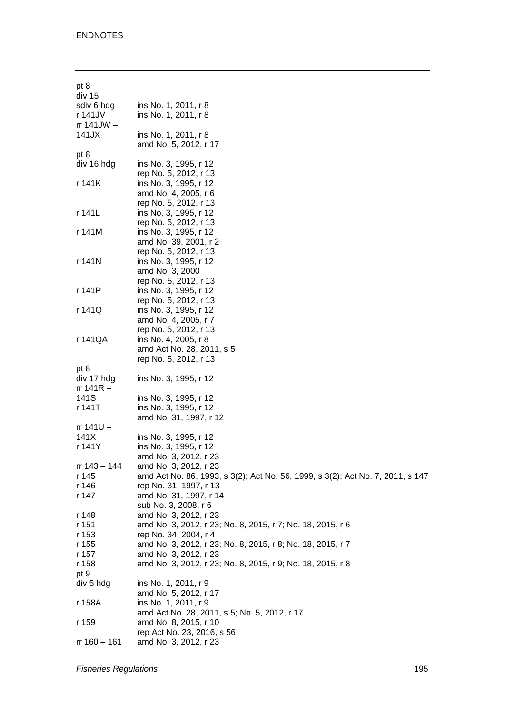| pt 8           |                                                                                |
|----------------|--------------------------------------------------------------------------------|
| div 15         |                                                                                |
| sdiv 6 hdg     | ins No. 1, 2011, r 8                                                           |
| r 141JV        | ins No. 1, 2011, r 8                                                           |
| rr 141J $W -$  |                                                                                |
| 141JX          | ins No. 1, 2011, r 8                                                           |
|                | amd No. 5, 2012, r 17                                                          |
| pt 8           |                                                                                |
| div 16 hdg     | ins No. 3, 1995, r 12                                                          |
|                | rep No. 5, 2012, r 13                                                          |
| r 141K         | ins No. 3, 1995, r 12                                                          |
|                | amd No. 4, 2005, r 6                                                           |
|                | rep No. 5, 2012, r 13                                                          |
| r 141L         | ins No. 3, 1995, r 12                                                          |
|                | rep No. 5, 2012, r 13                                                          |
| r 141M         | ins No. 3, 1995, r 12                                                          |
|                | amd No. 39, 2001, r 2                                                          |
|                | rep No. 5, 2012, r 13                                                          |
| r 141N         | ins No. 3, 1995, r 12                                                          |
|                | amd No. 3, 2000                                                                |
|                | rep No. 5, 2012, r 13                                                          |
| r 141P         | ins No. 3, 1995, r 12                                                          |
|                | rep No. 5, 2012, r 13                                                          |
| r 141Q         | ins No. 3, 1995, r 12                                                          |
|                | amd No. 4, 2005, r 7                                                           |
|                | rep No. 5, 2012, r 13                                                          |
| r 141QA        | ins No. 4, 2005, r 8                                                           |
|                | amd Act No. 28, 2011, s 5                                                      |
|                | rep No. 5, 2012, r 13                                                          |
| pt 8           |                                                                                |
| div 17 hdg     | ins No. 3, 1995, r 12                                                          |
| rr 141 $R -$   |                                                                                |
| 141S           | ins No. 3, 1995, r 12                                                          |
| r 141T         | ins No. 3, 1995, r 12                                                          |
|                | amd No. 31, 1997, r 12                                                         |
| rr 141U –      |                                                                                |
| 141X           | ins No. 3, 1995, r 12                                                          |
| r 141Y         | ins No. 3, 1995, r 12                                                          |
|                |                                                                                |
|                | amd No. 3, 2012, r 23                                                          |
| rr 143 - 144   | amd No. 3, 2012, r 23                                                          |
| r 145          | amd Act No. 86, 1993, s 3(2); Act No. 56, 1999, s 3(2); Act No. 7, 2011, s 147 |
| r 146          | rep No. 31, 1997, r 13                                                         |
| r 147          | amd No. 31, 1997, r 14                                                         |
|                | sub No. 3, 2008, r 6                                                           |
| r 148          | amd No. 3, 2012, r 23                                                          |
| r 151          | amd No. 3, 2012, r 23; No. 8, 2015, r 7; No. 18, 2015, r 6                     |
| r 153          | rep No. 34, 2004, r 4                                                          |
| r 155          | amd No. 3, 2012, r 23; No. 8, 2015, r 8; No. 18, 2015, r 7                     |
| r 157          | amd No. 3, 2012, r 23                                                          |
| r 158          | amd No. 3, 2012, r 23; No. 8, 2015, r 9; No. 18, 2015, r 8                     |
| pt 9           |                                                                                |
| div 5 hdg      | ins No. 1, 2011, r 9                                                           |
|                | amd No. 5, 2012, r 17                                                          |
| r 158A         | ins No. 1, 2011, r 9                                                           |
|                | amd Act No. 28, 2011, s 5; No. 5, 2012, r 17                                   |
| r 159          | amd No. 8, 2015, r 10                                                          |
|                | rep Act No. 23, 2016, s 56                                                     |
| $rr 160 - 161$ | amd No. 3, 2012, r 23                                                          |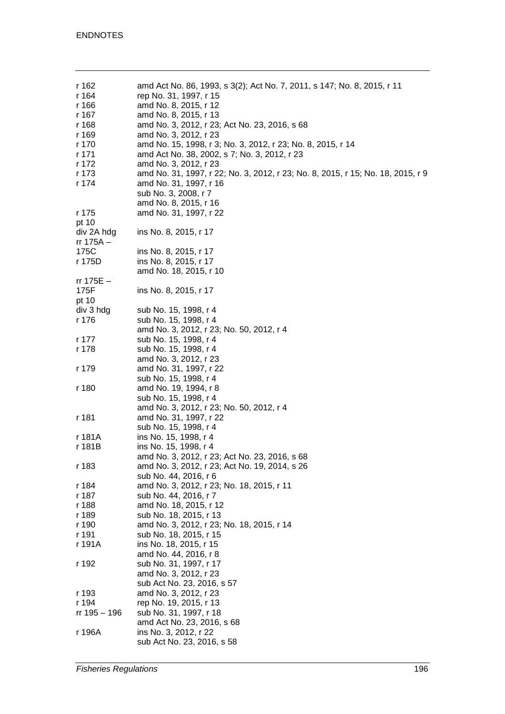| r 162        | amd Act No. 86, 1993, s 3(2); Act No. 7, 2011, s 147; No. 8, 2015, r 11         |
|--------------|---------------------------------------------------------------------------------|
| r 164        | rep No. 31, 1997, r 15                                                          |
|              | amd No. 8, 2015, r 12                                                           |
| r 166        |                                                                                 |
| r 167        | amd No. 8, 2015, r 13                                                           |
| r 168        | amd No. 3, 2012, r 23; Act No. 23, 2016, s 68                                   |
| r 169        | amd No. 3, 2012, r 23                                                           |
| r 170        | amd No. 15, 1998, r 3; No. 3, 2012, r 23; No. 8, 2015, r 14                     |
| r 171        | amd Act No. 38, 2002, s 7; No. 3, 2012, r 23                                    |
|              |                                                                                 |
| r 172        | amd No. 3, 2012, r 23                                                           |
| r 173        | amd No. 31, 1997, r 22; No. 3, 2012, r 23; No. 8, 2015, r 15; No. 18, 2015, r 9 |
| r 174        | amd No. 31, 1997, r 16                                                          |
|              | sub No. 3, 2008, r 7                                                            |
|              | amd No. 8, 2015, r 16                                                           |
| r 175        | amd No. 31, 1997, r 22                                                          |
|              |                                                                                 |
| pt 10        |                                                                                 |
| div 2A hdg   | ins No. 8, 2015, r 17                                                           |
| rr 175A -    |                                                                                 |
| 175C         | ins No. 8, 2015, r 17                                                           |
| r 175D       | ins No. 8, 2015, r 17                                                           |
|              | amd No. 18, 2015, r 10                                                          |
| rr 175E –    |                                                                                 |
|              |                                                                                 |
| 175F         | ins No. 8, 2015, r 17                                                           |
| pt 10        |                                                                                 |
| div 3 hdg    | sub No. 15, 1998, r 4                                                           |
| r 176        | sub No. 15, 1998, r 4                                                           |
|              | amd No. 3, 2012, r 23; No. 50, 2012, r 4                                        |
| r 177        | sub No. 15, 1998, r 4                                                           |
| r 178        | sub No. 15, 1998, r 4                                                           |
|              | amd No. 3, 2012, r 23                                                           |
| r 179        | amd No. 31, 1997, r 22                                                          |
|              |                                                                                 |
|              | sub No. 15, 1998, r 4                                                           |
| r 180        | amd No. 19, 1994, r 8                                                           |
|              | sub No. 15, 1998, r 4                                                           |
|              | amd No. 3, 2012, r 23; No. 50, 2012, r 4                                        |
| r 181        | amd No. 31, 1997, r 22                                                          |
|              | sub No. 15, 1998, r 4                                                           |
| r 181A       | ins No. 15, 1998, r 4                                                           |
| r 181B       | ins No. 15, 1998, r 4                                                           |
|              | amd No. 3, 2012, r 23; Act No. 23, 2016, s 68                                   |
|              |                                                                                 |
| r 183        | amd No. 3, 2012, r 23; Act No. 19, 2014, s 26                                   |
|              | sub No. 44, 2016, r 6                                                           |
| r 184        | amd No. 3, 2012, r 23; No. 18, 2015, r 11                                       |
| r 187        | sub No. 44, 2016, r 7                                                           |
| r 188        | amd No. 18, 2015, r 12                                                          |
| r 189        | sub No. 18, 2015, r 13                                                          |
| r 190        | amd No. 3, 2012, r 23; No. 18, 2015, r 14                                       |
| r 191        | sub No. 18, 2015, r 15                                                          |
| r 191A       | ins No. 18, 2015, r 15                                                          |
|              | amd No. 44, 2016, r 8                                                           |
|              |                                                                                 |
| r 192        | sub No. 31, 1997, r 17                                                          |
|              | amd No. 3, 2012, r 23                                                           |
|              | sub Act No. 23, 2016, s 57                                                      |
| r 193        | amd No. 3, 2012, r 23                                                           |
| r 194        | rep No. 19, 2015, r 13                                                          |
| rr 195 - 196 | sub No. 31, 1997, r 18                                                          |
|              | amd Act No. 23, 2016, s 68                                                      |
| r 196A       | ins No. 3, 2012, r 22                                                           |
|              | sub Act No. 23, 2016, s 58                                                      |
|              |                                                                                 |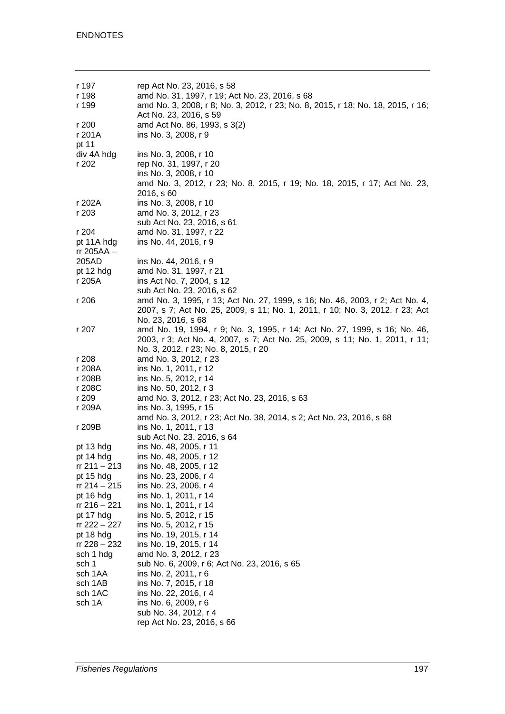| r 197<br>r 198<br>r 199             | rep Act No. 23, 2016, s 58<br>amd No. 31, 1997, r 19; Act No. 23, 2016, s 68<br>amd No. 3, 2008, r 8; No. 3, 2012, r 23; No. 8, 2015, r 18; No. 18, 2015, r 16;<br>Act No. 23, 2016, s 59 |
|-------------------------------------|-------------------------------------------------------------------------------------------------------------------------------------------------------------------------------------------|
| r 200<br>r 201A<br>pt 11            | amd Act No. 86, 1993, s 3(2)<br>ins No. 3, 2008, r 9                                                                                                                                      |
| div 4A hdg<br>r 202                 | ins No. 3, 2008, r 10<br>rep No. 31, 1997, r 20<br>ins No. 3, 2008, r 10<br>amd No. 3, 2012, r 23; No. 8, 2015, r 19; No. 18, 2015, r 17; Act No. 23,<br>2016, s 60                       |
| r 202A<br>r 203                     | ins No. 3, 2008, r 10<br>amd No. 3, 2012, r 23<br>sub Act No. 23, 2016, s 61                                                                                                              |
| r 204<br>pt 11A hdg<br>rr 205AA $-$ | amd No. 31, 1997, r 22<br>ins No. 44, 2016, r 9                                                                                                                                           |
| 205AD                               | ins No. 44, 2016, r 9                                                                                                                                                                     |
| pt 12 hdg                           | amd No. 31, 1997, r 21                                                                                                                                                                    |
| r 205A                              | ins Act No. 7, 2004, s 12                                                                                                                                                                 |
| r 206                               | sub Act No. 23, 2016, s 62<br>amd No. 3, 1995, r 13; Act No. 27, 1999, s 16; No. 46, 2003, r 2; Act No. 4,                                                                                |
|                                     | 2007, s 7; Act No. 25, 2009, s 11; No. 1, 2011, r 10; No. 3, 2012, r 23; Act                                                                                                              |
|                                     | No. 23, 2016, s 68                                                                                                                                                                        |
| r 207                               | amd No. 19, 1994, r 9; No. 3, 1995, r 14; Act No. 27, 1999, s 16; No. 46,<br>2003, r 3; Act No. 4, 2007, s 7; Act No. 25, 2009, s 11; No. 1, 2011, r 11;                                  |
|                                     | No. 3, 2012, r 23; No. 8, 2015, r 20                                                                                                                                                      |
| r 208                               | amd No. 3, 2012, r 23                                                                                                                                                                     |
| r 208A                              | ins No. 1, 2011, r 12                                                                                                                                                                     |
| r 208B<br>r 208C                    | ins No. 5, 2012, r 14<br>ins No. 50, 2012, r 3                                                                                                                                            |
| r 209                               | amd No. 3, 2012, r 23; Act No. 23, 2016, s 63                                                                                                                                             |
| r 209A                              | ins No. 3, 1995, r 15                                                                                                                                                                     |
|                                     | amd No. 3, 2012, r 23; Act No. 38, 2014, s 2; Act No. 23, 2016, s 68                                                                                                                      |
| r 209B                              | ins No. 1, 2011, r 13<br>sub Act No. 23, 2016, s 64                                                                                                                                       |
| pt 13 hdg                           | ins No. 48, 2005, r 11                                                                                                                                                                    |
| pt 14 hdg                           | ins No. 48, 2005, r 12                                                                                                                                                                    |
| $rr 211 - 213$                      | ins No. 48, 2005, r 12                                                                                                                                                                    |
| pt 15 hdg                           | ins No. 23, 2006, r 4                                                                                                                                                                     |
| rr 214 – 215                        | ins No. 23, 2006, r 4                                                                                                                                                                     |
| pt 16 hdg                           | ins No. 1, 2011, r 14                                                                                                                                                                     |
| rr 216 – 221                        | ins No. 1, 2011, r 14                                                                                                                                                                     |
| pt 17 hdg<br>rr 222 - 227           | ins No. 5, 2012, r 15                                                                                                                                                                     |
| pt 18 hdg                           | ins No. 5, 2012, r 15<br>ins No. 19, 2015, r 14                                                                                                                                           |
| rr 228 - 232                        | ins No. 19, 2015, r 14                                                                                                                                                                    |
| sch 1 hdg                           | amd No. 3, 2012, r 23                                                                                                                                                                     |
| sch 1                               | sub No. 6, 2009, r 6; Act No. 23, 2016, s 65                                                                                                                                              |
| sch 1AA                             | ins No. 2, 2011, r 6                                                                                                                                                                      |
| sch 1AB                             | ins No. 7, 2015, r 18                                                                                                                                                                     |
| sch 1AC                             | ins No. 22, 2016, r 4                                                                                                                                                                     |
| sch 1A                              | ins No. 6, 2009, r 6                                                                                                                                                                      |
|                                     | sub No. 34, 2012, r 4                                                                                                                                                                     |
|                                     | rep Act No. 23, 2016, s 66                                                                                                                                                                |